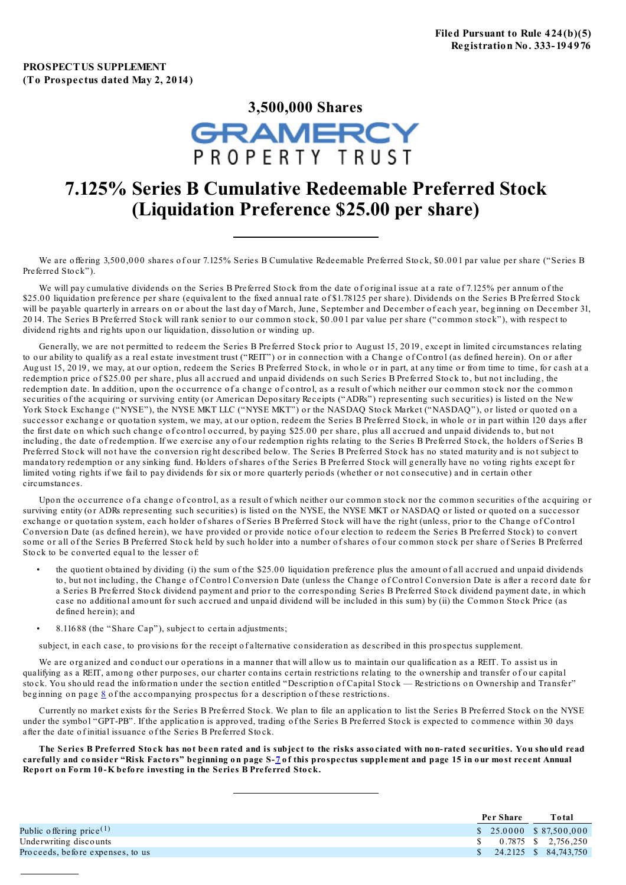

# **7.125% Series B Cumulative Redeemable Preferred Stock (Liquidation Preference \$25.00 per share)**

We are offering 3,500,000 shares of our 7.125% Series B Cumulative Redeemable Preferred Stock, \$0.001 par value per share ("Series B Preferred Stock").

We will pay cumulative dividends on the Series B Preferred Stock from the date of original issue at a rate of 7.125% per annum of the \$25.00 liquidation preference per share (equivalent to the fixed annual rate of \$1.78125 per share). Dividends on the Series B Preferred Stock will be payable quarterly in arrears on or about the last day of March, June, September and December of each year, beginning on December 31, 2014. The Series B Preferred Stock will rank senior to our common stock, \$0.001 par value per share ("common stock"), with respect to dividend rights and rights upon our liquidation, dissolution or winding up.

Generally, we are not permitted to redeem the Series B Preferred Stock prior to August 15, 2019, except in limited circumstances relating to our ability to qualify as a real estate investment trust ("REIT") or in connection with a Change of Control (as defined herein). On or after August 15, 2019, we may, at our option, redeem the Series B Preferred Stock, in whole or in part, at any time or from time to time, for cash at a redemption price of \$25.00 per share, plus all accrued and unpaid dividends on such Series B Preferred Stock to, but not including, the redemption date. In addition, upon the occurrence of a change of control, as a result of which neither our common stock nor the common securities of the acquiring or surviving entity (or American Depositary Receipts ("ADRs") representing such securities) is listed on the New York Stock Exchange ("NYSE"), the NYSE MKT LLC ("NYSE MKT") or the NASDAQ Stock Market ("NASDAQ"), or listed or quoted on a successor exchange or quotation system, we may, at our option, redeem the Series B Preferred Stock, in whole or in part within 120 days after the first date on which such change of control occurred, by paying \$25.00 per share, plus all accrued and unpaid dividends to, but not including, the date of redemption. If we exercise any of our redemption rights relating to the Series B Preferred Stock, the holders of Series B Preferred Stock will not have the conversion right described below. The Series B Preferred Stock has no stated maturity and is not subject to mandatory redemption or any sinking fund. Holders of shares of the Series B Preferred Stock will generally have no voting rights except for limited voting rights if we fail to pay dividends for six or more quarterly periods (whether or not consecutive) and in certain other circumstances.

Upon the occurrence of a change of control, as a result of which neither our common stock nor the common securities of the acquiring or surviving entity (or ADRs representing such securities) is listed on the NYSE, the NYSE MKT or NASDAQ or listed or quoted on a successor exchange or quotation system, each holder of shares of Series B Preferred Stock will have the right (unless, prior to the Change of Control Conversion Date (as defined herein), we have provided or provide notice of our election to redeem the Series B Preferred Stock) to convert some or all of the Series B Preferred Stock held by such holder into a number of shares of our common stock per share of Series B Preferred Stock to be converted equal to the lesser of:

- the quo tient o btained by dividing (i) the sum o f the \$25.0 0 liquidatio n preference plus the amo unt o f all accrued and unpaid dividends to, but not including, the Change of Control Conversion Date (unless the Change of Control Conversion Date is after a record date for a Series B Preferred Stock dividend payment and prior to the corresponding Series B Preferred Stock dividend payment date, in which case no additional amount for such accrued and unpaid dividend will be included in this sum) by (ii) the Common Stock Price (as defined herein); and
- 8.116 88 (the "Share Cap"), subject to certain adjustments;

subject, in each case, to provisions for the receipt of alternative consideration as described in this prospectus supplement.

We are organized and conduct our operations in a manner that will allow us to maintain our qualification as a REIT. To assist us in qualifying as a REIT, among other purposes, our charter contains certain restrictions relating to the ownership and transfer of our capital stock. You should read the information under the section entitled "Description of Capital Stock — Restrictions on Ownership and Transfer" beg inning on page  $8$  of the accompanying prospectus for a description of these restrictions.

Currently no market exists for the Series B Preferred Stock. We plan to file an application to list the Series B Preferred Stock on the NYSE under the symbol "GPT-PB". If the application is approved, trading of the Series B Preferred Stock is expected to commence within 30 days after the date o f initial issuance o f the Series B Preferred Sto ck.

The Series B Preferred Stock has not been rated and is subject to the risks associated with non-rated securities. You should read carefully and consider "Risk Factors" beginning on page S-[7](#page-13-0) of this prospectus supplement and page 15 in our most recent Annual **Repo rt o n Fo rm 10 -K befo re investing in the Series B Preferred Sto ck.**

| Per Share | <b>Total</b>                                     |
|-----------|--------------------------------------------------|
|           | $$25.0000 \quad $87.500,000$                     |
|           | $\frac{\text{S}}{\text{S}}$ 0.7875 \ \ 2.756.250 |
|           | $\frac{1}{2}$ 24.2125 \$ 84.743.750              |
|           |                                                  |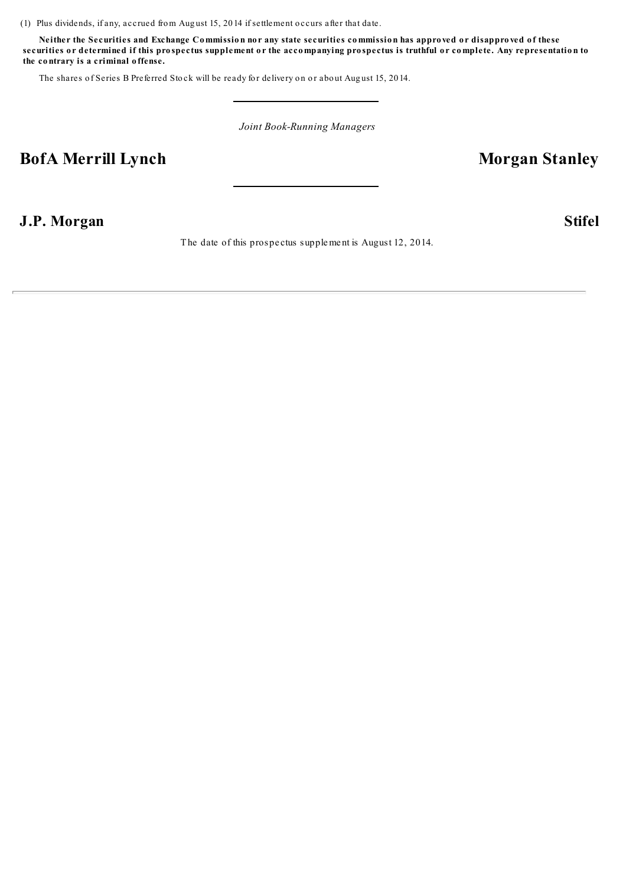(1) Plus dividends, if any, accrued from Aug ust 15, 20 14 if settlement o ccurs after that date.

Neither the Securities and Exchange Commission nor any state securities commission has approved or disapproved of these securities or determined if this prospectus supplement or the accompanying prospectus is truthful or complete. Any representation to **the co ntrary is a criminal o ffense.**

The shares of Series B Preferred Stock will be ready for delivery on or about August 15, 2014.

*Joint Book-Running Managers*

# **BofA** Merrill Lynch **Morgan** Stanley

# **J.P. Morgan Stifel**

The date of this prospe ctus supplement is August 12, 2014.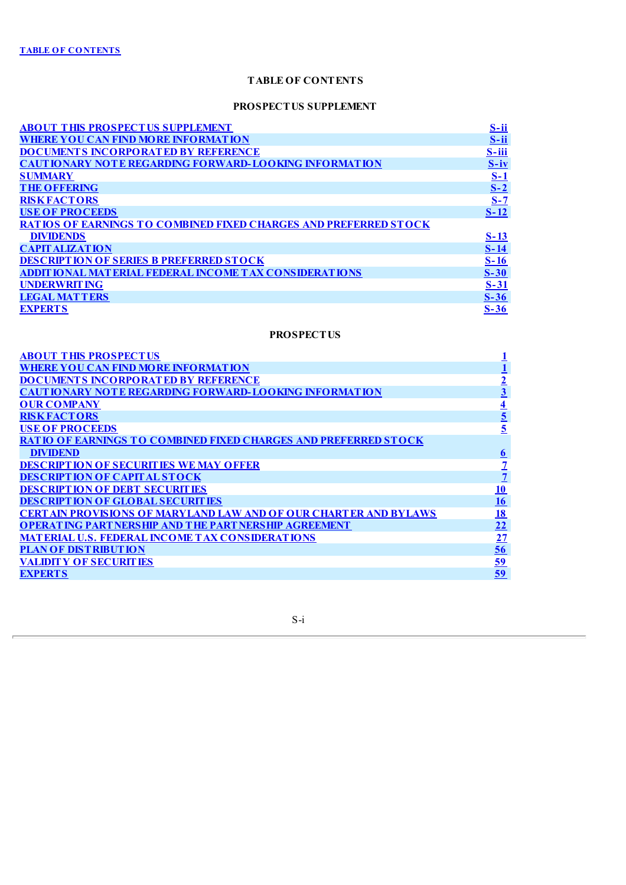# **PROSPECTUS SUPPLEMENT**

<span id="page-2-0"></span>

| <b>ABOUT THIS PROSPECTUS SUPPLEMENT</b>                                 | S-ii       |
|-------------------------------------------------------------------------|------------|
| <b>WHERE YOU CAN FIND MORE INFORMATION</b>                              | $S$ -ii    |
| <b>DOCUMENTS INCORPORATED BY REFERENCE</b>                              | $S$ -iii   |
| <b>CAUTIONARY NOTE REGARDING FORWARD-LOOKING INFORMATION</b>            | $S-iv$     |
| <b>SUMMARY</b>                                                          | <u>S-1</u> |
| <b>THE OFFERING</b>                                                     | $S-2$      |
| <b>RISK FACTORS</b>                                                     | $S-7$      |
| <b>USE OF PROCEEDS</b>                                                  | $S-12$     |
| <b>RATIOS OF EARNINGS TO COMBINED FIXED CHARGES AND PREFERRED STOCK</b> |            |
| <b>DIVIDENDS</b>                                                        | $S-13$     |
| <b>CAPIT ALIZATION</b>                                                  | $S-14$     |
| <b>DESCRIPTION OF SERIES B PREFERRED STOCK</b>                          | $S-16$     |
| <b>ADDIT IONAL MATERIAL FEDERAL INCOME TAX CONSIDERATIONS</b>           | $S-30$     |
| <b>UNDERWRITING</b>                                                     | $S-31$     |
| <b>LEGAL MATTERS</b>                                                    | $S-36$     |
| <b>EXPERTS</b>                                                          | $S-36$     |

# **PROSPECTUS**

| <b>ABOUT THIS PROSPECTUS</b>                                              |                         |
|---------------------------------------------------------------------------|-------------------------|
| WHERE YOU CAN FIND MORE INFORMATION                                       |                         |
| <b>DOCUMENTS INCORPORATED BY REFERENCE</b>                                | $\overline{2}$          |
| <b>CAUTIONARY NOTE REGARDING FORWARD-LOOKING INFORMATION</b>              | $\overline{\mathbf{3}}$ |
| <b>OUR COMPANY</b>                                                        | $\overline{\mathbf{4}}$ |
| <b>RISK FACTORS</b>                                                       | $\overline{\mathbf{5}}$ |
| <b>USE OF PROCEEDS</b>                                                    | 5                       |
| <b>RATIO OF EARNINGS TO COMBINED FIXED CHARGES AND PREFERRED STOCK</b>    |                         |
| <b>DIVIDEND</b>                                                           | $\underline{6}$         |
| <b>DESCRIPTION OF SECURITIES WE MAY OFFER</b>                             |                         |
| <b>DESCRIPTION OF CAPITAL STOCK</b>                                       | $\overline{1}$          |
| <b>DESCRIPTION OF DEBT SECURITIES</b>                                     | <u> 10</u>              |
| <b>DESCRIPTION OF GLOBAL SECURITIES</b>                                   | <u> 16</u>              |
| <b>CERT AIN PROVISIONS OF MARYLAND LAW AND OF OUR CHART ER AND BYLAWS</b> | <u>18</u>               |
| <b>OPERATING PARTNERSHIP AND THE PARTNERSHIP AGREEMENT</b>                | $\overline{22}$         |
| <b>MATERIAL U.S. FEDERAL INCOME TAX CONSIDERATIONS</b>                    | $\overline{27}$         |
| <b>PLAN OF DISTRIBUTION</b>                                               | 56                      |
| <b>VALIDITY OF SECURITIES</b>                                             | <u>59</u>               |
| <b>EXPERTS</b>                                                            | 59                      |

S-i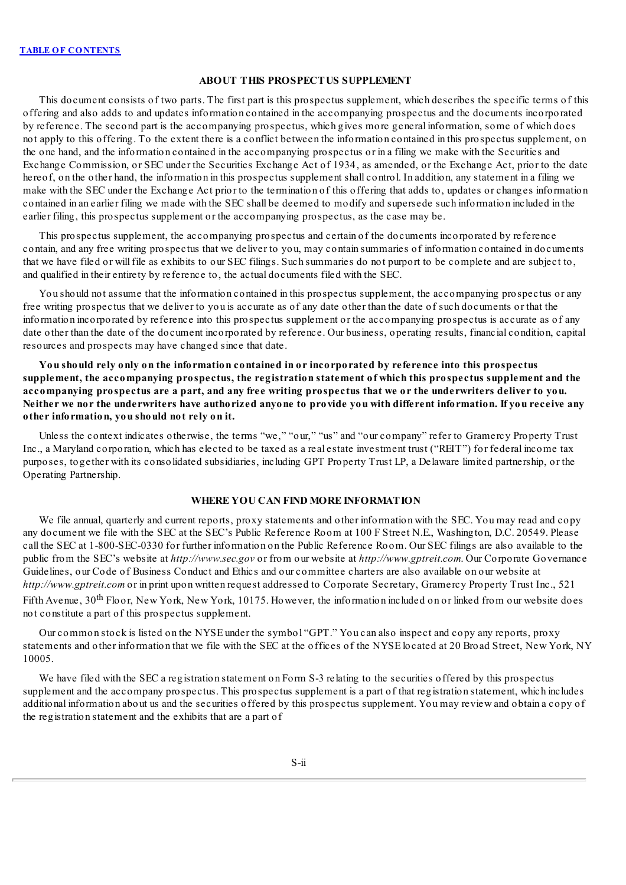## **ABOUT THIS PROSPECTUS SUPPLEMENT**

<span id="page-3-0"></span>This document consists of two parts. The first part is this prospectus supplement, which describes the specific terms of this offering and also adds to and updates information contained in the accompanying prospectus and the documents incorporated by reference. The second part is the accompanying prospectus, which gives more general information, some of which does not apply to this offering. To the extent there is a conflict between the information contained in this prospectus supplement, on the one hand, and the information contained in the accompanying prospectus or in a filing we make with the Securities and Exchange Commission, or SEC under the Securities Exchange Act of 1934, as amended, or the Exchange Act, prior to the date hereof, on the other hand, the information in this prospectus supplement shall control. In addition, any statement in a filing we make with the SEC under the Exchange Act prior to the termination of this offering that adds to, updates or changes information contained in an earlier filing we made with the SEC shall be deemed to modify and supersede such information included in the earlier filing, this prospectus supplement or the accompanying prospectus, as the case may be.

This prospectus supplement, the accompanying prospectus and certain of the documents incorporated by reference contain, and any free writing prospectus that we deliver to you, may contain summaries of information contained in documents that we have filed or will file as exhibits to our SEC filings. Such summaries do not purport to be complete and are subject to, and qualified in their entirety by reference to, the actual documents filed with the SEC.

You should not assume that the information contained in this prospectus supplement, the accompanying prospectus or any free writing prospectus that we deliver to you is accurate as of any date other than the date of such documents or that the information incorporated by reference into this prospectus supplement or the accompanying prospectus is accurate as of any date other than the date of the document incorporated by reference. Our business, operating results, financial condition, capital resources and prospects may have changed since that date.

**You should rely only on the information contained in or incorporated by reference into this prospectus supplement, the accompanying prospectus, the registration statement of which this prospectus supplement and the** accompanying prospectus are a part, and any free writing prospectus that we or the underwriters deliver to you. Neither we nor the underwriters have authorized anyone to provide you with different information. If you receive any **other information, you should not rely on it.**

Unless the context indicates otherwise, the terms "we," "our," "us" and "our company" refer to Gramercy Property Trust Inc., a Maryland corporation, which has elected to be taxed as a real estate investment trust ("REIT") for federal income tax purposes, together with its consolidated subsidiaries, including GPT Property Trust LP, a Delaware limited partnership, or the Operating Partnership.

## **WHERE YOU CAN FIND MORE INFORMATION**

<span id="page-3-1"></span>We file annual, quarterly and current reports, proxy statements and other information with the SEC. You may read and copy any document we file with the SEC at the SEC's Public Reference Room at 100 F Street N.E., Washington, D.C. 20549. Please call the SEC at 1-800-SEC-0330 for further information on the Public Reference Room. Our SEC filings are also available to the public from the SEC's website at *http://www.sec.gov* or from our website at *http://www.gptreit.com*. Our Corporate Governance Guidelines, our Code of Business Conduct and Ethics and our committee charters are also available on our website at *http://www.gptreit.com* or in print upon written request addressed to Corporate Secretary, Gramercy Property Trust Inc., 521 Fifth Avenue,  $30^{\text{th}}$  Floor, New York, New York, 10175. However, the information included on or linked from our website does

not constitute a part of this prospectus supplement.

Our common stock is listed on the NYSE under the symbol "GPT." You can also inspect and copy any reports, proxy statements and other information that we file with the SEC at the offices of the NYSE located at 20 Broad Street, New York, NY 10005.

We have filed with the SEC a registration statement on Form S-3 relating to the securities offered by this prospectus supplement and the accompany prospectus. This prospectus supplement is a part of that registration statement, which includes additional information about us and the securities offered by this prospectus supplement. You may review and obtain a copy of the registration statement and the exhibits that are a part of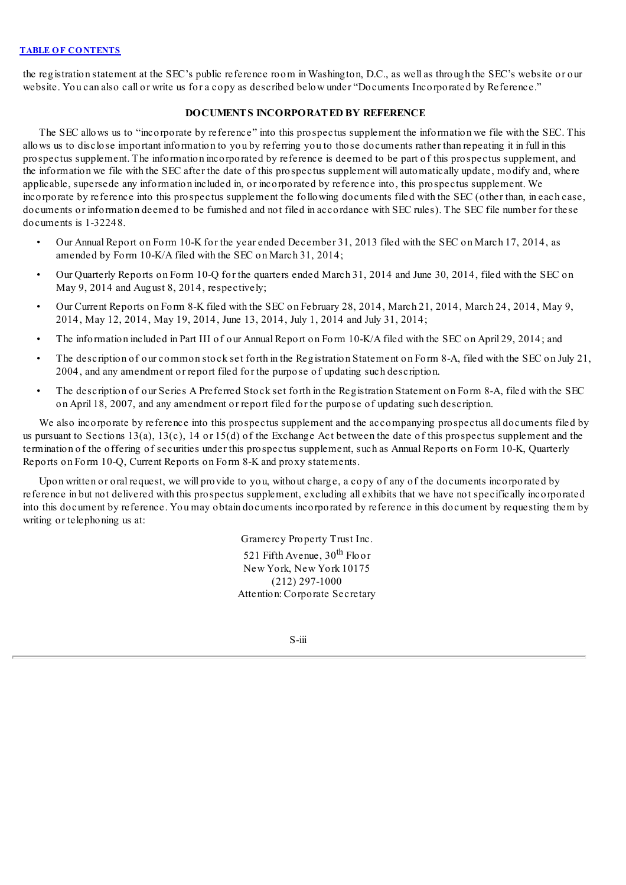<span id="page-4-0"></span>the registration statement at the SEC's public reference room in Washington, D.C., as well as through the SEC's website or our website. You can also call or write us for a copy as described below under "Documents Incorporated by Reference."

## **DOCUMENTS INCORPORATED BY REFERENCE**

The SEC allows us to "incorporate by reference" into this prospectus supplement the information we file with the SEC. This allows us to disclose important information to you by referring you to those documents rather than repeating it in full in this prospectus supplement. The information incorporated by reference is deemed to be part of this prospectus supplement, and the information we file with the SEC after the date of this prospectus supplement will automatically update, modify and, where applicable, supersede any information included in, or incorporated by reference into, this prospectus supplement. We incorporate by reference into this prospectus supplement the following documents filed with the SEC (other than, in each case, documents or information deemed to be furnished and not filed in accordance with SEC rules). The SEC file number for these documents is 1-32248.

- Our Annual Report on Form 10-K for the year ended December 31, 2013 filed with the SEC on March 17, 2014, as amended by Form 10-K/A filed with the SEC on March 31, 2014;
- Our Quarterly Reports on Form 10-Q for the quarters ended March 31, 2014 and June 30, 2014, filed with the SEC on May 9, 2014 and August 8, 2014, respectively;
- Our Current Reports on Form 8-K filed with the SEC on February 28, 2014, March 21, 2014, March 24, 2014, May 9, 2014, May 12, 2014, May 19, 2014, June 13, 2014, July 1, 2014 and July 31, 2014;
- The information included in Part III of our Annual Report on Form 10-K/A filed with the SEC on April 29, 2014; and
- The description of our common stock set forth in the Registration Statement on Form 8-A, filed with the SEC on July 21, 2004, and any amendment or report filed for the purpose of updating such description.
- The description of our Series A Preferred Stock set forth in the Registration Statement on Form 8-A, filed with the SEC on April 18, 2007, and any amendment or report filed for the purpose of updating such description.

We also incorporate by reference into this prospectus supplement and the accompanying prospectus all documents filed by us pursuant to Sections 13(a), 13(c), 14 or 15(d) of the Exchange Act between the date of this prospectus supplement and the termination of the offering of securities under this prospectus supplement, such as Annual Reports on Form 10-K, Quarterly Reports on Form 10-Q, Current Reports on Form 8-K and proxy statements.

Upon written or oral request, we will provide to you, without charge, a copy of any of the documents incorporated by reference in but not delivered with this prospectus supplement, excluding all exhibits that we have not specifically incorporated into this document by reference. You may obtain documents incorporated by reference in this document by requesting them by writing or telephoning us at:

> Gramercy Property Trust Inc. 521 Fifth Avenue, 30<sup>th</sup> Floor New York, New York 10175 (212) 297-1000 Attention: Corporate Secretary

> > S-iii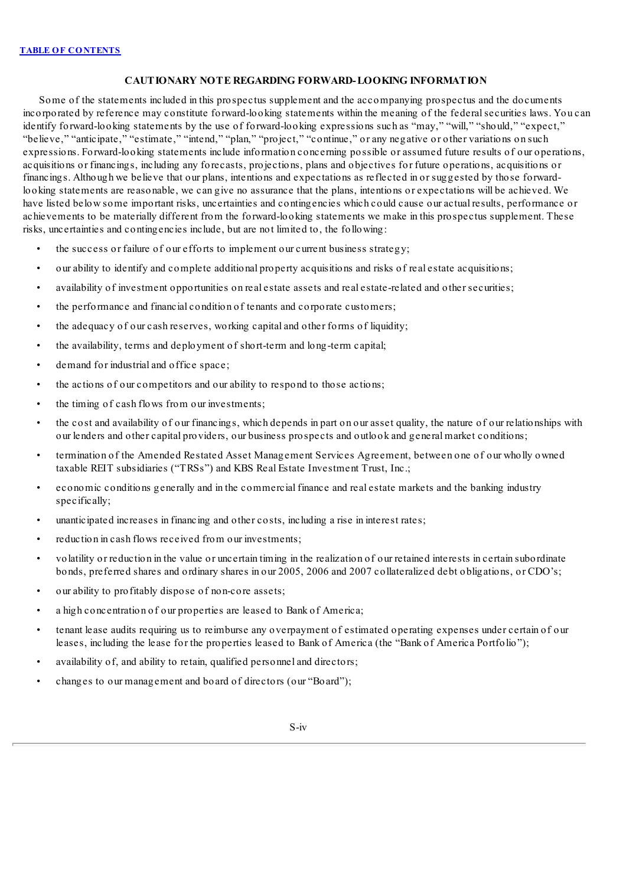## **CAUTIONARY NOTE REGARDING FORWARD-LOOKING INFORMATION**

<span id="page-5-0"></span>Some of the statements included in this prospectus supplement and the accompanying prospectus and the documents incorporated by reference may constitute forward-looking statements within the meaning of the federalsecurities laws. You can identify forward-looking statements by the use of forward-looking expressions such as "may," "will," "should," "expect," "believe," "anticipate," "estimate," "intend," "plan," "project," "continue," or any negative or other variations on such expressions. Forward-looking statements include information concerning possible or assumed future results of our operations, acquisitions or financings, including any forecasts, projections, plans and objectives for future operations, acquisitions or financings. Although we believe that our plans, intentions and expectations as reflected in or suggested by those forwardlooking statements are reasonable, we can give no assurance that the plans, intentions or expectations will be achieved. We have listed below some important risks, uncertainties and contingencies which could cause our actual results, performance or achievements to be materially different from the forward-looking statements we make in this prospectus supplement. These risks, uncertainties and contingencies include, but are not limited to, the following:

- the success or failure of our efforts to implement our current business strategy;
- our ability to identify and complete additional property acquisitions and risks of real estate acquisitions;
- availability of investment opportunities on real estate assets and real estate-related and other securities;
- the performance and financial condition of tenants and corporate customers;
- the adequacy of our cash reserves, working capital and other forms of liquidity;
- the availability, terms and deployment of short-term and long-term capital;
- demand for industrial and office space:
- the actions of our competitors and our ability to respond to those actions;
- the timing of cash flows from our investments;
- the cost and availability of our financings, which depends in part on our asset quality, the nature of our relationships with our lenders and other capital providers, our business prospects and outlook and general market conditions;
- termination of the Amended Restated Asset Management Services Agreement, between one of our wholly owned taxable REIT subsidiaries ("TRSs") and KBS Real Estate Investment Trust, Inc.;
- economic conditions generally and in the commercial finance and real estate markets and the banking industry specifically;
- unanticipated increases in financing and other costs, including a rise in interest rates;
- reduction in cash flows received from our investments;
- volatility or reduction in the value or uncertain timing in the realization of our retained interests in certain subordinate bonds, preferred shares and ordinary shares in our 2005, 2006 and 2007 collateralized debt obligations, or CDO's;
- our ability to profitably dispose of non-core assets;
- a high concentration of our properties are leased to Bank of America;
- tenant lease audits requiring us to reimburse any overpayment of estimated operating expenses under certain of our leases, including the lease for the properties leased to Bank of America (the "Bank of America Portfolio");
- availability of, and ability to retain, qualified personnel and directors;
- changes to our management and board of directors (our "Board");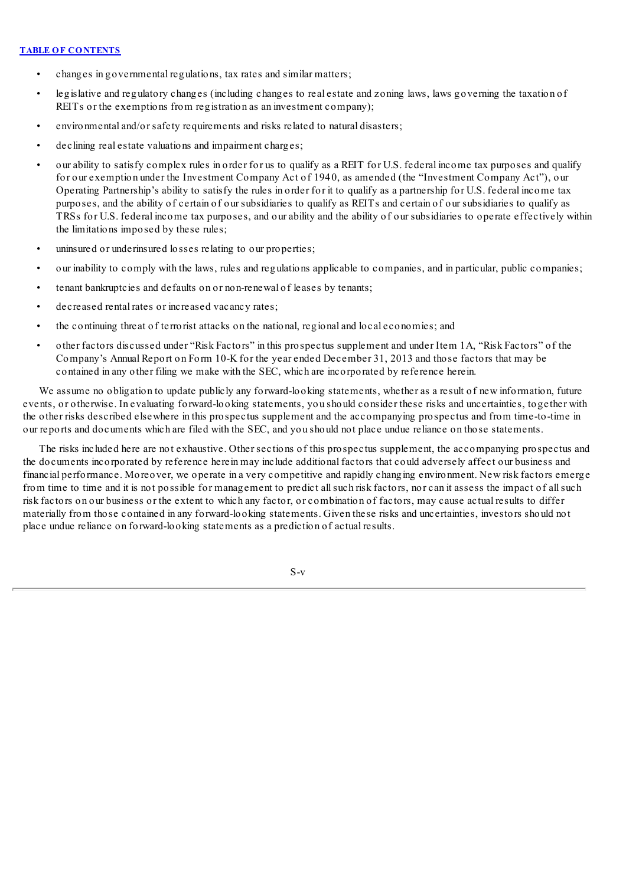- changes in governmental regulations, tax rates and similar matters;
- legislative and regulatory changes (including changes to real estate and zoning laws, laws governing the taxation of REITs or the exemptions from registration as an investment company);
- environmental and/or safety requirements and risks related to natural disasters;
- declining real estate valuations and impairment charges;
- our ability to satisfy complex rules in order for us to qualify as a REIT for U.S. federal income tax purposes and qualify for our exemption under the Investment Company Act of 1940, as amended (the "Investment Company Act"), our Operating Partnership's ability to satisfy the rules in order for it to qualify as a partnership for U.S. federal income tax purposes, and the ability of certain of our subsidiaries to qualify as REITs and certain of our subsidiaries to qualify as TRSs for U.S. federal income tax purposes, and our ability and the ability of our subsidiaries to operate effectively within the limitations imposed by these rules;
- uninsured or underinsured losses relating to our properties;
- our inability to comply with the laws, rules and regulations applicable to companies, and in particular, public companies;
- tenant bankruptcies and defaults on or non-renewal of leases by tenants;
- decreased rental rates or increased vacancy rates;
- the continuing threat of terrorist attacks on the national, regional and local economies; and
- other factors discussed under "Risk Factors" in this prospectus supplement and under Item 1A, "Risk Factors" of the Company's Annual Report on Form 10-K for the year ended December 31, 2013 and those factors that may be contained in any other filing we make with the SEC, which are incorporated by reference herein.

We assume no obligation to update publicly any forward-looking statements, whether as a result of new information, future events, or otherwise. In evaluating forward-looking statements, you should consider these risks and uncertainties, together with the other risks described elsewhere in this prospectus supplement and the accompanying prospectus and from time-to-time in our reports and documents which are filed with the SEC, and you should not place undue reliance on those statements.

The risks included here are not exhaustive. Other sections of this prospectus supplement, the accompanying prospectus and the documents incorporated by reference herein may include additional factors that could adversely affect our business and financial performance. Moreover, we operate in a very competitive and rapidly changing environment. New risk factors emerge from time to time and it is not possible for management to predict allsuch risk factors, nor can it assess the impact of allsuch risk factors on our business or the extent to which any factor, or combination of factors, may cause actual results to differ materially from those contained in any forward-looking statements. Given these risks and uncertainties, investors should not place undue reliance on forward-looking statements as a prediction of actual results.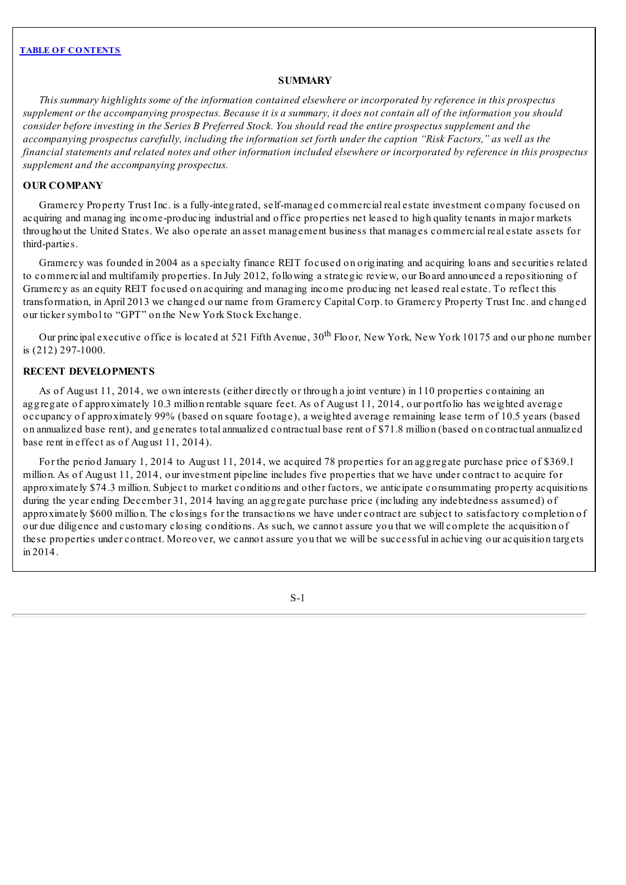## **SUMMARY**

<span id="page-7-0"></span>This summary highlights some of the information contained elsewhere or incorporated by reference in this prospectus supplement or the accompanying prospectus. Because it is a summary, it does not contain all of the information you should consider before investing in the Series B Preferred Stock. You should read the entire prospectus supplement and the accompanying prospectus carefully, including the information set forth under the caption "Risk Factors," as well as the financial statements and related notes and other information included elsewhere or incorporated by reference in this prospectus *supplement and the accompanying prospectus.*

## **OUR COMPANY**

Gramercy Property Trust Inc. is a fully-integrated, self-managed commercial real estate investment company focused on acquiring and managing income-producing industrial and office properties net leased to high quality tenants in major markets throughout the United States. We also operate an asset management business that manages commercial real estate assets for third-parties.

Gramercy was founded in 2004 as a specialty finance REIT focused on originating and acquiring loans and securities related to commercial and multifamily properties. In July 2012, following a strategic review, our Board announced a repositioning of Gramercy as an equity REIT focused on acquiring and managing income producing net leased real estate. To reflect this transformation, in April 2013 we changed our name from Gramercy Capital Corp. to Gramercy Property Trust Inc. and changed our ticker symbol to "GPT" on the New York Stock Exchange.

Our principal executive office is located at 521 Fifth Avenue, 30<sup>th</sup> Floor, New York, New York 10175 and our phone number is (212) 297-1000.

## **RECENT DEVELOPMENTS**

As of August 11, 2014, we own interests (either directly or through a joint venture) in 110 properties containing an aggregate of approximately 10.3 million rentable square feet. As of August 11, 2014, our portfolio has weighted average occupancy of approximately 99% (based on square footage), a weighted average remaining lease term of 10.5 years (based on annualized base rent), and generates total annualized contractual base rent of \$71.8 million (based on contractual annualized base rent in effect as of August 11, 2014).

For the period January 1, 2014 to August 11, 2014, we acquired 78 properties for an aggregate purchase price of \$369.1 million. As of August 11, 2014, our investment pipeline includes five properties that we have under contract to acquire for approximately \$74.3 million. Subject to market conditions and other factors, we anticipate consummating property acquisitions during the year ending December 31, 2014 having an aggregate purchase price (including any indebtedness assumed) of approximately \$600 million. The closings for the transactions we have under contract are subject to satisfactory completion of our due diligence and customary closing conditions. As such, we cannot assure you that we will complete the acquisition of these properties under contract. Moreover, we cannot assure you that we will be successful in achieving our acquisition targets in 2014.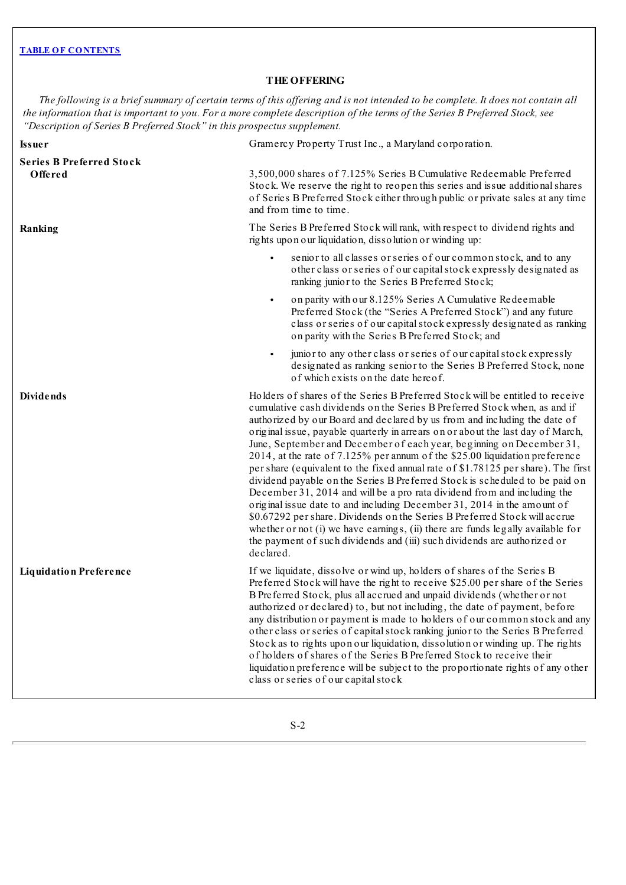# **THE OFFERING**

<span id="page-8-0"></span>The following is a brief summary of certain terms of this offering and is not intended to be complete. It does not contain all the information that is important to you. For a more complete description of the terms of the Series B Preferred Stock, see *"Description of Series B Preferred Stock" in this prospectus supplement.*

| <b>Issuer</b>                              | Gramercy Property Trust Inc., a Maryland corporation.                                                                                                                                                                                                                                                                                                                                                                                                                                                                                                                                                                                                                                                                                                                                                                                                                                                                                                                                                                                                                      |  |  |  |
|--------------------------------------------|----------------------------------------------------------------------------------------------------------------------------------------------------------------------------------------------------------------------------------------------------------------------------------------------------------------------------------------------------------------------------------------------------------------------------------------------------------------------------------------------------------------------------------------------------------------------------------------------------------------------------------------------------------------------------------------------------------------------------------------------------------------------------------------------------------------------------------------------------------------------------------------------------------------------------------------------------------------------------------------------------------------------------------------------------------------------------|--|--|--|
| <b>Series B Preferred Stock</b><br>Offered | 3,500,000 shares of 7.125% Series B Cumulative Redeemable Preferred<br>Stock. We reserve the right to reopen this series and issue additional shares<br>of Series B Preferred Stock either through public or private sales at any time<br>and from time to time.                                                                                                                                                                                                                                                                                                                                                                                                                                                                                                                                                                                                                                                                                                                                                                                                           |  |  |  |
| Ranking                                    | The Series B Preferred Stock will rank, with respect to dividend rights and<br>rights upon our liquidation, dissolution or winding up:                                                                                                                                                                                                                                                                                                                                                                                                                                                                                                                                                                                                                                                                                                                                                                                                                                                                                                                                     |  |  |  |
|                                            | senior to all classes or series of our common stock, and to any<br>other class or series of our capital stock expressly designated as<br>ranking junior to the Series B Preferred Stock;                                                                                                                                                                                                                                                                                                                                                                                                                                                                                                                                                                                                                                                                                                                                                                                                                                                                                   |  |  |  |
|                                            | on parity with our 8.125% Series A Cumulative Redeemable<br>$\bullet$<br>Preferred Stock (the "Series A Preferred Stock") and any future<br>class or series of our capital stock expressly designated as ranking<br>on parity with the Series B Preferred Stock; and                                                                                                                                                                                                                                                                                                                                                                                                                                                                                                                                                                                                                                                                                                                                                                                                       |  |  |  |
|                                            | junior to any other class or series of our capital stock expressly<br>$\bullet$<br>designated as ranking senior to the Series B Preferred Stock, none<br>of which exists on the date here of.                                                                                                                                                                                                                                                                                                                                                                                                                                                                                                                                                                                                                                                                                                                                                                                                                                                                              |  |  |  |
| <b>Dividends</b>                           | Holders of shares of the Series B Preferred Stock will be entitled to receive<br>cumulative cash dividends on the Series B Preferred Stock when, as and if<br>authorized by our Board and declared by us from and including the date of<br>original issue, payable quarterly in arrears on or about the last day of March,<br>June, September and December of each year, beginning on December 31,<br>2014, at the rate of 7.125% per annum of the \$25.00 liquidation preference<br>per share (equivalent to the fixed annual rate of \$1.78125 per share). The first<br>dividend payable on the Series B Preferred Stock is scheduled to be paid on<br>December 31, 2014 and will be a pro rata dividend from and including the<br>original issue date to and including December 31, 2014 in the amount of<br>\$0.67292 per share. Dividends on the Series B Preferred Stock will accrue<br>whether $or not (i)$ we have earnings, $(ii)$ there are funds legally available for<br>the payment of such dividends and (iii) such dividends are authorized or<br>declared. |  |  |  |
| <b>Liquidation Preference</b>              | If we liquidate, dissolve or wind up, holders of shares of the Series B<br>Preferred Stock will have the right to receive \$25.00 per share of the Series<br>B Preferred Stock, plus all accrued and unpaid dividends (whether or not<br>authorized or declared) to, but not including, the date of payment, before<br>any distribution or payment is made to holders of our common stock and any<br>other class or series of capital stock ranking junior to the Series B Preferred<br>Stock as to rights upon our liquidation, dissolution or winding up. The rights<br>of holders of shares of the Series B Preferred Stock to receive their<br>liquidation preference will be subject to the proportionate rights of any other<br>class or series of our capital stock                                                                                                                                                                                                                                                                                                 |  |  |  |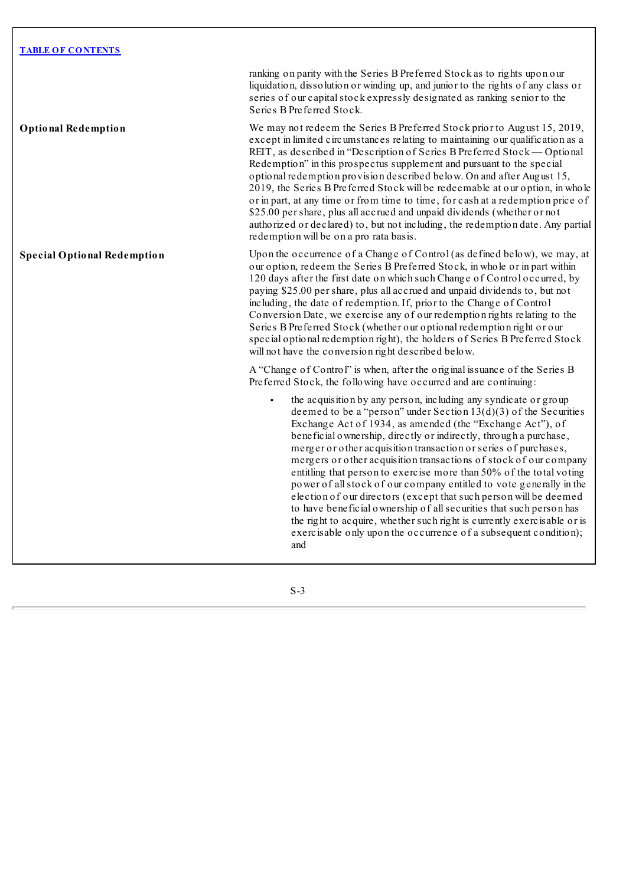ranking on parity with the Series B Preferred Stock as to rights upon our liquidation, dissolution or winding up, and junior to the rights of any class or series of our capital stock expressly designated as ranking senior to the Series B Preferred Stock.

**Optional Redemption** We may not redeem the Series B Preferred Stock prior to August 15, 2019, except in limited circumstances relating to maintaining our qualification as a REIT, as described in "Description of Series B Preferred Stock — Optional Redemption" in this prospectus supplement and pursuant to the special optional redemption provision described below. On and after August 15, 2019, the Series B Preferred Stock will be redeemable at our option, in whole or in part, at any time or from time to time, for cash at a redemption price of \$25.00 per share, plus all accrued and unpaid dividends (whether or not authorized or declared) to, but not including, the redemption date. Any partial redemption will be on a pro rata basis.

**Special Optional Redemption** Upon the occurrence of a Change of Control (as defined below), we may, at our option, redeem the Series B Preferred Stock, in whole or in part within 120 days after the first date on which such Change of Control occurred, by paying \$25.00 per share, plus all accrued and unpaid dividends to, but not including, the date of redemption. If, prior to the Change of Control Conversion Date, we exercise any of our redemption rights relating to the Series B Preferred Stock (whether our optional redemption right or our special optional redemption right), the holders of Series B Preferred Stock will not have the conversion right described below.

> A "Change of Control" is when, after the original issuance of the Series B Preferred Stock, the following have occurred and are continuing:

• the acquisition by any person, including any syndicate or group deemed to be a "person" under Section  $13(d)(3)$  of the Securities Exchange Act of 1934, as amended (the "Exchange Act"), of beneficial ownership, directly or indirectly, through a purchase, merger or other acquisition transaction or series of purchases, mergers or other acquisition transactions of stock of our company entitling that person to exercise more than 50% of the total voting power of allstock of our company entitled to vote generally in the election of our directors (except that such person will be deemed to have beneficial ownership of allsecurities that such person has the right to acquire, whether such right is currently exercisable or is exercisable only upon the occurrence of a subsequent condition); and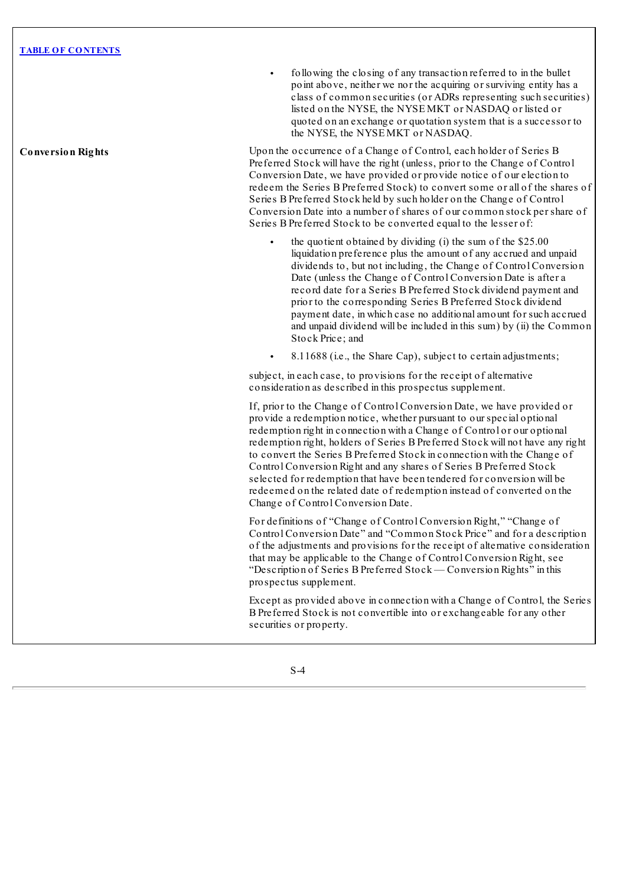• following the closing of any transaction referred to in the bullet point above, neither we nor the acquiring or surviving entity has a class of common securities (or ADRs representing such securities) listed on the NYSE, the NYSE MKT or NASDAQ or listed or quoted on an exchange or quotation system that is a successor to the NYSE, the NYSE MKT or NASDAQ.

**Conversion Rights** Upon the occurrence of a Change of Control, each holder of Series B Preferred Stock will have the right (unless, prior to the Change of Control Conversion Date, we have provided or provide notice of our election to redeem the Series B Preferred Stock) to convert some or all of the shares of Series B Preferred Stock held by such holder on the Change of Control Conversion Date into a number of shares of our common stock per share of Series B Preferred Stock to be converted equal to the lesser of:

- the quotient obtained by dividing (i) the sum of the  $$25.00$ liquidation preference plus the amount of any accrued and unpaid dividends to, but not including, the Change of Control Conversion Date (unless the Change of Control Conversion Date is after a record date for a Series B Preferred Stock dividend payment and prior to the corresponding Series B Preferred Stock dividend payment date, in which case no additional amount for such accrued and unpaid dividend will be included in this sum) by (ii) the Common Stock Price; and
- 8.11688 (i.e., the Share Cap), subject to certain adjustments;

subject, in each case, to provisions for the receipt of alternative consideration as described in this prospectus supplement.

If, prior to the Change of Control Conversion Date, we have provided or provide a redemption notice, whether pursuant to our special optional redemption right in connection with a Change of Control or our optional redemption right, holders of Series B Preferred Stock will not have any right to convert the Series B Preferred Stock in connection with the Change of Control Conversion Right and any shares of Series B Preferred Stock selected for redemption that have been tendered for conversion will be redeemed on the related date of redemption instead of converted on the Change of Control Conversion Date.

For definitions of "Change of Control Conversion Right," "Change of Control Conversion Date" and "Common Stock Price" and for a description of the adjustments and provisions for the receipt of alternative consideration that may be applicable to the Change of Control Conversion Right, see "Description of Series B Preferred Stock — Conversion Rights" in this prospectus supplement.

Except as provided above in connection with a Change of Control, the Series B Preferred Stock is not convertible into or exchangeable for any other securities or property.

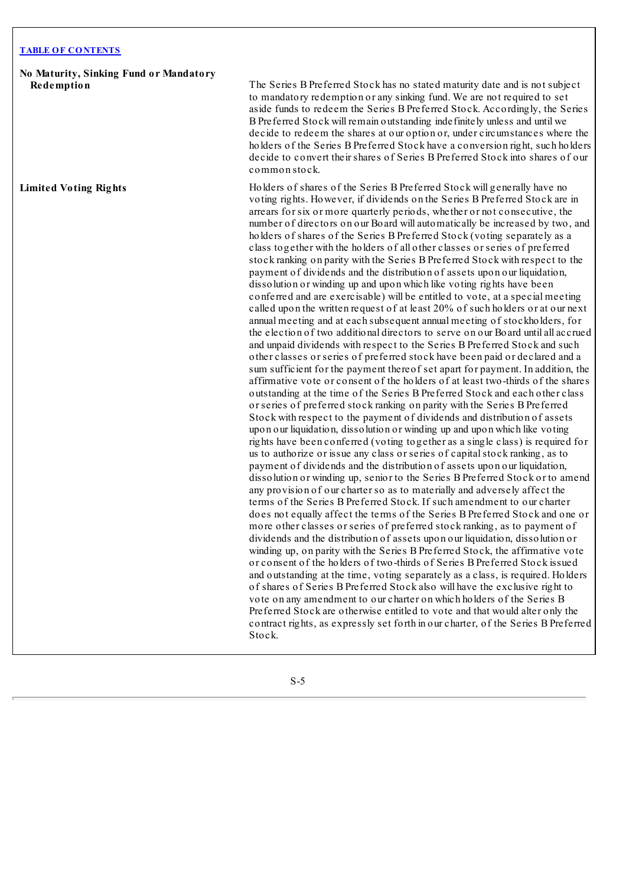**No Maturity, Sinking Fund or Mandatory**

**Redemption** The Series B Preferred Stock has no stated maturity date and is not subject to mandatory redemption or any sinking fund. We are not required to set aside funds to redeem the Series B Preferred Stock. Accordingly, the Series B Preferred Stock will remain outstanding indefinitely unless and until we decide to redeem the shares at our option or, under circumstances where the holders of the Series B Preferred Stock have a conversion right, such holders decide to convert their shares of Series B Preferred Stock into shares of our common stock.

**Limited Voting Rights** Holders of shares of the Series B Preferred Stock will generally have no voting rights. However, if dividends on the Series B Preferred Stock are in arrears for six or more quarterly periods, whether or not consecutive, the number of directors on our Board will automatically be increased by two, and holders of shares of the Series B Preferred Stock (voting separately as a class together with the holders of all other classes or series of preferred stock ranking on parity with the Series B Preferred Stock with respect to the payment of dividends and the distribution of assets upon our liquidation, dissolution or winding up and upon which like voting rights have been conferred and are exercisable) will be entitled to vote, at a special meeting called upon the written request of at least 20% of such holders or at our next annual meeting and at each subsequent annual meeting of stockholders, for the election of two additional directors to serve on our Board until all accrued and unpaid dividends with respect to the Series B Preferred Stock and such other classes or series of preferred stock have been paid or declared and a sum sufficient for the payment thereof set apart for payment. In addition, the affirmative vote or consent of the holders of at least two-thirds of the shares outstanding at the time of the Series B Preferred Stock and each other class or series of preferred stock ranking on parity with the Series B Preferred Stock with respect to the payment of dividends and distribution of assets upon our liquidation, dissolution or winding up and upon which like voting rights have been conferred (voting together as a single class) is required for us to authorize or issue any class or series of capital stock ranking, as to payment of dividends and the distribution of assets upon our liquidation, dissolution or winding up, senior to the Series B Preferred Stock or to amend any provision of our charter so as to materially and adversely affect the terms of the Series B Preferred Stock. If such amendment to our charter does not equally affect the terms of the Series B Preferred Stock and one or more other classes or series of preferred stock ranking, as to payment of dividends and the distribution of assets upon our liquidation, dissolution or winding up, on parity with the Series B Preferred Stock, the affirmative vote or consent of the holders of two-thirds of Series B Preferred Stock issued and outstanding at the time, voting separately as a class, is required. Holders of shares of Series B Preferred Stock also will have the exclusive right to vote on any amendment to our charter on which holders of the Series B Preferred Stock are otherwise entitled to vote and that would alter only the contract rights, as expressly set forth in our charter, of the Series B Preferred Stock.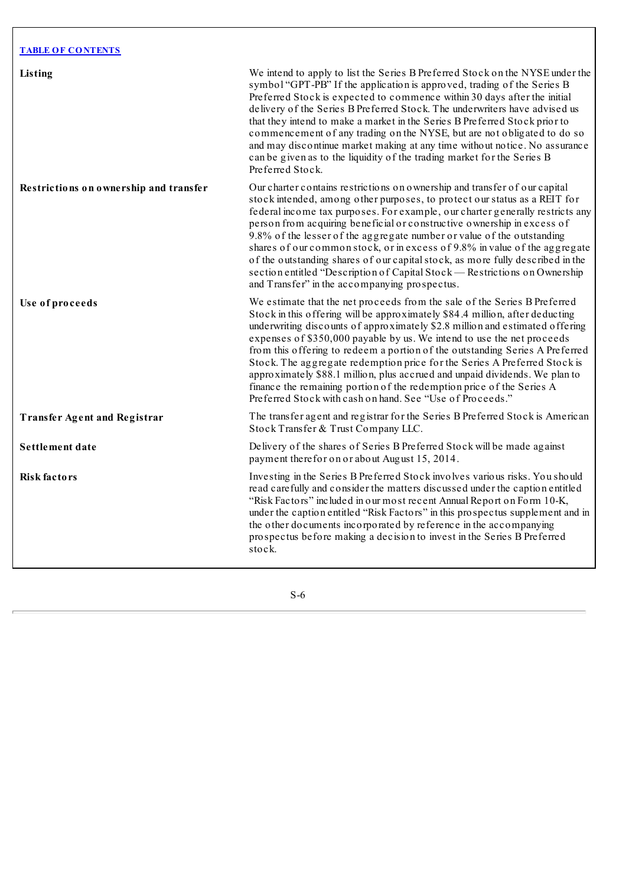| <b>TABLE OF CONTENTS</b>               |                                                                                                                                                                                                                                                                                                                                                                                                                                                                                                                                                                                                                                                                                                       |
|----------------------------------------|-------------------------------------------------------------------------------------------------------------------------------------------------------------------------------------------------------------------------------------------------------------------------------------------------------------------------------------------------------------------------------------------------------------------------------------------------------------------------------------------------------------------------------------------------------------------------------------------------------------------------------------------------------------------------------------------------------|
| Listing                                | We intend to apply to list the Series B Preferred Stock on the NYSE under the<br>symbol "GPT-PB" If the application is approved, trading of the Series B<br>Preferred Stock is expected to commence within 30 days after the initial<br>delivery of the Series B Preferred Stock. The underwriters have advised us<br>that they intend to make a market in the Series B Preferred Stock prior to<br>commencement of any trading on the NYSE, but are not obligated to do so<br>and may discontinue market making at any time without notice. No assurance<br>can be given as to the liquidity of the trading market for the Series B<br>Preferred Stock.                                              |
| Restrictions on ownership and transfer | Our charter contains restrictions on ownership and transfer of our capital<br>stock intended, among other purposes, to protect our status as a REIT for<br>federal income tax purposes. For example, our charter generally restricts any<br>person from acquiring beneficial or constructive ownership in excess of<br>9.8% of the lesser of the aggregate number or value of the outstanding<br>shares of our common stock, or in excess of 9.8% in value of the aggregate<br>of the outstanding shares of our capital stock, as more fully described in the<br>section entitled "Description of Capital Stock — Restrictions on Ownership<br>and Transfer" in the accompanying prospectus.          |
| Use of proceeds                        | We estimate that the net proceeds from the sale of the Series B Preferred<br>Stock in this offering will be approximately \$84.4 million, after deducting<br>underwriting discounts of approximately \$2.8 million and estimated offering<br>expenses of \$350,000 payable by us. We intend to use the net proceeds<br>from this offering to redeem a portion of the outstanding Series A Preferred<br>Stock. The aggregate redemption price for the Series A Preferred Stock is<br>approximately \$88.1 million, plus accrued and unpaid dividends. We plan to<br>finance the remaining portion of the redemption price of the Series A<br>Preferred Stock with cash on hand. See "Use of Proceeds." |
| <b>Transfer Agent and Registrar</b>    | The transfer agent and registrar for the Series B Preferred Stock is American<br>Stock Transfer & Trust Company LLC.                                                                                                                                                                                                                                                                                                                                                                                                                                                                                                                                                                                  |
| Settlement date                        | Delivery of the shares of Series B Preferred Stock will be made against<br>payment therefor on or about August 15, 2014.                                                                                                                                                                                                                                                                                                                                                                                                                                                                                                                                                                              |
| <b>Risk factors</b>                    | Investing in the Series B Preferred Stock involves various risks. You should<br>read carefully and consider the matters discussed under the caption entitled<br>"Risk Factors" included in our most recent Annual Report on Form 10-K,<br>under the caption entitled "Risk Factors" in this prospectus supplement and in<br>the other documents incorporated by reference in the accompanying<br>prospectus before making a decision to invest in the Series B Preferred<br>stock.                                                                                                                                                                                                                    |

 $\overline{\phantom{a}}$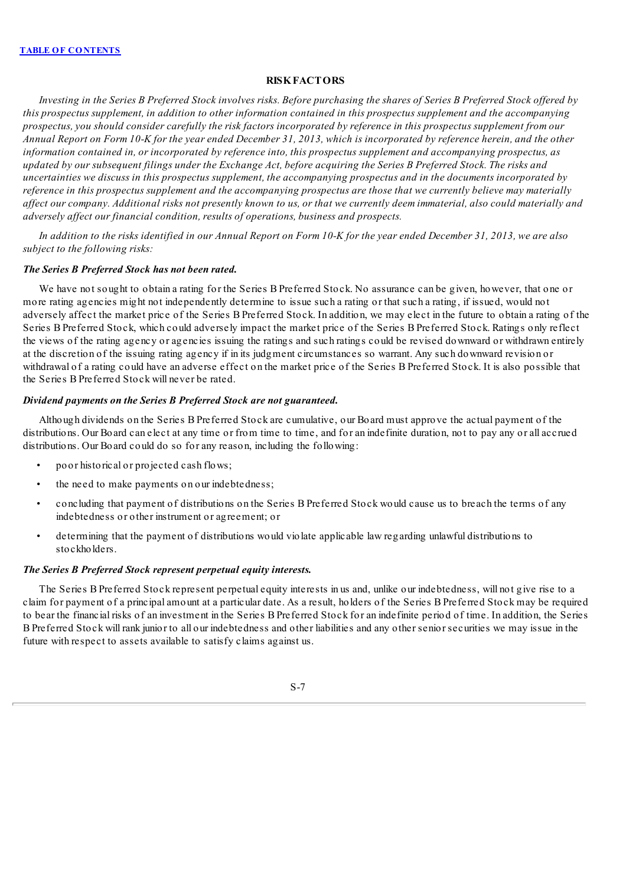# **RISKFACTORS**

<span id="page-13-0"></span>Investing in the Series B Preferred Stock involves risks. Before purchasing the shares of Series B Preferred Stock offered by this prospectus supplement, in addition to other information contained in this prospectus supplement and the accompanying prospectus, you should consider carefully the risk factors incorporated by reference in this prospectus supplement from our Annual Report on Form 10-K for the year ended December 31, 2013, which is incorporated by reference herein, and the other *information contained in, or incorporated by reference into, this prospectus supplement and accompanying prospectus, as* updated by our subsequent filings under the Exchange Act, before acquiring the Series B Preferred Stock. The risks and uncertainties we discuss in this prospectus supplement, the accompanying prospectus and in the documents incorporated by reference in this prospectus supplement and the accompanying prospectus are those that we currently believe may materially affect our company. Additional risks not presently known to us, or that we currently deem immaterial, also could materially and *adversely af ect our financial condition, results of operations, business and prospects.*

In addition to the risks identified in our Annual Report on Form 10-K for the year ended December 31, 2013, we are also *subject to the following risks:*

#### *The Series B Preferred Stock has not been rated.*

We have not sought to obtain a rating for the Series B Preferred Stock. No assurance can be given, however, that one or more rating agencies might not independently determine to issue such a rating or that such a rating, if issued, would not adversely affect the market price of the Series B Preferred Stock. In addition, we may elect in the future to obtain a rating of the Series B Preferred Stock, which could adversely impact the market price of the Series B Preferred Stock. Ratings only reflect the views of the rating agency or agencies issuing the ratings and such ratings could be revised downward or withdrawn entirely at the discretion of the issuing rating agency if in its judgment circumstances so warrant. Any such downward revision or withdrawal of a rating could have an adverse effect on the market price of the Series B Preferred Stock. It is also possible that the Series B Preferred Stock will never be rated.

## *Dividend payments on the Series B Preferred Stock are not guaranteed.*

Although dividends on the Series B Preferred Stock are cumulative, our Board must approve the actual payment of the distributions. Our Board can elect at any time or from time to time, and for an indefinite duration, not to pay any or all accrued distributions. Our Board could do so for any reason, including the following:

- poor historical or projected cash flows;
- the need to make payments on our indebtedness;
- concluding that payment of distributions on the Series B Preferred Stock would cause us to breach the terms of any indebtedness or other instrument or agreement; or
- determining that the payment of distributions would violate applicable law regarding unlawful distributions to stockholders.

## *The Series B Preferred Stock represent perpetual equity interests.*

The Series B Preferred Stock represent perpetual equity interests in us and, unlike our indebtedness, will not give rise to a claim for payment of a principal amount at a particular date. As a result, holders of the Series B Preferred Stock may be required to bear the financial risks of an investment in the Series B Preferred Stock for an indefinite period of time. In addition, the Series B Preferred Stock will rank junior to all our indebtedness and other liabilities and any other senior securities we may issue in the future with respect to assets available to satisfy claims against us.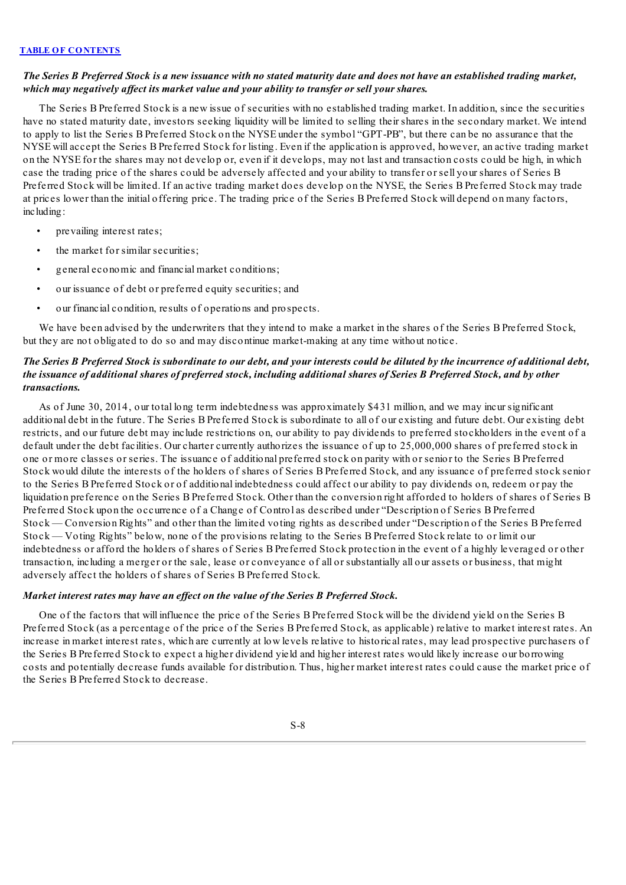## The Series B Preferred Stock is a new issuance with no stated maturity date and does not have an established trading market, *which may negatively af ect its market value and your ability to transfer or sell your shares.*

The Series B Preferred Stock is a new issue of securities with no established trading market. In addition, since the securities have no stated maturity date, investors seeking liquidity will be limited to selling their shares in the secondary market. We intend to apply to list the Series B Preferred Stock on the NYSE under the symbol "GPT-PB", but there can be no assurance that the NYSE will accept the Series B Preferred Stock for listing. Even if the application is approved, however, an active trading market on the NYSE for the shares may not develop or, even if it develops, may not last and transaction costs could be high, in which case the trading price of the shares could be adversely affected and your ability to transfer or sell your shares of Series B Preferred Stock will be limited. If an active trading market does develop on the NYSE, the Series B Preferred Stock may trade at prices lower than the initial offering price. The trading price of the Series B Preferred Stock will depend on many factors, including:

- prevailing interest rates;
- the market for similar securities;
- general economic and financial market conditions;
- our issuance of debt or preferred equity securities; and
- our financial condition, results of operations and prospects.

We have been advised by the underwriters that they intend to make a market in the shares of the Series B Preferred Stock, but they are not obligated to do so and may discontinue market-making at any time without notice.

# The Series B Preferred Stock is subordinate to our debt, and your interests could be diluted by the incurrence of additional debt, the issuance of additional shares of preferred stock, including additional shares of Series B Preferred Stock, and by other *transactions.*

As of June 30, 2014, our total long term indebtedness was approximately \$431 million, and we may incur significant additional debt in the future. The Series B Preferred Stock is subordinate to all of our existing and future debt. Our existing debt restricts, and our future debt may include restrictions on, our ability to pay dividends to preferred stockholders in the event of a default under the debt facilities. Our charter currently authorizes the issuance of up to 25,000,000 shares of preferred stock in one or more classes or series. The issuance of additional preferred stock on parity with or senior to the Series B Preferred Stock would dilute the interests of the holders of shares of Series B Preferred Stock, and any issuance of preferred stock senior to the Series B Preferred Stock or of additional indebtedness could affect our ability to pay dividends on, redeem or pay the liquidation preference on the Series B Preferred Stock. Other than the conversion right afforded to holders of shares of Series B Preferred Stock upon the occurrence of a Change of Control as described under "Description of Series B Preferred Stock — Conversion Rights" and other than the limited voting rights as described under "Description of the Series B Preferred Stock — Voting Rights" below, none of the provisions relating to the Series B Preferred Stock relate to or limit our indebtedness or afford the holders of shares of Series B Preferred Stock protection in the event of a highly leveraged or other transaction, including a merger or the sale, lease or conveyance of all or substantially all our assets or business, that might adversely affect the holders of shares of Series B Preferred Stock.

## *Market interest rates may have an ef ect on the value of the Series B Preferred Stock.*

One of the factors that will influence the price of the Series B Preferred Stock will be the dividend yield on the Series B Preferred Stock (as a percentage of the price of the Series B Preferred Stock, as applicable) relative to market interest rates. An increase in market interest rates, which are currently at low levels relative to historical rates, may lead prospective purchasers of the Series B Preferred Stock to expect a higher dividend yield and higher interest rates would likely increase our borrowing costs and potentially decrease funds available for distribution. Thus, higher market interest rates could cause the market price of the Series B Preferred Stock to decrease.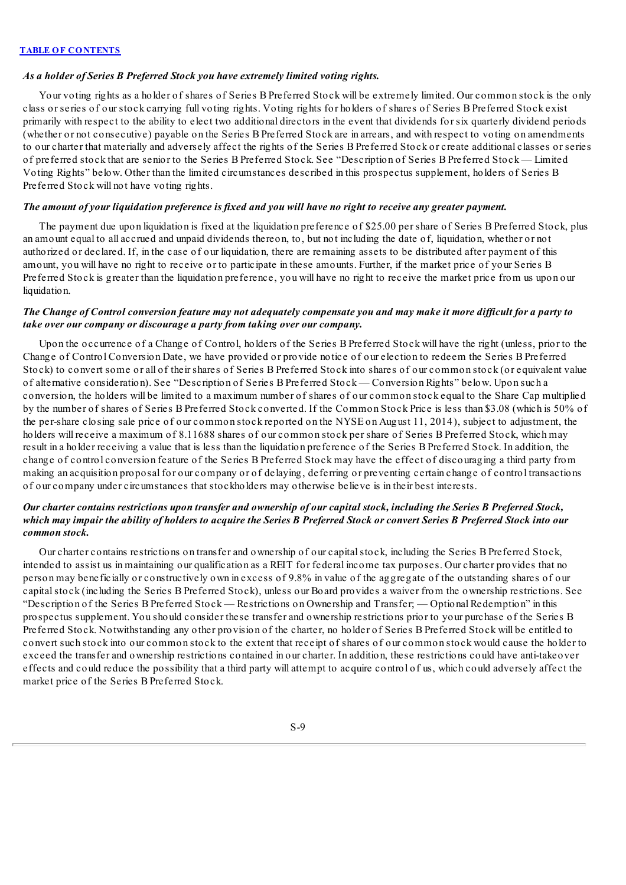### *As a holder of Series B Preferred Stock you have extremely limited voting rights.*

Your voting rights as a holder of shares of Series B Preferred Stock will be extremely limited. Our common stock is the only class or series of our stock carrying full voting rights. Voting rights for holders of shares of Series B Preferred Stock exist primarily with respect to the ability to elect two additional directors in the event that dividends for six quarterly dividend periods (whether or not consecutive) payable on the Series B Preferred Stock are in arrears, and with respect to voting on amendments to our charter that materially and adversely affect the rights of the Series B Preferred Stock or create additional classes or series of preferred stock that are senior to the Series B Preferred Stock. See "Description of Series B Preferred Stock — Limited Voting Rights" below. Other than the limited circumstances described in this prospectus supplement, holders of Series B Preferred Stock will not have voting rights.

## The amount of your liquidation preference is fixed and you will have no right to receive any greater payment.

The payment due upon liquidation is fixed at the liquidation preference of \$25.00 per share of Series B Preferred Stock, plus an amount equal to all accrued and unpaid dividends thereon, to, but not including the date of, liquidation, whether or not authorized or declared. If, in the case of our liquidation, there are remaining assets to be distributed after payment of this amount, you will have no right to receive or to participate in these amounts. Further, if the market price of your Series B Preferred Stock is greater than the liquidation preference, you will have no right to receive the market price from us upon our liquidation.

## The Change of Control conversion feature may not adequately compensate you and may make it more difficult for a party to *take over our company or discourage a party from taking over our company.*

Upon the occurrence of a Change of Control, holders of the Series B Preferred Stock will have the right (unless, prior to the Change of Control Conversion Date, we have provided or provide notice of our election to redeem the Series B Preferred Stock) to convert some or all of their shares of Series B Preferred Stock into shares of our common stock (or equivalent value of alternative consideration). See "Description of Series B Preferred Stock — Conversion Rights" below. Upon such a conversion, the holders will be limited to a maximum number of shares of our common stock equal to the Share Cap multiplied by the number of shares of Series B Preferred Stock converted. If the Common Stock Price is less than \$3.08 (which is 50% of the per-share closing sale price of our common stock reported on the NYSE on August 11, 2014), subject to adjustment, the holders will receive a maximum of 8.11688 shares of our common stock per share of Series B Preferred Stock, which may result in a holder receiving a value that is less than the liquidation preference of the Series B Preferred Stock. In addition, the change of control conversion feature of the Series B Preferred Stock may have the effect of discouraging a third party from making an acquisition proposal for our company or of delaying, deferring or preventing certain change of control transactions of our company under circumstances that stockholders may otherwise believe is in their best interests.

# Our charter contains restrictions upon transfer and ownership of our capital stock, including the Series B Preferred Stock, which may impair the ability of holders to acquire the Series B Preferred Stock or convert Series B Preferred Stock into our *common stock.*

Our charter contains restrictions on transfer and ownership of our capitalstock, including the Series B Preferred Stock, intended to assist us in maintaining our qualification as a REIT for federal income tax purposes. Our charter provides that no person may beneficially or constructively own in excess of 9.8% in value of the aggregate of the outstanding shares of our capitalstock (including the Series B Preferred Stock), unless our Board provides a waiver from the ownership restrictions. See "Description of the Series B Preferred Stock — Restrictions on Ownership and Transfer; — Optional Redemption" in this prospectus supplement. You should consider these transfer and ownership restrictions prior to your purchase of the Series B Preferred Stock. Notwithstanding any other provision of the charter, no holder of Series B Preferred Stock will be entitled to convert such stock into our common stock to the extent that receipt of shares of our common stock would cause the holder to exceed the transfer and ownership restrictions contained in our charter. In addition, these restrictions could have anti-takeover effects and could reduce the possibility that a third party will attempt to acquire control of us, which could adversely affect the market price of the Series B Preferred Stock.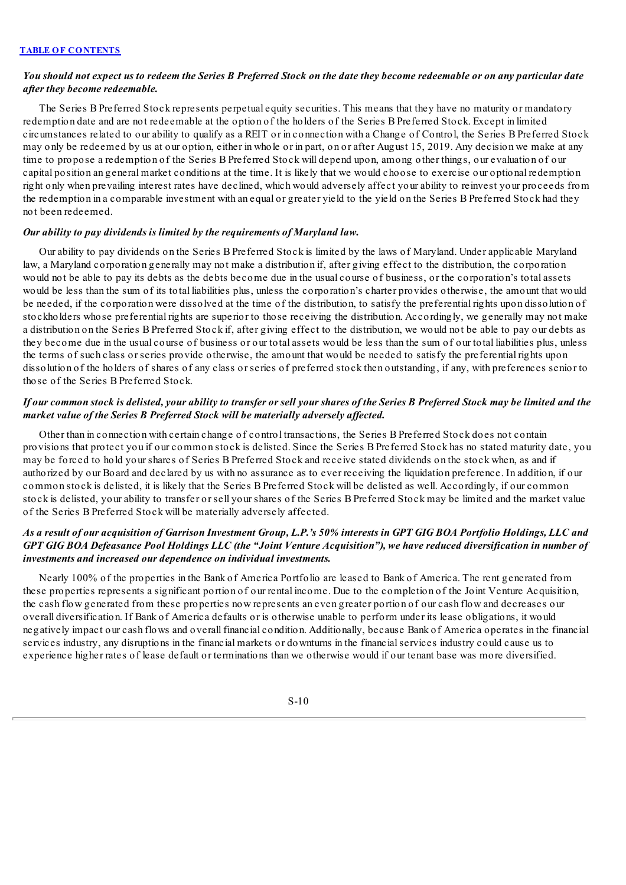## You should not expect us to redeem the Series B Preferred Stock on the date they become redeemable or on any particular date *after they become redeemable.*

The Series B Preferred Stock represents perpetual equity securities. This means that they have no maturity or mandatory redemption date and are not redeemable at the option of the holders of the Series B Preferred Stock. Except in limited circumstances related to our ability to qualify as a REIT or in connection with a Change of Control, the Series B Preferred Stock may only be redeemed by us at our option, either in whole or in part, on or after August 15, 2019. Any decision we make at any time to propose a redemption of the Series B Preferred Stock will depend upon, among other things, our evaluation of our capital position an general market conditions at the time. It is likely that we would choose to exercise our optional redemption right only when prevailing interest rates have declined, which would adversely affect your ability to reinvest your proceeds from the redemption in a comparable investment with an equal or greater yield to the yield on the Series B Preferred Stock had they not been redeemed.

#### *Our ability to pay dividends is limited by the requirements of Maryland law.*

Our ability to pay dividends on the Series B Preferred Stock is limited by the laws of Maryland. Under applicable Maryland law, a Maryland corporation generally may not make a distribution if, after giving effect to the distribution, the corporation would not be able to pay its debts as the debts become due in the usual course of business, or the corporation's total assets would be less than the sum of its total liabilities plus, unless the corporation's charter provides otherwise, the amount that would be needed, if the corporation were dissolved at the time of the distribution, to satisfy the preferential rights upon dissolution of stockholders whose preferential rights are superior to those receiving the distribution. Accordingly, we generally may not make a distribution on the Series B Preferred Stock if, after giving effect to the distribution, we would not be able to pay our debts as they become due in the usual course of business or our total assets would be less than the sum of our total liabilities plus, unless the terms of such class or series provide otherwise, the amount that would be needed to satisfy the preferential rights upon dissolution of the holders of shares of any class or series of preferred stock then outstanding, if any, with preferences senior to those of the Series B Preferred Stock.

## If our common stock is delisted, your ability to transfer or sell your shares of the Series B Preferred Stock may be limited and the *market value of the Series B Preferred Stock will be materially adversely af ected.*

Other than in connection with certain change of control transactions, the Series B Preferred Stock does not contain provisions that protect you if our common stock is delisted. Since the Series B Preferred Stock has no stated maturity date, you may be forced to hold your shares of Series B Preferred Stock and receive stated dividends on the stock when, as and if authorized by our Board and declared by us with no assurance as to ever receiving the liquidation preference. In addition, if our common stock is delisted, it is likely that the Series B Preferred Stock will be delisted as well. Accordingly, if our common stock is delisted, your ability to transfer or sell your shares of the Series B Preferred Stock may be limited and the market value of the Series B Preferred Stock will be materially adversely affected.

# As a result of our acquisition of Garrison Investment Group, L.P.'s 50% interests in GPT GIG BOA Portfolio Holdings, LLC and GPT GIG BOA Defeasance Pool Holdings LLC (the "Joint Venture Acquisition"), we have reduced diversification in number of *investments and increased our dependence on individual investments.*

Nearly 100% of the properties in the Bank of America Portfolio are leased to Bank of America. The rent generated from these properties represents a significant portion of our rental income. Due to the completion of the Joint Venture Acquisition, the cash flow generated from these properties now represents an even greater portion of our cash flow and decreases our overall diversification. If Bank of America defaults or is otherwise unable to perform under its lease obligations, it would negatively impact our cash flows and overall financial condition. Additionally, because Bank of America operates in the financial services industry, any disruptions in the financial markets or downturns in the financialservices industry could cause us to experience higher rates of lease default or terminations than we otherwise would if our tenant base was more diversified.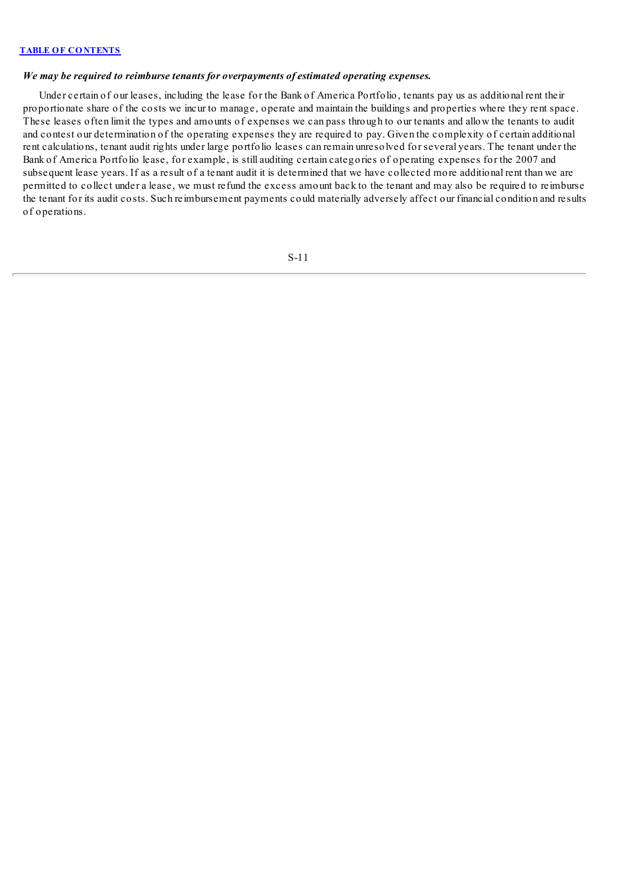## *We may be required to reimburse tenants for overpayments of estimated operating expenses.*

Under certain of our leases, including the lease for the Bank of America Portfolio, tenants pay us as additional rent their proportionate share of the costs we incur to manage, operate and maintain the buildings and properties where they rent space. These leases often limit the types and amounts of expenses we can pass through to our tenants and allow the tenants to audit and contest our determination of the operating expenses they are required to pay. Given the complexity of certain additional rent calculations, tenant audit rights under large portfolio leases can remain unresolved for several years. The tenant under the Bank of America Portfolio lease, for example, is still auditing certain categories of operating expenses for the 2007 and subsequent lease years. If as a result of a tenant audit it is determined that we have collected more additional rent than we are permitted to collect under a lease, we must refund the excess amount back to the tenant and may also be required to reimburse the tenant for its audit costs. Such reimbursement payments could materially adversely affect our financial condition and results of operations.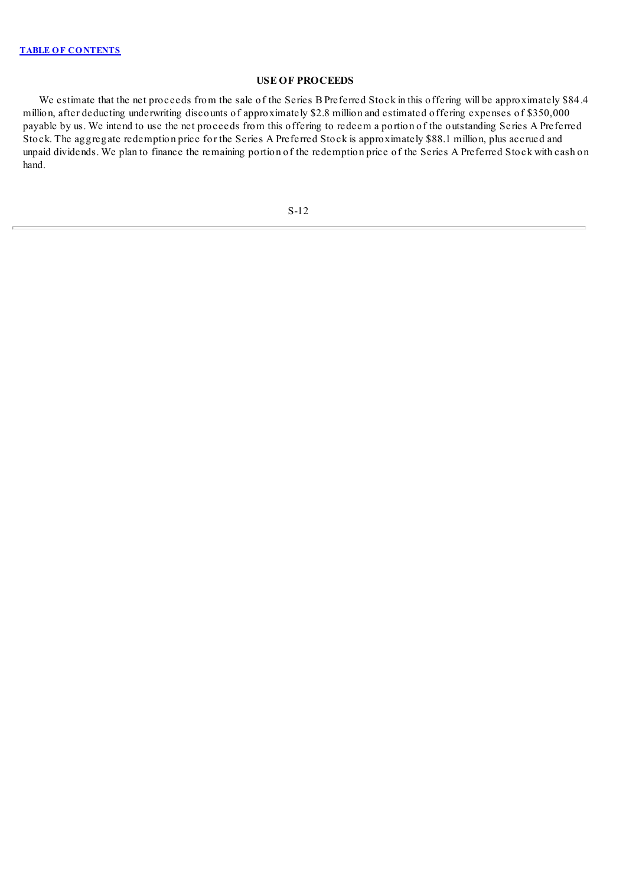# **USE OF PROCEEDS**

<span id="page-18-0"></span>We estimate that the net proceeds from the sale of the Series B Preferred Stock in this offering will be approximately \$84.4 million, after deducting underwriting discounts of approximately \$2.8 million and estimated offering expenses of \$350,000 payable by us. We intend to use the net proceeds from this offering to redeem a portion of the outstanding Series A Preferred Stock. The aggregate redemption price for the Series A Preferred Stock is approximately \$88.1 million, plus accrued and unpaid dividends. We plan to finance the remaining portion of the redemption price of the Series A Preferred Stock with cash on hand.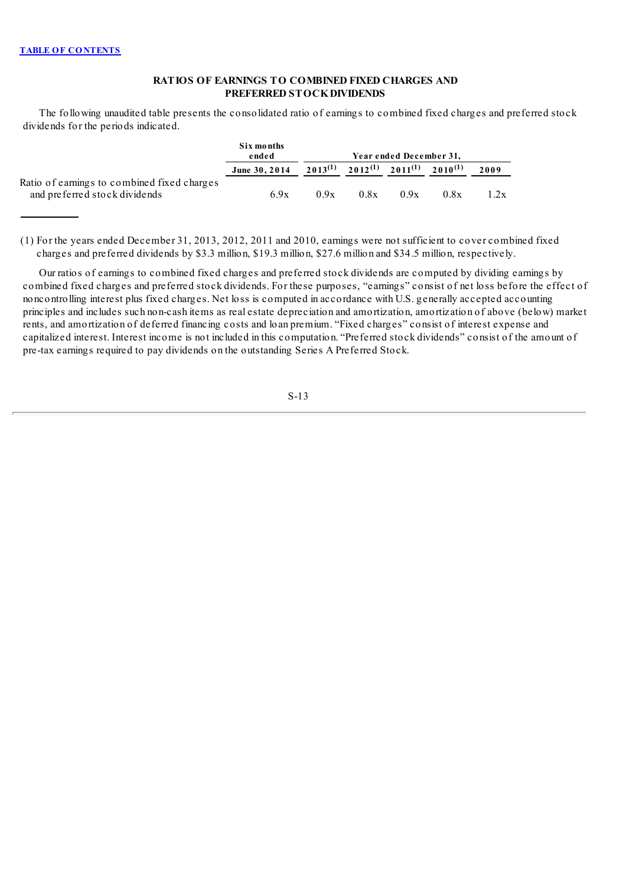# **RATIOS OF EARNINGS TO COMBINED FIXED CHARGES AND PREFERRED STOCKDIVIDENDS**

<span id="page-19-0"></span>The following unaudited table presents the consolidated ratio of earnings to combined fixed charges and preferred stock dividends for the periods indicated.

|                                                                              | Six months<br>ended |              |                                        | Year ended December 31, |      |      |
|------------------------------------------------------------------------------|---------------------|--------------|----------------------------------------|-------------------------|------|------|
|                                                                              | June 30, 2014       | $2013^{(1)}$ | $2012^{(1)}$ $2011^{(1)}$ $2010^{(1)}$ |                         |      | 2009 |
| Ratio of earnings to combined fixed charges<br>and preferred stock dividends | 6.9x                | 0.9x         | 0.8x                                   | 0.9x                    | 0.8x | 1.2x |

(1) For the years ended December 31, 2013, 2012, 2011 and 2010, earnings were not sufficient to cover combined fixed charges and preferred dividends by \$3.3 million, \$19.3 million, \$27.6 million and \$34.5 million, respectively.

Our ratios of earnings to combined fixed charges and preferred stock dividends are computed by dividing earnings by combined fixed charges and preferred stock dividends. For these purposes, "earnings" consist of net loss before the effect of noncontrolling interest plus fixed charges. Net loss is computed in accordance with U.S. generally accepted accounting principles and includes such non-cash items as real estate depreciation and amortization, amortization of above (below) market rents, and amortization of deferred financing costs and loan premium. "Fixed charges" consist of interest expense and capitalized interest. Interest income is not included in this computation. "Preferred stock dividends" consist of the amount of pre-tax earnings required to pay dividends on the outstanding Series A Preferred Stock.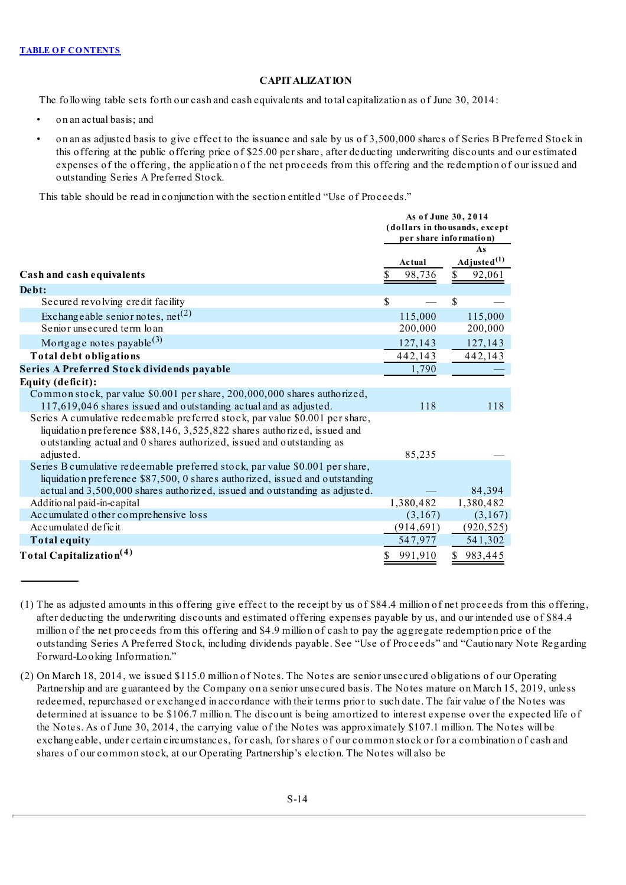# **CAPITALIZATION**

<span id="page-20-0"></span>The following table sets forth our cash and cash equivalents and total capitalization as of June 30, 2014:

- on an actual basis; and
- on an as adjusted basis to give effect to the issuance and sale by us of 3,500,000 shares of Series B Preferred Stock in this offering at the public offering price of \$25.00 per share, after deducting underwriting discounts and our estimated expenses of the offering, the application of the net proceeds from this offering and the redemption of our issued and outstanding Series A Preferred Stock.

This table should be read in conjunction with the section entitled "Use of Proceeds."

|                                                                                                                                                                                                                                                | As of June 30, 2014<br>(dollars in thousands, except<br>per share information) |                                               |  |  |
|------------------------------------------------------------------------------------------------------------------------------------------------------------------------------------------------------------------------------------------------|--------------------------------------------------------------------------------|-----------------------------------------------|--|--|
| Cash and cash equivalents                                                                                                                                                                                                                      | Actual<br>98,736                                                               | As<br>Adjusted <sup>(1)</sup><br>92,061<br>S. |  |  |
| Debt:                                                                                                                                                                                                                                          |                                                                                |                                               |  |  |
| Secured revolving credit facility                                                                                                                                                                                                              | \$                                                                             | \$                                            |  |  |
| Exchangeable senior notes, $net(2)$                                                                                                                                                                                                            | 115,000                                                                        | 115,000                                       |  |  |
| Senior unsecured term loan                                                                                                                                                                                                                     | 200,000                                                                        | 200,000                                       |  |  |
| Mortgage notes payable <sup>(3)</sup>                                                                                                                                                                                                          | 127,143                                                                        | 127,143                                       |  |  |
| Total debt obligations                                                                                                                                                                                                                         | 442,143                                                                        | 442,143                                       |  |  |
| Series A Preferred Stock dividends payable                                                                                                                                                                                                     | 1,790                                                                          |                                               |  |  |
| Equity (deficit):                                                                                                                                                                                                                              |                                                                                |                                               |  |  |
| Common stock, par value \$0.001 per share, 200,000,000 shares authorized,<br>117,619,046 shares issued and outstanding actual and as adjusted.                                                                                                 | 118                                                                            | 118                                           |  |  |
| Series A cumulative redeemable preferred stock, par value \$0.001 per share,<br>liquidation preference \$88,146, 3,525,822 shares authorized, issued and<br>outstanding actual and 0 shares authorized, issued and outstanding as<br>adjusted. | 85,235                                                                         |                                               |  |  |
| Series B cumulative redeemable preferred stock, par value \$0.001 per share,<br>liquidation preference \$87,500, 0 shares authorized, issued and outstanding<br>actual and 3,500,000 shares authorized, issued and outstanding as adjusted.    |                                                                                | 84,394                                        |  |  |
| Additional paid-in-capital                                                                                                                                                                                                                     | 1,380,482                                                                      | 1,380,482                                     |  |  |
| Accumulated other comprehensive loss                                                                                                                                                                                                           | (3,167)                                                                        | (3,167)                                       |  |  |
| Accumulated deficit                                                                                                                                                                                                                            | (914, 691)                                                                     | (920, 525)                                    |  |  |
| Total equity                                                                                                                                                                                                                                   | 547,977                                                                        | 541,302                                       |  |  |
| Total Capitalization <sup>(4)</sup>                                                                                                                                                                                                            | 991,910<br>\$                                                                  | \$983,445                                     |  |  |

<sup>(1)</sup> The as adjusted amounts in this offering give effect to the receipt by us of \$84.4 million of net proceeds from this offering, after deducting the underwriting discounts and estimated offering expenses payable by us, and our intended use of \$84.4 million of the net proceeds from this offering and \$4.9 million of cash to pay the aggregate redemption price of the outstanding Series A Preferred Stock, including dividends payable. See "Use of Proceeds" and "Cautionary Note Regarding Forward-Looking Information."

<sup>(2)</sup> On March 18, 2014, we issued \$115.0 million of Notes. The Notes are senior unsecured obligations of our Operating Partnership and are guaranteed by the Company on a senior unsecured basis. The Notes mature on March 15, 2019, unless redeemed, repurchased or exchanged in accordance with their terms prior to such date. The fair value of the Notes was determined at issuance to be \$106.7 million. The discount is being amortized to interest expense over the expected life of the Notes. As of June 30, 2014, the carrying value of the Notes was approximately \$107.1 million. The Notes will be exchangeable, under certain circumstances, for cash, for shares of our common stock or for a combination of cash and shares of our common stock, at our Operating Partnership's election. The Notes will also be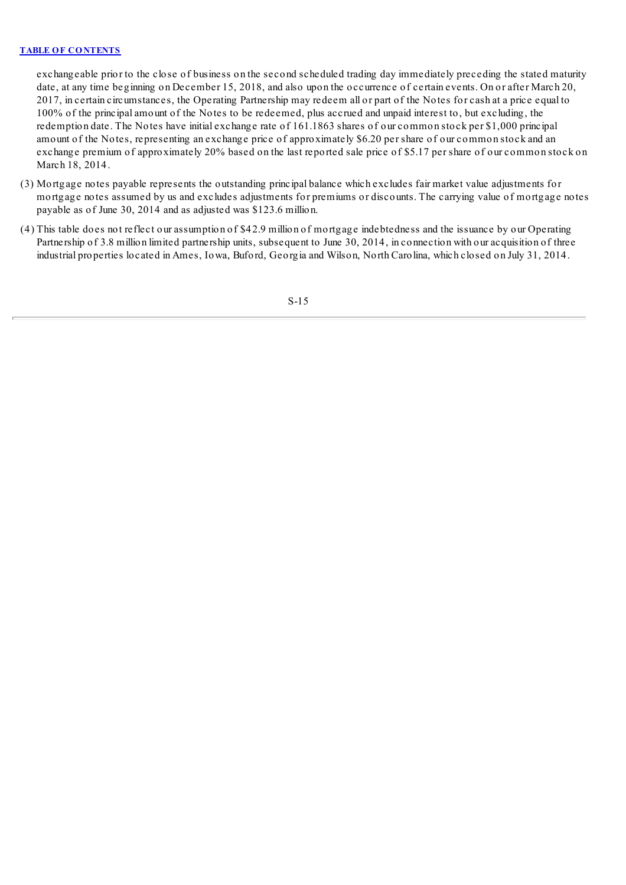exchangeable prior to the close of business on the second scheduled trading day immediately preceding the stated maturity date, at any time beginning on December 15, 2018, and also upon the occurrence of certain events. On or after March 20, 2017, in certain circumstances, the Operating Partnership may redeem all or part of the Notes for cash at a price equal to 100% of the principal amount of the Notes to be redeemed, plus accrued and unpaid interest to, but excluding, the redemption date. The Notes have initial exchange rate of 161.1863 shares of our common stock per \$1,000 principal amount of the Notes, representing an exchange price of approximately \$6.20 per share of our common stock and an exchange premium of approximately 20% based on the last reported sale price of \$5.17 per share of our common stock on March 18, 2014.

- (3) Mortgage notes payable represents the outstanding principal balance which excludes fair market value adjustments for mortgage notes assumed by us and excludes adjustments for premiums or discounts. The carrying value of mortgage notes payable as of June 30, 2014 and as adjusted was \$123.6 million.
- (4) This table does not reflect our assumption of \$42.9 million of mortgage indebtedness and the issuance by our Operating Partnership of 3.8 million limited partnership units, subsequent to June 30, 2014, in connection with our acquisition of three industrial properties located in Ames, Iowa, Buford, Georgia and Wilson, North Carolina, which closed on July 31, 2014.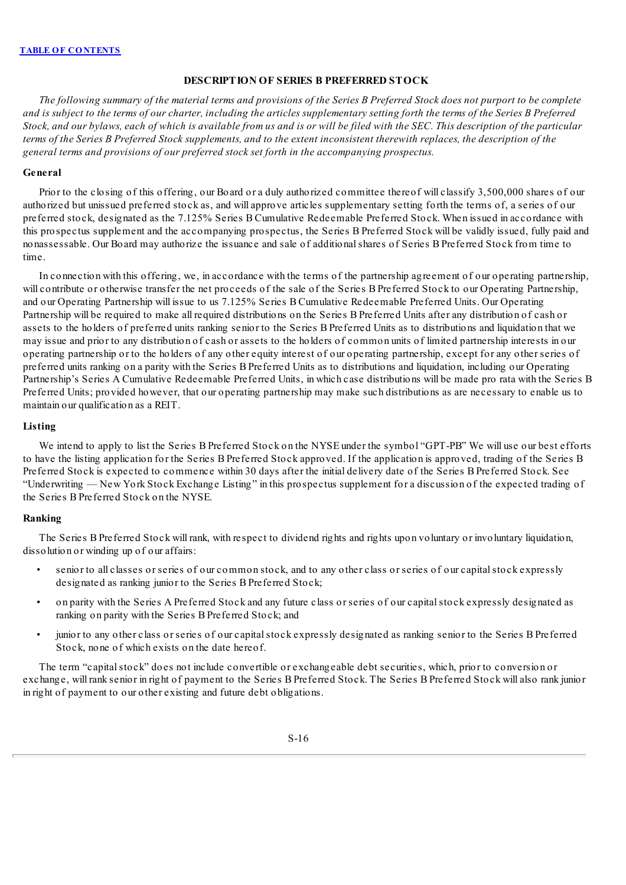## **DESCRIPTION OF SERIES B PREFERRED STOCK**

<span id="page-22-0"></span>The following summary of the material terms and provisions of the Series B Preferred Stock does not purport to be complete and is subject to the terms of our charter, including the articles supplementary setting forth the terms of the Series B Preferred Stock, and our bylaws, each of which is available from us and is or will be filed with the SEC. This description of the particular terms of the Series B Preferred Stock supplements, and to the extent inconsistent therewith replaces, the description of the *general terms and provisions of our preferred stock set forth in the accompanying prospectus.*

#### **General**

Prior to the closing of this offering, our Board or a duly authorized committee thereof will classify 3,500,000 shares of our authorized but unissued preferred stock as, and will approve articles supplementary setting forth the terms of, a series of our preferred stock, designated as the 7.125% Series B Cumulative Redeemable Preferred Stock. When issued in accordance with this prospectus supplement and the accompanying prospectus, the Series B Preferred Stock will be validly issued, fully paid and nonassessable. Our Board may authorize the issuance and sale of additionalshares of Series B Preferred Stock from time to time.

In connection with this offering, we, in accordance with the terms of the partnership agreement of our operating partnership, will contribute or otherwise transfer the net proceeds of the sale of the Series B Preferred Stock to our Operating Partnership, and our Operating Partnership will issue to us 7.125% Series B Cumulative Redeemable Preferred Units. Our Operating Partnership will be required to make all required distributions on the Series B Preferred Units after any distribution of cash or assets to the holders of preferred units ranking senior to the Series B Preferred Units as to distributions and liquidation that we may issue and prior to any distribution of cash or assets to the holders of common units of limited partnership interests in our operating partnership or to the holders of any other equity interest of our operating partnership, except for any other series of preferred units ranking on a parity with the Series B Preferred Units as to distributions and liquidation, including our Operating Partnership's Series A Cumulative Redeemable Preferred Units, in which case distributions will be made pro rata with the Series B Preferred Units; provided however, that our operating partnership may make such distributions as are necessary to enable us to maintain our qualification as a REIT.

#### **Listing**

We intend to apply to list the Series B Preferred Stock on the NYSE under the symbol "GPT-PB" We will use our best efforts to have the listing application for the Series B Preferred Stock approved. If the application is approved, trading of the Series B Preferred Stock is expected to commence within 30 days after the initial delivery date of the Series B Preferred Stock. See "Underwriting — New York Stock Exchange Listing" in this prospectus supplement for a discussion of the expected trading of the Series B Preferred Stock on the NYSE.

## **Ranking**

The Series B Preferred Stock will rank, with respect to dividend rights and rights upon voluntary or involuntary liquidation, dissolution or winding up of our affairs:

- senior to all classes or series of our common stock, and to any other class or series of our capital stock expressly designated as ranking junior to the Series B Preferred Stock;
- on parity with the Series A Preferred Stock and any future class or series of our capitalstock expressly designated as ranking on parity with the Series B Preferred Stock; and
- junior to any other class or series of our capitalstock expressly designated as ranking senior to the Series B Preferred Stock, none of which exists on the date hereof.

The term "capitalstock" does not include convertible or exchangeable debt securities, which, prior to conversion or exchange, will rank senior in right of payment to the Series B Preferred Stock. The Series B Preferred Stock will also rank junior in right of payment to our other existing and future debt obligations.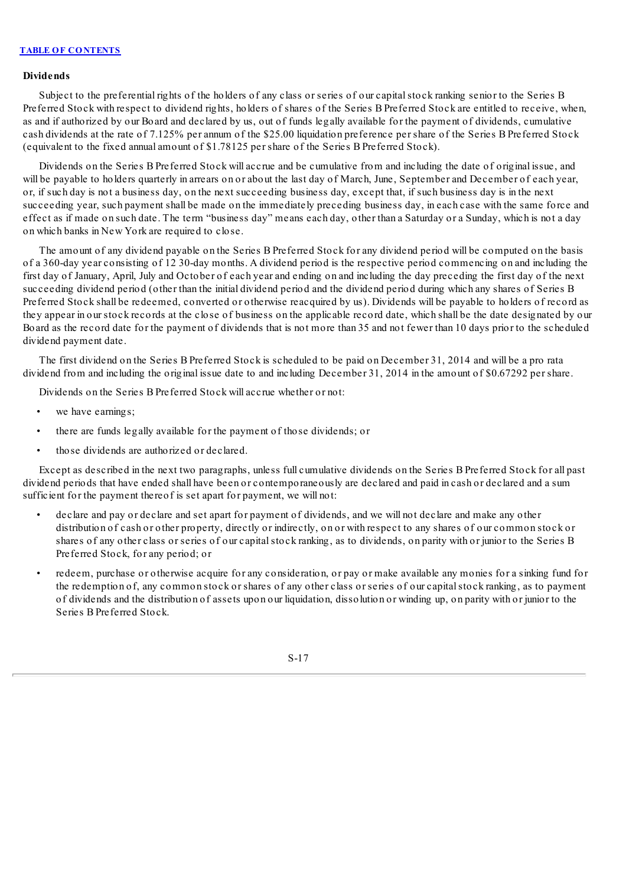## **Dividends**

Subject to the preferential rights of the holders of any class or series of our capitalstock ranking senior to the Series B Preferred Stock with respect to dividend rights, holders of shares of the Series B Preferred Stock are entitled to receive, when, as and if authorized by our Board and declared by us, out of funds legally available for the payment of dividends, cumulative cash dividends at the rate of 7.125% per annum of the \$25.00 liquidation preference per share of the Series B Preferred Stock (equivalent to the fixed annual amount of \$1.78125 per share of the Series B Preferred Stock).

Dividends on the Series B Preferred Stock will accrue and be cumulative from and including the date of original issue, and will be payable to holders quarterly in arrears on or about the last day of March, June, September and December of each year, or, if such day is not a business day, on the next succeeding business day, except that, if such business day is in the next succeeding year, such payment shall be made on the immediately preceding business day, in each case with the same force and effect as if made on such date. The term "business day" means each day, other than a Saturday or a Sunday, which is not a day on which banks in New York are required to close.

The amount of any dividend payable on the Series B Preferred Stock for any dividend period will be computed on the basis of a 360-day year consisting of 12 30-day months. A dividend period is the respective period commencing on and including the first day of January, April, July and October of each year and ending on and including the day preceding the first day of the next succeeding dividend period (other than the initial dividend period and the dividend period during which any shares of Series B Preferred Stock shall be redeemed, converted or otherwise reacquired by us). Dividends will be payable to holders of record as they appear in our stock records at the close of business on the applicable record date, which shall be the date designated by our Board as the record date for the payment of dividends that is not more than 35 and not fewer than 10 days prior to the scheduled dividend payment date.

The first dividend on the Series B Preferred Stock is scheduled to be paid on December 31, 2014 and will be a pro rata dividend from and including the original issue date to and including December 31, 2014 in the amount of \$0.67292 per share.

Dividends on the Series B Preferred Stock will accrue whether or not:

- we have earnings;
- there are funds legally available for the payment of those dividends; or
- those dividends are authorized or declared.

Except as described in the next two paragraphs, unless full cumulative dividends on the Series B Preferred Stock for all past dividend periods that have ended shall have been or contemporaneously are declared and paid in cash or declared and a sum sufficient for the payment thereof is set apart for payment, we will not:

- declare and pay or declare and set apart for payment of dividends, and we will not declare and make any other distribution of cash or other property, directly or indirectly, on or with respect to any shares of our common stock or shares of any other class or series of our capitalstock ranking, as to dividends, on parity with or junior to the Series B Preferred Stock, for any period; or
- redeem, purchase or otherwise acquire for any consideration, or pay or make available any monies for a sinking fund for the redemption of, any common stock or shares of any other class or series of our capitalstock ranking, as to payment of dividends and the distribution of assets upon our liquidation, dissolution or winding up, on parity with or junior to the Series B Preferred Stock.

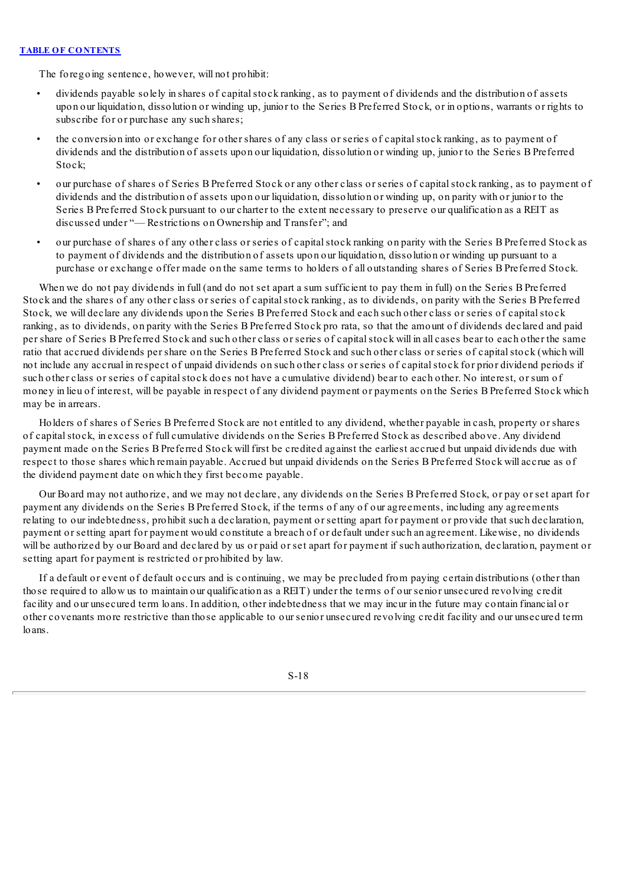The foregoing sentence, however, will not prohibit:

- dividends payable solely in shares of capital stock ranking, as to payment of dividends and the distribution of assets upon our liquidation, dissolution or winding up, junior to the Series B Preferred Stock, or in options, warrants or rights to subscribe for or purchase any such shares;
- the conversion into or exchange for other shares of any class or series of capital stock ranking, as to payment of dividends and the distribution of assets upon our liquidation, dissolution or winding up, junior to the Series B Preferred Stock;
- our purchase of shares of Series B Preferred Stock or any other class or series of capitalstock ranking, as to payment of dividends and the distribution of assets upon our liquidation, dissolution or winding up, on parity with or junior to the Series B Preferred Stock pursuant to our charter to the extent necessary to preserve our qualification as a REIT as discussed under "— Restrictions on Ownership and Transfer"; and
- our purchase of shares of any other class or series of capitalstock ranking on parity with the Series B Preferred Stock as to payment of dividends and the distribution of assets upon our liquidation, dissolution or winding up pursuant to a purchase or exchange offer made on the same terms to holders of all outstanding shares of Series B Preferred Stock.

When we do not pay dividends in full (and do not set apart a sum sufficient to pay them in full) on the Series B Preferred Stock and the shares of any other class or series of capital stock ranking, as to dividends, on parity with the Series B Preferred Stock, we will declare any dividends upon the Series B Preferred Stock and each such other class or series of capitalstock ranking, as to dividends, on parity with the Series B Preferred Stock pro rata, so that the amount of dividends declared and paid per share of Series B Preferred Stock and such other class or series of capitalstock will in all cases bear to each other the same ratio that accrued dividends per share on the Series B Preferred Stock and such other class or series of capitalstock (which will not include any accrual in respect of unpaid dividends on such other class or series of capitalstock for prior dividend periods if such other class or series of capitalstock does not have a cumulative dividend) bear to each other. No interest, or sum of money in lieu of interest, will be payable in respect of any dividend payment or payments on the Series B Preferred Stock which may be in arrears.

Holders of shares of Series B Preferred Stock are not entitled to any dividend, whether payable in cash, property or shares of capitalstock, in excess of full cumulative dividends on the Series B Preferred Stock as described above. Any dividend payment made on the Series B Preferred Stock will first be credited against the earliest accrued but unpaid dividends due with respect to those shares which remain payable. Accrued but unpaid dividends on the Series B Preferred Stock will accrue as of the dividend payment date on which they first become payable.

Our Board may not authorize, and we may not declare, any dividends on the Series B Preferred Stock, or pay or set apart for payment any dividends on the Series B Preferred Stock, if the terms of any of our agreements, including any agreements relating to our indebtedness, prohibit such a declaration, payment or setting apart for payment or provide that such declaration, payment or setting apart for payment would constitute a breach of or default under such an agreement. Likewise, no dividends will be authorized by our Board and declared by us or paid or set apart for payment if such authorization, declaration, payment or setting apart for payment is restricted or prohibited by law.

If a default or event of default occurs and is continuing, we may be precluded from paying certain distributions (other than those required to allow us to maintain our qualification as a REIT) under the terms of our senior unsecured revolving credit facility and our unsecured term loans. In addition, other indebtedness that we may incur in the future may contain financial or other covenants more restrictive than those applicable to our senior unsecured revolving credit facility and our unsecured term loans.

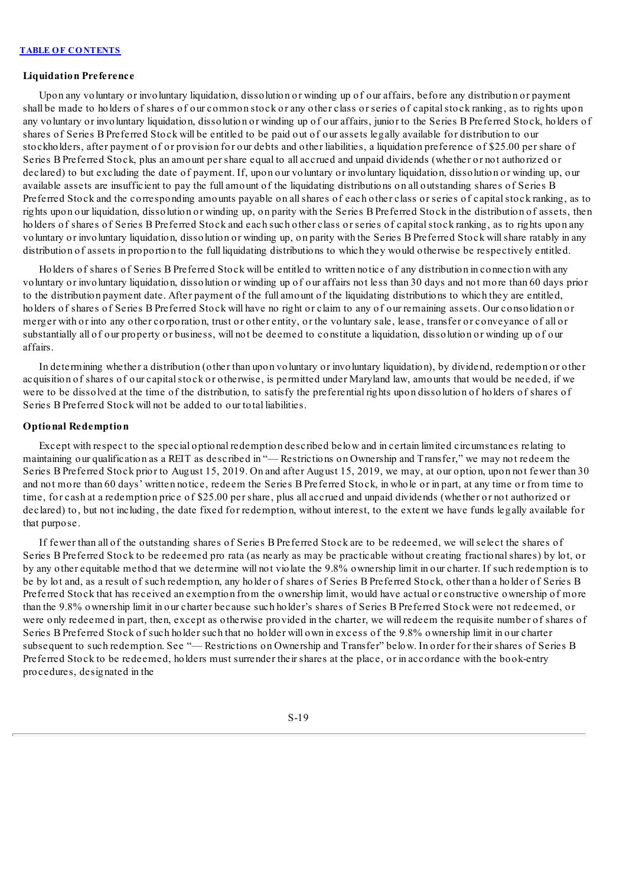#### **Liquidation Preference**

Upon any voluntary or involuntary liquidation, dissolution or winding up of our affairs, before any distribution or payment shall be made to holders of shares of our common stock or any other class or series of capitalstock ranking, as to rights upon any voluntary or involuntary liquidation, dissolution or winding up of our affairs, junior to the Series B Preferred Stock, holders of shares of Series B Preferred Stock will be entitled to be paid out of our assets legally available for distribution to our stockholders, after payment of or provision for our debts and other liabilities, a liquidation preference of \$25.00 per share of Series B Preferred Stock, plus an amount per share equal to all accrued and unpaid dividends (whether or not authorized or declared) to but excluding the date of payment. If, upon our voluntary or involuntary liquidation, dissolution or winding up, our available assets are insufficient to pay the full amount of the liquidating distributions on all outstanding shares of Series B Preferred Stock and the corresponding amounts payable on allshares of each other class or series of capitalstock ranking, as to rights upon our liquidation, dissolution or winding up, on parity with the Series B Preferred Stock in the distribution of assets, then holders of shares of Series B Preferred Stock and each such other class or series of capital stock ranking, as to rights upon any voluntary or involuntary liquidation, dissolution or winding up, on parity with the Series B Preferred Stock willshare ratably in any distribution of assets in proportion to the full liquidating distributions to which they would otherwise be respectively entitled.

Holders of shares of Series B Preferred Stock will be entitled to written notice of any distribution in connection with any voluntary or involuntary liquidation, dissolution or winding up of our affairs not less than 30 days and not more than 60 days prior to the distribution payment date. After payment of the full amount of the liquidating distributions to which they are entitled, holders of shares of Series B Preferred Stock will have no right or claim to any of our remaining assets. Our consolidation or merger with or into any other corporation, trust or other entity, or the voluntary sale, lease, transfer or conveyance of all or substantially all of our property or business, will not be deemed to constitute a liquidation, dissolution or winding up of our affairs.

In determining whether a distribution (other than upon voluntary or involuntary liquidation), by dividend, redemption or other acquisition of shares of our capital stock or otherwise, is permitted under Maryland law, amounts that would be needed, if we were to be dissolved at the time of the distribution, to satisfy the preferential rights upon dissolution of holders of shares of Series B Preferred Stock will not be added to our total liabilities.

## **Optional Redemption**

Except with respect to the special optional redemption described below and in certain limited circumstances relating to maintaining our qualification as a REIT as described in "— Restrictions on Ownership and Transfer," we may not redeem the Series B Preferred Stock prior to August 15, 2019. On and after August 15, 2019, we may, at our option, upon not fewer than 30 and not more than 60 days' written notice, redeem the Series B Preferred Stock, in whole or in part, at any time or from time to time, for cash at a redemption price of \$25.00 per share, plus all accrued and unpaid dividends (whether or not authorized or declared) to, but not including, the date fixed for redemption, without interest, to the extent we have funds legally available for that purpose.

If fewer than all of the outstanding shares of Series B Preferred Stock are to be redeemed, we willselect the shares of Series B Preferred Stock to be redeemed pro rata (as nearly as may be practicable without creating fractionalshares) by lot, or by any other equitable method that we determine will not violate the 9.8% ownership limit in our charter. If such redemption is to be by lot and, as a result of such redemption, any holder of shares of Series B Preferred Stock, other than a holder of Series B Preferred Stock that has received an exemption from the ownership limit, would have actual or constructive ownership of more than the 9.8% ownership limit in our charter because such holder's shares of Series B Preferred Stock were not redeemed, or were only redeemed in part, then, except as otherwise provided in the charter, we will redeem the requisite number of shares of Series B Preferred Stock of such holder such that no holder will own in excess of the 9.8% ownership limit in our charter subsequent to such redemption. See "— Restrictions on Ownership and Transfer" below. In order for their shares of Series B Preferred Stock to be redeemed, holders must surrender their shares at the place, or in accordance with the book-entry procedures, designated in the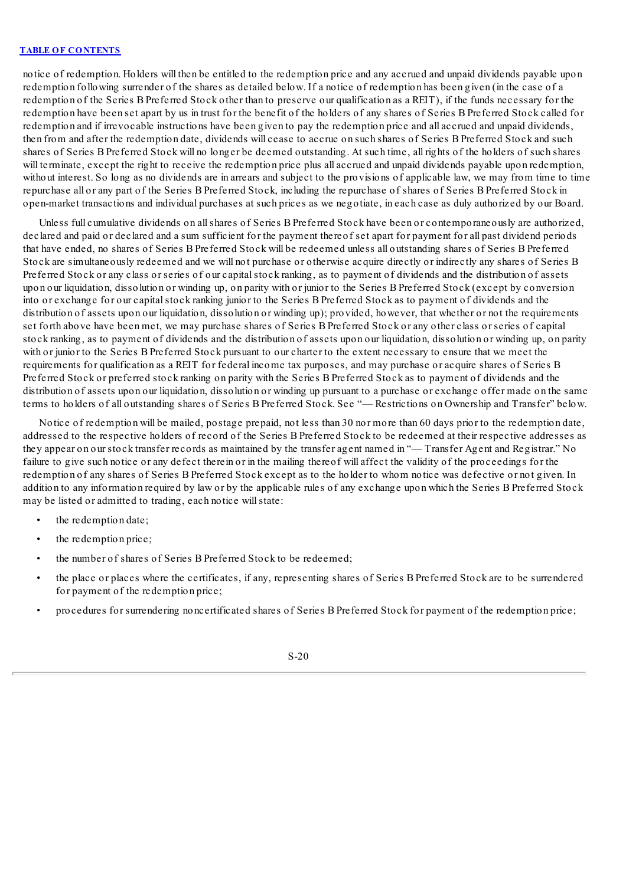notice of redemption. Holders will then be entitled to the redemption price and any accrued and unpaid dividends payable upon redemption following surrender of the shares as detailed below. If a notice of redemption has been given (in the case of a redemption of the Series B Preferred Stock other than to preserve our qualification as a REIT), if the funds necessary for the redemption have been set apart by us in trust for the benefit of the holders of any shares of Series B Preferred Stock called for redemption and if irrevocable instructions have been given to pay the redemption price and all accrued and unpaid dividends, then from and after the redemption date, dividends will cease to accrue on such shares of Series B Preferred Stock and such shares of Series B Preferred Stock will no longer be deemed outstanding. At such time, all rights of the holders of such shares will terminate, except the right to receive the redemption price plus all accrued and unpaid dividends payable upon redemption, without interest. So long as no dividends are in arrears and subject to the provisions of applicable law, we may from time to time repurchase all or any part of the Series B Preferred Stock, including the repurchase of shares of Series B Preferred Stock in open-market transactions and individual purchases at such prices as we negotiate, in each case as duly authorized by our Board.

Unless full cumulative dividends on allshares of Series B Preferred Stock have been or contemporaneously are authorized, declared and paid or declared and a sum sufficient for the payment thereof set apart for payment for all past dividend periods that have ended, no shares of Series B Preferred Stock will be redeemed unless all outstanding shares of Series B Preferred Stock are simultaneously redeemed and we will not purchase or otherwise acquire directly or indirectly any shares of Series B Preferred Stock or any class or series of our capital stock ranking, as to payment of dividends and the distribution of assets upon our liquidation, dissolution or winding up, on parity with or junior to the Series B Preferred Stock (except by conversion into or exchange for our capitalstock ranking junior to the Series B Preferred Stock as to payment of dividends and the distribution of assets upon our liquidation, dissolution or winding up); provided, however, that whether or not the requirements set forth above have been met, we may purchase shares of Series B Preferred Stock or any other class or series of capital stock ranking, as to payment of dividends and the distribution of assets upon our liquidation, dissolution or winding up, on parity with or junior to the Series B Preferred Stock pursuant to our charter to the extent necessary to ensure that we meet the requirements for qualification as a REIT for federal income tax purposes, and may purchase or acquire shares of Series B Preferred Stock or preferred stock ranking on parity with the Series B Preferred Stock as to payment of dividends and the distribution of assets upon our liquidation, dissolution or winding up pursuant to a purchase or exchange offer made on the same terms to holders of all outstanding shares of Series B Preferred Stock. See "— Restrictions on Ownership and Transfer" below.

Notice of redemption will be mailed, postage prepaid, not less than 30 nor more than 60 days prior to the redemption date, addressed to the respective holders of record of the Series B Preferred Stock to be redeemed at their respective addresses as they appear on our stock transfer records as maintained by the transfer agent named in "— Transfer Agent and Registrar." No failure to give such notice or any defect therein or in the mailing thereof will affect the validity of the proceedings for the redemption of any shares of Series B Preferred Stock except as to the holder to whom notice was defective or not given. In addition to any information required by law or by the applicable rules of any exchange upon which the Series B Preferred Stock may be listed or admitted to trading, each notice willstate:

- the redemption date;
- the redemption price;
- the number of shares of Series B Preferred Stock to be redeemed;
- the place or places where the certificates, if any, representing shares of Series B Preferred Stock are to be surrendered for payment of the redemption price;
- procedures for surrendering noncertificated shares of Series B Preferred Stock for payment of the redemption price;

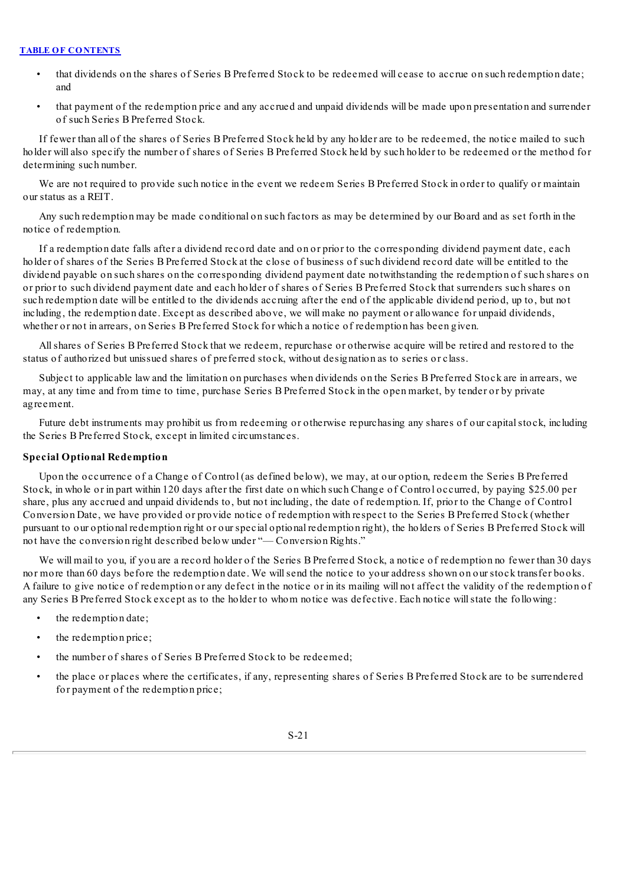- that dividends on the shares of Series B Preferred Stock to be redeemed will cease to accrue on such redemption date; and
- that payment of the redemption price and any accrued and unpaid dividends will be made upon presentation and surrender of such Series B Preferred Stock.

If fewer than all of the shares of Series B Preferred Stock held by any holder are to be redeemed, the notice mailed to such holder will also specify the number of shares of Series B Preferred Stock held by such holder to be redeemed or the method for determining such number.

We are not required to provide such notice in the event we redeem Series B Preferred Stock in order to qualify or maintain our status as a REIT.

Any such redemption may be made conditional on such factors as may be determined by our Board and as set forth in the notice of redemption.

If a redemption date falls after a dividend record date and on or prior to the corresponding dividend payment date, each holder of shares of the Series B Preferred Stock at the close of business of such dividend record date will be entitled to the dividend payable on such shares on the corresponding dividend payment date notwithstanding the redemption of such shares on or prior to such dividend payment date and each holder of shares of Series B Preferred Stock that surrenders such shares on such redemption date will be entitled to the dividends accruing after the end of the applicable dividend period, up to, but not including, the redemption date. Except as described above, we will make no payment or allowance for unpaid dividends, whether or not in arrears, on Series B Preferred Stock for which a notice of redemption has been given.

Allshares of Series B Preferred Stock that we redeem, repurchase or otherwise acquire will be retired and restored to the status of authorized but unissued shares of preferred stock, without designation as to series or class.

Subject to applicable law and the limitation on purchases when dividends on the Series B Preferred Stock are in arrears, we may, at any time and from time to time, purchase Series B Preferred Stock in the open market, by tender or by private agreement.

Future debt instruments may prohibit us from redeeming or otherwise repurchasing any shares of our capital stock, including the Series B Preferred Stock, except in limited circumstances.

## **Special Optional Redemption**

Upon the occurrence of a Change of Control (as defined below), we may, at our option, redeem the Series B Preferred Stock, in whole or in part within 120 days after the first date on which such Change of Control occurred, by paying \$25.00 per share, plus any accrued and unpaid dividends to, but not including, the date of redemption. If, prior to the Change of Control Conversion Date, we have provided or provide notice of redemption with respect to the Series B Preferred Stock (whether pursuant to our optional redemption right or our special optional redemption right), the holders of Series B Preferred Stock will not have the conversion right described below under "— Conversion Rights."

We will mail to you, if you are a record holder of the Series B Preferred Stock, a notice of redemption no fewer than 30 days nor more than 60 days before the redemption date. We willsend the notice to your address shown on our stock transfer books. A failure to give notice of redemption or any defect in the notice or in its mailing will not affect the validity of the redemption of any Series B Preferred Stock except as to the holder to whom notice was defective. Each notice willstate the following:

- the redemption date;
- the redemption price;
- the number of shares of Series B Preferred Stock to be redeemed;
- the place or places where the certificates, if any, representing shares of Series B Preferred Stock are to be surrendered for payment of the redemption price;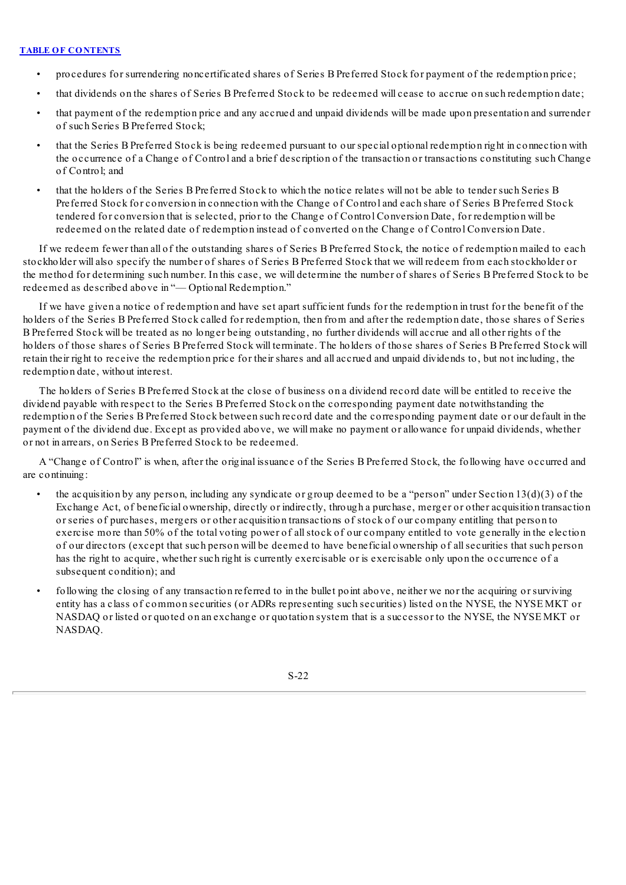- procedures for surrendering noncertificated shares of Series B Preferred Stock for payment of the redemption price;
- that dividends on the shares of Series B Preferred Stock to be redeemed will cease to accrue on such redemption date;
- that payment of the redemption price and any accrued and unpaid dividends will be made upon presentation and surrender of such Series B Preferred Stock;
- that the Series B Preferred Stock is being redeemed pursuant to our special optional redemption right in connection with the occurrence of a Change of Control and a brief description of the transaction or transactions constituting such Change of Control; and
- that the holders of the Series B Preferred Stock to which the notice relates will not be able to tender such Series B Preferred Stock for conversion in connection with the Change of Control and each share of Series B Preferred Stock tendered for conversion that is selected, prior to the Change of Control Conversion Date, for redemption will be redeemed on the related date of redemption instead of converted on the Change of Control Conversion Date.

If we redeem fewer than all of the outstanding shares of Series B Preferred Stock, the notice of redemption mailed to each stockholder will also specify the number of shares of Series B Preferred Stock that we will redeem from each stockholder or the method for determining such number. In this case, we will determine the number of shares of Series B Preferred Stock to be redeemed as described above in "— Optional Redemption."

If we have given a notice of redemption and have set apart sufficient funds for the redemption in trust for the benefit of the holders of the Series B Preferred Stock called for redemption, then from and after the redemption date, those shares of Series B Preferred Stock will be treated as no longer being outstanding, no further dividends will accrue and all other rights of the holders of those shares of Series B Preferred Stock will terminate. The holders of those shares of Series B Preferred Stock will retain their right to receive the redemption price for their shares and all accrued and unpaid dividends to, but not including, the redemption date, without interest.

The holders of Series B Preferred Stock at the close of business on a dividend record date will be entitled to receive the dividend payable with respect to the Series B Preferred Stock on the corresponding payment date notwithstanding the redemption of the Series B Preferred Stock between such record date and the corresponding payment date or our default in the payment of the dividend due. Except as provided above, we will make no payment or allowance for unpaid dividends, whether or not in arrears, on Series B Preferred Stock to be redeemed.

A "Change of Control" is when, after the original issuance of the Series B Preferred Stock, the following have occurred and are continuing:

- the acquisition by any person, including any syndicate or group deemed to be a "person" under Section  $13(d)(3)$  of the Exchange Act, of beneficial ownership, directly or indirectly, through a purchase, merger or other acquisition transaction or series of purchases, mergers or other acquisition transactions of stock of our company entitling that person to exercise more than 50% of the total voting power of allstock of our company entitled to vote generally in the election of our directors (except that such person will be deemed to have beneficial ownership of allsecurities that such person has the right to acquire, whether such right is currently exercisable or is exercisable only upon the occurrence of a subsequent condition); and
- following the closing of any transaction referred to in the bullet point above, neither we nor the acquiring or surviving entity has a class of common securities (or ADRs representing such securities) listed on the NYSE, the NYSE MKT or NASDAQ or listed or quoted on an exchange or quotation system that is a successor to the NYSE, the NYSE MKT or NASDAQ.

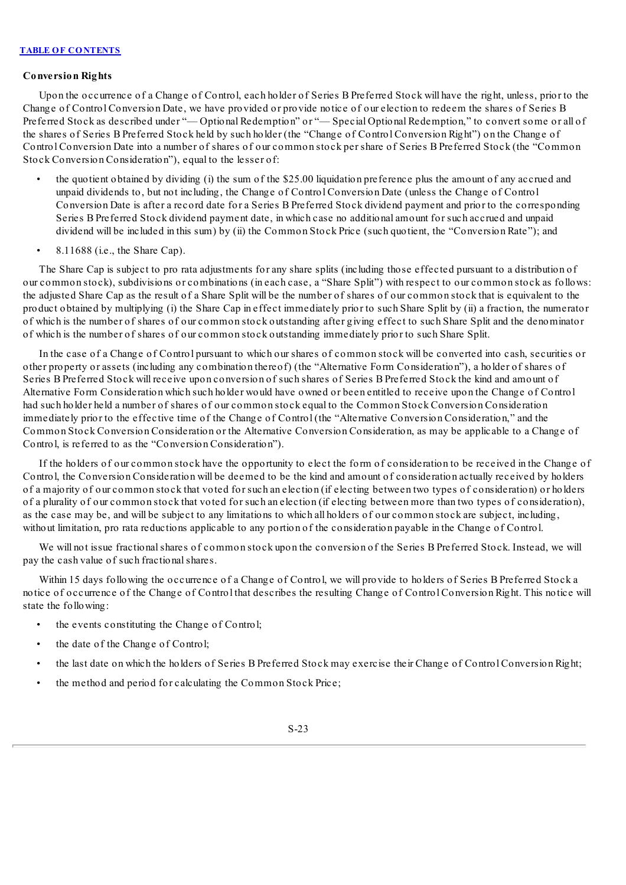## **Conversion Rights**

Upon the occurrence of a Change of Control, each holder of Series B Preferred Stock will have the right, unless, prior to the Change of Control Conversion Date, we have provided or provide notice of our election to redeem the shares of Series B Preferred Stock as described under "— Optional Redemption" or "— Special Optional Redemption," to convert some or all of the shares of Series B Preferred Stock held by such holder (the "Change of Control Conversion Right") on the Change of Control Conversion Date into a number of shares of our common stock per share of Series B Preferred Stock (the "Common Stock Conversion Consideration"), equal to the lesser of:

- the quotient obtained by dividing (i) the sum of the \$25.00 liquidation preference plus the amount of any accrued and unpaid dividends to, but not including, the Change of Control Conversion Date (unless the Change of Control Conversion Date is after a record date for a Series B Preferred Stock dividend payment and prior to the corresponding Series B Preferred Stock dividend payment date, in which case no additional amount for such accrued and unpaid dividend will be included in this sum) by (ii) the Common Stock Price (such quotient, the "Conversion Rate"); and
- 8.11688 (i.e., the Share Cap).

The Share Cap is subject to pro rata adjustments for any share splits (including those effected pursuant to a distribution of our common stock), subdivisions or combinations (in each case, a "Share Split") with respect to our common stock as follows: the adjusted Share Cap as the result of a Share Split will be the number of shares of our common stock that is equivalent to the product obtained by multiplying (i) the Share Cap in effect immediately prior to such Share Split by (ii) a fraction, the numerator of which is the number of shares of our common stock outstanding after giving effect to such Share Split and the denominator of which is the number of shares of our common stock outstanding immediately prior to such Share Split.

In the case of a Change of Control pursuant to which our shares of common stock will be converted into cash, securities or other property or assets (including any combination thereof) (the "Alternative Form Consideration"), a holder of shares of Series B Preferred Stock will receive upon conversion of such shares of Series B Preferred Stock the kind and amount of Alternative Form Consideration which such holder would have owned or been entitled to receive upon the Change of Control had such holder held a number of shares of our common stock equal to the Common Stock Conversion Consideration immediately prior to the effective time of the Change of Control (the "Alternative Conversion Consideration," and the Common Stock Conversion Consideration or the Alternative Conversion Consideration, as may be applicable to a Change of Control, is referred to as the "Conversion Consideration").

If the holders of our common stock have the opportunity to elect the form of consideration to be received in the Change of Control, the Conversion Consideration will be deemed to be the kind and amount of consideration actually received by holders of a majority of our common stock that voted for such an election (if electing between two types of consideration) or holders of a plurality of our common stock that voted for such an election (if electing between more than two types of consideration), as the case may be, and will be subject to any limitations to which all holders of our common stock are subject, including, without limitation, pro rata reductions applicable to any portion of the consideration payable in the Change of Control.

We will not issue fractional shares of common stock upon the conversion of the Series B Preferred Stock. Instead, we will pay the cash value of such fractionalshares.

Within 15 days following the occurrence of a Change of Control, we will provide to holders of Series B Preferred Stock a notice of occurrence of the Change of Control that describes the resulting Change of Control Conversion Right. This notice will state the following:

- the events constituting the Change of Control;
- the date of the Change of Control;
- the last date on which the holders of Series B Preferred Stock may exercise their Change of Control Conversion Right;
- the method and period for calculating the Common Stock Price;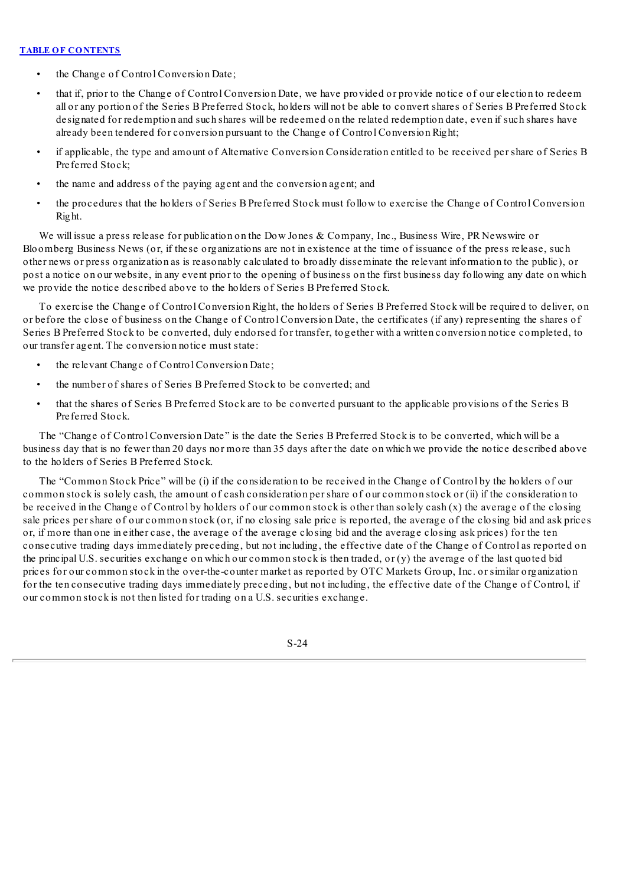- the Change of Control Conversion Date;
- that if, prior to the Change of Control Conversion Date, we have provided or provide notice of our election to redeem all or any portion of the Series B Preferred Stock, holders will not be able to convert shares of Series B Preferred Stock designated for redemption and such shares will be redeemed on the related redemption date, even if such shares have already been tendered for conversion pursuant to the Change of Control Conversion Right;
- if applicable, the type and amount of Alternative Conversion Consideration entitled to be received per share of Series B Preferred Stock;
- the name and address of the paying agent and the conversion agent; and
- the procedures that the holders of Series B Preferred Stock must follow to exercise the Change of Control Conversion Right.

We will issue a press release for publication on the Dow Jones & Company, Inc., Business Wire, PR Newswire or Bloomberg Business News (or, if these organizations are not in existence at the time of issuance of the press release, such other news or press organization as is reasonably calculated to broadly disseminate the relevant information to the public), or post a notice on our website, in any event prior to the opening of business on the first business day following any date on which we provide the notice described above to the holders of Series B Preferred Stock.

To exercise the Change of Control Conversion Right, the holders of Series B Preferred Stock will be required to deliver, on or before the close of business on the Change of Control Conversion Date, the certificates (if any) representing the shares of Series B Preferred Stock to be converted, duly endorsed for transfer, together with a written conversion notice completed, to our transfer agent. The conversion notice must state:

- the relevant Change of Control Conversion Date;
- the number of shares of Series B Preferred Stock to be converted; and
- that the shares of Series B Preferred Stock are to be converted pursuant to the applicable provisions of the Series B Preferred Stock.

The "Change of Control Conversion Date" is the date the Series B Preferred Stock is to be converted, which will be a business day that is no fewer than 20 days nor more than 35 days after the date on which we provide the notice described above to the holders of Series B Preferred Stock.

The "Common Stock Price" will be (i) if the consideration to be received in the Change of Control by the holders of our common stock is solely cash, the amount of cash consideration per share of our common stock or (ii) if the consideration to be received in the Change of Control by holders of our common stock is other than solely cash (x) the average of the closing sale prices per share of our common stock (or, if no closing sale price is reported, the average of the closing bid and ask prices or, if more than one in either case, the average of the average closing bid and the average closing ask prices) for the ten consecutive trading days immediately preceding, but not including, the effective date of the Change of Control as reported on the principal U.S. securities exchange on which our common stock is then traded, or (y) the average of the last quoted bid prices for our common stock in the over-the-counter market as reported by OTC Markets Group, Inc. or similar organization for the ten consecutive trading days immediately preceding, but not including, the effective date of the Change of Control, if our common stock is not then listed for trading on a U.S. securities exchange.

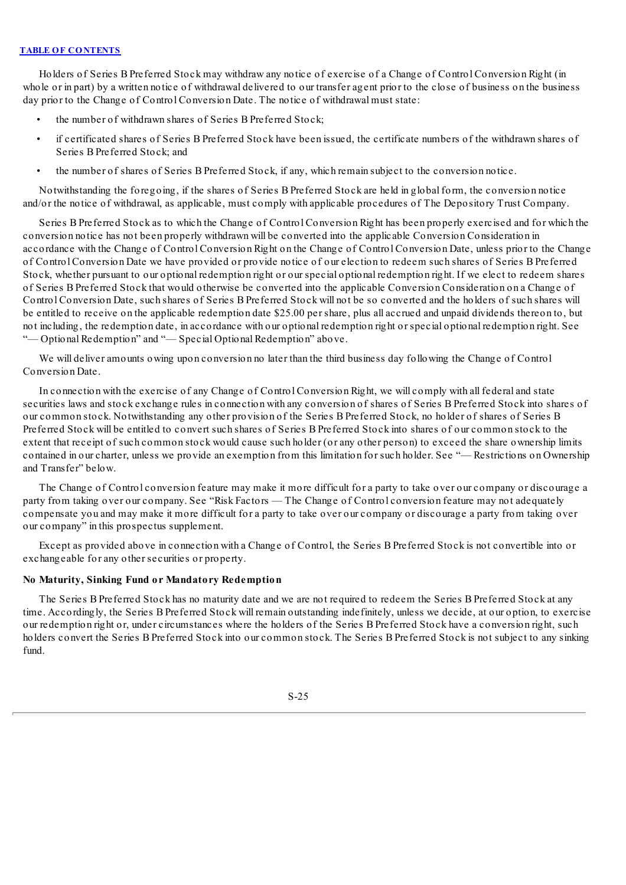Holders of Series B Preferred Stock may withdraw any notice of exercise of a Change of Control Conversion Right (in whole or in part) by a written notice of withdrawal delivered to our transfer agent prior to the close of business on the business day prior to the Change of Control Conversion Date. The notice of withdrawal must state:

- the number of withdrawn shares of Series B Preferred Stock;
- if certificated shares of Series B Preferred Stock have been issued, the certificate numbers of the withdrawn shares of Series B Preferred Stock; and
- the number of shares of Series B Preferred Stock, if any, which remain subject to the conversion notice.

Notwithstanding the foregoing, if the shares of Series B Preferred Stock are held in global form, the conversion notice and/or the notice of withdrawal, as applicable, must comply with applicable procedures of The Depository Trust Company.

Series B Preferred Stock as to which the Change of Control Conversion Right has been properly exercised and for which the conversion notice has not been properly withdrawn will be converted into the applicable Conversion Consideration in accordance with the Change of Control Conversion Right on the Change of Control Conversion Date, unless prior to the Change of Control Conversion Date we have provided or provide notice of our election to redeem such shares of Series B Preferred Stock, whether pursuant to our optional redemption right or our special optional redemption right. If we elect to redeem shares of Series B Preferred Stock that would otherwise be converted into the applicable Conversion Consideration on a Change of Control Conversion Date, such shares of Series B Preferred Stock will not be so converted and the holders of such shares will be entitled to receive on the applicable redemption date \$25.00 per share, plus all accrued and unpaid dividends thereon to, but not including, the redemption date, in accordance with our optional redemption right or special optional redemption right. See "-Optional Redemption" and "-Special Optional Redemption" above.

We will deliver amounts owing upon conversion no later than the third business day following the Change of Control Conversion Date.

In connection with the exercise of any Change of Control Conversion Right, we will comply with all federal and state securities laws and stock exchange rules in connection with any conversion of shares of Series B Preferred Stock into shares of our common stock. Notwithstanding any other provision of the Series B Preferred Stock, no holder of shares of Series B Preferred Stock will be entitled to convert such shares of Series B Preferred Stock into shares of our common stock to the extent that receipt of such common stock would cause such holder (or any other person) to exceed the share ownership limits contained in our charter, unless we provide an exemption from this limitation for such holder. See "— Restrictions on Ownership and Transfer" below.

The Change of Control conversion feature may make it more difficult for a party to take over our company or discourage a party from taking over our company. See "Risk Factors — The Change of Control conversion feature may not adequately compensate you and may make it more difficult for a party to take over our company or discourage a party from taking over our company" in this prospectus supplement.

Except as provided above in connection with a Change of Control, the Series B Preferred Stock is not convertible into or exchangeable for any other securities or property.

## **No Maturity, Sinking Fund or Mandatory Redemption**

The Series B Preferred Stock has no maturity date and we are not required to redeem the Series B Preferred Stock at any time. Accordingly, the Series B Preferred Stock will remain outstanding indefinitely, unless we decide, at our option, to exercise our redemption right or, under circumstances where the holders of the Series B Preferred Stock have a conversion right, such holders convert the Series B Preferred Stock into our common stock. The Series B Preferred Stock is not subject to any sinking fund.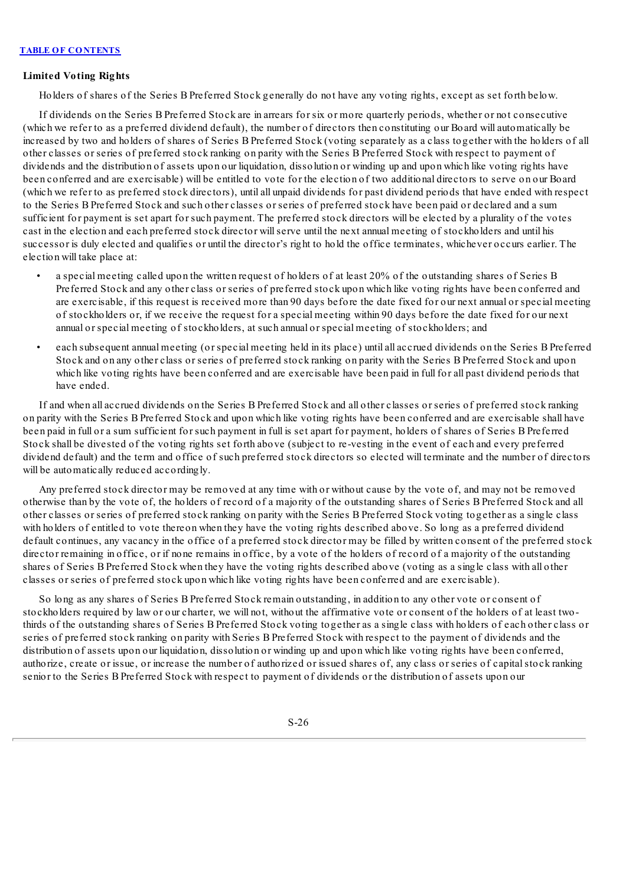## **Limited Voting Rights**

Holders of shares of the Series B Preferred Stock generally do not have any voting rights, except as set forth below.

If dividends on the Series B Preferred Stock are in arrears for six or more quarterly periods, whether or not consecutive (which we refer to as a preferred dividend default), the number of directors then constituting our Board will automatically be increased by two and holders of shares of Series B Preferred Stock (voting separately as a class together with the holders of all other classes or series of preferred stock ranking on parity with the Series B Preferred Stock with respect to payment of dividends and the distribution of assets upon our liquidation, dissolution or winding up and upon which like voting rights have been conferred and are exercisable) will be entitled to vote for the election of two additional directors to serve on our Board (which we refer to as preferred stock directors), until all unpaid dividends for past dividend periods that have ended with respect to the Series B Preferred Stock and such other classes or series of preferred stock have been paid or declared and a sum sufficient for payment is set apart for such payment. The preferred stock directors will be elected by a plurality of the votes cast in the election and each preferred stock director willserve until the next annual meeting of stockholders and until his successor is duly elected and qualifies or until the director's right to hold the office terminates, whichever occurs earlier. The election will take place at:

- a special meeting called upon the written request of holders of at least 20% of the outstanding shares of Series B Preferred Stock and any other class or series of preferred stock upon which like voting rights have been conferred and are exercisable, if this request is received more than 90 days before the date fixed for our next annual or special meeting of stockholders or, if we receive the request for a special meeting within 90 days before the date fixed for our next annual or special meeting of stockholders, at such annual or special meeting of stockholders; and
- each subsequent annual meeting (or special meeting held in its place) until all accrued dividends on the Series B Preferred Stock and on any other class or series of preferred stock ranking on parity with the Series B Preferred Stock and upon which like voting rights have been conferred and are exercisable have been paid in full for all past dividend periods that have ended.

If and when all accrued dividends on the Series B Preferred Stock and all other classes or series of preferred stock ranking on parity with the Series B Preferred Stock and upon which like voting rights have been conferred and are exercisable shall have been paid in full or a sum sufficient for such payment in full is set apart for payment, holders of shares of Series B Preferred Stock shall be divested of the voting rights set forth above (subject to re-vesting in the event of each and every preferred dividend default) and the term and office of such preferred stock directors so elected will terminate and the number of directors will be automatically reduced accordingly.

Any preferred stock director may be removed at any time with or without cause by the vote of, and may not be removed otherwise than by the vote of, the holders of record of a majority of the outstanding shares of Series B Preferred Stock and all other classes or series of preferred stock ranking on parity with the Series B Preferred Stock voting together as a single class with holders of entitled to vote thereon when they have the voting rights described above. So long as a preferred dividend default continues, any vacancy in the office of a preferred stock director may be filled by written consent of the preferred stock director remaining in office, or if none remains in office, by a vote of the holders of record of a majority of the outstanding shares of Series B Preferred Stock when they have the voting rights described above (voting as a single class with all other classes or series of preferred stock upon which like voting rights have been conferred and are exercisable).

So long as any shares of Series B Preferred Stock remain outstanding, in addition to any other vote or consent of stockholders required by law or our charter, we will not, without the affirmative vote or consent of the holders of at least twothirds of the outstanding shares of Series B Preferred Stock voting together as a single class with holders of each other class or series of preferred stock ranking on parity with Series B Preferred Stock with respect to the payment of dividends and the distribution of assets upon our liquidation, dissolution or winding up and upon which like voting rights have been conferred, authorize, create or issue, or increase the number of authorized or issued shares of, any class or series of capitalstock ranking senior to the Series B Preferred Stock with respect to payment of dividends or the distribution of assets upon our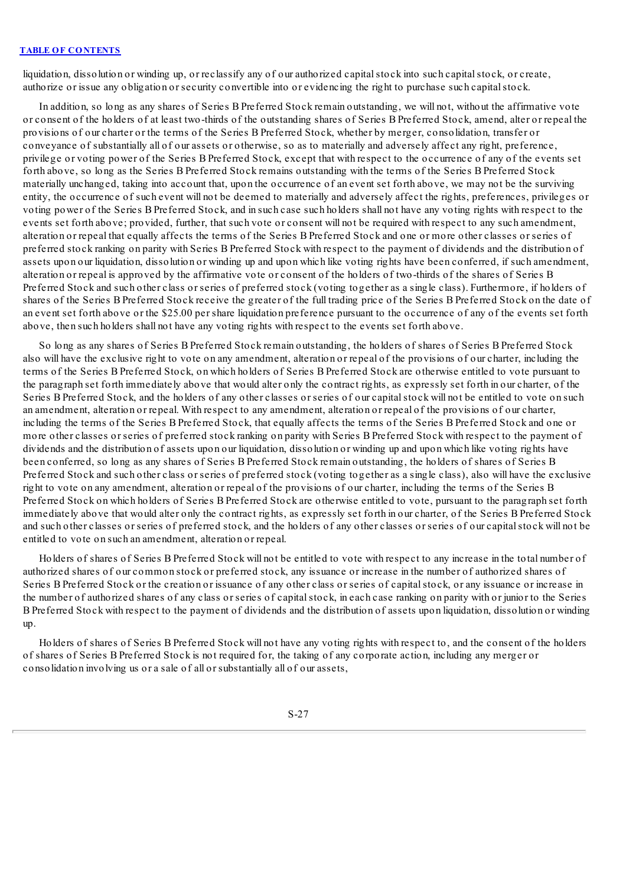liquidation, dissolution or winding up, or reclassify any of our authorized capital stock into such capital stock, or create, authorize or issue any obligation or security convertible into or evidencing the right to purchase such capital stock.

In addition, so long as any shares of Series B Preferred Stock remain outstanding, we will not, without the affirmative vote or consent of the holders of at least two-thirds of the outstanding shares of Series B Preferred Stock, amend, alter or repeal the provisions of our charter or the terms of the Series B Preferred Stock, whether by merger, consolidation, transfer or conveyance of substantially all of our assets or otherwise, so as to materially and adversely affect any right, preference, privilege or voting power of the Series B Preferred Stock, except that with respect to the occurrence of any of the events set forth above, so long as the Series B Preferred Stock remains outstanding with the terms of the Series B Preferred Stock materially unchanged, taking into account that, upon the occurrence of an event set forth above, we may not be the surviving entity, the occurrence of such event will not be deemed to materially and adversely affect the rights, preferences, privileges or voting power of the Series B Preferred Stock, and in such case such holders shall not have any voting rights with respect to the events set forth above; provided, further, that such vote or consent will not be required with respect to any such amendment, alteration or repeal that equally affects the terms of the Series B Preferred Stock and one or more other classes or series of preferred stock ranking on parity with Series B Preferred Stock with respect to the payment of dividends and the distribution of assets upon our liquidation, dissolution or winding up and upon which like voting rights have been conferred, if such amendment, alteration or repeal is approved by the affirmative vote or consent of the holders of two-thirds of the shares of Series B Preferred Stock and such other class or series of preferred stock (voting together as a single class). Furthermore, if holders of shares of the Series B Preferred Stock receive the greater of the full trading price of the Series B Preferred Stock on the date of an event set forth above or the \$25.00 per share liquidation preference pursuant to the occurrence of any of the events set forth above, then such holders shall not have any voting rights with respect to the events set forth above.

So long as any shares of Series B Preferred Stock remain outstanding, the holders of shares of Series B Preferred Stock also will have the exclusive right to vote on any amendment, alteration or repeal of the provisions of our charter, including the terms of the Series B Preferred Stock, on which holders of Series B Preferred Stock are otherwise entitled to vote pursuant to the paragraph set forth immediately above that would alter only the contract rights, as expressly set forth in our charter, of the Series B Preferred Stock, and the holders of any other classes or series of our capitalstock will not be entitled to vote on such an amendment, alteration or repeal. With respect to any amendment, alteration or repeal of the provisions of our charter, including the terms of the Series B Preferred Stock, that equally affects the terms of the Series B Preferred Stock and one or more other classes or series of preferred stock ranking on parity with Series B Preferred Stock with respect to the payment of dividends and the distribution of assets upon our liquidation, dissolution or winding up and upon which like voting rights have been conferred, so long as any shares of Series B Preferred Stock remain outstanding, the holders of shares of Series B Preferred Stock and such other class or series of preferred stock (voting together as a single class), also will have the exclusive right to vote on any amendment, alteration or repeal of the provisions of our charter, including the terms of the Series B Preferred Stock on which holders of Series B Preferred Stock are otherwise entitled to vote, pursuant to the paragraph set forth immediately above that would alter only the contract rights, as expressly set forth in our charter, of the Series B Preferred Stock and such other classes or series of preferred stock, and the holders of any other classes or series of our capital stock will not be entitled to vote on such an amendment, alteration or repeal.

Holders of shares of Series B Preferred Stock will not be entitled to vote with respect to any increase in the total number of authorized shares of our common stock or preferred stock, any issuance or increase in the number of authorized shares of Series B Preferred Stock or the creation or issuance of any other class or series of capitalstock, or any issuance or increase in the number of authorized shares of any class or series of capitalstock, in each case ranking on parity with or junior to the Series B Preferred Stock with respect to the payment of dividends and the distribution of assets upon liquidation, dissolution or winding up.

Holders of shares of Series B Preferred Stock will not have any voting rights with respect to, and the consent of the holders of shares of Series B Preferred Stock is not required for, the taking of any corporate action, including any merger or consolidation involving us or a sale of all or substantially all of our assets,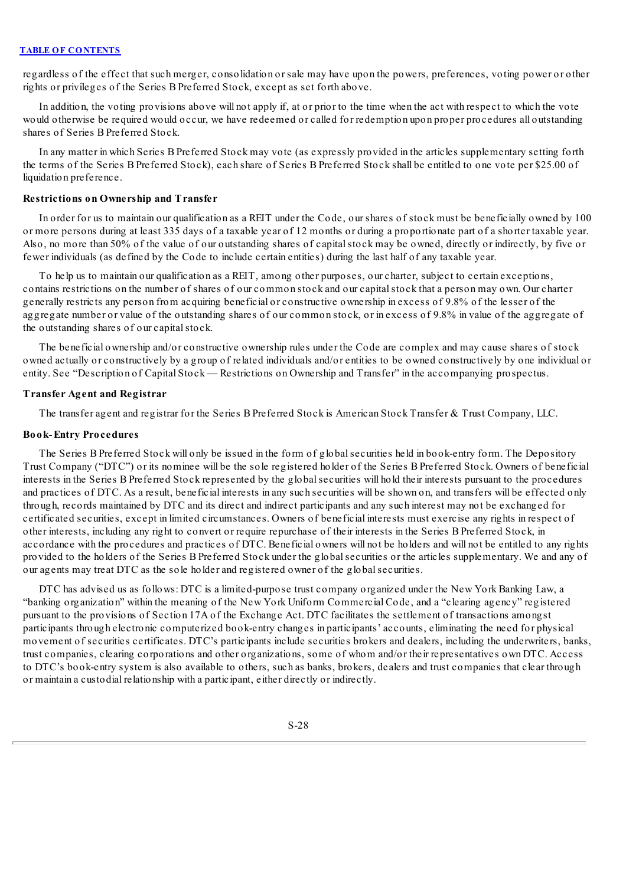regardless of the effect that such merger, consolidation or sale may have upon the powers, preferences, voting power or other rights or privileges of the Series B Preferred Stock, except as set forth above.

In addition, the voting provisions above will not apply if, at or prior to the time when the act with respect to which the vote would otherwise be required would occur, we have redeemed or called for redemption upon proper procedures all outstanding shares of Series B Preferred Stock.

In any matter in which Series B Preferred Stock may vote (as expressly provided in the articles supplementary setting forth the terms of the Series B Preferred Stock), each share of Series B Preferred Stock shall be entitled to one vote per \$25.00 of liquidation preference.

## **Restrictions on Ownership and Transfer**

In order for us to maintain our qualification as a REIT under the Code, our shares of stock must be beneficially owned by 100 or more persons during at least 335 days of a taxable year of 12 months or during a proportionate part of a shorter taxable year. Also, no more than 50% of the value of our outstanding shares of capitalstock may be owned, directly or indirectly, by five or fewer individuals (as defined by the Code to include certain entities) during the last half of any taxable year.

To help us to maintain our qualification as a REIT, among other purposes, our charter, subject to certain exceptions, contains restrictions on the number of shares of our common stock and our capitalstock that a person may own. Our charter generally restricts any person from acquiring beneficial or constructive ownership in excess of 9.8% of the lesser of the aggregate number or value of the outstanding shares of our common stock, or in excess of 9.8% in value of the aggregate of the outstanding shares of our capital stock.

The beneficial ownership and/or constructive ownership rules under the Code are complex and may cause shares of stock owned actually or constructively by a group of related individuals and/or entities to be owned constructively by one individual or entity. See "Description of Capital Stock — Restrictions on Ownership and Transfer" in the accompanying prospectus.

#### **Transfer Agent and Registrar**

The transfer agent and registrar for the Series B Preferred Stock is American Stock Transfer & Trust Company, LLC.

#### **Book-Entry Procedures**

The Series B Preferred Stock will only be issued in the form of globalsecurities held in book-entry form. The Depository Trust Company ("DTC") or its nominee will be the sole registered holder of the Series B Preferred Stock. Owners of beneficial interests in the Series B Preferred Stock represented by the globalsecurities will hold their interests pursuant to the procedures and practices of DTC. As a result, beneficial interests in any such securities will be shown on, and transfers will be effected only through, records maintained by DTC and its direct and indirect participants and any such interest may not be exchanged for certificated securities, except in limited circumstances. Owners of beneficial interests must exercise any rights in respect of other interests, including any right to convert or require repurchase of their interests in the Series B Preferred Stock, in accordance with the procedures and practices of DTC. Beneficial owners will not be holders and will not be entitled to any rights provided to the holders of the Series B Preferred Stock under the globalsecurities or the articles supplementary. We and any of our agents may treat DTC as the sole holder and registered owner of the globalsecurities.

DTC has advised us as follows: DTC is a limited-purpose trust company organized under the New York Banking Law, a "banking organization" within the meaning of the New York Uniform Commercial Code, and a "clearing agency" registered pursuant to the provisions of Section 17A of the Exchange Act. DTC facilitates the settlement of transactions amongst participants through electronic computerized book-entry changes in participants' accounts, eliminating the need for physical movement of securities certificates. DTC's participants include securities brokers and dealers, including the underwriters, banks, trust companies, clearing corporations and other organizations, some of whom and/or their representatives own DTC. Access to DTC's book-entry system is also available to others, such as banks, brokers, dealers and trust companies that clear through or maintain a custodial relationship with a participant, either directly or indirectly.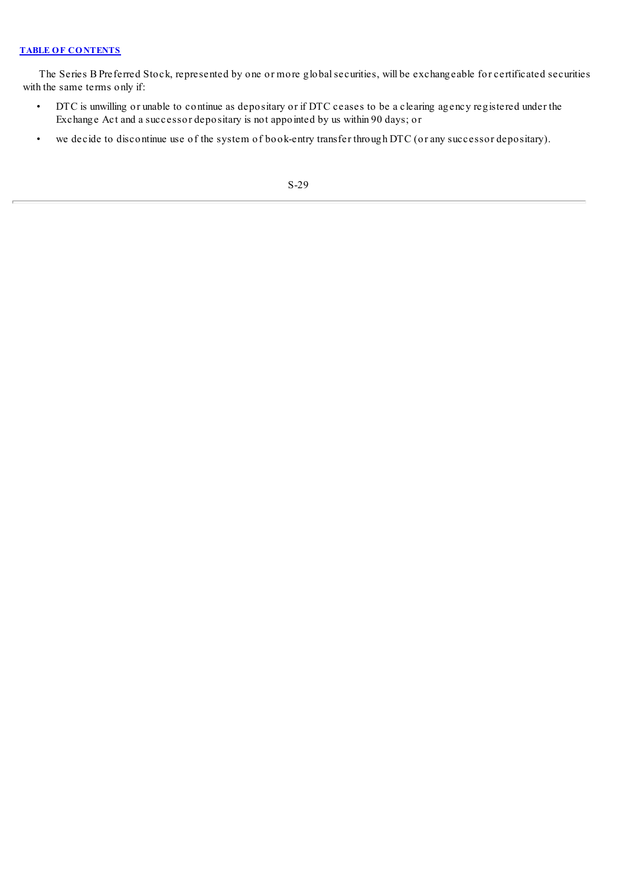The Series B Preferred Stock, represented by one or more globalsecurities, will be exchangeable for certificated securities with the same terms only if:

- DTC is unwilling or unable to continue as depositary or if DTC ceases to be a clearing agency registered under the Exchange Act and a successor depositary is not appointed by us within 90 days; or
- we decide to discontinue use of the system of book-entry transfer through DTC (or any successor depositary).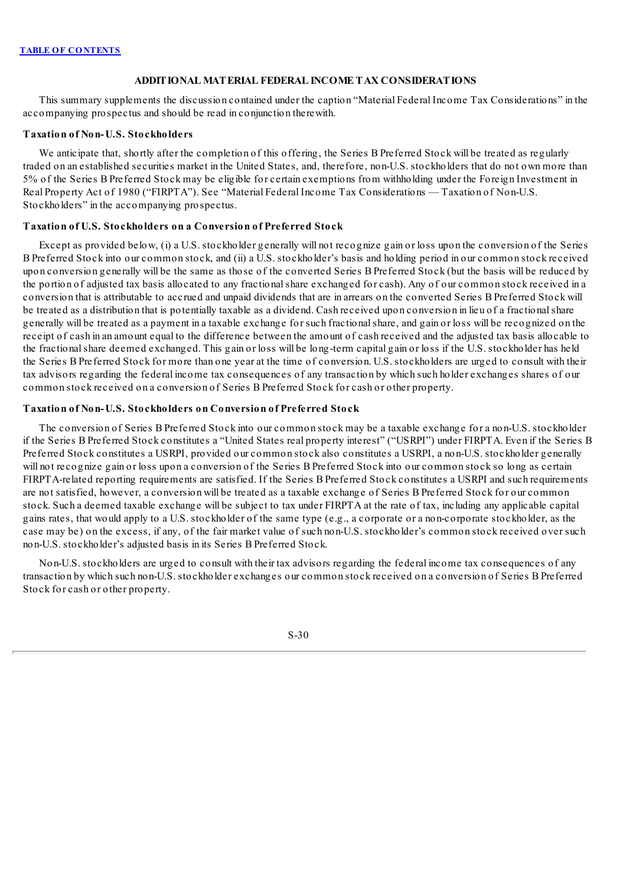### **ADDITIONAL MATERIAL FEDERAL INCOME TAX CONSIDERATIONS**

This summary supplements the discussion contained under the caption "Material Federal Income Tax Considerations" in the accompanying prospectus and should be read in conjunction therewith.

# **Taxation of Non-U.S. Stockholders**

We anticipate that, shortly after the completion of this offering, the Series B Preferred Stock will be treated as regularly traded on an established securities market in the United States, and, therefore, non-U.S. stockholders that do not own more than 5% of the Series B Preferred Stock may be eligible for certain exemptions from withholding under the Foreign Investment in Real Property Act of 1980 ("FIRPTA"). See "Material Federal Income Tax Considerations — Taxation of Non-U.S. Stockholders" in the accompanying prospectus.

### **Taxation of U.S. Stockholders on a Conversion of Preferred Stock**

Except as provided below, (i) a U.S. stockholder generally will not recognize gain or loss upon the conversion of the Series B Preferred Stock into our common stock, and (ii) a U.S. stockholder's basis and holding period in our common stock received upon conversion generally will be the same as those of the converted Series B Preferred Stock (but the basis will be reduced by the portion of adjusted tax basis allocated to any fractionalshare exchanged for cash). Any of our common stock received in a conversion that is attributable to accrued and unpaid dividends that are in arrears on the converted Series B Preferred Stock will be treated as a distribution that is potentially taxable as a dividend. Cash received upon conversion in lieu of a fractionalshare generally will be treated as a payment in a taxable exchange for such fractionalshare, and gain or loss will be recognized on the receipt of cash in an amount equal to the difference between the amount of cash received and the adjusted tax basis allocable to the fractionalshare deemed exchanged. This gain or loss will be long-term capital gain or loss if the U.S. stockholder has held the Series B Preferred Stock for more than one year at the time of conversion. U.S. stockholders are urged to consult with their tax advisors regarding the federal income tax consequences of any transaction by which such holder exchanges shares of our common stock received on a conversion of Series B Preferred Stock for cash or other property.

# **Taxation of Non-U.S. Stockholders on Conversion of Preferred Stock**

The conversion of Series B Preferred Stock into our common stock may be a taxable exchange for a non-U.S. stockholder if the Series B Preferred Stock constitutes a "United States real property interest" ("USRPI") under FIRPTA. Even if the Series B Preferred Stock constitutes a USRPI, provided our common stock also constitutes a USRPI, a non-U.S. stockholder generally will not recognize gain or loss upon a conversion of the Series B Preferred Stock into our common stock so long as certain FIRPTA-related reporting requirements are satisfied. If the Series B Preferred Stock constitutes a USRPI and such requirements are not satisfied, however, a conversion will be treated as a taxable exchange of Series B Preferred Stock for our common stock. Such a deemed taxable exchange will be subject to tax under FIRPTA at the rate of tax, including any applicable capital gains rates, that would apply to a U.S. stockholder of the same type (e.g., a corporate or a non-corporate stockholder, as the case may be) on the excess, if any, of the fair market value of such non-U.S. stockholder's common stock received over such non-U.S. stockholder's adjusted basis in its Series B Preferred Stock.

Non-U.S. stockholders are urged to consult with their tax advisors regarding the federal income tax consequences of any transaction by which such non-U.S. stockholder exchanges our common stock received on a conversion of Series B Preferred Stock for cash or other property.

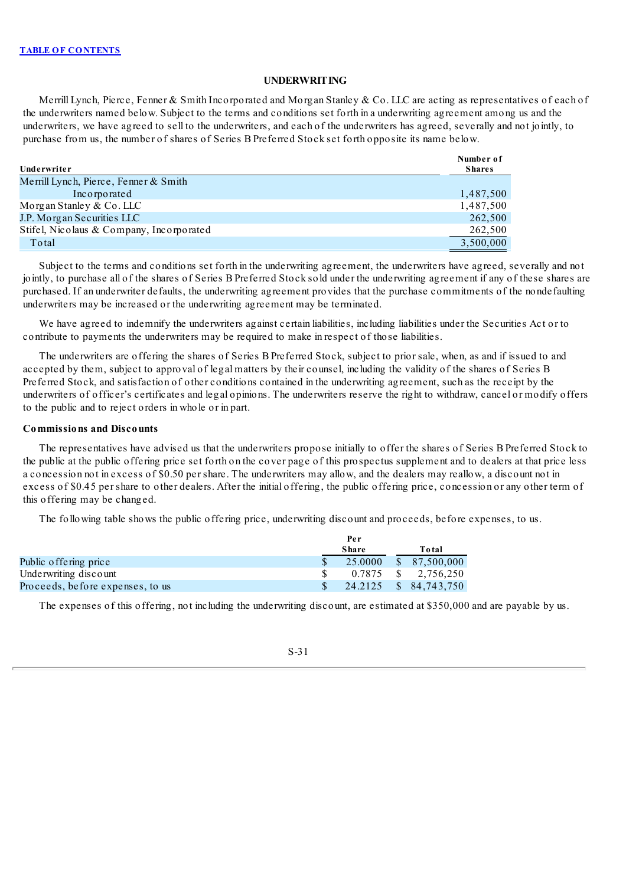# **UNDERWRITING**

Merrill Lynch, Pierce, Fenner & Smith Incorporated and Morgan Stanley & Co. LLC are acting as representatives of each of the underwriters named below. Subject to the terms and conditions set forth in a underwriting agreement among us and the underwriters, we have agreed to sell to the underwriters, and each of the underwriters has agreed, severally and not jointly, to purchase from us, the number of shares of Series B Preferred Stock set forth opposite its name below.

|                                          | Number of     |
|------------------------------------------|---------------|
| Underwriter                              | <b>Shares</b> |
| Merrill Lynch, Pierce, Fenner & Smith    |               |
| Incorporated                             | 1,487,500     |
| Morgan Stanley & Co. LLC                 | 1,487,500     |
| J.P. Morgan Securities LLC               | 262,500       |
| Stifel, Nicolaus & Company, Incorporated | 262,500       |
| Total                                    | 3,500,000     |

Subject to the terms and conditions set forth in the underwriting agreement, the underwriters have agreed, severally and not jointly, to purchase all of the shares of Series B Preferred Stock sold under the underwriting agreement if any of these shares are purchased. If an underwriter defaults, the underwriting agreement provides that the purchase commitments of the nondefaulting underwriters may be increased or the underwriting agreement may be terminated.

We have agreed to indemnify the underwriters against certain liabilities, including liabilities under the Securities Act or to contribute to payments the underwriters may be required to make in respect of those liabilities.

The underwriters are offering the shares of Series B Preferred Stock, subject to prior sale, when, as and if issued to and accepted by them, subject to approval of legal matters by their counsel, including the validity of the shares of Series B Preferred Stock, and satisfaction of other conditions contained in the underwriting agreement, such as the receipt by the underwriters of officer's certificates and legal opinions. The underwriters reserve the right to withdraw, cancel or modify offers to the public and to reject orders in whole or in part.

#### **Commissions and Discounts**

The representatives have advised us that the underwriters propose initially to offer the shares of Series B Preferred Stock to the public at the public offering price set forth on the cover page of this prospectus supplement and to dealers at that price less a concession not in excess of \$0.50 per share. The underwriters may allow, and the dealers may reallow, a discount not in excess of \$0.45 per share to other dealers. After the initial offering, the public offering price, concession or any other term of this offering may be changed.

The following table shows the public offering price, underwriting discount and proceeds, before expenses, to us.

|                                  | Per |              |  |                       |  |
|----------------------------------|-----|--------------|--|-----------------------|--|
|                                  |     | <b>Share</b> |  | Total                 |  |
| Public offering price            |     | 25.0000      |  | \$ 87.500,000         |  |
| Underwriting discount            |     |              |  | 0.7875 \$ 2,756,250   |  |
| Proceeds, before expenses, to us |     |              |  | 24.2125 \$ 84,743,750 |  |

The expenses of this offering, not including the underwriting discount, are estimated at \$350,000 and are payable by us.

### S-31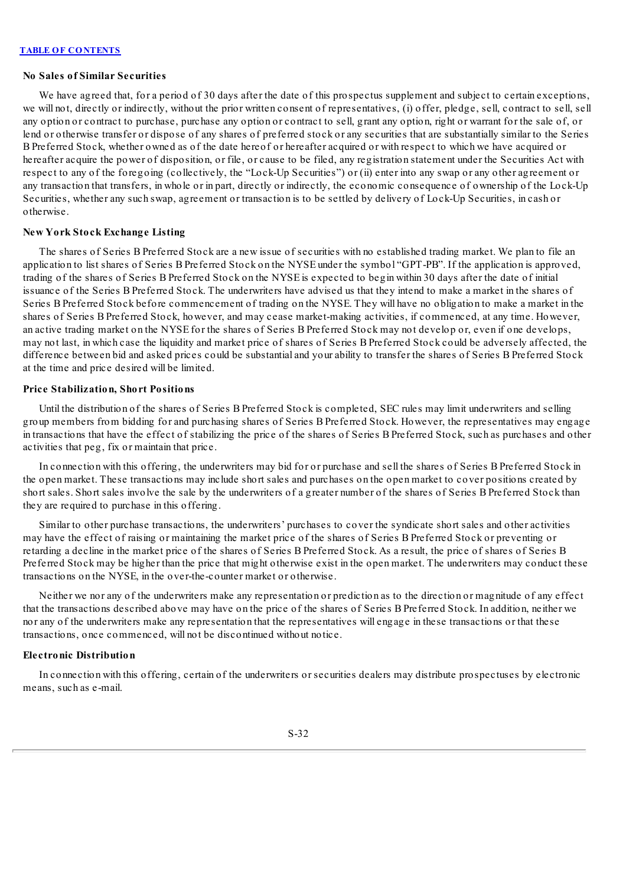#### **No Sales of Similar Securities**

We have agreed that, for a period of 30 days after the date of this prospectus supplement and subject to certain exceptions, we will not, directly or indirectly, without the prior written consent of representatives, (i) offer, pledge, sell, contract to sell, sell any option or contract to purchase, purchase any option or contract to sell, grant any option, right or warrant for the sale of, or lend or otherwise transfer or dispose of any shares of preferred stock or any securities that are substantially similar to the Series B Preferred Stock, whether owned as of the date hereof or hereafter acquired or with respect to which we have acquired or hereafter acquire the power of disposition, or file, or cause to be filed, any registration statement under the Securities Act with respect to any of the foregoing (collectively, the "Lock-Up Securities") or (ii) enter into any swap or any other agreement or any transaction that transfers, in whole or in part, directly or indirectly, the economic consequence of ownership of the Lock-Up Securities, whether any such swap, agreement or transaction is to be settled by delivery of Lock-Up Securities, in cash or otherwise.

#### **New York Stock Exchange Listing**

The shares of Series B Preferred Stock are a new issue of securities with no established trading market. We plan to file an application to list shares of Series B Preferred Stock on the NYSE under the symbol "GPT-PB". If the application is approved, trading of the shares of Series B Preferred Stock on the NYSE is expected to begin within 30 days after the date of initial issuance of the Series B Preferred Stock. The underwriters have advised us that they intend to make a market in the shares of Series B Preferred Stock before commencement of trading on the NYSE. They will have no obligation to make a market in the shares of Series B Preferred Stock, however, and may cease market-making activities, if commenced, at any time. However, an active trading market on the NYSE for the shares of Series B Preferred Stock may not develop or, even if one develops, may not last, in which case the liquidity and market price of shares of Series B Preferred Stock could be adversely affected, the difference between bid and asked prices could be substantial and your ability to transfer the shares of Series B Preferred Stock at the time and price desired will be limited.

### **Price Stabilization, Short Positions**

Until the distribution of the shares of Series B Preferred Stock is completed, SEC rules may limit underwriters and selling group members from bidding for and purchasing shares of Series B Preferred Stock. However, the representatives may engage in transactions that have the effect of stabilizing the price of the shares of Series B Preferred Stock, such as purchases and other activities that peg, fix or maintain that price.

In connection with this offering, the underwriters may bid for or purchase and sell the shares of Series B Preferred Stock in the open market. These transactions may include short sales and purchases on the open market to cover positions created by short sales. Short sales involve the sale by the underwriters of a greater number of the shares of Series B Preferred Stock than they are required to purchase in this offering.

Similar to other purchase transactions, the underwriters' purchases to cover the syndicate short sales and other activities may have the effect of raising or maintaining the market price of the shares of Series B Preferred Stock or preventing or retarding a decline in the market price of the shares of Series B Preferred Stock. As a result, the price of shares of Series B Preferred Stock may be higher than the price that might otherwise exist in the open market. The underwriters may conduct these transactions on the NYSE, in the over-the-counter market or otherwise.

Neither we nor any of the underwriters make any representation or prediction as to the direction or magnitude of any effect that the transactions described above may have on the price of the shares of Series B Preferred Stock. In addition, neither we nor any of the underwriters make any representation that the representatives will engage in these transactions or that these transactions, once commenced, will not be discontinued without notice.

### **Electronic Distribution**

In connection with this offering, certain of the underwriters or securities dealers may distribute prospectuses by electronic means, such as e-mail.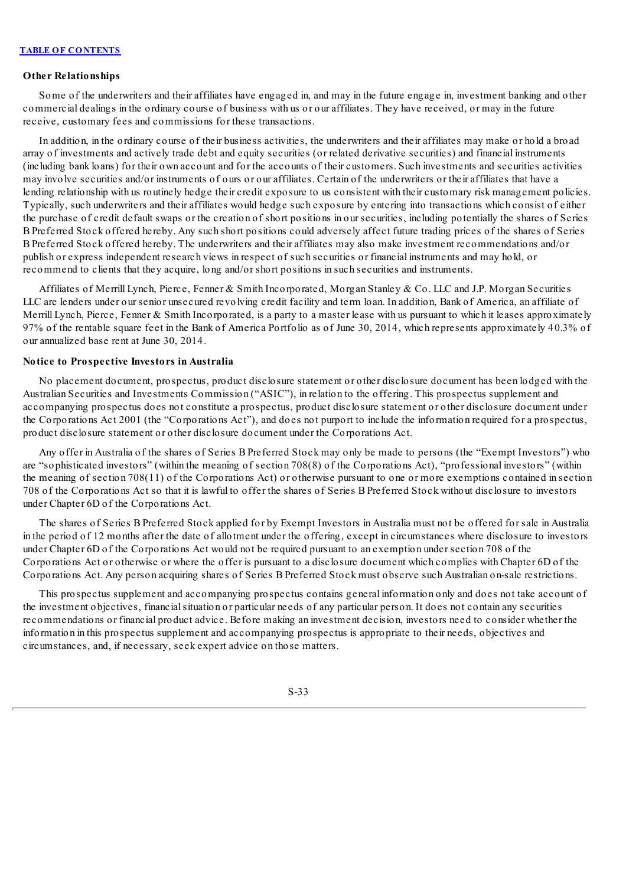### **Other Relationships**

Some of the underwriters and their affiliates have engaged in, and may in the future engage in, investment banking and other commercial dealings in the ordinary course of business with us or our affiliates. They have received, or may in the future receive, customary fees and commissions for these transactions.

In addition, in the ordinary course of their business activities, the underwriters and their affiliates may make or hold a broad array of investments and actively trade debt and equity securities (or related derivative securities) and financial instruments (including bank loans) for their own account and for the accounts of their customers. Such investments and securities activities may involve securities and/or instruments of ours or our affiliates. Certain of the underwriters or their affiliates that have a lending relationship with us routinely hedge their credit exposure to us consistent with their customary risk management policies. Typically, such underwriters and their affiliates would hedge such exposure by entering into transactions which consist of either the purchase of credit default swaps or the creation of short positions in our securities, including potentially the shares of Series B Preferred Stock offered hereby. Any such short positions could adversely affect future trading prices of the shares of Series B Preferred Stock offered hereby. The underwriters and their affiliates may also make investment recommendations and/or publish or express independent research views in respect of such securities or financial instruments and may hold, or recommend to clients that they acquire, long and/or short positions in such securities and instruments.

Affiliates of Merrill Lynch, Pierce, Fenner & Smith Incorporated, Morgan Stanley & Co. LLC and J.P. Morgan Securities LLC are lenders under our senior unsecured revolving credit facility and term loan. In addition, Bank of America, an affiliate of Merrill Lynch, Pierce, Fenner & Smith Incorporated, is a party to a master lease with us pursuant to which it leases approximately 97% of the rentable square feet in the Bank of America Portfolio as of June 30, 2014, which represents approximately 40.3% of our annualized base rent at June 30, 2014.

### **Notice to Prospective Investors in Australia**

No placement document, prospectus, product disclosure statement or other disclosure document has been lodged with the Australian Securities and Investments Commission ("ASIC"), in relation to the offering. This prospectus supplement and accompanying prospectus does not constitute a prospectus, product disclosure statement or other disclosure document under the Corporations Act 2001 (the "Corporations Act"), and does not purport to include the information required for a prospectus, product disclosure statement or other disclosure document under the Corporations Act.

Any offer in Australia of the shares of Series B Preferred Stock may only be made to persons (the "Exempt Investors") who are "sophisticated investors" (within the meaning of section 708(8) of the Corporations Act), "professional investors" (within the meaning of section 708(11) of the Corporations Act) or otherwise pursuant to one or more exemptions contained in section 708 of the Corporations Act so that it is lawful to offer the shares of Series B Preferred Stock without disclosure to investors under Chapter 6D of the Corporations Act.

The shares of Series B Preferred Stock applied for by Exempt Investors in Australia must not be offered for sale in Australia in the period of 12 months after the date of allotment under the offering, except in circumstances where disclosure to investors under Chapter 6D of the Corporations Act would not be required pursuant to an exemption under section 708 of the Corporations Act or otherwise or where the offer is pursuant to a disclosure document which complies with Chapter 6D of the Corporations Act. Any person acquiring shares of Series B Preferred Stock must observe such Australian on-sale restrictions.

This prospectus supplement and accompanying prospectus contains general information only and does not take account of the investment objectives, financialsituation or particular needs of any particular person. It does not contain any securities recommendations or financial product advice. Before making an investment decision, investors need to consider whether the information in this prospectus supplement and accompanying prospectus is appropriate to their needs, objectives and circumstances, and, if necessary, seek expert advice on those matters.

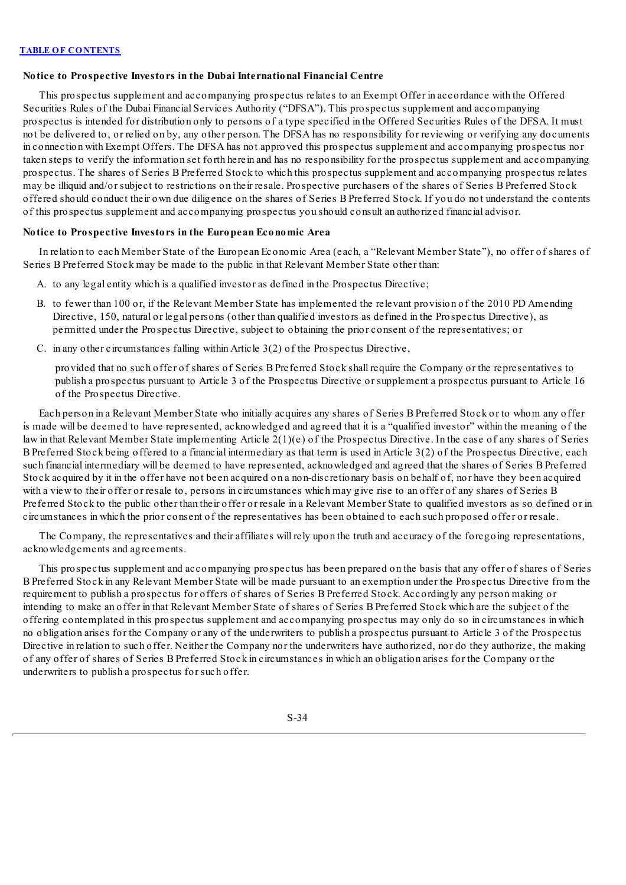### **Notice to Prospective Investors in the Dubai International Financial Centre**

This prospectus supplement and accompanying prospectus relates to an Exempt Offer in accordance with the Offered Securities Rules of the Dubai Financial Services Authority ("DFSA"). This prospectus supplement and accompanying prospectus is intended for distribution only to persons of a type specified in the Offered Securities Rules of the DFSA. It must not be delivered to, or relied on by, any other person. The DFSA has no responsibility for reviewing or verifying any documents in connection with Exempt Offers. The DFSA has not approved this prospectus supplement and accompanying prospectus nor taken steps to verify the information set forth herein and has no responsibility for the prospectus supplement and accompanying prospectus. The shares of Series B Preferred Stock to which this prospectus supplement and accompanying prospectus relates may be illiquid and/or subject to restrictions on their resale. Prospective purchasers of the shares of Series B Preferred Stock offered should conduct their own due diligence on the shares of Series B Preferred Stock. If you do not understand the contents of this prospectus supplement and accompanying prospectus you should consult an authorized financial advisor.

### **Notice to Prospective Investors in the European Economic Area**

In relation to each Member State of the European Economic Area (each, a "Relevant Member State"), no offer of shares of Series B Preferred Stock may be made to the public in that Relevant Member State other than:

- A. to any legal entity which is a qualified investor as defined in the Prospectus Directive;
- B. to fewer than 100 or, if the Relevant Member State has implemented the relevant provision of the 2010 PD Amending Directive, 150, natural or legal persons (other than qualified investors as defined in the Prospectus Directive), as permitted under the Prospectus Directive, subject to obtaining the prior consent of the representatives; or
- C. in any other circumstances falling within Article 3(2) of the Prospectus Directive,

provided that no such offer of shares of Series B Preferred Stock shall require the Company or the representatives to publish a prospectus pursuant to Article 3 of the Prospectus Directive or supplement a prospectus pursuant to Article 16 of the Prospectus Directive.

Each person in a Relevant Member State who initially acquires any shares of Series B Preferred Stock or to whom any offer is made will be deemed to have represented, acknowledged and agreed that it is a "qualified investor" within the meaning of the law in that Relevant Member State implementing Article 2(1)(e) of the Prospectus Directive. In the case of any shares of Series B Preferred Stock being offered to a financial intermediary as that term is used in Article 3(2) of the Prospectus Directive, each such financial intermediary will be deemed to have represented, acknowledged and agreed that the shares of Series B Preferred Stock acquired by it in the offer have not been acquired on a non-discretionary basis on behalf of, nor have they been acquired with a view to their offer or resale to, persons in circumstances which may give rise to an offer of any shares of Series B Preferred Stock to the public other than their offer or resale in a Relevant Member State to qualified investors as so defined or in circumstances in which the prior consent of the representatives has been obtained to each such proposed offer or resale.

The Company, the representatives and their affiliates will rely upon the truth and accuracy of the foregoing representations, acknowledgements and agreements.

This prospectus supplement and accompanying prospectus has been prepared on the basis that any offer of shares of Series B Preferred Stock in any Relevant Member State will be made pursuant to an exemption under the Prospectus Directive from the requirement to publish a prospectus for offers of shares of Series B Preferred Stock. Accordingly any person making or intending to make an offer in that Relevant Member State of shares of Series B Preferred Stock which are the subject of the offering contemplated in this prospectus supplement and accompanying prospectus may only do so in circumstances in which no obligation arises for the Company or any of the underwriters to publish a prospectus pursuant to Article 3 of the Prospectus Directive in relation to such offer. Neither the Company nor the underwriters have authorized, nor do they authorize, the making of any offer of shares of Series B Preferred Stock in circumstances in which an obligation arises for the Company or the underwriters to publish a prospectus for such offer.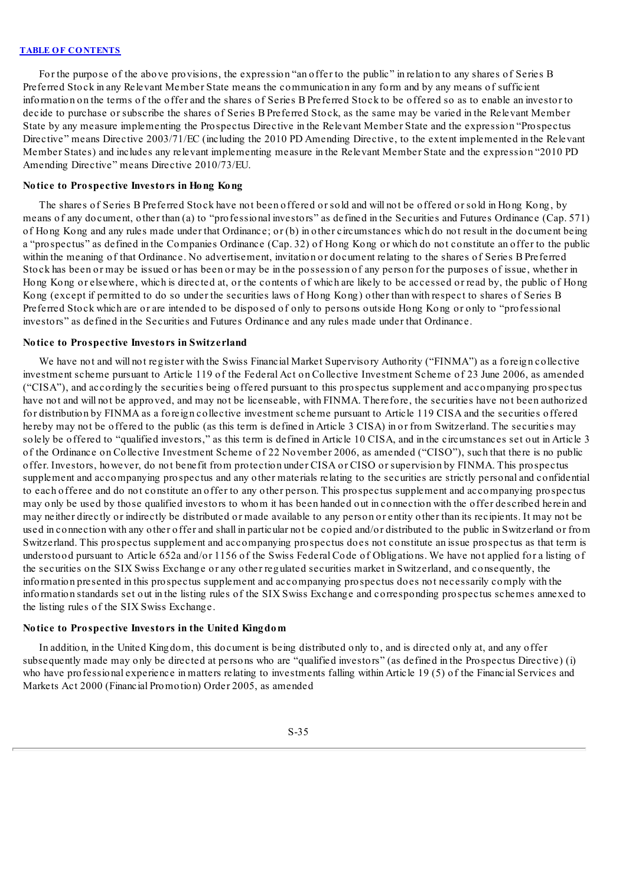For the purpose of the above provisions, the expression "an offer to the public" in relation to any shares of Series B Preferred Stock in any Relevant Member State means the communication in any form and by any means of sufficient information on the terms of the offer and the shares of Series B Preferred Stock to be offered so as to enable an investor to decide to purchase or subscribe the shares of Series B Preferred Stock, as the same may be varied in the Relevant Member State by any measure implementing the Prospectus Directive in the Relevant Member State and the expression "Prospectus Directive" means Directive 2003/71/EC (including the 2010 PD Amending Directive, to the extent implemented in the Relevant Member States) and includes any relevant implementing measure in the Relevant Member State and the expression "2010 PD Amending Directive" means Directive 2010/73/EU.

### **Notice to Prospective Investors in Hong Kong**

The shares of Series B Preferred Stock have not been offered or sold and will not be offered or sold in Hong Kong, by means of any document, other than (a) to "professional investors" as defined in the Securities and Futures Ordinance (Cap. 571) of Hong Kong and any rules made under that Ordinance; or (b) in other circumstances which do not result in the document being a "prospectus" as defined in the Companies Ordinance (Cap. 32) of Hong Kong or which do not constitute an offer to the public within the meaning of that Ordinance. No advertisement, invitation or document relating to the shares of Series B Preferred Stock has been or may be issued or has been or may be in the possession of any person for the purposes of issue, whether in Hong Kong or elsewhere, which is directed at, or the contents of which are likely to be accessed or read by, the public of Hong Kong (except if permitted to do so under the securities laws of Hong Kong) other than with respect to shares of Series B Preferred Stock which are or are intended to be disposed of only to persons outside Hong Kong or only to "professional investors" as defined in the Securities and Futures Ordinance and any rules made under that Ordinance.

#### **Notice to Prospective Investors in Switzerland**

We have not and will not register with the Swiss Financial Market Supervisory Authority ("FINMA") as a foreign collective investment scheme pursuant to Article 119 of the Federal Act on Collective Investment Scheme of 23 June 2006, as amended ("CISA"), and accordingly the securities being offered pursuant to this prospectus supplement and accompanying prospectus have not and will not be approved, and may not be licenseable, with FINMA. Therefore, the securities have not been authorized for distribution by FINMA as a foreign collective investment scheme pursuant to Article 119 CISA and the securities offered hereby may not be offered to the public (as this term is defined in Article 3 CISA) in or from Switzerland. The securities may solely be offered to "qualified investors," as this term is defined in Article 10 CISA, and in the circumstances set out in Article 3 of the Ordinance on Collective Investment Scheme of 22 November 2006, as amended ("CISO"), such that there is no public offer. Investors, however, do not benefit from protection under CISA or CISO or supervision by FINMA. This prospectus supplement and accompanying prospectus and any other materials relating to the securities are strictly personal and confidential to each offeree and do not constitute an offer to any other person. This prospectus supplement and accompanying prospectus may only be used by those qualified investors to whom it has been handed out in connection with the offer described herein and may neither directly or indirectly be distributed or made available to any person or entity other than its recipients. It may not be used in connection with any other offer and shall in particular not be copied and/or distributed to the public in Switzerland or from Switzerland. This prospectus supplement and accompanying prospectus does not constitute an issue prospectus as that term is understood pursuant to Article 652a and/or 1156 of the Swiss Federal Code of Obligations. We have not applied for a listing of the securities on the SIX Swiss Exchange or any other regulated securities market in Switzerland, and consequently, the information presented in this prospectus supplement and accompanying prospectus does not necessarily comply with the information standards set out in the listing rules of the SIX Swiss Exchange and corresponding prospectus schemes annexed to the listing rules of the SIX Swiss Exchange.

### **Notice to Prospective Investors in the United Kingdom**

In addition, in the United Kingdom, this document is being distributed only to, and is directed only at, and any offer subsequently made may only be directed at persons who are "qualified investors" (as defined in the Prospectus Directive) (i) who have professional experience in matters relating to investments falling within Article 19 (5) of the Financial Services and Markets Act 2000 (Financial Promotion) Order 2005, as amended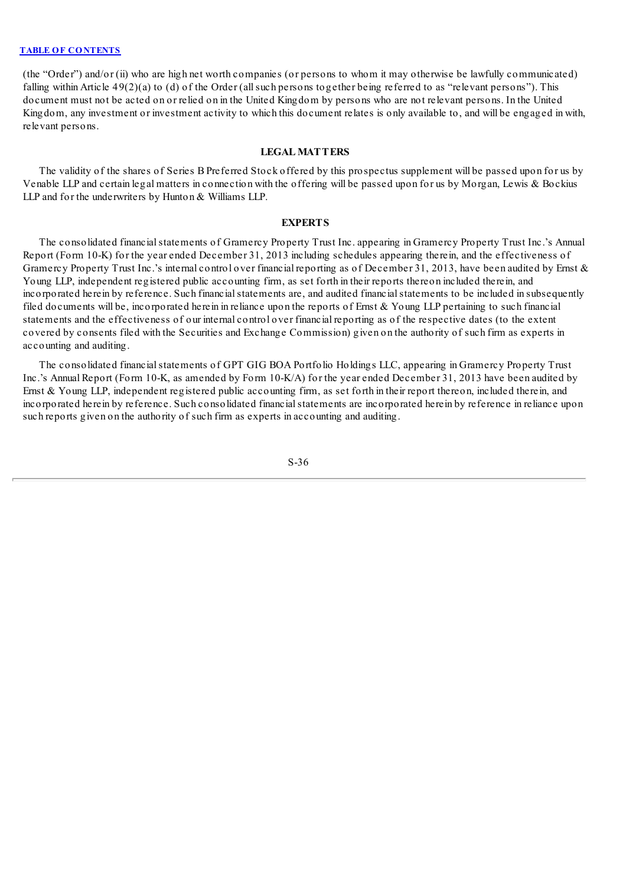(the "Order") and/or (ii) who are high net worth companies (or persons to whom it may otherwise be lawfully communicated) falling within Article 49(2)(a) to (d) of the Order (allsuch persons together being referred to as "relevant persons"). This document must not be acted on or relied on in the United Kingdom by persons who are not relevant persons. In the United Kingdom, any investment or investment activity to which this document relates is only available to, and will be engaged in with, relevant persons.

### **LEGAL MATTERS**

The validity of the shares of Series B Preferred Stock offered by this prospectus supplement will be passed upon for us by Venable LLP and certain legal matters in connection with the offering will be passed upon for us by Morgan, Lewis & Bockius LLP and for the underwriters by Hunton & Williams LLP.

#### **EXPERTS**

The consolidated financialstatements of Gramercy Property Trust Inc. appearing in Gramercy Property Trust Inc.'s Annual Report (Form 10-K) for the year ended December 31, 2013 including schedules appearing therein, and the effectiveness of Gramercy Property Trust Inc.'s internal control over financial reporting as of December 31, 2013, have been audited by Ernst & Young LLP, independent registered public accounting firm, as set forth in their reports thereon included therein, and incorporated herein by reference. Such financial statements are, and audited financial statements to be included in subsequently filed documents will be, incorporated herein in reliance upon the reports of Ernst  $&$  Young LLP pertaining to such financial statements and the effectiveness of our internal control over financial reporting as of the respective dates (to the extent covered by consents filed with the Securities and Exchange Commission) given on the authority of such firm as experts in accounting and auditing.

The consolidated financial statements of GPT GIG BOA Portfolio Holdings LLC, appearing in Gramercy Property Trust Inc.'s Annual Report (Form 10-K, as amended by Form 10-K/A) for the year ended December 31, 2013 have been audited by Ernst & Young LLP, independent registered public accounting firm, as set forth in their report thereon, included therein, and incorporated herein by reference. Such consolidated financialstatements are incorporated herein by reference in reliance upon such reports given on the authority of such firm as experts in accounting and auditing.

S-36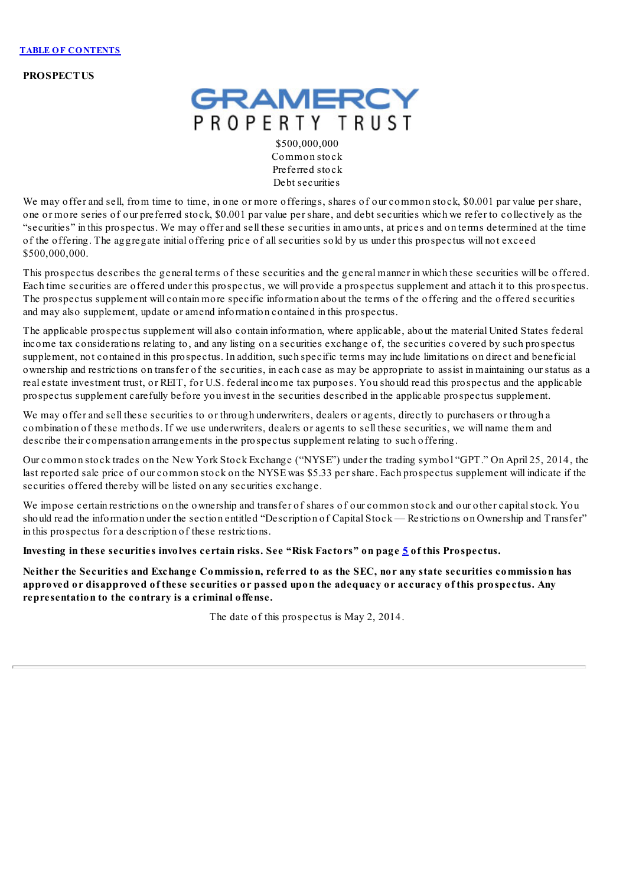**PROSPECTUS**



\$500,000,000 Common stock Preferred stock Debt securities

We may offer and sell, from time to time, in one or more offerings, shares of our common stock, \$0.001 par value per share, one or more series of our preferred stock, \$0.001 par value per share, and debt securities which we refer to collectively as the "securities" in this prospectus. We may offer and sell these securities in amounts, at prices and on terms determined at the time of the offering. The aggregate initial offering price of allsecurities sold by us under this prospectus will not exceed \$500,000,000.

This prospectus describes the general terms of these securities and the general manner in which these securities will be offered. Each time securities are offered under this prospectus, we will provide a prospectus supplement and attach it to this prospectus. The prospectus supplement will contain more specific information about the terms of the offering and the offered securities and may also supplement, update or amend information contained in this prospectus.

The applicable prospectus supplement will also contain information, where applicable, about the material United States federal income tax considerations relating to, and any listing on a securities exchange of, the securities covered by such prospectus supplement, not contained in this prospectus. In addition, such specific terms may include limitations on direct and beneficial ownership and restrictions on transfer of the securities, in each case as may be appropriate to assist in maintaining our status as a real estate investment trust, or REIT, for U.S. federal income tax purposes. You should read this prospectus and the applicable prospectus supplement carefully before you invest in the securities described in the applicable prospectus supplement.

We may offer and sell these securities to or through underwriters, dealers or agents, directly to purchasers or through a combination of these methods. If we use underwriters, dealers or agents to sell these securities, we will name them and describe their compensation arrangements in the prospectus supplement relating to such offering.

Our common stock trades on the New York Stock Exchange ("NYSE") under the trading symbol "GPT." On April 25, 2014, the last reported sale price of our common stock on the NYSE was \$5.33 per share. Each prospectus supplement will indicate if the securities offered thereby will be listed on any securities exchange.

We impose certain restrictions on the ownership and transfer of shares of our common stock and our other capital stock. You should read the information under the section entitled "Description of Capital Stock — Restrictions on Ownership and Transfer" in this prospectus for a description of these restrictions.

**Investing in these securities involves certain risks. See "Risk Factors" on page [5](#page-49-0) of this Prospectus.**

Neither the Securities and Exchange Commission, referred to as the SEC, nor any state securities commission has approved or disapproved of these securities or passed upon the adequacy or accuracy of this prospectus. Any **representation to the contrary is a criminal offense.**

The date of this prospectus is May 2, 2014.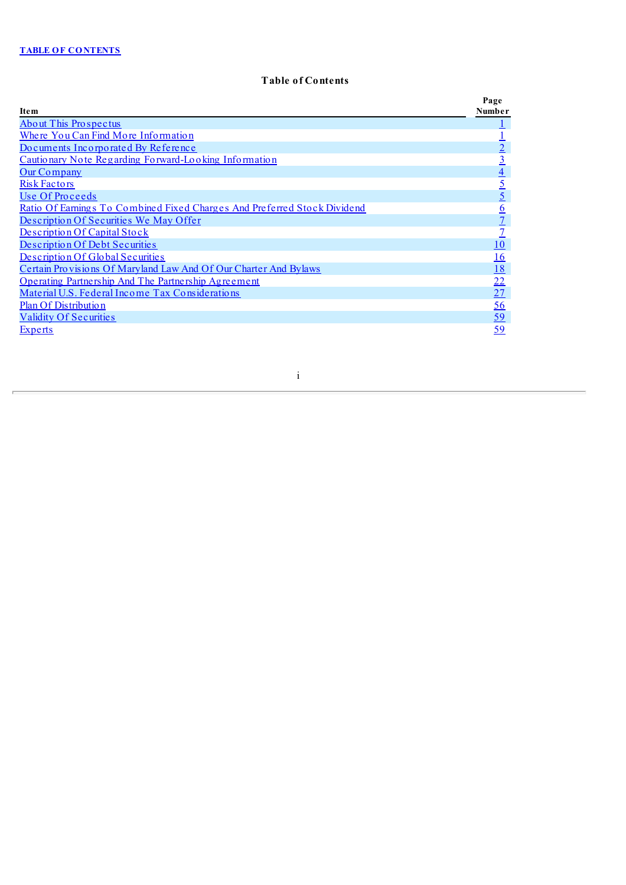# **Table of Contents**

|                                                                          | Page            |
|--------------------------------------------------------------------------|-----------------|
| Ite <sub>m</sub>                                                         | Number          |
| <b>About This Prospectus</b>                                             |                 |
| Where You Can Find More Information                                      |                 |
| Documents Incorporated By Reference                                      |                 |
| Cautionary Note Regarding Forward-Looking Information                    | <u>3</u>        |
| Our Company                                                              | $\overline{4}$  |
| <b>Risk Factors</b>                                                      | $\overline{5}$  |
| Use Of Proceeds                                                          | $\overline{5}$  |
| Ratio Of Earnings To Combined Fixed Charges And Preferred Stock Dividend | $\underline{6}$ |
| Description Of Securities We May Offer                                   |                 |
| Description Of Capital Stock                                             |                 |
| Description Of Debt Securities                                           | <u> 10</u>      |
| Description Of Global Securities                                         | <u>16</u>       |
| Certain Provisions Of Maryland Law And Of Our Charter And Bylaws         | <u>18</u>       |
| Operating Partnership And The Partnership Agreement                      | 22              |
| Material U.S. Federal Income Tax Considerations                          | 27              |
| Plan Of Distribution                                                     | <u>56</u>       |
| <b>Validity Of Securities</b>                                            | <u>59</u>       |
| <b>Experts</b>                                                           | 59              |

i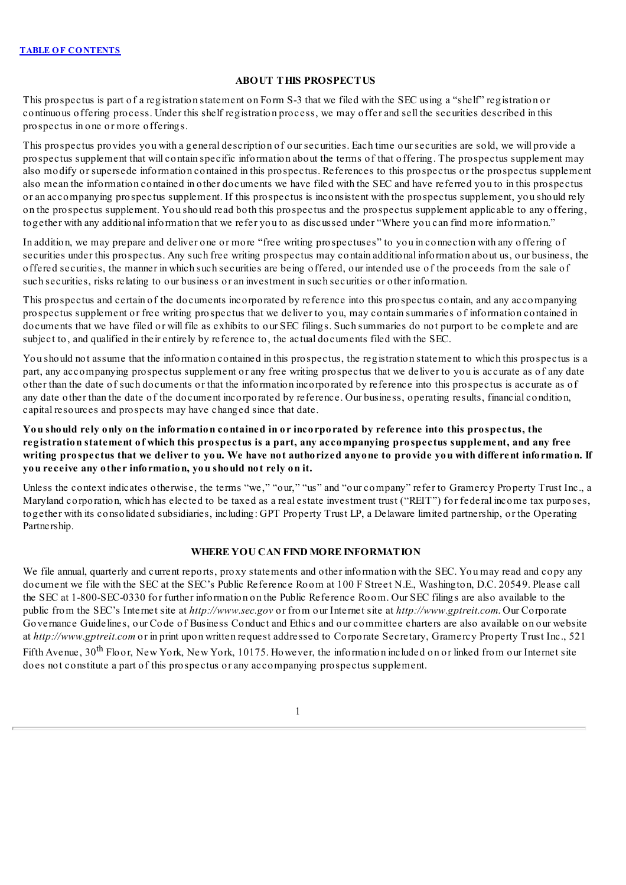# **ABOUT THIS PROSPECTUS**

<span id="page-45-0"></span>This prospectus is part of a registration statement on Form S-3 that we filed with the SEC using a "shelf" registration or continuous offering process. Under this shelf registration process, we may offer and sell the securities described in this prospectus in one or more offerings.

This prospectus provides you with a general description of our securities. Each time our securities are sold, we will provide a prospectus supplement that will contain specific information about the terms of that offering. The prospectus supplement may also modify or supersede information contained in this prospectus. References to this prospectus or the prospectus supplement also mean the information contained in other documents we have filed with the SEC and have referred you to in this prospectus or an accompanying prospectus supplement. If this prospectus is inconsistent with the prospectus supplement, you should rely on the prospectus supplement. You should read both this prospectus and the prospectus supplement applicable to any offering, together with any additional information that we refer you to as discussed under "Where you can find more information."

In addition, we may prepare and deliver one or more "free writing prospectuses" to you in connection with any offering of securities under this prospectus. Any such free writing prospectus may contain additional information about us, our business, the offered securities, the manner in which such securities are being offered, our intended use of the proceeds from the sale of such securities, risks relating to our business or an investment in such securities or other information.

This prospectus and certain of the documents incorporated by reference into this prospectus contain, and any accompanying prospectus supplement or free writing prospectus that we deliver to you, may contain summaries of information contained in documents that we have filed or will file as exhibits to our SEC filings. Such summaries do not purport to be complete and are subject to, and qualified in their entirely by reference to, the actual documents filed with the SEC.

You should not assume that the information contained in this prospectus, the registration statement to which this prospectus is a part, any accompanying prospectus supplement or any free writing prospectus that we deliver to you is accurate as of any date other than the date of such documents or that the information incorporated by reference into this prospectus is accurate as of any date other than the date of the document incorporated by reference. Our business, operating results, financial condition, capital resources and prospects may have changed since that date.

You should rely only on the information contained in or incorporated by reference into this prospectus, the **registration statement of which this prospectus is a part, any accompanying prospectus supplement, and any free** writing prospectus that we deliver to you. We have not authorized anyone to provide you with different information. If **you receive any other information, you should not rely on it.**

Unless the context indicates otherwise, the terms "we," "our," "us" and "our company" refer to Gramercy Property Trust Inc., a Maryland corporation, which has elected to be taxed as a real estate investment trust ("REIT") for federal income tax purposes, together with its consolidated subsidiaries, including: GPT Property Trust LP, a Delaware limited partnership, or the Operating Partnership.

# **WHERE YOU CAN FIND MORE INFORMATION**

<span id="page-45-1"></span>We file annual, quarterly and current reports, proxy statements and other information with the SEC. You may read and copy any document we file with the SEC at the SEC's Public Reference Room at 100 F Street N.E., Washington, D.C. 20549. Please call the SEC at 1-800-SEC-0330 for further information on the Public Reference Room. Our SEC filings are also available to the public from the SEC's Internet site at *http://www.sec.gov* or from our Internet site at *http://www.gptreit.com*. Our Corporate Governance Guidelines, our Code of Business Conduct and Ethics and our committee charters are also available on our website at *http://www.gptreit.com* or in print upon written request addressed to Corporate Secretary, Gramercy Property Trust Inc., 521 Fifth Avenue, 30<sup>th</sup> Floor, New York, New York, 10175. However, the information included on or linked from our Internet site does not constitute a part of this prospectus or any accompanying prospectus supplement.

1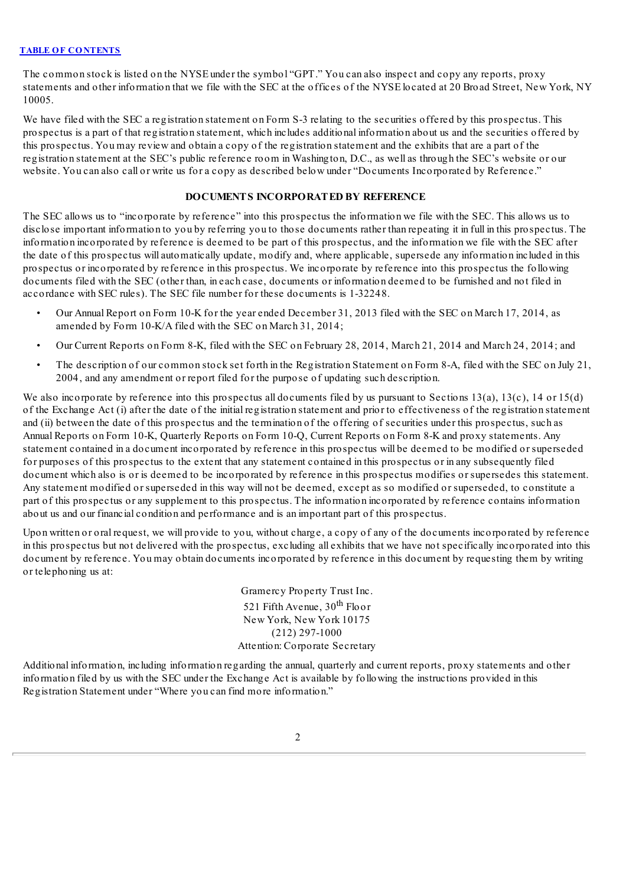The common stock is listed on the NYSE under the symbol "GPT." You can also inspect and copy any reports, proxy statements and other information that we file with the SEC at the offices of the NYSE located at 20 Broad Street, New York, NY 10005.

We have filed with the SEC a registration statement on Form S-3 relating to the securities offered by this prospectus. This prospectus is a part of that registration statement, which includes additional information about us and the securities offered by this prospectus. You may review and obtain a copy of the registration statement and the exhibits that are a part of the registration statement at the SEC's public reference room in Washington, D.C., as well as through the SEC's website or our website. You can also call or write us for a copy as described below under "Documents Incorporated by Reference."

# **DOCUMENTS INCORPORATED BY REFERENCE**

<span id="page-46-0"></span>The SEC allows us to "incorporate by reference" into this prospectus the information we file with the SEC. This allows us to disclose important information to you by referring you to those documents rather than repeating it in full in this prospectus. The information incorporated by reference is deemed to be part of this prospectus, and the information we file with the SEC after the date of this prospectus will automatically update, modify and, where applicable, supersede any information included in this prospectus or incorporated by reference in this prospectus. We incorporate by reference into this prospectus the following documents filed with the SEC (other than, in each case, documents or information deemed to be furnished and not filed in accordance with SEC rules). The SEC file number for these documents is 1-32248.

- Our Annual Report on Form 10-K for the year ended December 31, 2013 filed with the SEC on March 17, 2014, as amended by Form 10-K/A filed with the SEC on March 31, 2014;
- Our Current Reports on Form 8-K, filed with the SEC on February 28, 2014, March 21, 2014 and March 24, 2014; and
- The description of our common stock set forth in the Registration Statement on Form 8-A, filed with the SEC on July 21, 2004, and any amendment or report filed for the purpose of updating such description.

We also incorporate by reference into this prospectus all documents filed by us pursuant to Sections 13(a), 13(c), 14 or 15(d) of the Exchange Act (i) after the date of the initial registration statement and prior to effectiveness of the registration statement and (ii) between the date of this prospectus and the termination of the offering of securities under this prospectus, such as Annual Reports on Form 10-K, Quarterly Reports on Form 10-Q, Current Reports on Form 8-K and proxy statements. Any statement contained in a document incorporated by reference in this prospectus will be deemed to be modified or superseded for purposes of this prospectus to the extent that any statement contained in this prospectus or in any subsequently filed document which also is or is deemed to be incorporated by reference in this prospectus modifies or supersedes this statement. Any statement modified or superseded in this way will not be deemed, except as so modified or superseded, to constitute a part of this prospectus or any supplement to this prospectus. The information incorporated by reference contains information about us and our financial condition and performance and is an important part of this prospectus.

Upon written or oral request, we will provide to you, without charge, a copy of any of the documents incorporated by reference in this prospectus but not delivered with the prospectus, excluding all exhibits that we have not specifically incorporated into this document by reference. You may obtain documents incorporated by reference in this document by requesting them by writing or telephoning us at:

> Gramercy Property Trust Inc. 521 Fifth Avenue, 30<sup>th</sup> Floor New York, New York 10175 (212) 297-1000 Attention: Corporate Secretary

Additional information, including information regarding the annual, quarterly and current reports, proxy statements and other information filed by us with the SEC under the Exchange Act is available by following the instructions provided in this Registration Statement under "Where you can find more information."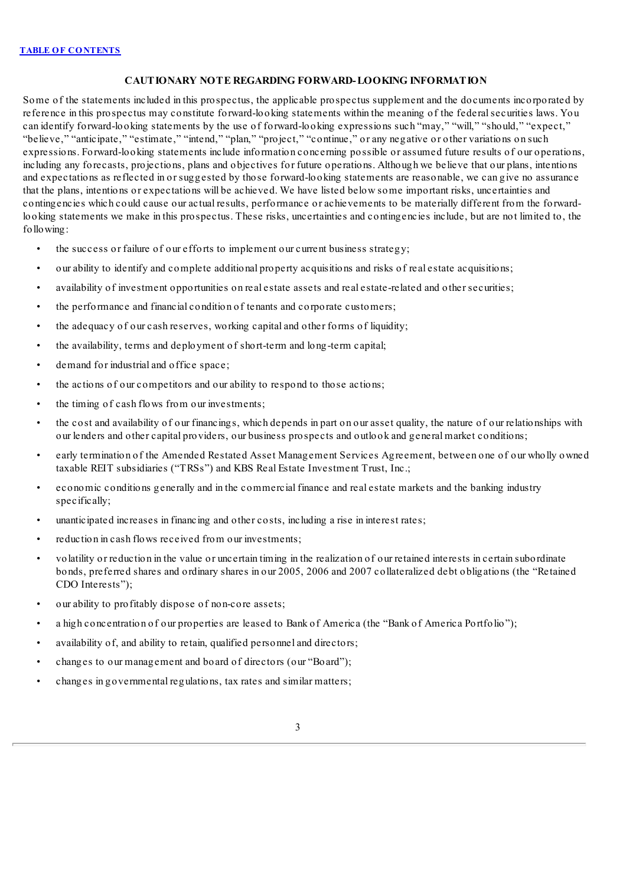# **CAUTIONARY NOTE REGARDING FORWARD-LOOKING INFORMATION**

<span id="page-47-0"></span>Some of the statements included in this prospectus, the applicable prospectus supplement and the documents incorporated by reference in this prospectus may constitute forward-looking statements within the meaning of the federalsecurities laws. You can identify forward-looking statements by the use of forward-looking expressions such "may," "will," "should," "expect," "believe," "anticipate," "estimate," "intend," "plan," "project," "continue," or any negative or other variations on such expressions. Forward-looking statements include information concerning possible or assumed future results of our operations, including any forecasts, projections, plans and objectives for future operations. Although we believe that our plans, intentions and expectations as reflected in or suggested by those forward-looking statements are reasonable, we can give no assurance that the plans, intentions or expectations will be achieved. We have listed below some important risks, uncertainties and contingencies which could cause our actual results, performance or achievements to be materially different from the forwardlooking statements we make in this prospectus. These risks, uncertainties and contingencies include, but are not limited to, the following:

- the success or failure of our efforts to implement our current business strategy;
- our ability to identify and complete additional property acquisitions and risks of real estate acquisitions;
- availability of investment opportunities on real estate assets and real estate-related and other securities;
- the performance and financial condition of tenants and corporate customers;
- the adequacy of our cash reserves, working capital and other forms of liquidity;
- the availability, terms and deployment of short-term and long-term capital;
- demand for industrial and office space:
- the actions of our competitors and our ability to respond to those actions;
- the timing of cash flows from our investments;
- the cost and availability of our financings, which depends in part on our asset quality, the nature of our relationships with our lenders and other capital providers, our business prospects and outlook and general market conditions;
- early termination of the Amended Restated Asset Management Services Agreement, between one of our wholly owned taxable REIT subsidiaries ("TRSs") and KBS Real Estate Investment Trust, Inc.;
- economic conditions generally and in the commercial finance and real estate markets and the banking industry specifically;
- unanticipated increases in financing and other costs, including a rise in interest rates;
- reduction in cash flows received from our investments;
- volatility or reduction in the value or uncertain timing in the realization of our retained interests in certain subordinate bonds, preferred shares and ordinary shares in our 2005, 2006 and 2007 collateralized debt obligations (the "Retained CDO Interests");
- our ability to profitably dispose of non-core assets;
- a high concentration of our properties are leased to Bank of America (the "Bank of America Portfolio");
- availability of, and ability to retain, qualified personnel and directors;
- changes to our management and board of directors (our "Board");
- changes in governmental regulations, tax rates and similar matters;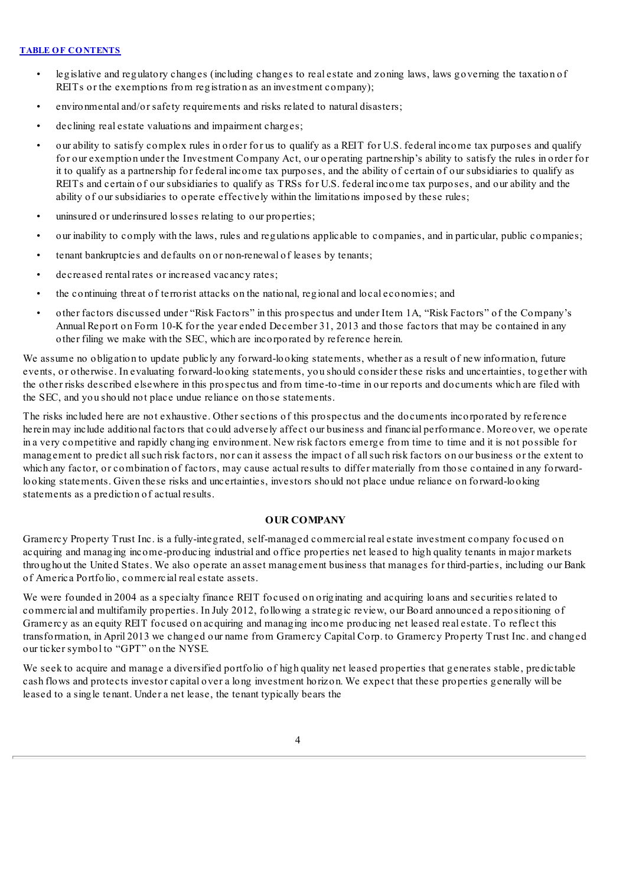- legislative and regulatory changes (including changes to real estate and zoning laws, laws governing the taxation of REITs or the exemptions from registration as an investment company);
- environmental and/or safety requirements and risks related to natural disasters;
- declining real estate valuations and impairment charges;
- our ability to satisfy complex rules in order for us to qualify as a REIT for U.S. federal income tax purposes and qualify for our exemption under the Investment Company Act, our operating partnership's ability to satisfy the rules in order for it to qualify as a partnership for federal income tax purposes, and the ability of certain of our subsidiaries to qualify as REITs and certain of our subsidiaries to qualify as TRSs for U.S. federal income tax purposes, and our ability and the ability of our subsidiaries to operate effectively within the limitations imposed by these rules;
- uninsured or underinsured losses relating to our properties;
- our inability to comply with the laws, rules and regulations applicable to companies, and in particular, public companies;
- tenant bankruptcies and defaults on or non-renewal of leases by tenants;
- decreased rental rates or increased vacancy rates;
- the continuing threat of terrorist attacks on the national, regional and local economies; and
- other factors discussed under "Risk Factors" in this prospectus and under Item 1A, "Risk Factors" of the Company's Annual Report on Form 10-K for the year ended December 31, 2013 and those factors that may be contained in any other filing we make with the SEC, which are incorporated by reference herein.

We assume no obligation to update publicly any forward-looking statements, whether as a result of new information, future events, or otherwise. In evaluating forward-looking statements, you should consider these risks and uncertainties, together with the other risks described elsewhere in this prospectus and from time-to-time in our reports and documents which are filed with the SEC, and you should not place undue reliance on those statements.

The risks included here are not exhaustive. Other sections of this prospectus and the documents incorporated by reference herein may include additional factors that could adversely affect our business and financial performance. Moreover, we operate in a very competitive and rapidly changing environment. New risk factors emerge from time to time and it is not possible for management to predict allsuch risk factors, nor can it assess the impact of allsuch risk factors on our business or the extent to which any factor, or combination of factors, may cause actual results to differ materially from those contained in any forwardlooking statements. Given these risks and uncertainties, investors should not place undue reliance on forward-looking statements as a prediction of actual results.

# **OUR COMPANY**

<span id="page-48-0"></span>Gramercy Property Trust Inc. is a fully-integrated, self-managed commercial real estate investment company focused on acquiring and managing income-producing industrial and office properties net leased to high quality tenants in major markets throughout the United States. We also operate an asset management business that manages for third-parties, including our Bank of America Portfolio, commercial real estate assets.

We were founded in 2004 as a specialty finance REIT focused on originating and acquiring loans and securities related to commercial and multifamily properties. In July 2012, following a strategic review, our Board announced a repositioning of Gramercy as an equity REIT focused on acquiring and managing income producing net leased real estate. To reflect this transformation, in April 2013 we changed our name from Gramercy Capital Corp. to Gramercy Property Trust Inc. and changed our ticker symbol to "GPT" on the NYSE.

We seek to acquire and manage a diversified portfolio of high quality net leased properties that generates stable, predictable cash flows and protects investor capital over a long investment horizon. We expect that these properties generally will be leased to a single tenant. Under a net lease, the tenant typically bears the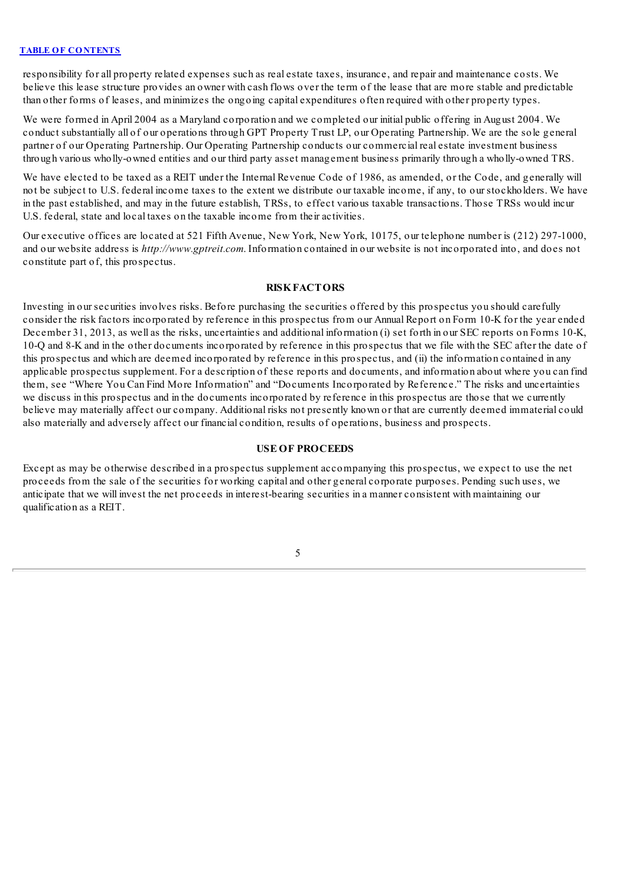responsibility for all property related expenses such as real estate taxes, insurance, and repair and maintenance costs. We believe this lease structure provides an owner with cash flows over the term of the lease that are more stable and predictable than other forms of leases, and minimizes the ongoing capital expenditures often required with other property types.

We were formed in April 2004 as a Maryland corporation and we completed our initial public offering in August 2004. We conduct substantially all of our operations through GPT Property Trust LP, our Operating Partnership. We are the sole general partner of our Operating Partnership. Our Operating Partnership conducts our commercial real estate investment business through various wholly-owned entities and our third party asset management business primarily through a wholly-owned TRS.

We have elected to be taxed as a REIT under the Internal Revenue Code of 1986, as amended, or the Code, and generally will not be subject to U.S. federal income taxes to the extent we distribute our taxable income, if any, to our stockholders. We have in the past established, and may in the future establish, TRSs, to effect various taxable transactions. Those TRSs would incur U.S. federal, state and local taxes on the taxable income from their activities.

Our executive offices are located at 521 Fifth Avenue, New York, New York, 10175, our telephone number is (212) 297-1000, and our website address is *http://www.gptreit.com*. Information contained in our website is not incorporated into, and does not constitute part of, this prospectus.

# **RISKFACTORS**

<span id="page-49-0"></span>Investing in our securities involves risks. Before purchasing the securities offered by this prospectus you should carefully consider the risk factors incorporated by reference in this prospectus from our Annual Report on Form 10-K for the year ended December 31, 2013, as well as the risks, uncertainties and additional information (i) set forth in our SEC reports on Forms 10-K, 10-Q and 8-K and in the other documents incorporated by reference in this prospectus that we file with the SEC after the date of this prospectus and which are deemed incorporated by reference in this prospectus, and (ii) the information contained in any applicable prospectus supplement. For a description of these reports and documents, and information about where you can find them, see "Where You Can Find More Information" and "Documents Incorporated by Reference." The risks and uncertainties we discuss in this prospectus and in the documents incorporated by reference in this prospectus are those that we currently believe may materially affect our company. Additional risks not presently known or that are currently deemed immaterial could also materially and adversely affect our financial condition, results of operations, business and prospects.

# **USE OF PROCEEDS**

<span id="page-49-1"></span>Except as may be otherwise described in a prospectus supplement accompanying this prospectus, we expect to use the net proceeds from the sale of the securities for working capital and other general corporate purposes. Pending such uses, we anticipate that we will invest the net proceeds in interest-bearing securities in a manner consistent with maintaining our qualification as a REIT.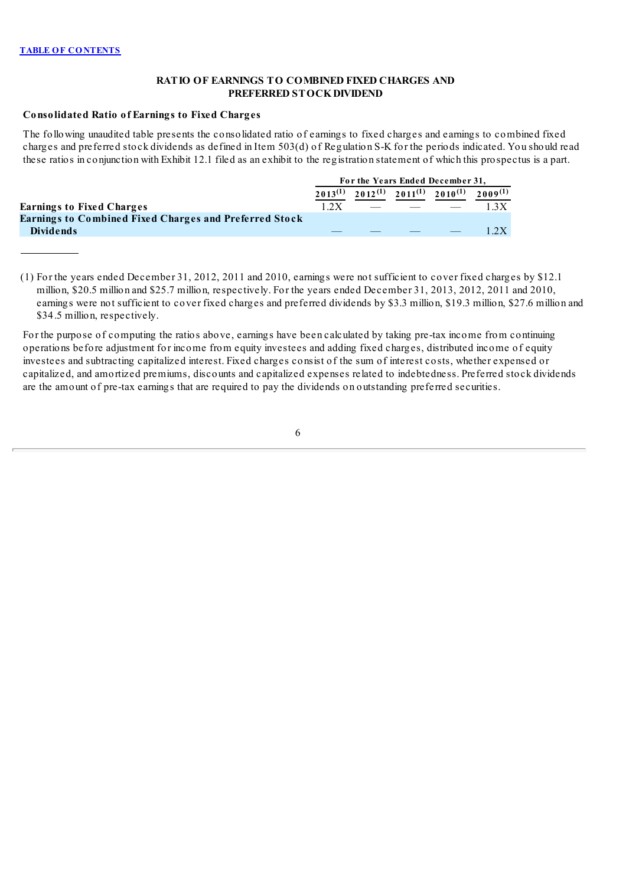# **RATIO OF EARNINGS TO COMBINED FIXED CHARGES AND PREFERRED STOCKDIVIDEND**

# <span id="page-50-0"></span>**Consolidated Ratio of Earnings to Fixed Charges**

The following unaudited table presents the consolidated ratio of earnings to fixed charges and earnings to combined fixed charges and preferred stock dividends as defined in Item 503(d) of Regulation S-K for the periods indicated. You should read these ratios in conjunction with Exhibit 12.1 filed as an exhibit to the registration statement of which this prospectus is a part.

|                                                        | For the Years Ended December 31, |  |                                                                                                                                                                                                                                      |                                                                  |      |  |
|--------------------------------------------------------|----------------------------------|--|--------------------------------------------------------------------------------------------------------------------------------------------------------------------------------------------------------------------------------------|------------------------------------------------------------------|------|--|
|                                                        |                                  |  |                                                                                                                                                                                                                                      | $2013^{(1)}$ $2012^{(1)}$ $2011^{(1)}$ $2010^{(1)}$ $2009^{(1)}$ |      |  |
| <b>Earnings to Fixed Charges</b>                       | 1.2X                             |  | <u>the state of the state of the state of the state of the state of the state of the state of the state of the state of the state of the state of the state of the state of the state of the state of the state of the state of </u> |                                                                  | 1.3X |  |
| Earnings to Combined Fixed Charges and Preferred Stock |                                  |  |                                                                                                                                                                                                                                      |                                                                  |      |  |
| <b>Dividends</b>                                       |                                  |  |                                                                                                                                                                                                                                      |                                                                  |      |  |

(1) For the years ended December 31, 2012, 2011 and 2010, earnings were not sufficient to cover fixed charges by \$12.1 million, \$20.5 million and \$25.7 million, respectively. For the years ended December 31, 2013, 2012, 2011 and 2010, earnings were not sufficient to cover fixed charges and preferred dividends by \$3.3 million, \$19.3 million, \$27.6 million and \$34.5 million, respectively.

For the purpose of computing the ratios above, earnings have been calculated by taking pre-tax income from continuing operations before adjustment for income from equity investees and adding fixed charges, distributed income of equity investees and subtracting capitalized interest. Fixed charges consist of the sum of interest costs, whether expensed or capitalized, and amortized premiums, discounts and capitalized expenses related to indebtedness. Preferred stock dividends are the amount of pre-tax earnings that are required to pay the dividends on outstanding preferred securities.

6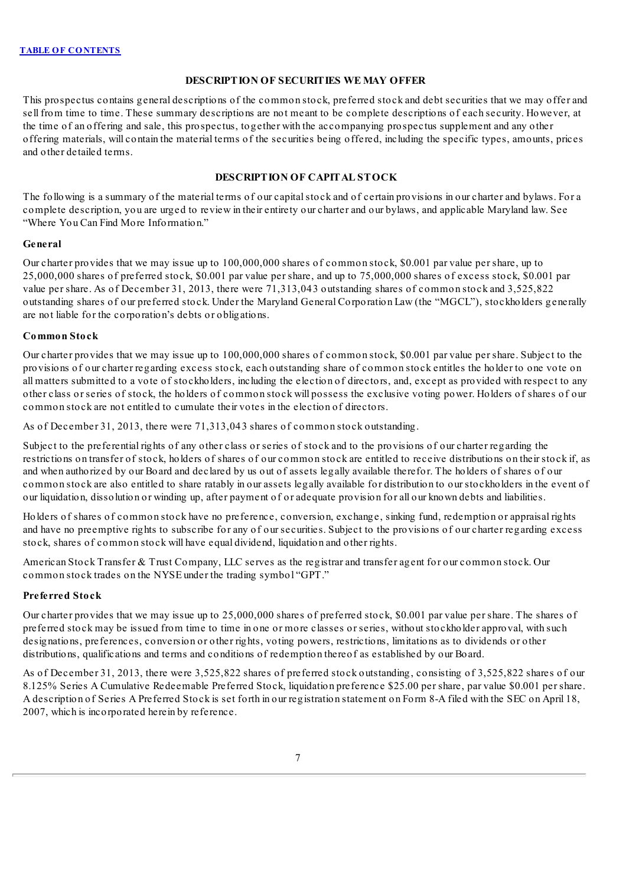# **DESCRIPTION OF SECURITIES WE MAY OFFER**

<span id="page-51-0"></span>This prospectus contains general descriptions of the common stock, preferred stock and debt securities that we may offer and sell from time to time. These summary descriptions are not meant to be complete descriptions of each security. However, at the time of an offering and sale, this prospectus, together with the accompanying prospectus supplement and any other offering materials, will contain the material terms of the securities being offered, including the specific types, amounts, prices and other detailed terms.

# **DESCRIPTION OF CAPITAL STOCK**

<span id="page-51-1"></span>The following is a summary of the material terms of our capitalstock and of certain provisions in our charter and bylaws. For a complete description, you are urged to review in their entirety our charter and our bylaws, and applicable Maryland law. See "Where You Can Find More Information."

### **General**

Our charter provides that we may issue up to 100,000,000 shares of common stock, \$0.001 par value per share, up to 25,000,000 shares of preferred stock, \$0.001 par value per share, and up to 75,000,000 shares of excess stock, \$0.001 par value per share. As of December 31, 2013, there were 71,313,043 outstanding shares of common stock and 3,525,822 outstanding shares of our preferred stock. Under the Maryland General Corporation Law (the "MGCL"), stockholders generally are not liable for the corporation's debts or obligations.

### **Common Stock**

Our charter provides that we may issue up to 100,000,000 shares of common stock, \$0.001 par value per share. Subject to the provisions of our charter regarding excess stock, each outstanding share of common stock entitles the holder to one vote on all matters submitted to a vote of stockholders, including the election of directors, and, except as provided with respect to any other class or series of stock, the holders of common stock will possess the exclusive voting power. Holders of shares of our common stock are not entitled to cumulate their votes in the election of directors.

As of December 31, 2013, there were 71,313,043 shares of common stock outstanding.

Subject to the preferential rights of any other class or series of stock and to the provisions of our charter regarding the restrictions on transfer of stock, holders of shares of our common stock are entitled to receive distributions on their stock if, as and when authorized by our Board and declared by us out of assets legally available therefor. The holders of shares of our common stock are also entitled to share ratably in our assets legally available for distribution to our stockholders in the event of our liquidation, dissolution or winding up, after payment of or adequate provision for all our known debts and liabilities.

Holders of shares of common stock have no preference, conversion, exchange, sinking fund, redemption or appraisal rights and have no preemptive rights to subscribe for any of our securities. Subject to the provisions of our charter regarding excess stock, shares of common stock will have equal dividend, liquidation and other rights.

American Stock Transfer & Trust Company, LLC serves as the registrar and transfer agent for our common stock. Our common stock trades on the NYSE under the trading symbol "GPT."

### **Preferred Stock**

Our charter provides that we may issue up to 25,000,000 shares of preferred stock, \$0.001 par value per share. The shares of preferred stock may be issued from time to time in one or more classes or series, without stockholder approval, with such designations, preferences, conversion or other rights, voting powers, restrictions, limitations as to dividends or other distributions, qualifications and terms and conditions of redemption thereof as established by our Board.

As of December 31, 2013, there were 3,525,822 shares of preferred stock outstanding, consisting of 3,525,822 shares of our 8.125% Series A Cumulative Redeemable Preferred Stock, liquidation preference \$25.00 per share, par value \$0.001 per share. A description of Series A Preferred Stock is set forth in our registration statement on Form 8-A filed with the SEC on April 18, 2007, which is incorporated herein by reference.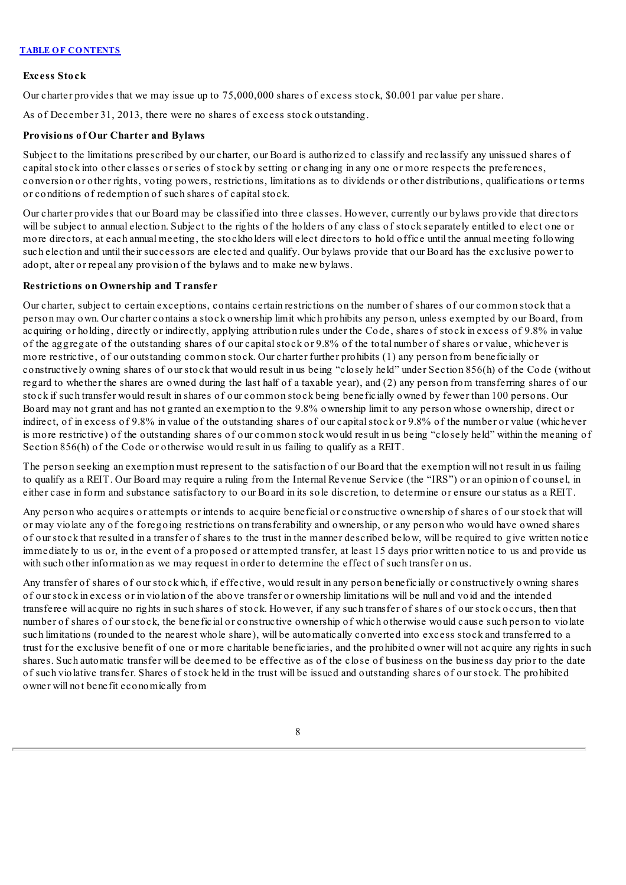# **Excess Stock**

Our charter provides that we may issue up to 75,000,000 shares of excess stock, \$0.001 par value per share.

As of December 31, 2013, there were no shares of excess stock outstanding.

# **Provisions of Our Charter and Bylaws**

Subject to the limitations prescribed by our charter, our Board is authorized to classify and reclassify any unissued shares of capital stock into other classes or series of stock by setting or changing in any one or more respects the preferences, conversion or other rights, voting powers, restrictions, limitations as to dividends or other distributions, qualifications or terms or conditions of redemption of such shares of capital stock.

Our charter provides that our Board may be classified into three classes. However, currently our bylaws provide that directors will be subject to annual election. Subject to the rights of the holders of any class of stock separately entitled to elect one or more directors, at each annual meeting, the stockholders will elect directors to hold office until the annual meeting following such election and until their successors are elected and qualify. Our bylaws provide that our Board has the exclusive power to adopt, alter or repeal any provision of the bylaws and to make new bylaws.

# **Restrictions on Ownership and Transfer**

Our charter, subject to certain exceptions, contains certain restrictions on the number of shares of our common stock that a person may own. Our charter contains a stock ownership limit which prohibits any person, unless exempted by our Board, from acquiring or holding, directly or indirectly, applying attribution rules under the Code, shares of stock in excess of 9.8% in value of the aggregate of the outstanding shares of our capitalstock or 9.8% of the total number of shares or value, whichever is more restrictive, of our outstanding common stock. Our charter further prohibits (1) any person from beneficially or constructively owning shares of our stock that would result in us being "closely held" under Section 856(h) of the Code (without regard to whether the shares are owned during the last half of a taxable year), and (2) any person from transferring shares of our stock if such transfer would result in shares of our common stock being beneficially owned by fewer than 100 persons. Our Board may not grant and has not granted an exemption to the 9.8% ownership limit to any person whose ownership, direct or indirect, of in excess of 9.8% in value of the outstanding shares of our capitalstock or 9.8% of the number or value (whichever is more restrictive) of the outstanding shares of our common stock would result in us being "closely held" within the meaning of Section 856(h) of the Code or otherwise would result in us failing to qualify as a REIT.

The person seeking an exemption must represent to the satisfaction of our Board that the exemption will not result in us failing to qualify as a REIT. Our Board may require a ruling from the Internal Revenue Service (the "IRS") or an opinion of counsel, in either case in form and substance satisfactory to our Board in its sole discretion, to determine or ensure our status as a REIT.

Any person who acquires or attempts or intends to acquire beneficial or constructive ownership of shares of our stock that will or may violate any of the foregoing restrictions on transferability and ownership, or any person who would have owned shares of our stock that resulted in a transfer of shares to the trust in the manner described below, will be required to give written notice immediately to us or, in the event of a proposed or attempted transfer, at least 15 days prior written notice to us and provide us with such other information as we may request in order to determine the effect of such transfer on us.

Any transfer of shares of our stock which, if effective, would result in any person beneficially or constructively owning shares of our stock in excess or in violation of the above transfer or ownership limitations will be null and void and the intended transferee will acquire no rights in such shares of stock. However, if any such transfer of shares of our stock occurs, then that number of shares of our stock, the beneficial or constructive ownership of which otherwise would cause such person to violate such limitations (rounded to the nearest whole share), will be automatically converted into excess stock and transferred to a trust for the exclusive benefit of one or more charitable beneficiaries, and the prohibited owner will not acquire any rights in such shares. Such automatic transfer will be deemed to be effective as of the close of business on the business day prior to the date of such violative transfer. Shares of stock held in the trust will be issued and outstanding shares of our stock. The prohibited owner will not benefit economically from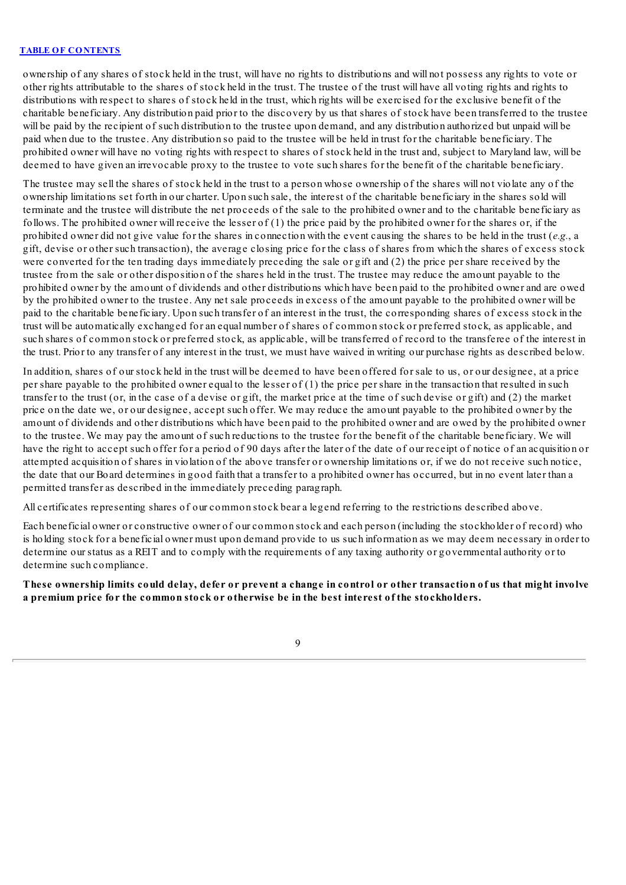ownership of any shares of stock held in the trust, will have no rights to distributions and will not possess any rights to vote or other rights attributable to the shares of stock held in the trust. The trustee of the trust will have all voting rights and rights to distributions with respect to shares of stock held in the trust, which rights will be exercised for the exclusive benefit of the charitable beneficiary. Any distribution paid prior to the discovery by us that shares of stock have been transferred to the trustee will be paid by the recipient of such distribution to the trustee upon demand, and any distribution authorized but unpaid will be paid when due to the trustee. Any distribution so paid to the trustee will be held in trust for the charitable beneficiary. The prohibited owner will have no voting rights with respect to shares of stock held in the trust and, subject to Maryland law, will be deemed to have given an irrevocable proxy to the trustee to vote such shares for the benefit of the charitable beneficiary.

The trustee may sell the shares of stock held in the trust to a person whose ownership of the shares will not violate any of the ownership limitations set forth in our charter. Upon such sale, the interest of the charitable beneficiary in the shares sold will terminate and the trustee will distribute the net proceeds of the sale to the prohibited owner and to the charitable beneficiary as follows. The prohibited owner will receive the lesser of (1) the price paid by the prohibited owner for the shares or, if the prohibited owner did not give value for the shares in connection with the event causing the shares to be held in the trust (*e.g.*, a gift, devise or other such transaction), the average closing price for the class of shares from which the shares of excess stock were converted for the ten trading days immediately preceding the sale or gift and (2) the price per share received by the trustee from the sale or other disposition of the shares held in the trust. The trustee may reduce the amount payable to the prohibited owner by the amount of dividends and other distributions which have been paid to the prohibited owner and are owed by the prohibited owner to the trustee. Any net sale proceeds in excess of the amount payable to the prohibited owner will be paid to the charitable beneficiary. Upon such transfer of an interest in the trust, the corresponding shares of excess stock in the trust will be automatically exchanged for an equal number of shares of common stock or preferred stock, as applicable, and such shares of common stock or preferred stock, as applicable, will be transferred of record to the transferee of the interest in the trust. Prior to any transfer of any interest in the trust, we must have waived in writing our purchase rights as described below.

In addition, shares of our stock held in the trust will be deemed to have been offered for sale to us, or our designee, at a price per share payable to the prohibited owner equal to the lesser of (1) the price per share in the transaction that resulted in such transfer to the trust (or, in the case of a devise or gift, the market price at the time of such devise or gift) and (2) the market price on the date we, or our designee, accept such offer. We may reduce the amount payable to the prohibited owner by the amount of dividends and other distributions which have been paid to the prohibited owner and are owed by the prohibited owner to the trustee. We may pay the amount of such reductions to the trustee for the benefit of the charitable beneficiary. We will have the right to accept such offer for a period of 90 days after the later of the date of our receipt of notice of an acquisition or attempted acquisition of shares in violation of the above transfer or ownership limitations or, if we do not receive such notice, the date that our Board determines in good faith that a transfer to a prohibited owner has occurred, but in no event later than a permitted transfer as described in the immediately preceding paragraph.

All certificates representing shares of our common stock bear a legend referring to the restrictions described above.

Each beneficial owner or constructive owner of our common stock and each person (including the stockholder of record) who is holding stock for a beneficial owner must upon demand provide to us such information as we may deem necessary in order to determine our status as a REIT and to comply with the requirements of any taxing authority or governmental authority or to determine such compliance.

These ownership limits could delay, defer or prevent a change in control or other transaction of us that might involve **a premium price for the common stock or otherwise be in the best interest of the stockholders.**

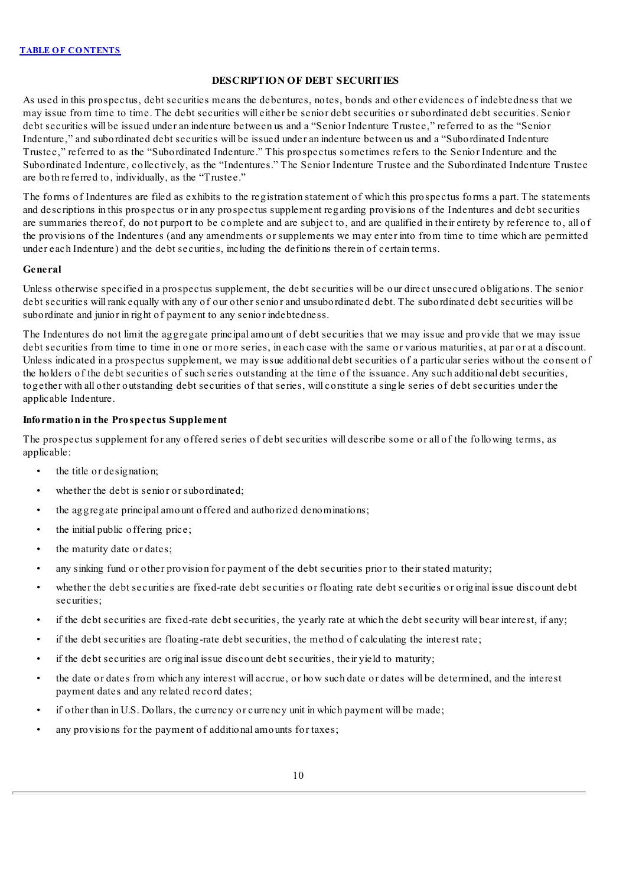# **DESCRIPTION OF DEBT SECURITIES**

<span id="page-54-0"></span>As used in this prospectus, debt securities means the debentures, notes, bonds and other evidences of indebtedness that we may issue from time to time. The debt securities will either be senior debt securities or subordinated debt securities. Senior debt securities will be issued under an indenture between us and a "Senior Indenture Trustee," referred to as the "Senior Indenture," and subordinated debt securities will be issued under an indenture between us and a "Subordinated Indenture Trustee," referred to as the "Subordinated Indenture." This prospectus sometimes refers to the Senior Indenture and the Subordinated Indenture, collectively, as the "Indentures." The Senior Indenture Trustee and the Subordinated Indenture Trustee are both referred to, individually, as the "Trustee."

The forms of Indentures are filed as exhibits to the registration statement of which this prospectus forms a part. The statements and descriptions in this prospectus or in any prospectus supplement regarding provisions of the Indentures and debt securities are summaries thereof, do not purport to be complete and are subject to, and are qualified in their entirety by reference to, all of the provisions of the Indentures (and any amendments or supplements we may enter into from time to time which are permitted under each Indenture) and the debt securities, including the definitions therein of certain terms.

#### **General**

Unless otherwise specified in a prospectus supplement, the debt securities will be our direct unsecured obligations. The senior debt securities will rank equally with any of our other senior and unsubordinated debt. The subordinated debt securities will be subordinate and junior in right of payment to any senior indebtedness.

The Indentures do not limit the aggregate principal amount of debt securities that we may issue and provide that we may issue debt securities from time to time in one or more series, in each case with the same or various maturities, at par or at a discount. Unless indicated in a prospectus supplement, we may issue additional debt securities of a particular series without the consent of the holders of the debt securities of such series outstanding at the time of the issuance. Any such additional debt securities, together with all other outstanding debt securities of that series, will constitute a single series of debt securities under the applicable Indenture.

# **Information in the Prospectus Supplement**

The prospectus supplement for any offered series of debt securities will describe some or all of the following terms, as applicable:

- the title or designation;
- whether the debt is senior or subordinated;
- the aggregate principal amount offered and authorized denominations;
- the initial public offering price;
- the maturity date or dates;
- any sinking fund or other provision for payment of the debt securities prior to their stated maturity;
- whether the debt securities are fixed-rate debt securities or floating rate debt securities or original issue discount debt securities;
- if the debt securities are fixed-rate debt securities, the yearly rate at which the debt security will bear interest, if any;
- if the debt securities are floating-rate debt securities, the method of calculating the interest rate;
- if the debt securities are original issue discount debt securities, their yield to maturity;
- the date or dates from which any interest will accrue, or how such date or dates will be determined, and the interest payment dates and any related record dates;
- if other than in U.S. Dollars, the currency or currency unit in which payment will be made;
- any provisions for the payment of additional amounts for taxes;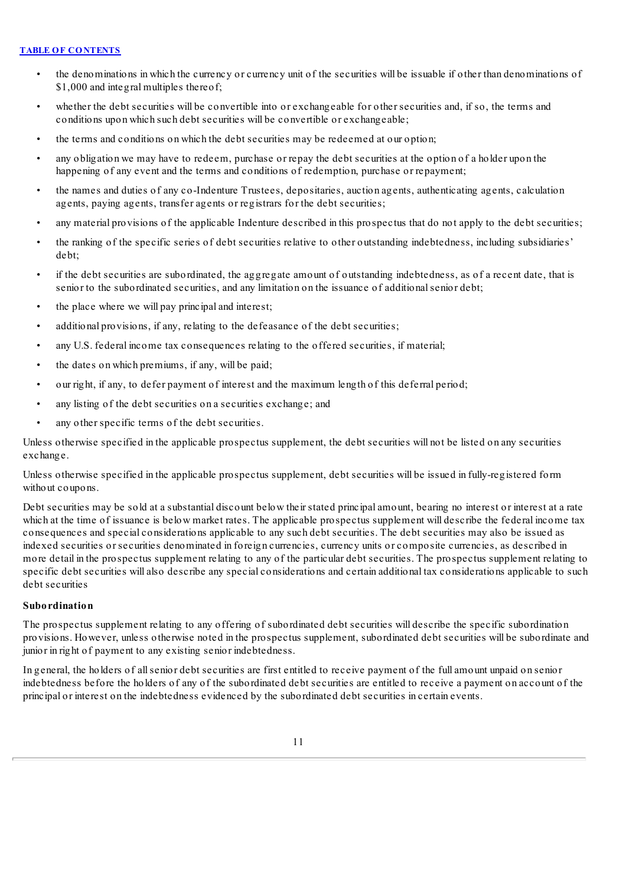- the denominations in which the currency or currency unit of the securities will be issuable if other than denominations of \$1,000 and integral multiples thereof;
- whether the debt securities will be convertible into or exchangeable for other securities and, if so, the terms and conditions upon which such debt securities will be convertible or exchangeable;
- the terms and conditions on which the debt securities may be redeemed at our option;
- any obligation we may have to redeem, purchase or repay the debt securities at the option of a holder upon the happening of any event and the terms and conditions of redemption, purchase or repayment;
- the names and duties of any co-Indenture Trustees, depositaries, auction agents, authenticating agents, calculation agents, paying agents, transfer agents or registrars for the debt securities;
- any material provisions of the applicable Indenture described in this prospectus that do not apply to the debt securities;
- the ranking of the specific series of debt securities relative to other outstanding indebtedness, including subsidiaries' debt;
- if the debt securities are subordinated, the aggregate amount of outstanding indebtedness, as of a recent date, that is senior to the subordinated securities, and any limitation on the issuance of additional senior debt;
- the place where we will pay principal and interest;
- additional provisions, if any, relating to the defeasance of the debt securities;
- any U.S. federal income tax consequences relating to the offered securities, if material;
- the dates on which premiums, if any, will be paid:
- our right, if any, to defer payment of interest and the maximum length of this deferral period;
- any listing of the debt securities on a securities exchange; and
- any other specific terms of the debt securities.

Unless otherwise specified in the applicable prospectus supplement, the debt securities will not be listed on any securities exchange.

Unless otherwise specified in the applicable prospectus supplement, debt securities will be issued in fully-registered form without coupons.

Debt securities may be sold at a substantial discount below their stated principal amount, bearing no interest or interest at a rate which at the time of issuance is below market rates. The applicable prospectus supplement will describe the federal income tax consequences and special considerations applicable to any such debt securities. The debt securities may also be issued as indexed securities or securities denominated in foreign currencies, currency units or composite currencies, as described in more detail in the prospectus supplement relating to any of the particular debt securities. The prospectus supplement relating to specific debt securities will also describe any special considerations and certain additional tax considerations applicable to such debt securities

# **Subordination**

The prospectus supplement relating to any offering of subordinated debt securities will describe the specific subordination provisions. However, unless otherwise noted in the prospectus supplement, subordinated debt securities will be subordinate and junior in right of payment to any existing senior indebtedness.

In general, the holders of allsenior debt securities are first entitled to receive payment of the full amount unpaid on senior indebtedness before the holders of any of the subordinated debt securities are entitled to receive a payment on account of the principal or interest on the indebtedness evidenced by the subordinated debt securities in certain events.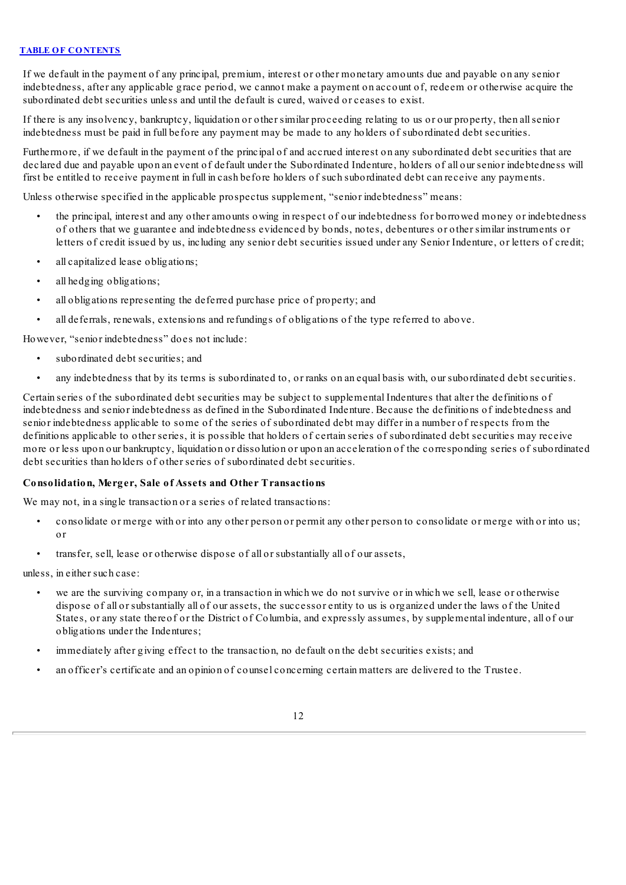If we default in the payment of any principal, premium, interest or other monetary amounts due and payable on any senior indebtedness, after any applicable grace period, we cannot make a payment on account of, redeem or otherwise acquire the subordinated debt securities unless and until the default is cured, waived or ceases to exist.

If there is any insolvency, bankruptcy, liquidation or other similar proceeding relating to us or our property, then allsenior indebtedness must be paid in full before any payment may be made to any holders of subordinated debt securities.

Furthermore, if we default in the payment of the principal of and accrued interest on any subordinated debt securities that are declared due and payable upon an event of default under the Subordinated Indenture, holders of all our senior indebtedness will first be entitled to receive payment in full in cash before holders of such subordinated debt can receive any payments.

Unless otherwise specified in the applicable prospectus supplement, "senior indebtedness" means:

- the principal, interest and any other amounts owing in respect of our indebtedness for borrowed money or indebtedness of others that we guarantee and indebtedness evidenced by bonds, notes, debentures or other similar instruments or letters of credit issued by us, including any senior debt securities issued under any Senior Indenture, or letters of credit;
- all capitalized lease obligations;
- all hedging obligations;
- all obligations representing the deferred purchase price of property; and
- all deferrals, renewals, extensions and refundings of obligations of the type referred to above.

However, "senior indebtedness" does not include:

- subordinated debt securities; and
- any indebtedness that by its terms is subordinated to, or ranks on an equal basis with, our subordinated debt securities.

Certain series of the subordinated debt securities may be subject to supplemental Indentures that alter the definitions of indebtedness and senior indebtedness as defined in the Subordinated Indenture. Because the definitions of indebtedness and senior indebtedness applicable to some of the series of subordinated debt may differ in a number of respects from the definitions applicable to other series, it is possible that holders of certain series of subordinated debt securities may receive more or less upon our bankruptcy, liquidation or dissolution or upon an acceleration of the corresponding series of subordinated debt securities than holders of other series of subordinated debt securities.

# **Consolidation, Merger, Sale of Assets and Other Transactions**

We may not, in a single transaction or a series of related transactions:

- consolidate or merge with or into any other person or permit any other person to consolidate or merge with or into us; or
- transfer, sell, lease or otherwise dispose of all or substantially all of our assets,

unless, in either such case:

- we are the surviving company or, in a transaction in which we do not survive or in which we sell, lease or otherwise dispose of all or substantially all of our assets, the successor entity to us is organized under the laws of the United States, or any state thereof or the District of Columbia, and expressly assumes, by supplemental indenture, all of our obligations under the Indentures;
- immediately after giving effect to the transaction, no default on the debt securities exists; and
- an officer's certificate and an opinion of counsel concerning certain matters are delivered to the Trustee.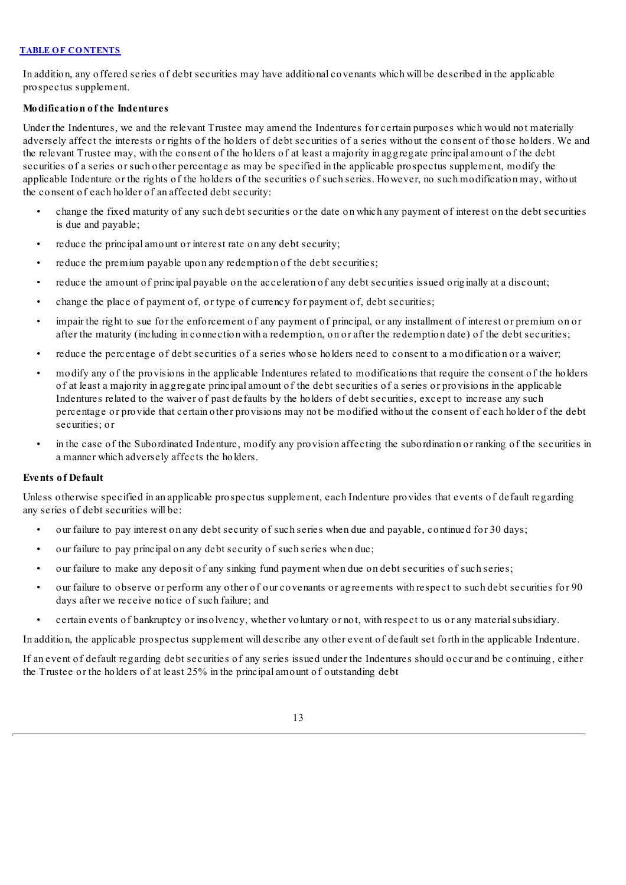In addition, any offered series of debt securities may have additional covenants which will be described in the applicable prospectus supplement.

# **Modification of the Indentures**

Under the Indentures, we and the relevant Trustee may amend the Indentures for certain purposes which would not materially adversely affect the interests or rights of the holders of debt securities of a series without the consent of those holders. We and the relevant Trustee may, with the consent of the holders of at least a majority in aggregate principal amount of the debt securities of a series or such other percentage as may be specified in the applicable prospectus supplement, modify the applicable Indenture or the rights of the holders of the securities of such series. However, no such modification may, without the consent of each holder of an affected debt security:

- change the fixed maturity of any such debt securities or the date on which any payment of interest on the debt securities is due and payable;
- reduce the principal amount or interest rate on any debt security;
- reduce the premium payable upon any redemption of the debt securities;
- reduce the amount of principal payable on the acceleration of any debt securities issued originally at a discount;
- change the place of payment of, or type of currency for payment of, debt securities;
- impair the right to sue for the enforcement of any payment of principal, or any installment of interest or premium on or after the maturity (including in connection with a redemption, on or after the redemption date) of the debt securities;
- reduce the percentage of debt securities of a series whose holders need to consent to a modification or a waiver;
- modify any of the provisions in the applicable Indentures related to modifications that require the consent of the holders of at least a majority in aggregate principal amount of the debt securities of a series or provisions in the applicable Indentures related to the waiver of past defaults by the holders of debt securities, except to increase any such percentage or provide that certain other provisions may not be modified without the consent of each holder of the debt securities; or
- in the case of the Subordinated Indenture, modify any provision affecting the subordination or ranking of the securities in a manner which adversely affects the holders.

# **Events of Default**

Unless otherwise specified in an applicable prospectus supplement, each Indenture provides that events of default regarding any series of debt securities will be:

- our failure to pay interest on any debt security of such series when due and payable, continued for 30 days;
- our failure to pay principal on any debt security of such series when due;
- our failure to make any deposit of any sinking fund payment when due on debt securities of such series;
- our failure to observe or perform any other of our covenants or agreements with respect to such debt securities for 90 days after we receive notice of such failure; and
- certain events of bankruptcy or insolvency, whether voluntary or not, with respect to us or any materialsubsidiary.

In addition, the applicable prospectus supplement will describe any other event of default set forth in the applicable Indenture.

If an event of default regarding debt securities of any series issued under the Indentures should occur and be continuing, either the Trustee or the holders of at least 25% in the principal amount of outstanding debt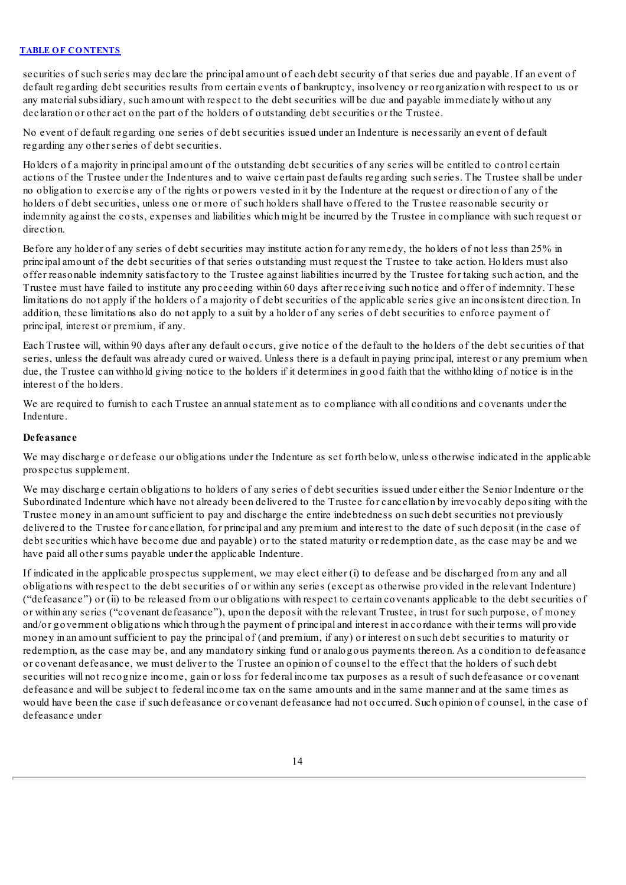securities of such series may declare the principal amount of each debt security of that series due and payable. If an event of default regarding debt securities results from certain events of bankruptcy, insolvency or reorganization with respect to us or any materialsubsidiary, such amount with respect to the debt securities will be due and payable immediately without any declaration or other act on the part of the holders of outstanding debt securities or the Trustee.

No event of default regarding one series of debt securities issued under an Indenture is necessarily an event of default regarding any other series of debt securities.

Holders of a majority in principal amount of the outstanding debt securities of any series will be entitled to control certain actions of the Trustee under the Indentures and to waive certain past defaults regarding such series. The Trustee shall be under no obligation to exercise any of the rights or powers vested in it by the Indenture at the request or direction of any of the holders of debt securities, unless one or more of such holders shall have offered to the Trustee reasonable security or indemnity against the costs, expenses and liabilities which might be incurred by the Trustee in compliance with such request or direction.

Before any holder of any series of debt securities may institute action for any remedy, the holders of not less than 25% in principal amount of the debt securities of that series outstanding must request the Trustee to take action. Holders must also offer reasonable indemnity satisfactory to the Trustee against liabilities incurred by the Trustee for taking such action, and the Trustee must have failed to institute any proceeding within 60 days after receiving such notice and offer of indemnity. These limitations do not apply if the holders of a majority of debt securities of the applicable series give an inconsistent direction. In addition, these limitations also do not apply to a suit by a holder of any series of debt securities to enforce payment of principal, interest or premium, if any.

Each Trustee will, within 90 days after any default occurs, give notice of the default to the holders of the debt securities of that series, unless the default was already cured or waived. Unless there is a default in paying principal, interest or any premium when due, the Trustee can withhold giving notice to the holders if it determines in good faith that the withholding of notice is in the interest of the holders.

We are required to furnish to each Trustee an annualstatement as to compliance with all conditions and covenants under the Indenture.

### **Defeasance**

We may discharge or defease our obligations under the Indenture as set forth below, unless otherwise indicated in the applicable prospectus supplement.

We may discharge certain obligations to holders of any series of debt securities issued under either the Senior Indenture or the Subordinated Indenture which have not already been delivered to the Trustee for cancellation by irrevocably depositing with the Trustee money in an amount sufficient to pay and discharge the entire indebtedness on such debt securities not previously delivered to the Trustee for cancellation, for principal and any premium and interest to the date of such deposit (in the case of debt securities which have become due and payable) or to the stated maturity or redemption date, as the case may be and we have paid all other sums payable under the applicable Indenture.

If indicated in the applicable prospectus supplement, we may elect either (i) to defease and be discharged from any and all obligations with respect to the debt securities of or within any series (except as otherwise provided in the relevant Indenture) ("defeasance") or (ii) to be released from our obligations with respect to certain covenants applicable to the debt securities of or within any series ("covenant defeasance"), upon the deposit with the relevant Trustee, in trust for such purpose, of money and/or government obligations which through the payment of principal and interest in accordance with their terms will provide money in an amount sufficient to pay the principal of (and premium, if any) or interest on such debt securities to maturity or redemption, as the case may be, and any mandatory sinking fund or analogous payments thereon. As a condition to defeasance or covenant defeasance, we must deliver to the Trustee an opinion of counsel to the effect that the holders of such debt securities will not recognize income, gain or loss for federal income tax purposes as a result of such defeasance or covenant defeasance and will be subject to federal income tax on the same amounts and in the same manner and at the same times as would have been the case if such defeasance or covenant defeasance had not occurred. Such opinion of counsel, in the case of defeasance under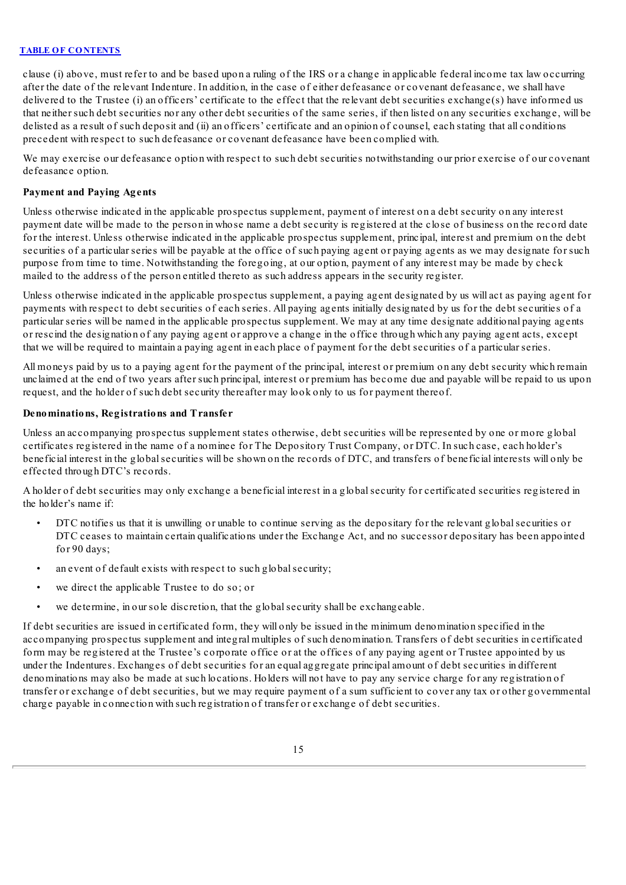clause (i) above, must refer to and be based upon a ruling of the IRS or a change in applicable federal income tax law occurring after the date of the relevant Indenture. In addition, in the case of either defeasance or covenant defeasance, we shall have delivered to the Trustee (i) an officers' certificate to the effect that the relevant debt securities exchange(s) have informed us that neither such debt securities nor any other debt securities of the same series, if then listed on any securities exchange, will be delisted as a result of such deposit and (ii) an officers' certificate and an opinion of counsel, each stating that all conditions precedent with respect to such defeasance or covenant defeasance have been complied with.

We may exercise our defeasance option with respect to such debt securities notwithstanding our prior exercise of our covenant defeasance option.

### **Payment and Paying Agents**

Unless otherwise indicated in the applicable prospectus supplement, payment of interest on a debt security on any interest payment date will be made to the person in whose name a debt security is registered at the close of business on the record date for the interest. Unless otherwise indicated in the applicable prospectus supplement, principal, interest and premium on the debt securities of a particular series will be payable at the office of such paying agent or paying agents as we may designate for such purpose from time to time. Notwithstanding the foregoing, at our option, payment of any interest may be made by check mailed to the address of the person entitled thereto as such address appears in the security register.

Unless otherwise indicated in the applicable prospectus supplement, a paying agent designated by us will act as paying agent for payments with respect to debt securities of each series. All paying agents initially designated by us for the debt securities of a particular series will be named in the applicable prospectus supplement. We may at any time designate additional paying agents or rescind the designation of any paying agent or approve a change in the office through which any paying agent acts, except that we will be required to maintain a paying agent in each place of payment for the debt securities of a particular series.

All moneys paid by us to a paying agent for the payment of the principal, interest or premium on any debt security which remain unclaimed at the end of two years after such principal, interest or premium has become due and payable will be repaid to us upon request, and the holder of such debt security thereafter may look only to us for payment thereof.

### **Denominations, Registrations and Transfer**

Unless an accompanying prospectus supplement states otherwise, debt securities will be represented by one or more global certificates registered in the name of a nominee for The Depository Trust Company, or DTC. In such case, each holder's beneficial interest in the globalsecurities will be shown on the records of DTC, and transfers of beneficial interests will only be effected through DTC's records.

A holder of debt securities may only exchange a beneficial interest in a globalsecurity for certificated securities registered in the holder's name if:

- DTC notifies us that it is unwilling or unable to continue serving as the depositary for the relevant globalsecurities or DTC ceases to maintain certain qualifications under the Exchange Act, and no successor depositary has been appointed for 90 days;
- an event of default exists with respect to such global security;
- we direct the applicable Trustee to do so; or
- we determine, in our sole discretion, that the globalsecurity shall be exchangeable.

If debt securities are issued in certificated form, they will only be issued in the minimum denomination specified in the accompanying prospectus supplement and integral multiples of such denomination. Transfers of debt securities in certificated form may be registered at the Trustee's corporate office or at the offices of any paying agent or Trustee appointed by us under the Indentures. Exchanges of debt securities for an equal aggregate principal amount of debt securities in different denominations may also be made at such locations. Holders will not have to pay any service charge for any registration of transfer or exchange of debt securities, but we may require payment of a sum sufficient to cover any tax or other governmental charge payable in connection with such registration of transfer or exchange of debt securities.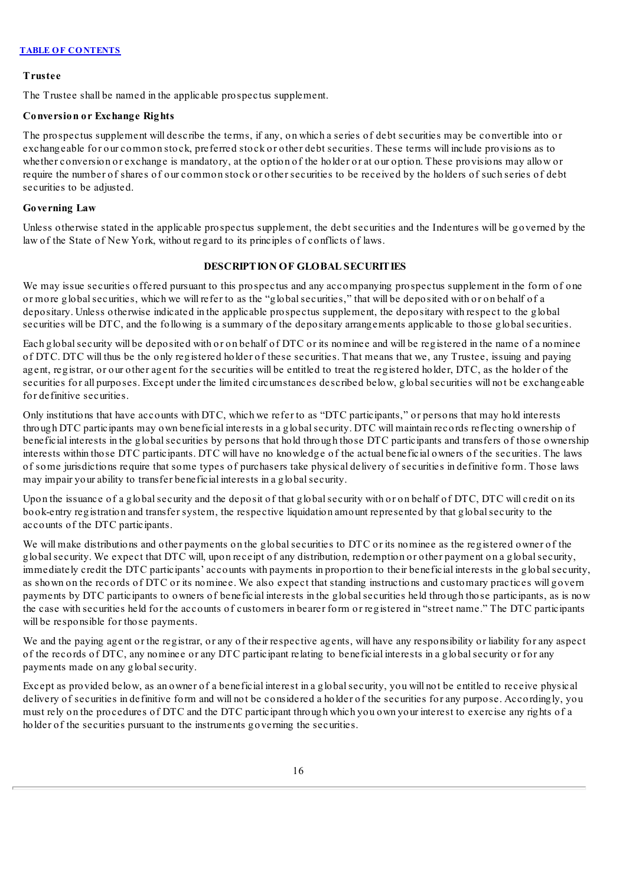# **Trustee**

The Trustee shall be named in the applicable prospectus supplement.

# **Conversion or Exchange Rights**

The prospectus supplement will describe the terms, if any, on which a series of debt securities may be convertible into or exchangeable for our common stock, preferred stock or other debt securities. These terms will include provisions as to whether conversion or exchange is mandatory, at the option of the holder or at our option. These provisions may allow or require the number of shares of our common stock or other securities to be received by the holders of such series of debt securities to be adjusted.

# **Governing Law**

<span id="page-60-0"></span>Unless otherwise stated in the applicable prospectus supplement, the debt securities and the Indentures will be governed by the law of the State of New York, without regard to its principles of conflicts of laws.

# **DESCRIPTION OF GLOBAL SECURITIES**

We may issue securities offered pursuant to this prospectus and any accompanying prospectus supplement in the form of one or more globalsecurities, which we will refer to as the "globalsecurities," that will be deposited with or on behalf of a depositary. Unless otherwise indicated in the applicable prospectus supplement, the depositary with respect to the global securities will be DTC, and the following is a summary of the depositary arrangements applicable to those globalsecurities.

Each globalsecurity will be deposited with or on behalf of DTC or its nominee and will be registered in the name of a nominee of DTC. DTC will thus be the only registered holder of these securities. That means that we, any Trustee, issuing and paying agent, registrar, or our other agent for the securities will be entitled to treat the registered holder, DTC, as the holder of the securities for all purposes. Except under the limited circumstances described below, globalsecurities will not be exchangeable for definitive securities.

Only institutions that have accounts with DTC, which we refer to as "DTC participants," or persons that may hold interests through DTC participants may own beneficial interests in a globalsecurity. DTC will maintain records reflecting ownership of beneficial interests in the globalsecurities by persons that hold through those DTC participants and transfers of those ownership interests within those DTC participants. DTC will have no knowledge of the actual beneficial owners of the securities. The laws of some jurisdictions require that some types of purchasers take physical delivery of securities in definitive form. Those laws may impair your ability to transfer beneficial interests in a globalsecurity.

Upon the issuance of a globalsecurity and the deposit of that globalsecurity with or on behalf of DTC, DTC will credit on its book-entry registration and transfer system, the respective liquidation amount represented by that globalsecurity to the accounts of the DTC participants.

We will make distributions and other payments on the global securities to DTC or its nominee as the registered owner of the globalsecurity. We expect that DTC will, upon receipt of any distribution, redemption or other payment on a globalsecurity, immediately credit the DTC participants' accounts with payments in proportion to their beneficial interests in the globalsecurity, as shown on the records of DTC or its nominee. We also expect that standing instructions and customary practices will govern payments by DTC participants to owners of beneficial interests in the globalsecurities held through those participants, as is now the case with securities held for the accounts of customers in bearer form or registered in "street name." The DTC participants will be responsible for those payments.

We and the paying agent or the registrar, or any of their respective agents, will have any responsibility or liability for any aspect of the records of DTC, any nominee or any DTC participant relating to beneficial interests in a globalsecurity or for any payments made on any globalsecurity.

Except as provided below, as an owner of a beneficial interest in a globalsecurity, you will not be entitled to receive physical delivery of securities in definitive form and will not be considered a holder of the securities for any purpose. Accordingly, you must rely on the procedures of DTC and the DTC participant through which you own your interest to exercise any rights of a holder of the securities pursuant to the instruments governing the securities.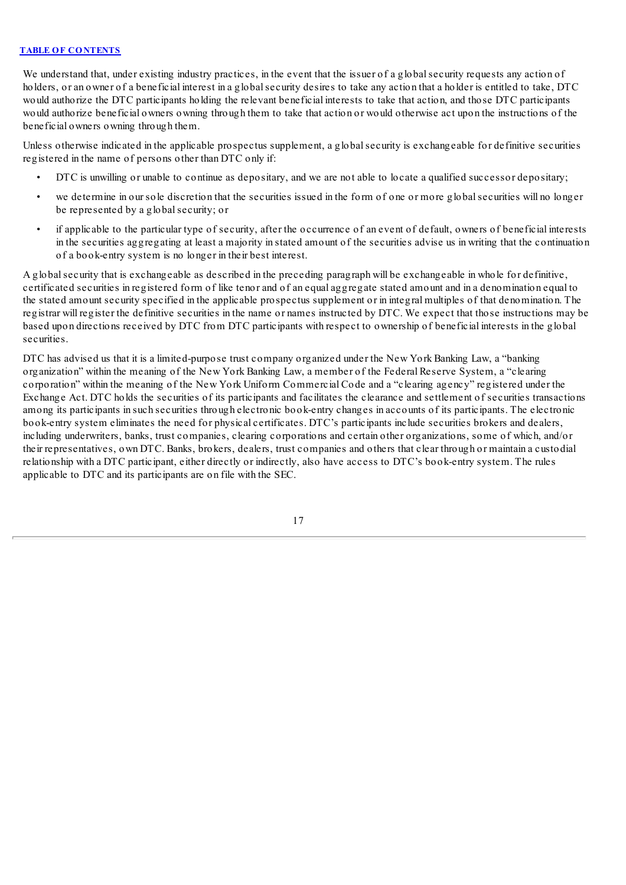We understand that, under existing industry practices, in the event that the issuer of a global security requests any action of holders, or an owner of a beneficial interest in a globalsecurity desires to take any action that a holder is entitled to take, DTC would authorize the DTC participants holding the relevant beneficial interests to take that action, and those DTC participants would authorize beneficial owners owning through them to take that action or would otherwise act upon the instructions of the beneficial owners owning through them.

Unless otherwise indicated in the applicable prospectus supplement, a globalsecurity is exchangeable for definitive securities registered in the name of persons other than DTC only if:

- DTC is unwilling or unable to continue as depositary, and we are not able to locate a qualified successor depositary;
- we determine in our sole discretion that the securities issued in the form of one or more globalsecurities will no longer be represented by a globalsecurity; or
- if applicable to the particular type of security, after the occurrence of an event of default, owners of beneficial interests in the securities aggregating at least a majority in stated amount of the securities advise us in writing that the continuation of a book-entry system is no longer in their best interest.

A globalsecurity that is exchangeable as described in the preceding paragraph will be exchangeable in whole for definitive, certificated securities in registered form of like tenor and of an equal aggregate stated amount and in a denomination equal to the stated amount security specified in the applicable prospectus supplement or in integral multiples of that denomination. The registrar will register the definitive securities in the name or names instructed by DTC. We expect that those instructions may be based upon directions received by DTC from DTC participants with respect to ownership of beneficial interests in the global securities.

DTC has advised us that it is a limited-purpose trust company organized under the New York Banking Law, a "banking organization" within the meaning of the New York Banking Law, a member of the Federal Reserve System, a "clearing corporation" within the meaning of the New York Uniform Commercial Code and a "clearing agency" registered under the Exchange Act. DTC holds the securities of its participants and facilitates the clearance and settlement of securities transactions among its participants in such securities through electronic book-entry changes in accounts of its participants. The electronic book-entry system eliminates the need for physical certificates. DTC's participants include securities brokers and dealers, including underwriters, banks, trust companies, clearing corporations and certain other organizations, some of which, and/or their representatives, own DTC. Banks, brokers, dealers, trust companies and others that clear through or maintain a custodial relationship with a DTC participant, either directly or indirectly, also have access to DTC's book-entry system. The rules applicable to DTC and its participants are on file with the SEC.

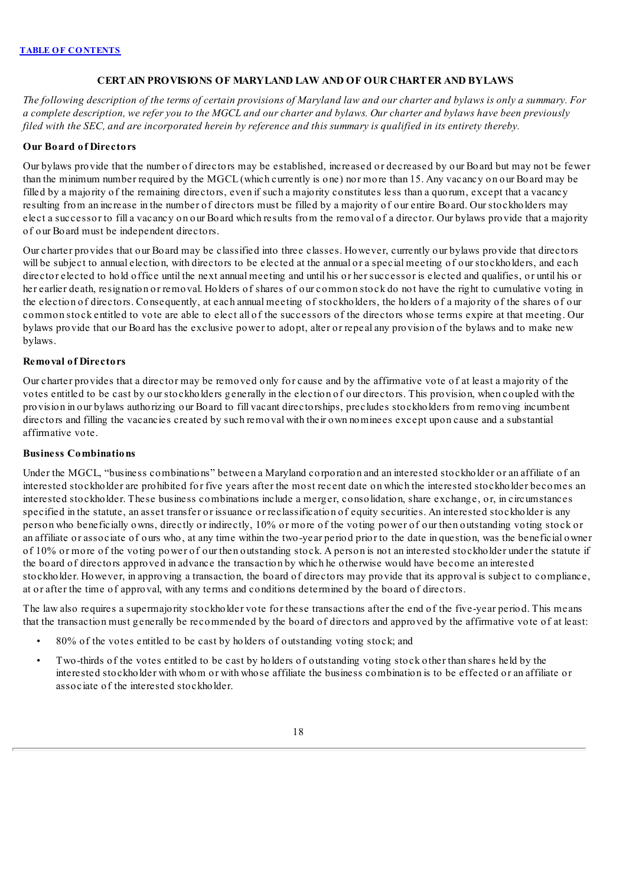# **CERTAIN PROVISIONS OF MARYLAND LAW AND OF OUR CHARTER AND BYLAWS**

<span id="page-62-0"></span>The following description of the terms of certain provisions of Maryland law and our charter and bylaws is only a summary. For a complete description, we refer you to the MGCL and our charter and bylaws. Our charter and bylaws have been previously filed with the SEC, and are incorporated herein by reference and this summary is qualified in its entirety thereby.

# **Our Board of Directors**

Our bylaws provide that the number of directors may be established, increased or decreased by our Board but may not be fewer than the minimum number required by the MGCL (which currently is one) nor more than 15. Any vacancy on our Board may be filled by a majority of the remaining directors, even if such a majority constitutes less than a quorum, except that a vacancy resulting from an increase in the number of directors must be filled by a majority of our entire Board. Our stockholders may elect a successor to fill a vacancy on our Board which results from the removal of a director. Our bylaws provide that a majority of our Board must be independent directors.

Our charter provides that our Board may be classified into three classes. However, currently our bylaws provide that directors will be subject to annual election, with directors to be elected at the annual or a special meeting of our stockholders, and each director elected to hold office until the next annual meeting and until his or her successor is elected and qualifies, or until his or her earlier death, resignation or removal. Holders of shares of our common stock do not have the right to cumulative voting in the election of directors. Consequently, at each annual meeting of stockholders, the holders of a majority of the shares of our common stock entitled to vote are able to elect all of the successors of the directors whose terms expire at that meeting. Our bylaws provide that our Board has the exclusive power to adopt, alter or repeal any provision of the bylaws and to make new bylaws.

# **Removal of Directors**

Our charter provides that a director may be removed only for cause and by the affirmative vote of at least a majority of the votes entitled to be cast by our stockholders generally in the election of our directors. This provision, when coupled with the provision in our bylaws authorizing our Board to fill vacant directorships, precludes stockholders from removing incumbent directors and filling the vacancies created by such removal with their own nominees except upon cause and a substantial affirmative vote.

### **Business Combinations**

Under the MGCL, "business combinations" between a Maryland corporation and an interested stockholder or an affiliate of an interested stockholder are prohibited for five years after the most recent date on which the interested stockholder becomes an interested stockholder. These business combinations include a merger, consolidation, share exchange, or, in circumstances specified in the statute, an asset transfer or issuance or reclassification of equity securities. An interested stockholder is any person who beneficially owns, directly or indirectly, 10% or more of the voting power of our then outstanding voting stock or an affiliate or associate of ours who, at any time within the two-year period prior to the date in question, was the beneficial owner of 10% or more of the voting power of our then outstanding stock. A person is not an interested stockholder under the statute if the board of directors approved in advance the transaction by which he otherwise would have become an interested stockholder. However, in approving a transaction, the board of directors may provide that its approval is subject to compliance, at or after the time of approval, with any terms and conditions determined by the board of directors.

The law also requires a supermajority stockholder vote for these transactions after the end of the five-year period. This means that the transaction must generally be recommended by the board of directors and approved by the affirmative vote of at least:

- 80% of the votes entitled to be cast by holders of outstanding voting stock; and
- Two-thirds of the votes entitled to be cast by holders of outstanding voting stock other than shares held by the interested stockholder with whom or with whose affiliate the business combination is to be effected or an affiliate or associate of the interested stockholder.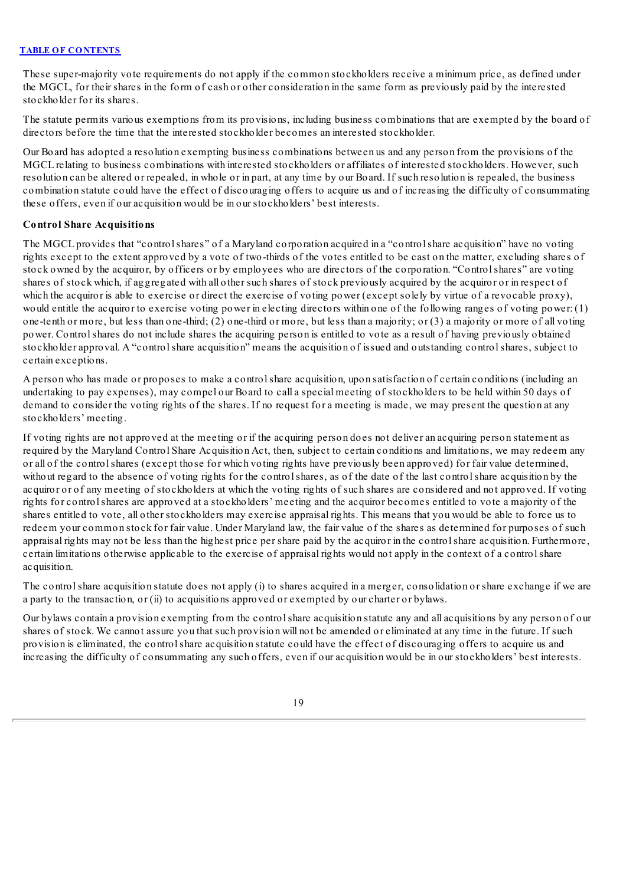These super-majority vote requirements do not apply if the common stockholders receive a minimum price, as defined under the MGCL, for their shares in the form of cash or other consideration in the same form as previously paid by the interested stockholder for its shares.

The statute permits various exemptions from its provisions, including business combinations that are exempted by the board of directors before the time that the interested stockholder becomes an interested stockholder.

Our Board has adopted a resolution exempting business combinations between us and any person from the provisions of the MGCL relating to business combinations with interested stockholders or affiliates of interested stockholders. However, such resolution can be altered or repealed, in whole or in part, at any time by our Board. If such resolution is repealed, the business combination statute could have the effect of discouraging offers to acquire us and of increasing the difficulty of consummating these offers, even if our acquisition would be in our stockholders' best interests.

# **Control Share Acquisitions**

The MGCL provides that "controlshares" of a Maryland corporation acquired in a "controlshare acquisition" have no voting rights except to the extent approved by a vote of two-thirds of the votes entitled to be cast on the matter, excluding shares of stock owned by the acquiror, by officers or by employees who are directors of the corporation. "Controlshares" are voting shares of stock which, if aggregated with all other such shares of stock previously acquired by the acquiror or in respect of which the acquiror is able to exercise or direct the exercise of voting power (except solely by virtue of a revocable proxy), would entitle the acquiror to exercise voting power in electing directors within one of the following ranges of voting power: (1) one-tenth or more, but less than one-third; (2) one-third or more, but less than a majority; or (3) a majority or more of all voting power. Controlshares do not include shares the acquiring person is entitled to vote as a result of having previously obtained stockholder approval. A "controlshare acquisition" means the acquisition of issued and outstanding controlshares, subject to certain exceptions.

A person who has made or proposes to make a controlshare acquisition, upon satisfaction of certain conditions (including an undertaking to pay expenses), may compel our Board to call a special meeting of stockholders to be held within 50 days of demand to consider the voting rights of the shares. If no request for a meeting is made, we may present the question at any stockholders' meeting.

If voting rights are not approved at the meeting or if the acquiring person does not deliver an acquiring person statement as required by the Maryland Control Share Acquisition Act, then, subject to certain conditions and limitations, we may redeem any or all of the controlshares (except those for which voting rights have previously been approved) for fair value determined, without regard to the absence of voting rights for the controlshares, as of the date of the last controlshare acquisition by the acquiror or of any meeting of stockholders at which the voting rights of such shares are considered and not approved. If voting rights for controlshares are approved at a stockholders' meeting and the acquiror becomes entitled to vote a majority of the shares entitled to vote, all other stockholders may exercise appraisal rights. This means that you would be able to force us to redeem your common stock for fair value. Under Maryland law, the fair value of the shares as determined for purposes of such appraisal rights may not be less than the highest price per share paid by the acquiror in the controlshare acquisition. Furthermore, certain limitations otherwise applicable to the exercise of appraisal rights would not apply in the context of a controlshare acquisition.

The controlshare acquisition statute does not apply (i) to shares acquired in a merger, consolidation or share exchange if we are a party to the transaction, or (ii) to acquisitions approved or exempted by our charter or bylaws.

Our bylaws contain a provision exempting from the controlshare acquisition statute any and all acquisitions by any person of our shares of stock. We cannot assure you that such provision will not be amended or eliminated at any time in the future. If such provision is eliminated, the controlshare acquisition statute could have the effect of discouraging offers to acquire us and increasing the difficulty of consummating any such offers, even if our acquisition would be in our stockholders' best interests.

19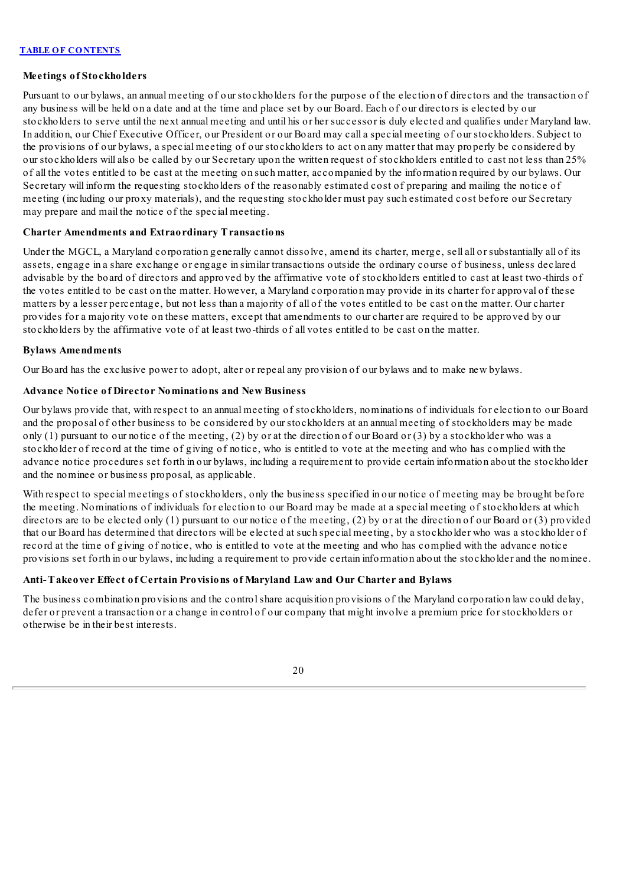# **Meetings of Stockholders**

Pursuant to our bylaws, an annual meeting of our stockholders for the purpose of the election of directors and the transaction of any business will be held on a date and at the time and place set by our Board. Each of our directors is elected by our stockholders to serve until the next annual meeting and until his or her successor is duly elected and qualifies under Maryland law. In addition, our Chief Executive Officer, our President or our Board may call a special meeting of our stockholders. Subject to the provisions of our bylaws, a special meeting of our stockholders to act on any matter that may properly be considered by our stockholders will also be called by our Secretary upon the written request of stockholders entitled to cast not less than 25% of all the votes entitled to be cast at the meeting on such matter, accompanied by the information required by our bylaws. Our Secretary will inform the requesting stockholders of the reasonably estimated cost of preparing and mailing the notice of meeting (including our proxy materials), and the requesting stockholder must pay such estimated cost before our Secretary may prepare and mail the notice of the special meeting.

# **Charter Amendments and Extraordinary Transactions**

Under the MGCL, a Maryland corporation generally cannot dissolve, amend its charter, merge, sell all or substantially all of its assets, engage in a share exchange or engage in similar transactions outside the ordinary course of business, unless declared advisable by the board of directors and approved by the affirmative vote of stockholders entitled to cast at least two-thirds of the votes entitled to be cast on the matter. However, a Maryland corporation may provide in its charter for approval of these matters by a lesser percentage, but not less than a majority of all of the votes entitled to be cast on the matter. Our charter provides for a majority vote on these matters, except that amendments to our charter are required to be approved by our stockholders by the affirmative vote of at least two-thirds of all votes entitled to be cast on the matter.

### **Bylaws Amendments**

Our Board has the exclusive power to adopt, alter or repeal any provision of our bylaws and to make new bylaws.

# **Advance Notice of Director Nominations and New Business**

Our bylaws provide that, with respect to an annual meeting of stockholders, nominations of individuals for election to our Board and the proposal of other business to be considered by our stockholders at an annual meeting of stockholders may be made only (1) pursuant to our notice of the meeting, (2) by or at the direction of our Board or (3) by a stockholder who was a stockholder of record at the time of giving of notice, who is entitled to vote at the meeting and who has complied with the advance notice procedures set forth in our bylaws, including a requirement to provide certain information about the stockholder and the nominee or business proposal, as applicable.

With respect to special meetings of stockholders, only the business specified in our notice of meeting may be brought before the meeting. Nominations of individuals for election to our Board may be made at a special meeting of stockholders at which directors are to be elected only (1) pursuant to our notice of the meeting, (2) by or at the direction of our Board or (3) provided that our Board has determined that directors will be elected at such special meeting, by a stockholder who was a stockholder of record at the time of giving of notice, who is entitled to vote at the meeting and who has complied with the advance notice provisions set forth in our bylaws, including a requirement to provide certain information about the stockholder and the nominee.

# **Anti-Takeover Effect of Certain Provisions of Maryland Law and Our Charter and Bylaws**

The business combination provisions and the controlshare acquisition provisions of the Maryland corporation law could delay, defer or prevent a transaction or a change in control of our company that might involve a premium price for stockholders or otherwise be in their best interests.

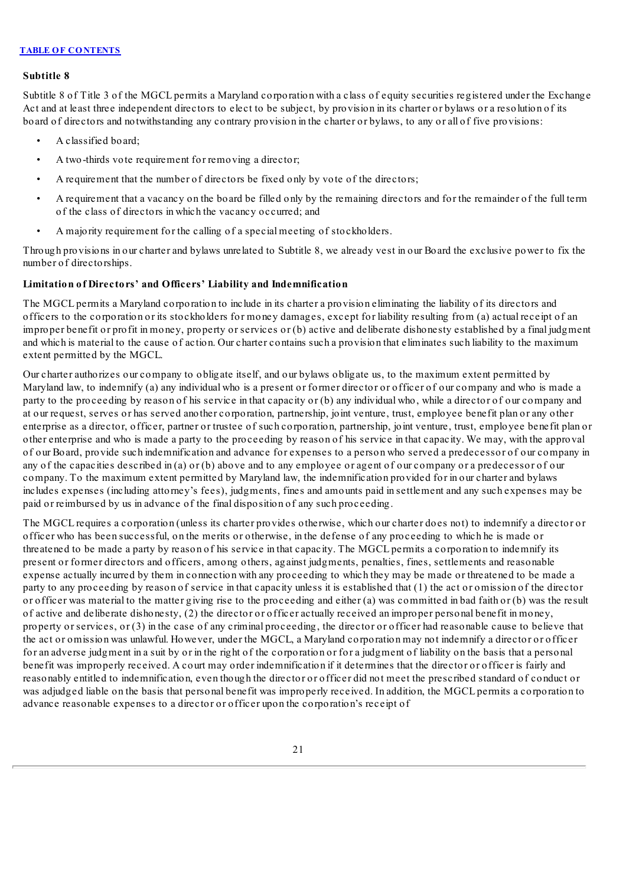#### **Subtitle 8**

Subtitle 8 of Title 3 of the MGCL permits a Maryland corporation with a class of equity securities registered under the Exchange Act and at least three independent directors to elect to be subject, by provision in its charter or bylaws or a resolution of its board of directors and notwithstanding any contrary provision in the charter or bylaws, to any or all of five provisions:

- A classified board;
- A two-thirds vote requirement for removing a director;
- A requirement that the number of directors be fixed only by vote of the directors;
- A requirement that a vacancy on the board be filled only by the remaining directors and for the remainder of the full term of the class of directors in which the vacancy occurred; and
- A majority requirement for the calling of a special meeting of stockholders.

Through provisions in our charter and bylaws unrelated to Subtitle 8, we already vest in our Board the exclusive power to fix the number of directorships.

# **Limitation of Directors' and Officers' Liability and Indemnification**

The MGCL permits a Maryland corporation to include in its charter a provision eliminating the liability of its directors and officers to the corporation or its stockholders for money damages, except for liability resulting from (a) actual receipt of an improper benefit or profit in money, property or services or (b) active and deliberate dishonesty established by a final judgment and which is material to the cause of action. Our charter contains such a provision that eliminates such liability to the maximum extent permitted by the MGCL.

Our charter authorizes our company to obligate itself, and our bylaws obligate us, to the maximum extent permitted by Maryland law, to indemnify (a) any individual who is a present or former director or officer of our company and who is made a party to the proceeding by reason of his service in that capacity or (b) any individual who, while a director of our company and at our request, serves or has served another corporation, partnership, joint venture, trust, employee benefit plan or any other enterprise as a director, officer, partner or trustee of such corporation, partnership, joint venture, trust, employee benefit plan or other enterprise and who is made a party to the proceeding by reason of his service in that capacity. We may, with the approval of our Board, provide such indemnification and advance for expenses to a person who served a predecessor of our company in any of the capacities described in (a) or (b) above and to any employee or agent of our company or a predecessor of our company. To the maximum extent permitted by Maryland law, the indemnification provided for in our charter and bylaws includes expenses (including attorney's fees), judgments, fines and amounts paid in settlement and any such expenses may be paid or reimbursed by us in advance of the final disposition of any such proceeding.

The MGCL requires a corporation (unless its charter provides otherwise, which our charter does not) to indemnify a director or officer who has been successful, on the merits or otherwise, in the defense of any proceeding to which he is made or threatened to be made a party by reason of his service in that capacity. The MGCL permits a corporation to indemnify its present or former directors and officers, among others, against judgments, penalties, fines, settlements and reasonable expense actually incurred by them in connection with any proceeding to which they may be made or threatened to be made a party to any proceeding by reason of service in that capacity unless it is established that (1) the act or omission of the director or officer was material to the matter giving rise to the proceeding and either (a) was committed in bad faith or (b) was the result of active and deliberate dishonesty, (2) the director or officer actually received an improper personal benefit in money, property or services, or (3) in the case of any criminal proceeding, the director or officer had reasonable cause to believe that the act or omission was unlawful. However, under the MGCL, a Maryland corporation may not indemnify a director or officer for an adverse judgment in a suit by or in the right of the corporation or for a judgment of liability on the basis that a personal benefit was improperly received. A court may order indemnification if it determines that the director or officer is fairly and reasonably entitled to indemnification, even though the director or officer did not meet the prescribed standard of conduct or was adjudged liable on the basis that personal benefit was improperly received. In addition, the MGCL permits a corporation to advance reasonable expenses to a director or officer upon the corporation's receipt of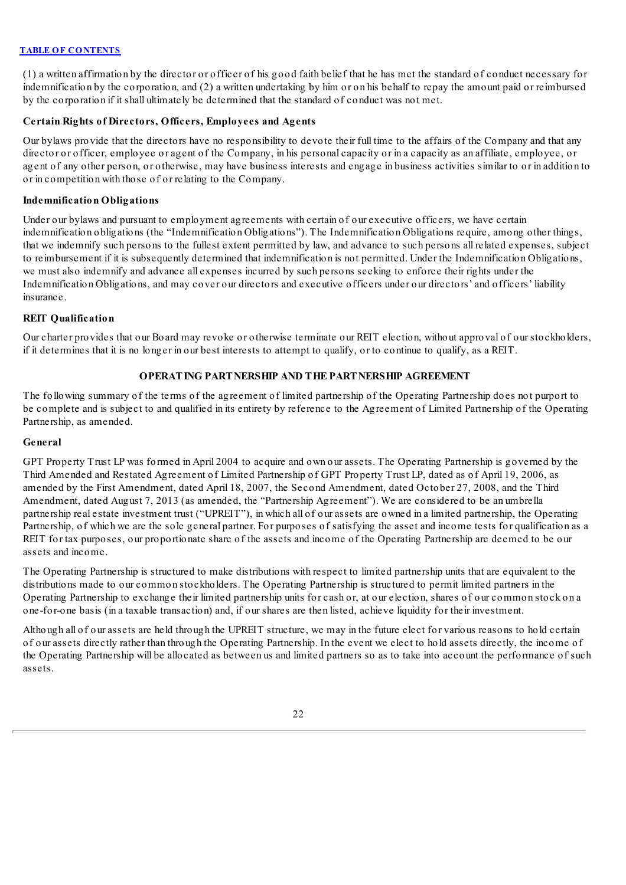(1) a written affirmation by the director or officer of his good faith belief that he has met the standard of conduct necessary for indemnification by the corporation, and (2) a written undertaking by him or on his behalf to repay the amount paid or reimbursed by the corporation if it shall ultimately be determined that the standard of conduct was not met.

# **Certain Rights of Directors, Officers, Employees and Agents**

Our bylaws provide that the directors have no responsibility to devote their full time to the affairs of the Company and that any director or officer, employee or agent of the Company, in his personal capacity or in a capacity as an affiliate, employee, or agent of any other person, or otherwise, may have business interests and engage in business activities similar to or in addition to or in competition with those of or relating to the Company.

# **Indemnification Obligations**

Under our bylaws and pursuant to employment agreements with certain of our executive officers, we have certain indemnification obligations (the "Indemnification Obligations"). The Indemnification Obligations require, among other things, that we indemnify such persons to the fullest extent permitted by law, and advance to such persons all related expenses, subject to reimbursement if it is subsequently determined that indemnification is not permitted. Under the Indemnification Obligations, we must also indemnify and advance all expenses incurred by such persons seeking to enforce their rights under the Indemnification Obligations, and may cover our directors and executive officers under our directors' and officers' liability insurance.

# **REIT Qualification**

<span id="page-66-0"></span>Our charter provides that our Board may revoke or otherwise terminate our REIT election, without approval of our stockholders, if it determines that it is no longer in our best interests to attempt to qualify, or to continue to qualify, as a REIT.

# **OPERATING PARTNERSHIP AND THE PARTNERSHIP AGREEMENT**

The following summary of the terms of the agreement of limited partnership of the Operating Partnership does not purport to be complete and is subject to and qualified in its entirety by reference to the Agreement of Limited Partnership of the Operating Partnership, as amended.

### **General**

GPT Property Trust LP was formed in April 2004 to acquire and own our assets. The Operating Partnership is governed by the Third Amended and Restated Agreement of Limited Partnership of GPT Property Trust LP, dated as of April 19, 2006, as amended by the First Amendment, dated April 18, 2007, the Second Amendment, dated October 27, 2008, and the Third Amendment, dated August 7, 2013 (as amended, the "Partnership Agreement"). We are considered to be an umbrella partnership real estate investment trust ("UPREIT"), in which all of our assets are owned in a limited partnership, the Operating Partnership, of which we are the sole general partner. For purposes of satisfying the asset and income tests for qualification as a REIT for tax purposes, our proportionate share of the assets and income of the Operating Partnership are deemed to be our assets and income.

The Operating Partnership is structured to make distributions with respect to limited partnership units that are equivalent to the distributions made to our common stockholders. The Operating Partnership is structured to permit limited partners in the Operating Partnership to exchange their limited partnership units for cash or, at our election, shares of our common stock on a one-for-one basis (in a taxable transaction) and, if our shares are then listed, achieve liquidity for their investment.

Although all of our assets are held through the UPREIT structure, we may in the future elect for various reasons to hold certain of our assets directly rather than through the Operating Partnership. In the event we elect to hold assets directly, the income of the Operating Partnership will be allocated as between us and limited partners so as to take into account the performance of such assets.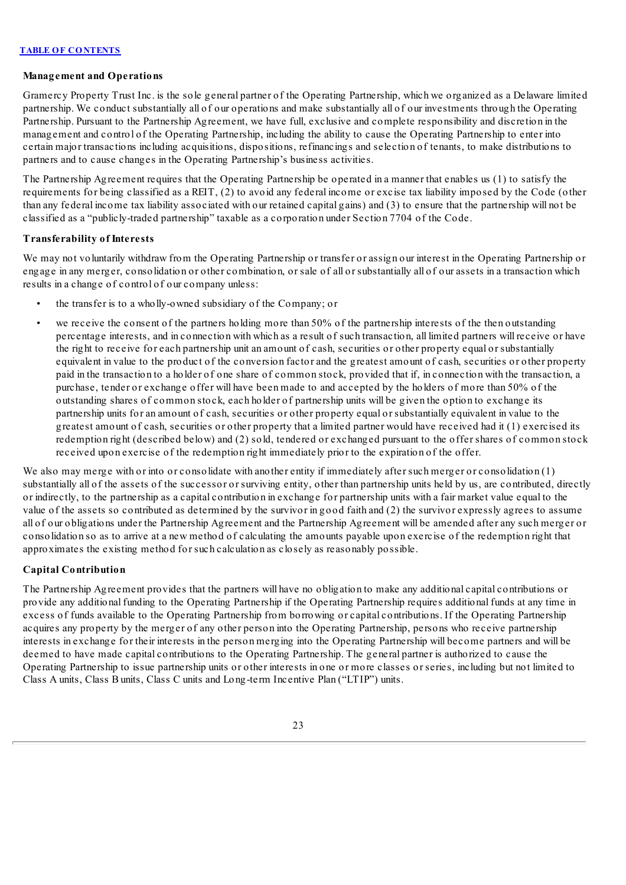### **Management and Operations**

Gramercy Property Trust Inc. is the sole general partner of the Operating Partnership, which we organized as a Delaware limited partnership. We conduct substantially all of our operations and make substantially all of our investments through the Operating Partnership. Pursuant to the Partnership Agreement, we have full, exclusive and complete responsibility and discretion in the management and control of the Operating Partnership, including the ability to cause the Operating Partnership to enter into certain major transactions including acquisitions, dispositions, refinancings and selection of tenants, to make distributions to partners and to cause changes in the Operating Partnership's business activities.

The Partnership Agreement requires that the Operating Partnership be operated in a manner that enables us (1) to satisfy the requirements for being classified as a REIT, (2) to avoid any federal income or excise tax liability imposed by the Code (other than any federal income tax liability associated with our retained capital gains) and (3) to ensure that the partnership will not be classified as a "publicly-traded partnership" taxable as a corporation under Section 7704 of the Code.

# **Transferability of Interests**

We may not voluntarily withdraw from the Operating Partnership or transfer or assign our interest in the Operating Partnership or engage in any merger, consolidation or other combination, or sale of all or substantially all of our assets in a transaction which results in a change of control of our company unless:

- the transfer is to a wholly-owned subsidiary of the Company; or
- we receive the consent of the partners holding more than 50% of the partnership interests of the then outstanding percentage interests, and in connection with which as a result of such transaction, all limited partners will receive or have the right to receive for each partnership unit an amount of cash, securities or other property equal or substantially equivalent in value to the product of the conversion factor and the greatest amount of cash, securities or other property paid in the transaction to a holder of one share of common stock, provided that if, in connection with the transaction, a purchase, tender or exchange offer will have been made to and accepted by the holders of more than 50% of the outstanding shares of common stock, each holder of partnership units will be given the option to exchange its partnership units for an amount of cash, securities or other property equal or substantially equivalent in value to the greatest amount of cash, securities or other property that a limited partner would have received had it (1) exercised its redemption right (described below) and (2) sold, tendered or exchanged pursuant to the offer shares of common stock received upon exercise of the redemption right immediately prior to the expiration of the offer.

We also may merge with or into or consolidate with another entity if immediately after such merger or consolidation (1) substantially all of the assets of the successor or surviving entity, other than partnership units held by us, are contributed, directly or indirectly, to the partnership as a capital contribution in exchange for partnership units with a fair market value equal to the value of the assets so contributed as determined by the survivor in good faith and (2) the survivor expressly agrees to assume all of our obligations under the Partnership Agreement and the Partnership Agreement will be amended after any such merger or consolidation so as to arrive at a new method of calculating the amounts payable upon exercise of the redemption right that approximates the existing method for such calculation as closely as reasonably possible.

# **Capital Contribution**

The Partnership Agreement provides that the partners will have no obligation to make any additional capital contributions or provide any additional funding to the Operating Partnership if the Operating Partnership requires additional funds at any time in excess of funds available to the Operating Partnership from borrowing or capital contributions. If the Operating Partnership acquires any property by the merger of any other person into the Operating Partnership, persons who receive partnership interests in exchange for their interests in the person merging into the Operating Partnership will become partners and will be deemed to have made capital contributions to the Operating Partnership. The general partner is authorized to cause the Operating Partnership to issue partnership units or other interests in one or more classes or series, including but not limited to Class A units, Class B units, Class C units and Long-term Incentive Plan ("LTIP") units.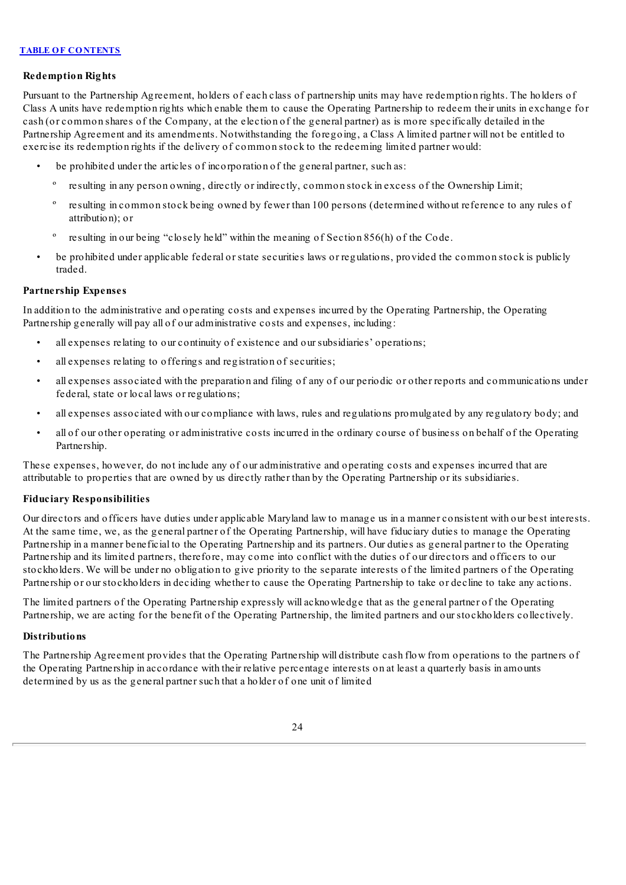### **Redemption Rights**

Pursuant to the Partnership Agreement, holders of each class of partnership units may have redemption rights. The holders of Class A units have redemption rights which enable them to cause the Operating Partnership to redeem their units in exchange for cash (or common shares of the Company, at the election of the general partner) as is more specifically detailed in the Partnership Agreement and its amendments. Notwithstanding the foregoing, a Class A limited partner will not be entitled to exercise its redemption rights if the delivery of common stock to the redeeming limited partner would:

- be prohibited under the articles of incorporation of the general partner, such as:
	- º resulting in any person owning, directly or indirectly, common stock in excess of the Ownership Limit;
	- resulting in common stock being owned by fewer than 100 persons (determined without reference to any rules of attribution); or
	- º resulting in our being "closely held" within the meaning of Section 856(h) of the Code.
- be prohibited under applicable federal or state securities laws or regulations, provided the common stock is publicly traded.

### **Partnership Expenses**

In addition to the administrative and operating costs and expenses incurred by the Operating Partnership, the Operating Partnership generally will pay all of our administrative costs and expenses, including:

- all expenses relating to our continuity of existence and our subsidiaries' operations;
- all expenses relating to offerings and registration of securities;
- all expenses associated with the preparation and filing of any of our periodic or other reports and communications under federal, state or local laws or regulations;
- all expenses associated with our compliance with laws, rules and regulations promulgated by any regulatory body; and
- all of our other operating or administrative costs incurred in the ordinary course of business on behalf of the Operating Partnership.

These expenses, however, do not include any of our administrative and operating costs and expenses incurred that are attributable to properties that are owned by us directly rather than by the Operating Partnership or its subsidiaries.

# **Fiduciary Responsibilities**

Our directors and officers have duties under applicable Maryland law to manage us in a manner consistent with our best interests. At the same time, we, as the general partner of the Operating Partnership, will have fiduciary duties to manage the Operating Partnership in a manner beneficial to the Operating Partnership and its partners. Our duties as general partner to the Operating Partnership and its limited partners, therefore, may come into conflict with the duties of our directors and officers to our stockholders. We will be under no obligation to give priority to the separate interests of the limited partners of the Operating Partnership or our stockholders in deciding whether to cause the Operating Partnership to take or decline to take any actions.

The limited partners of the Operating Partnership expressly will acknowledge that as the general partner of the Operating Partnership, we are acting for the benefit of the Operating Partnership, the limited partners and our stockholders collectively.

### **Distributions**

The Partnership Agreement provides that the Operating Partnership will distribute cash flow from operations to the partners of the Operating Partnership in accordance with their relative percentage interests on at least a quarterly basis in amounts determined by us as the general partner such that a holder of one unit of limited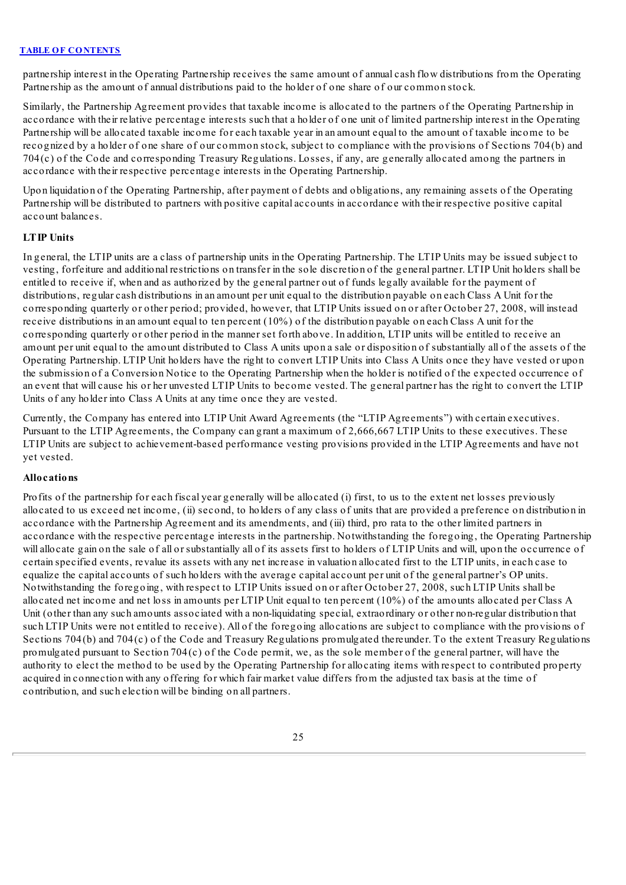partnership interest in the Operating Partnership receives the same amount of annual cash flow distributions from the Operating Partnership as the amount of annual distributions paid to the holder of one share of our common stock.

Similarly, the Partnership Agreement provides that taxable income is allocated to the partners of the Operating Partnership in accordance with their relative percentage interests such that a holder of one unit of limited partnership interest in the Operating Partnership will be allocated taxable income for each taxable year in an amount equal to the amount of taxable income to be recognized by a holder of one share of our common stock, subject to compliance with the provisions of Sections 704(b) and 704(c) of the Code and corresponding Treasury Regulations. Losses, if any, are generally allocated among the partners in accordance with their respective percentage interests in the Operating Partnership.

Upon liquidation of the Operating Partnership, after payment of debts and obligations, any remaining assets of the Operating Partnership will be distributed to partners with positive capital accounts in accordance with their respective positive capital account balances.

# **LTIP Units**

In general, the LTIP units are a class of partnership units in the Operating Partnership. The LTIP Units may be issued subject to vesting, forfeiture and additional restrictions on transfer in the sole discretion of the general partner. LTIP Unit holders shall be entitled to receive if, when and as authorized by the general partner out of funds legally available for the payment of distributions, regular cash distributions in an amount per unit equal to the distribution payable on each Class A Unit for the corresponding quarterly or other period; provided, however, that LTIP Units issued on or after October 27, 2008, will instead receive distributions in an amount equal to ten percent  $(10\%)$  of the distribution payable on each Class A unit for the corresponding quarterly or other period in the manner set forth above. In addition, LTIP units will be entitled to receive an amount per unit equal to the amount distributed to Class A units upon a sale or disposition of substantially all of the assets of the Operating Partnership. LTIP Unit holders have the right to convert LTIP Units into Class A Units once they have vested or upon the submission of a Conversion Notice to the Operating Partnership when the holder is notified of the expected occurrence of an event that will cause his or her unvested LTIP Units to become vested. The general partner has the right to convert the LTIP Units of any holder into Class A Units at any time once they are vested.

Currently, the Company has entered into LTIP Unit Award Agreements (the "LTIP Agreements") with certain executives. Pursuant to the LTIP Agreements, the Company can grant a maximum of 2,666,667 LTIP Units to these executives. These LTIP Units are subject to achievement-based performance vesting provisions provided in the LTIP Agreements and have not yet vested.

### **Allocations**

Profits of the partnership for each fiscal year generally will be allocated (i) first, to us to the extent net losses previously allocated to us exceed net income, (ii) second, to holders of any class of units that are provided a preference on distribution in accordance with the Partnership Agreement and its amendments, and (iii) third, pro rata to the other limited partners in accordance with the respective percentage interests in the partnership. Notwithstanding the foregoing, the Operating Partnership will allocate gain on the sale of all or substantially all of its assets first to holders of LTIP Units and will, upon the occurrence of certain specified events, revalue its assets with any net increase in valuation allocated first to the LTIP units, in each case to equalize the capital accounts of such holders with the average capital account per unit of the general partner's OP units. Notwithstanding the foregoing, with respect to LTIP Units issued on or after October 27, 2008, such LTIP Units shall be allocated net income and net loss in amounts per LTIP Unit equal to ten percent (10%) of the amounts allocated per Class A Unit (other than any such amounts associated with a non-liquidating special, extraordinary or other non-regular distribution that such LTIP Units were not entitled to receive). All of the foregoing allocations are subject to compliance with the provisions of Sections 704(b) and 704(c) of the Code and Treasury Regulations promulgated thereunder. To the extent Treasury Regulations promulgated pursuant to Section 704(c) of the Code permit, we, as the sole member of the general partner, will have the authority to elect the method to be used by the Operating Partnership for allocating items with respect to contributed property acquired in connection with any offering for which fair market value differs from the adjusted tax basis at the time of contribution, and such election will be binding on all partners.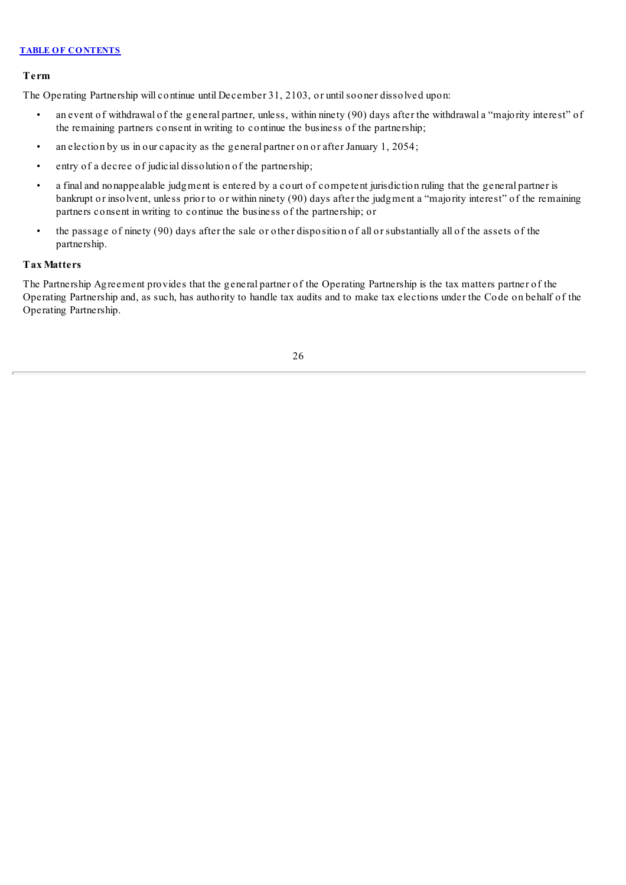# **Term**

The Operating Partnership will continue until December 31, 2103, or untilsooner dissolved upon:

- an event of withdrawal of the general partner, unless, within ninety (90) days after the withdrawal a "majority interest" of the remaining partners consent in writing to continue the business of the partnership;
- an election by us in our capacity as the general partner on or after January 1, 2054;
- entry of a decree of judicial dissolution of the partnership;
- a final and nonappealable judgment is entered by a court of competent jurisdiction ruling that the general partner is bankrupt or insolvent, unless prior to or within ninety (90) days after the judgment a "majority interest" of the remaining partners consent in writing to continue the business of the partnership; or
- the passage of ninety (90) days after the sale or other disposition of all or substantially all of the assets of the partnership.

# **Tax Matters**

The Partnership Agreement provides that the general partner of the Operating Partnership is the tax matters partner of the Operating Partnership and, as such, has authority to handle tax audits and to make tax elections under the Code on behalf of the Operating Partnership.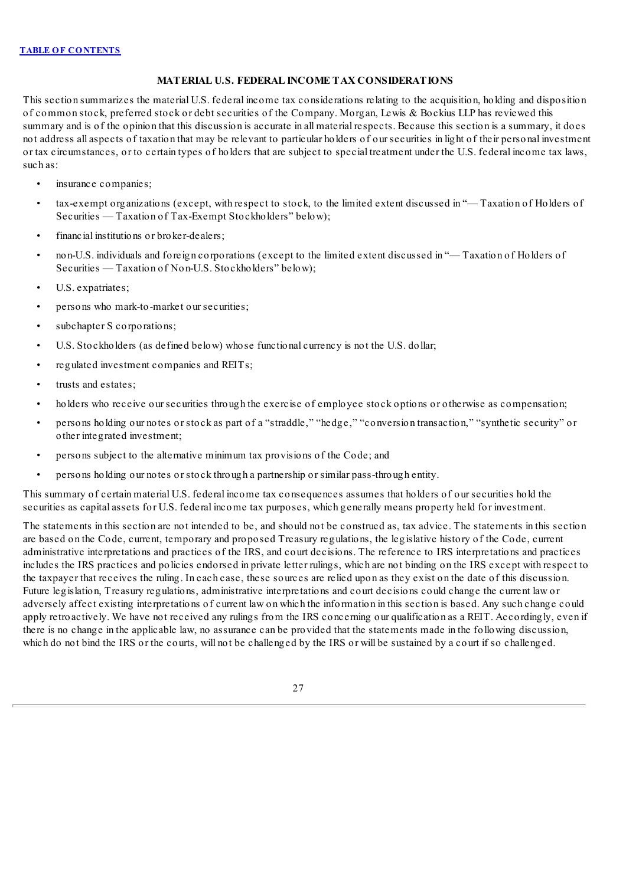# **MATERIAL U.S. FEDERAL INCOME TAX CONSIDERATIONS**

<span id="page-71-0"></span>This section summarizes the material U.S. federal income tax considerations relating to the acquisition, holding and disposition of common stock, preferred stock or debt securities of the Company. Morgan, Lewis & Bockius LLP has reviewed this summary and is of the opinion that this discussion is accurate in all material respects. Because this section is a summary, it does not address all aspects of taxation that may be relevant to particular holders of our securities in light of their personal investment or tax circumstances, or to certain types of holders that are subject to special treatment under the U.S. federal income tax laws, such as:

- insurance companies;
- tax-exempt organizations (except, with respect to stock, to the limited extent discussed in "— Taxation of Holders of Securities — Taxation of Tax-Exempt Stockholders" below);
- financial institutions or broker-dealers;
- non-U.S. individuals and foreign corporations (except to the limited extent discussed in "— Taxation of Holders of Securities — Taxation of Non-U.S. Stockholders" below);
- U.S. expatriates;
- persons who mark-to-market our securities;
- subchapter S corporations;
- U.S. Stockholders (as defined below) whose functional currency is not the U.S. dollar;
- regulated investment companies and REITs;
- trusts and estates;
- holders who receive our securities through the exercise of employee stock options or otherwise as compensation;
- persons holding our notes or stock as part of a "straddle," "hedge," "conversion transaction," "synthetic security" or other integrated investment;
- persons subject to the alternative minimum tax provisions of the Code; and
- persons holding our notes or stock through a partnership or similar pass-through entity.

This summary of certain material U.S. federal income tax consequences assumes that holders of our securities hold the securities as capital assets for U.S. federal income tax purposes, which generally means property held for investment.

The statements in this section are not intended to be, and should not be construed as, tax advice. The statements in this section are based on the Code, current, temporary and proposed Treasury regulations, the legislative history of the Code, current administrative interpretations and practices of the IRS, and court decisions. The reference to IRS interpretations and practices includes the IRS practices and policies endorsed in private letter rulings, which are not binding on the IRS except with respect to the taxpayer that receives the ruling. In each case, these sources are relied upon as they exist on the date of this discussion. Future legislation, Treasury regulations, administrative interpretations and court decisions could change the current law or adversely affect existing interpretations of current law on which the information in this section is based. Any such change could apply retroactively. We have not received any rulings from the IRS concerning our qualification as a REIT. Accordingly, even if there is no change in the applicable law, no assurance can be provided that the statements made in the following discussion, which do not bind the IRS or the courts, will not be challenged by the IRS or will be sustained by a court if so challenged.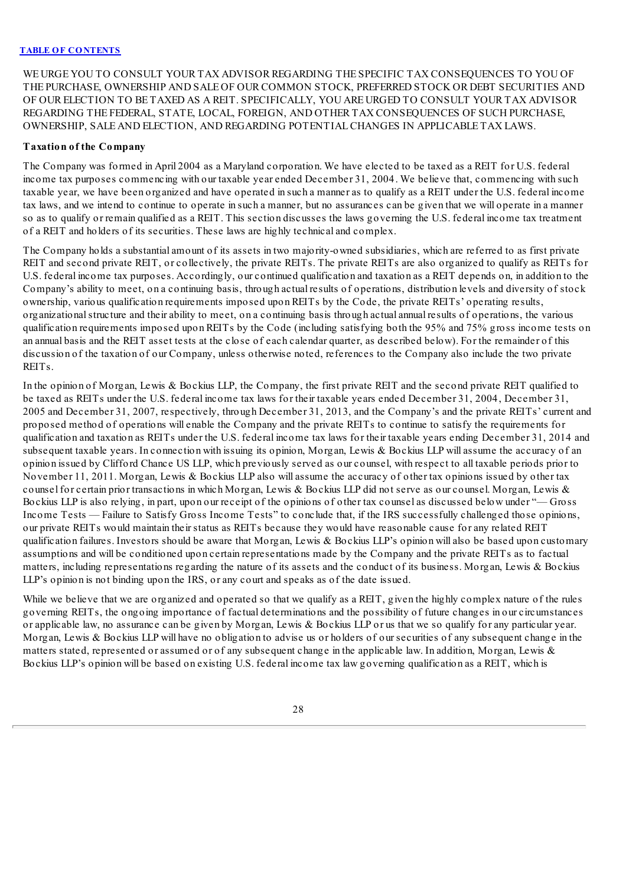WE URGE YOU TO CONSULT YOUR TAX ADVISOR REGARDING THE SPECIFIC TAX CONSEQUENCES TO YOU OF THE PURCHASE, OWNERSHIP AND SALE OF OUR COMMON STOCK, PREFERRED STOCK OR DEBT SECURITIES AND OF OUR ELECTION TO BE TAXED AS A REIT. SPECIFICALLY, YOU ARE URGED TO CONSULT YOUR TAX ADVISOR REGARDING THE FEDERAL, STATE, LOCAL, FOREIGN, AND OTHER TAX CONSEQUENCES OF SUCH PURCHASE, OWNERSHIP, SALE AND ELECTION, AND REGARDING POTENTIALCHANGES IN APPLICABLE TAX LAWS.

### **Taxation of the Company**

The Company was formed in April 2004 as a Maryland corporation. We have elected to be taxed as a REIT for U.S. federal income tax purposes commencing with our taxable year ended December 31, 2004. We believe that, commencing with such taxable year, we have been organized and have operated in such a manner as to qualify as a REIT under the U.S. federal income tax laws, and we intend to continue to operate in such a manner, but no assurances can be given that we will operate in a manner so as to qualify or remain qualified as a REIT. This section discusses the laws governing the U.S. federal income tax treatment of a REIT and holders of its securities. These laws are highly technical and complex.

The Company holds a substantial amount of its assets in two majority-owned subsidiaries, which are referred to as first private REIT and second private REIT, or collectively, the private REITs. The private REITs are also organized to qualify as REITs for U.S. federal income tax purposes. Accordingly, our continued qualification and taxation as a REIT depends on, in addition to the Company's ability to meet, on a continuing basis, through actual results of operations, distribution levels and diversity of stock ownership, various qualification requirements imposed upon REITs by the Code, the private REITs' operating results, organizationalstructure and their ability to meet, on a continuing basis through actual annual results of operations, the various qualification requirements imposed upon REITs by the Code (including satisfying both the 95% and 75% gross income tests on an annual basis and the REIT asset tests at the close of each calendar quarter, as described below). For the remainder of this discussion of the taxation of our Company, unless otherwise noted, references to the Company also include the two private REITs.

In the opinion of Morgan, Lewis & Bockius LLP, the Company, the first private REIT and the second private REIT qualified to be taxed as REITs under the U.S. federal income tax laws for their taxable years ended December 31, 2004, December 31, 2005 and December 31, 2007, respectively, through December 31, 2013, and the Company's and the private REITs' current and proposed method of operations will enable the Company and the private REITs to continue to satisfy the requirements for qualification and taxation as REITs under the U.S. federal income tax laws for their taxable years ending December 31, 2014 and subsequent taxable years. In connection with issuing its opinion, Morgan, Lewis & Bockius LLP will assume the accuracy of an opinion issued by Clifford Chance US LLP, which previously served as our counsel, with respect to all taxable periods prior to November 11, 2011. Morgan, Lewis & Bockius LLP also will assume the accuracy of other tax opinions issued by other tax counsel for certain prior transactions in which Morgan, Lewis & Bockius LLP did not serve as our counsel. Morgan, Lewis & Bockius LLP is also relying, in part, upon our receipt of the opinions of other tax counsel as discussed below under "— Gross Income Tests — Failure to Satisfy Gross Income Tests" to conclude that, if the IRS successfully challenged those opinions, our private REITs would maintain their status as REITs because they would have reasonable cause for any related REIT qualification failures. Investors should be aware that Morgan, Lewis & Bockius LLP's opinion will also be based upon customary assumptions and will be conditioned upon certain representations made by the Company and the private REITs as to factual matters, including representations regarding the nature of its assets and the conduct of its business. Morgan, Lewis & Bockius LLP's opinion is not binding upon the IRS, or any court and speaks as of the date issued.

While we believe that we are organized and operated so that we qualify as a REIT, given the highly complex nature of the rules governing REITs, the ongoing importance of factual determinations and the possibility of future changes in our circumstances or applicable law, no assurance can be given by Morgan, Lewis & Bockius LLP or us that we so qualify for any particular year. Morgan, Lewis & Bockius LLP will have no obligation to advise us or holders of our securities of any subsequent change in the matters stated, represented or assumed or of any subsequent change in the applicable law. In addition, Morgan, Lewis  $\&$ Bockius LLP's opinion will be based on existing U.S. federal income tax law governing qualification as a REIT, which is

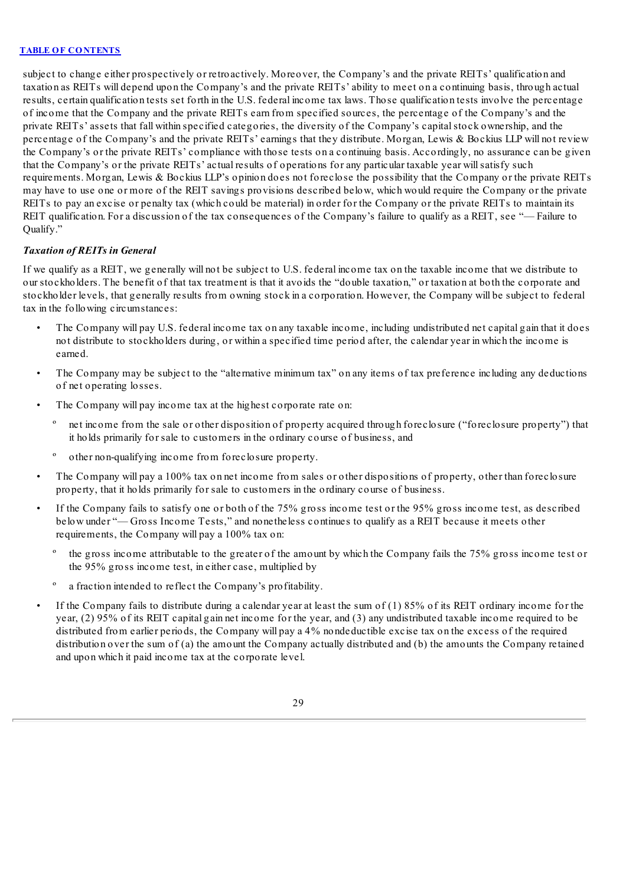subject to change either prospectively or retroactively. Moreover, the Company's and the private REITs' qualification and taxation as REITs will depend upon the Company's and the private REITs' ability to meet on a continuing basis, through actual results, certain qualification tests set forth in the U.S. federal income tax laws. Those qualification tests involve the percentage of income that the Company and the private REITs earn from specified sources, the percentage of the Company's and the private REITs' assets that fall within specified categories, the diversity of the Company's capitalstock ownership, and the percentage of the Company's and the private REITs' earnings that they distribute. Morgan, Lewis & Bockius LLP will not review the Company's or the private REITs' compliance with those tests on a continuing basis. Accordingly, no assurance can be given that the Company's or the private REITs' actual results of operations for any particular taxable year willsatisfy such requirements. Morgan, Lewis & Bockius LLP's opinion does not foreclose the possibility that the Company or the private REITs may have to use one or more of the REIT savings provisions described below, which would require the Company or the private REITs to pay an excise or penalty tax (which could be material) in order for the Company or the private REITs to maintain its REIT qualification. For a discussion of the tax consequences of the Company's failure to qualify as a REIT, see "— Failure to Oualify."

# *Taxation of REITs in General*

If we qualify as a REIT, we generally will not be subject to U.S. federal income tax on the taxable income that we distribute to our stockholders. The benefit of that tax treatment is that it avoids the "double taxation," or taxation at both the corporate and stockholder levels, that generally results from owning stock in a corporation. However, the Company will be subject to federal tax in the following circumstances:

- The Company will pay U.S. federal income tax on any taxable income, including undistributed net capital gain that it does not distribute to stockholders during, or within a specified time period after, the calendar year in which the income is earned.
- The Company may be subject to the "alternative minimum tax" on any items of tax preference including any deductions of net operating losses.
- The Company will pay income tax at the highest corporate rate on:
	- º net income from the sale or other disposition of property acquired through foreclosure ("foreclosure property") that it holds primarily for sale to customers in the ordinary course of business, and
	- º other non-qualifying income from foreclosure property.
- The Company will pay a 100% tax on net income from sales or other dispositions of property, other than foreclosure property, that it holds primarily for sale to customers in the ordinary course of business.
- If the Company fails to satisfy one or both of the 75% gross income test or the 95% gross income test, as described below under "— Gross Income Tests," and nonetheless continues to qualify as a REIT because it meets other requirements, the Company will pay a 100% tax on:
	- the gross income attributable to the greater of the amount by which the Company fails the 75% gross income test or the 95% gross income test, in either case, multiplied by
	- a fraction intended to reflect the Company's profitability.
- If the Company fails to distribute during a calendar year at least the sum of  $(1)$  85% of its REIT ordinary income for the year, (2) 95% of its REIT capital gain net income for the year, and (3) any undistributed taxable income required to be distributed from earlier periods, the Company will pay a 4% nondeductible excise tax on the excess of the required distribution over the sum of (a) the amount the Company actually distributed and (b) the amounts the Company retained and upon which it paid income tax at the corporate level.

29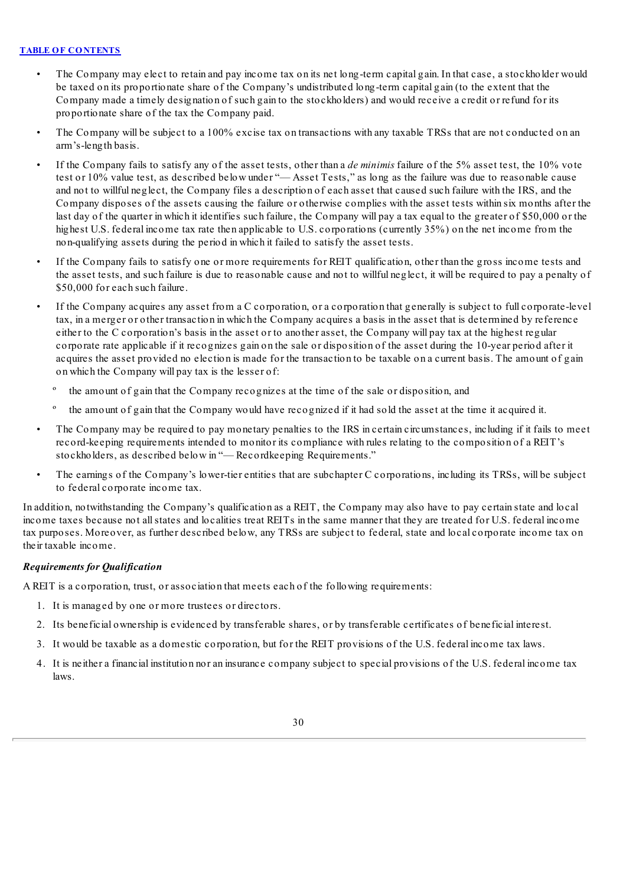- The Company may elect to retain and pay income tax on its net long-term capital gain. In that case, a stockholder would be taxed on its proportionate share of the Company's undistributed long-term capital gain (to the extent that the Company made a timely designation of such gain to the stockholders) and would receive a credit or refund for its proportionate share of the tax the Company paid.
- The Company will be subject to a 100% excise tax on transactions with any taxable TRSs that are not conducted on an arm's-length basis.
- If the Company fails to satisfy any of the asset tests, other than a *de minimis* failure of the 5% asset test, the 10% vote test or 10% value test, as described below under "— Asset Tests," as long as the failure was due to reasonable cause and not to willful neglect, the Company files a description of each asset that caused such failure with the IRS, and the Company disposes of the assets causing the failure or otherwise complies with the asset tests within six months after the last day of the quarter in which it identifies such failure, the Company will pay a tax equal to the greater of \$50,000 or the highest U.S. federal income tax rate then applicable to U.S. corporations (currently 35%) on the net income from the non-qualifying assets during the period in which it failed to satisfy the asset tests.
- If the Company fails to satisfy one or more requirements for REIT qualification, other than the gross income tests and the asset tests, and such failure is due to reasonable cause and not to willful neglect, it will be required to pay a penalty of \$50,000 for each such failure.
- If the Company acquires any asset from a C corporation, or a corporation that generally is subject to full corporate-level tax, in a merger or other transaction in which the Company acquires a basis in the asset that is determined by reference either to the C corporation's basis in the asset or to another asset, the Company will pay tax at the highest regular corporate rate applicable if it recognizes gain on the sale or disposition of the asset during the 10-year period after it acquires the asset provided no election is made for the transaction to be taxable on a current basis. The amount of gain on which the Company will pay tax is the lesser of:
	- the amount of gain that the Company recognizes at the time of the sale or disposition, and
	- º the amount of gain that the Company would have recognized if it had sold the asset at the time it acquired it.
- The Company may be required to pay monetary penalties to the IRS in certain circumstances, including if it fails to meet record-keeping requirements intended to monitor its compliance with rules relating to the composition of a REIT's stockholders, as described below in "— Recordkeeping Requirements."
- The earnings of the Company's lower-tier entities that are subchapter C corporations, including its TRSs, will be subject to federal corporate income tax.

In addition, notwithstanding the Company's qualification as a REIT, the Company may also have to pay certain state and local income taxes because not allstates and localities treat REITs in the same manner that they are treated for U.S. federal income tax purposes. Moreover, as further described below, any TRSs are subject to federal, state and local corporate income tax on their taxable income.

# *Requirements for Qualification*

A REIT is a corporation, trust, or association that meets each of the following requirements:

- 1. It is managed by one or more trustees or directors.
- 2. Its beneficial ownership is evidenced by transferable shares, or by transferable certificates of beneficial interest.
- 3. It would be taxable as a domestic corporation, but for the REIT provisions of the U.S. federal income tax laws.
- 4. It is neither a financial institution nor an insurance company subject to special provisions of the U.S. federal income tax laws.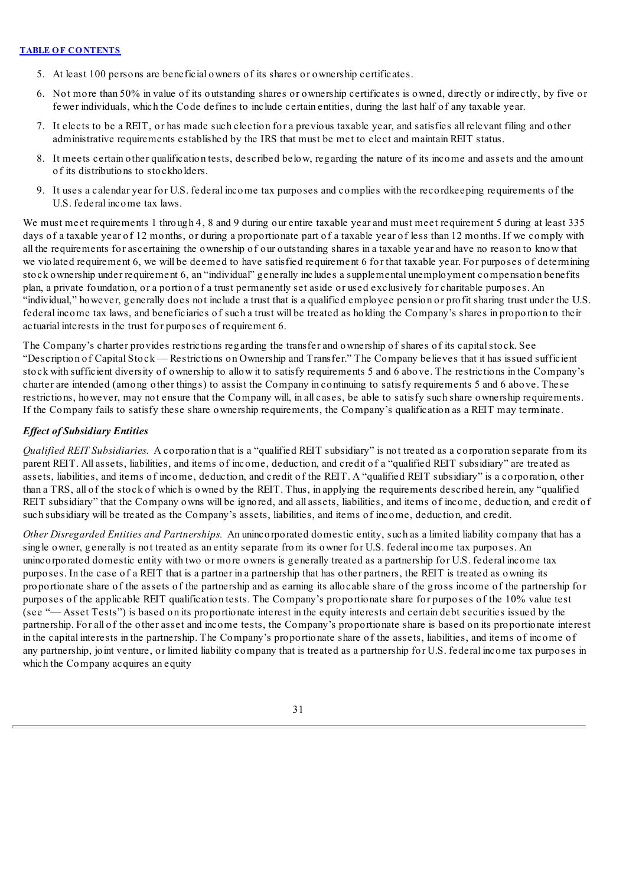- 5. At least 100 persons are beneficial owners of its shares or ownership certificates.
- 6. Not more than 50% in value of its outstanding shares or ownership certificates is owned, directly or indirectly, by five or fewer individuals, which the Code defines to include certain entities, during the last half of any taxable year.
- 7. It elects to be a REIT, or has made such election for a previous taxable year, and satisfies all relevant filing and other administrative requirements established by the IRS that must be met to elect and maintain REIT status.
- 8. It meets certain other qualification tests, described below, regarding the nature of its income and assets and the amount of its distributions to stockholders.
- 9. It uses a calendar year for U.S. federal income tax purposes and complies with the recordkeeping requirements of the U.S. federal income tax laws.

We must meet requirements 1 through 4, 8 and 9 during our entire taxable year and must meet requirement 5 during at least 335 days of a taxable year of 12 months, or during a proportionate part of a taxable year of less than 12 months. If we comply with all the requirements for ascertaining the ownership of our outstanding shares in a taxable year and have no reason to know that we violated requirement 6, we will be deemed to have satisfied requirement 6 for that taxable year. For purposes of determining stock ownership under requirement 6, an "individual" generally includes a supplemental unemployment compensation benefits plan, a private foundation, or a portion of a trust permanently set aside or used exclusively for charitable purposes. An "individual," however, generally does not include a trust that is a qualified employee pension or profit sharing trust under the U.S. federal income tax laws, and beneficiaries of such a trust will be treated as holding the Company's shares in proportion to their actuarial interests in the trust for purposes of requirement 6.

The Company's charter provides restrictions regarding the transfer and ownership of shares of its capitalstock. See "Description of Capital Stock — Restrictions on Ownership and Transfer." The Company believes that it has issued sufficient stock with sufficient diversity of ownership to allow it to satisfy requirements 5 and 6 above. The restrictions in the Company's charter are intended (among other things) to assist the Company in continuing to satisfy requirements 5 and 6 above. These restrictions, however, may not ensure that the Company will, in all cases, be able to satisfy such share ownership requirements. If the Company fails to satisfy these share ownership requirements, the Company's qualification as a REIT may terminate.

# *Ef ect of Subsidiary Entities*

*Qualified REIT Subsidiaries.* A corporation that is a "qualified REIT subsidiary" is not treated as a corporation separate from its parent REIT. All assets, liabilities, and items of income, deduction, and credit of a "qualified REIT subsidiary" are treated as assets, liabilities, and items of income, deduction, and credit of the REIT. A "qualified REIT subsidiary" is a corporation, other than a TRS, all of the stock of which is owned by the REIT. Thus, in applying the requirements described herein, any "qualified REIT subsidiary" that the Company owns will be ignored, and all assets, liabilities, and items of income, deduction, and credit of such subsidiary will be treated as the Company's assets, liabilities, and items of income, deduction, and credit.

*Other Disregarded Entities and Partnerships.* An unincorporated domestic entity, such as a limited liability company that has a single owner, generally is not treated as an entity separate from its owner for U.S. federal income tax purposes. An unincorporated domestic entity with two or more owners is generally treated as a partnership for U.S. federal income tax purposes. In the case of a REIT that is a partner in a partnership that has other partners, the REIT is treated as owning its proportionate share of the assets of the partnership and as earning its allocable share of the gross income of the partnership for purposes of the applicable REIT qualification tests. The Company's proportionate share for purposes of the 10% value test (see "— Asset Tests") is based on its proportionate interest in the equity interests and certain debt securities issued by the partnership. For all of the other asset and income tests, the Company's proportionate share is based on its proportionate interest in the capital interests in the partnership. The Company's proportionate share of the assets, liabilities, and items of income of any partnership, joint venture, or limited liability company that is treated as a partnership for U.S. federal income tax purposes in which the Company acquires an equity

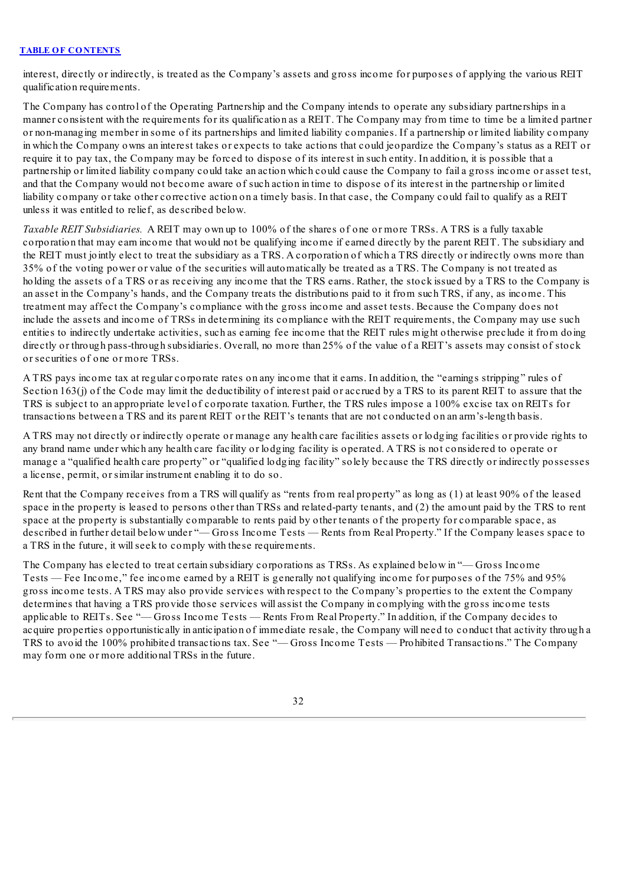interest, directly or indirectly, is treated as the Company's assets and gross income for purposes of applying the various REIT qualification requirements.

The Company has control of the Operating Partnership and the Company intends to operate any subsidiary partnerships in a manner consistent with the requirements for its qualification as a REIT. The Company may from time to time be a limited partner or non-managing member in some of its partnerships and limited liability companies. If a partnership or limited liability company in which the Company owns an interest takes or expects to take actions that could jeopardize the Company's status as a REIT or require it to pay tax, the Company may be forced to dispose of its interest in such entity. In addition, it is possible that a partnership or limited liability company could take an action which could cause the Company to fail a gross income or asset test, and that the Company would not become aware of such action in time to dispose of its interest in the partnership or limited liability company or take other corrective action on a timely basis. In that case, the Company could fail to qualify as a REIT unless it was entitled to relief, as described below.

*Taxable REIT Subsidiaries.* A REIT may own up to 100% of the shares of one or more TRSs. A TRS is a fully taxable corporation that may earn income that would not be qualifying income if earned directly by the parent REIT. The subsidiary and the REIT must jointly elect to treat the subsidiary as a TRS. A corporation of which a TRS directly or indirectly owns more than 35% of the voting power or value of the securities will automatically be treated as a TRS. The Company is not treated as holding the assets of a TRS or as receiving any income that the TRS earns. Rather, the stock issued by a TRS to the Company is an asset in the Company's hands, and the Company treats the distributions paid to it from such TRS, if any, as income. This treatment may affect the Company's compliance with the gross income and asset tests. Because the Company does not include the assets and income of TRSs in determining its compliance with the REIT requirements, the Company may use such entities to indirectly undertake activities, such as earning fee income that the REIT rules might otherwise preclude it from doing directly or through pass-through subsidiaries. Overall, no more than 25% of the value of a REIT's assets may consist of stock or securities of one or more TRSs.

A TRS pays income tax at regular corporate rates on any income that it earns. In addition, the "earnings stripping" rules of Section  $163(i)$  of the Code may limit the deductibility of interest paid or accrued by a TRS to its parent REIT to assure that the TRS is subject to an appropriate level of corporate taxation. Further, the TRS rules impose a 100% excise tax on REITs for transactions between a TRS and its parent REIT or the REIT's tenants that are not conducted on an arm's-length basis.

A TRS may not directly or indirectly operate or manage any health care facilities assets or lodging facilities or provide rights to any brand name under which any health care facility or lodging facility is operated. A TRS is not considered to operate or manage a "qualified health care property" or "qualified lodging facility" solely because the TRS directly or indirectly possesses a license, permit, or similar instrument enabling it to do so.

Rent that the Company receives from a TRS will qualify as "rents from real property" as long as (1) at least 90% of the leased space in the property is leased to persons other than TRSs and related-party tenants, and (2) the amount paid by the TRS to rent space at the property is substantially comparable to rents paid by other tenants of the property for comparable space, as described in further detail below under "— Gross Income Tests — Rents from Real Property." If the Company leases space to a TRS in the future, it willseek to comply with these requirements.

The Company has elected to treat certain subsidiary corporations as TRSs. As explained below in "— Gross Income Tests — Fee Income," fee income earned by a REIT is generally not qualifying income for purposes of the 75% and 95% gross income tests. A TRS may also provide services with respect to the Company's properties to the extent the Company determines that having a TRS provide those services will assist the Company in complying with the gross income tests applicable to REITs. See "— Gross Income Tests — Rents From Real Property." In addition, if the Company decides to acquire properties opportunistically in anticipation of immediate resale, the Company will need to conduct that activity through a TRS to avoid the 100% prohibited transactions tax. See "— Gross Income Tests — Prohibited Transactions." The Company may form one or more additional TRSs in the future.

32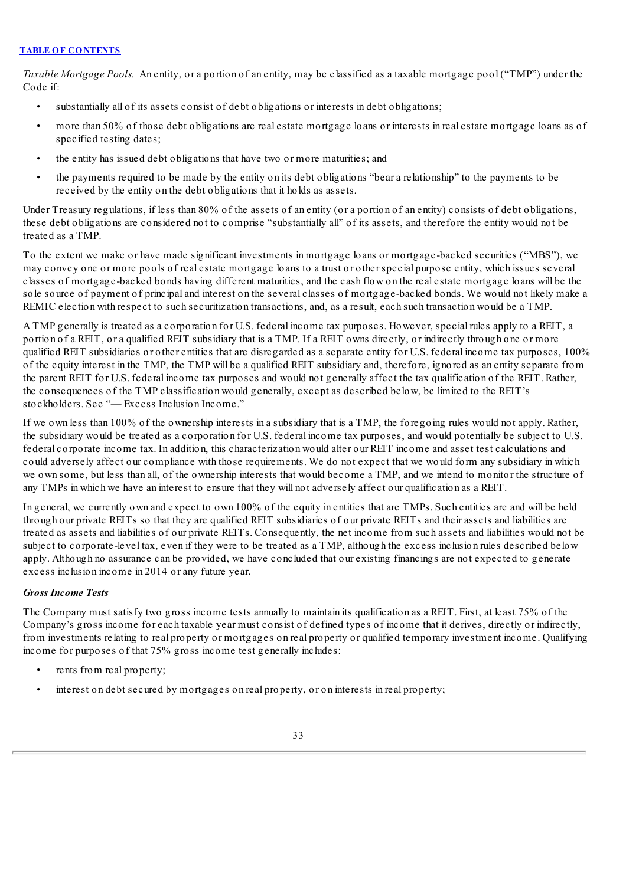*Taxable Mortgage Pools.* An entity, or a portion of an entity, may be classified as a taxable mortgage pool ("TMP") under the Code if:

- substantially all of its assets consist of debt obligations or interests in debt obligations;
- more than 50% of those debt obligations are real estate mortgage loans or interests in real estate mortgage loans as of specified testing dates;
- the entity has issued debt obligations that have two or more maturities; and
- the payments required to be made by the entity on its debt obligations "bear a relationship" to the payments to be received by the entity on the debt obligations that it holds as assets.

Under Treasury regulations, if less than 80% of the assets of an entity (or a portion of an entity) consists of debt obligations, these debt obligations are considered not to comprise "substantially all" of its assets, and therefore the entity would not be treated as a TMP.

To the extent we make or have made significant investments in mortgage loans or mortgage-backed securities ("MBS"), we may convey one or more pools of real estate mortgage loans to a trust or other special purpose entity, which issues several classes of mortgage-backed bonds having different maturities, and the cash flow on the real estate mortgage loans will be the sole source of payment of principal and interest on the several classes of mortgage-backed bonds. We would not likely make a REMIC election with respect to such securitization transactions, and, as a result, each such transaction would be a TMP.

A TMP generally is treated as a corporation for U.S. federal income tax purposes. However, special rules apply to a REIT, a portion of a REIT, or a qualified REIT subsidiary that is a TMP. If a REIT owns directly, or indirectly through one or more qualified REIT subsidiaries or other entities that are disregarded as a separate entity for U.S. federal income tax purposes, 100% of the equity interest in the TMP, the TMP will be a qualified REIT subsidiary and, therefore, ignored as an entity separate from the parent REIT for U.S. federal income tax purposes and would not generally affect the tax qualification of the REIT. Rather, the consequences of the TMP classification would generally, except as described below, be limited to the REIT's stockholders. See "— Excess Inclusion Income."

If we own less than 100% of the ownership interests in a subsidiary that is a TMP, the foregoing rules would not apply. Rather, the subsidiary would be treated as a corporation for U.S. federal income tax purposes, and would potentially be subject to U.S. federal corporate income tax. In addition, this characterization would alter our REIT income and asset test calculations and could adversely affect our compliance with those requirements. We do not expect that we would form any subsidiary in which we own some, but less than all, of the ownership interests that would become a TMP, and we intend to monitor the structure of any TMPs in which we have an interest to ensure that they will not adversely affect our qualification as a REIT.

In general, we currently own and expect to own 100% of the equity in entities that are TMPs. Such entities are and will be held through our private REITs so that they are qualified REIT subsidiaries of our private REITs and their assets and liabilities are treated as assets and liabilities of our private REITs. Consequently, the net income from such assets and liabilities would not be subject to corporate-level tax, even if they were to be treated as a TMP, although the excess inclusion rules described below apply. Although no assurance can be provided, we have concluded that our existing financings are not expected to generate excess inclusion income in 2014 or any future year.

### *Gross Income Tests*

The Company must satisfy two gross income tests annually to maintain its qualification as a REIT. First, at least 75% of the Company's gross income for each taxable year must consist of defined types of income that it derives, directly or indirectly, from investments relating to real property or mortgages on real property or qualified temporary investment income. Qualifying income for purposes of that 75% gross income test generally includes:

- rents from real property;
- interest on debt secured by mortgages on real property, or on interests in real property;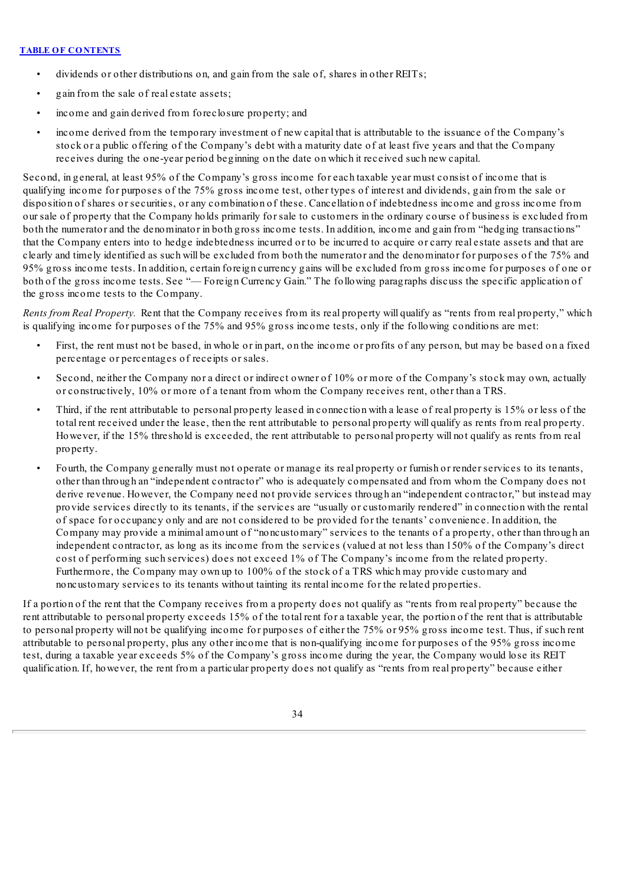- dividends or other distributions on, and gain from the sale of, shares in other REITs;
- gain from the sale of real estate assets;
- income and gain derived from foreclosure property; and
- income derived from the temporary investment of new capital that is attributable to the issuance of the Company's stock or a public offering of the Company's debt with a maturity date of at least five years and that the Company receives during the one-year period beginning on the date on which it received such new capital.

Second, in general, at least 95% of the Company's gross income for each taxable year must consist of income that is qualifying income for purposes of the 75% gross income test, other types of interest and dividends, gain from the sale or disposition of shares or securities, or any combination of these. Cancellation of indebtedness income and gross income from our sale of property that the Company holds primarily for sale to customers in the ordinary course of business is excluded from both the numerator and the denominator in both gross income tests. In addition, income and gain from "hedging transactions" that the Company enters into to hedge indebtedness incurred or to be incurred to acquire or carry real estate assets and that are clearly and timely identified as such will be excluded from both the numerator and the denominator for purposes of the 75% and 95% gross income tests. In addition, certain foreign currency gains will be excluded from gross income for purposes of one or both of the gross income tests. See "— Foreign Currency Gain." The following paragraphs discuss the specific application of the gross income tests to the Company.

*Rents from Real Property.* Rent that the Company receives from its real property will qualify as "rents from real property," which is qualifying income for purposes of the 75% and 95% gross income tests, only if the following conditions are met:

- First, the rent must not be based, in whole or in part, on the income or profits of any person, but may be based on a fixed percentage or percentages of receipts or sales.
- Second, neither the Company nor a direct or indirect owner of 10% or more of the Company's stock may own, actually or constructively, 10% or more of a tenant from whom the Company receives rent, other than a TRS.
- Third, if the rent attributable to personal property leased in connection with a lease of real property is 15% or less of the total rent received under the lease, then the rent attributable to personal property will qualify as rents from real property. However, if the 15% threshold is exceeded, the rent attributable to personal property will not qualify as rents from real property.
- Fourth, the Company generally must not operate or manage its real property or furnish or render services to its tenants, other than through an "independent contractor" who is adequately compensated and from whom the Company does not derive revenue. However, the Company need not provide services through an "independent contractor," but instead may provide services directly to its tenants, if the services are "usually or customarily rendered" in connection with the rental of space for occupancy only and are not considered to be provided for the tenants' convenience. In addition, the Company may provide a minimal amount of "noncustomary" services to the tenants of a property, other than through an independent contractor, as long as its income from the services (valued at not less than 150% of the Company's direct cost of performing such services) does not exceed 1% of The Company's income from the related property. Furthermore, the Company may own up to 100% of the stock of a TRS which may provide customary and noncustomary services to its tenants without tainting its rental income for the related properties.

If a portion of the rent that the Company receives from a property does not qualify as "rents from real property" because the rent attributable to personal property exceeds 15% of the total rent for a taxable year, the portion of the rent that is attributable to personal property will not be qualifying income for purposes of either the 75% or 95% gross income test. Thus, if such rent attributable to personal property, plus any other income that is non-qualifying income for purposes of the 95% gross income test, during a taxable year exceeds 5% of the Company's gross income during the year, the Company would lose its REIT qualification. If, however, the rent from a particular property does not qualify as "rents from real property" because either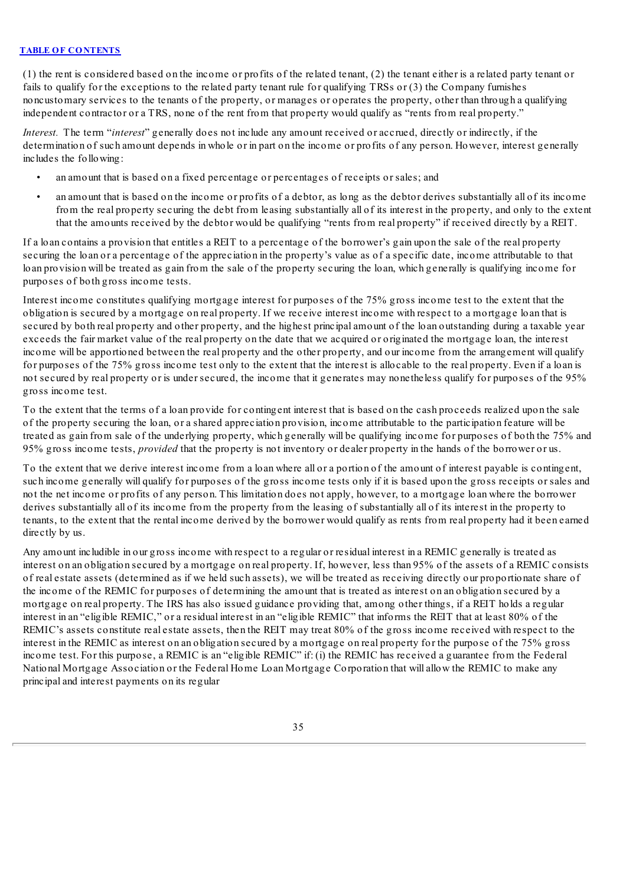(1) the rent is considered based on the income or profits of the related tenant, (2) the tenant either is a related party tenant or fails to qualify for the exceptions to the related party tenant rule for qualifying TRSs or (3) the Company furnishes noncustomary services to the tenants of the property, or manages or operates the property, other than through a qualifying independent contractor or a TRS, none of the rent from that property would qualify as "rents from real property."

*Interest.* The term "*interest*" generally does not include any amount received or accrued, directly or indirectly, if the determination of such amount depends in whole or in part on the income or profits of any person. However, interest generally includes the following:

- an amount that is based on a fixed percentage or percentages of receipts or sales; and
- an amount that is based on the income or profits of a debtor, as long as the debtor derives substantially all of its income from the real property securing the debt from leasing substantially all of its interest in the property, and only to the extent that the amounts received by the debtor would be qualifying "rents from real property" if received directly by a REIT.

If a loan contains a provision that entitles a REIT to a percentage of the borrower's gain upon the sale of the real property securing the loan or a percentage of the appreciation in the property's value as of a specific date, income attributable to that loan provision will be treated as gain from the sale of the property securing the loan, which generally is qualifying income for purposes of both gross income tests.

Interest income constitutes qualifying mortgage interest for purposes of the 75% gross income test to the extent that the obligation is secured by a mortgage on real property. If we receive interest income with respect to a mortgage loan that is secured by both real property and other property, and the highest principal amount of the loan outstanding during a taxable year exceeds the fair market value of the real property on the date that we acquired or originated the mortgage loan, the interest income will be apportioned between the real property and the other property, and our income from the arrangement will qualify for purposes of the 75% gross income test only to the extent that the interest is allocable to the real property. Even if a loan is not secured by real property or is under secured, the income that it generates may nonetheless qualify for purposes of the 95% gross income test.

To the extent that the terms of a loan provide for contingent interest that is based on the cash proceeds realized upon the sale of the property securing the loan, or a shared appreciation provision, income attributable to the participation feature will be treated as gain from sale of the underlying property, which generally will be qualifying income for purposes of both the 75% and 95% gross income tests, *provided* that the property is not inventory or dealer property in the hands of the borrower or us.

To the extent that we derive interest income from a loan where all or a portion of the amount of interest payable is contingent, such income generally will qualify for purposes of the gross income tests only if it is based upon the gross receipts or sales and not the net income or profits of any person. This limitation does not apply, however, to a mortgage loan where the borrower derives substantially all of its income from the property from the leasing of substantially all of its interest in the property to tenants, to the extent that the rental income derived by the borrower would qualify as rents from real property had it been earned directly by us.

Any amount includible in our gross income with respect to a regular or residual interest in a REMIC generally is treated as interest on an obligation secured by a mortgage on real property. If, however, less than 95% of the assets of a REMIC consists of real estate assets (determined as if we held such assets), we will be treated as receiving directly our proportionate share of the income of the REMIC for purposes of determining the amount that is treated as interest on an obligation secured by a mortgage on real property. The IRS has also issued guidance providing that, among other things, if a REIT holds a regular interest in an "eligible REMIC," or a residual interest in an "eligible REMIC" that informs the REIT that at least 80% of the REMIC's assets constitute real estate assets, then the REIT may treat 80% of the gross income received with respect to the interest in the REMIC as interest on an obligation secured by a mortgage on real property for the purpose of the 75% gross income test. For this purpose, a REMIC is an "eligible REMIC" if: (i) the REMIC has received a guarantee from the Federal National Mortgage Association or the Federal Home Loan Mortgage Corporation that will allow the REMIC to make any principal and interest payments on its regular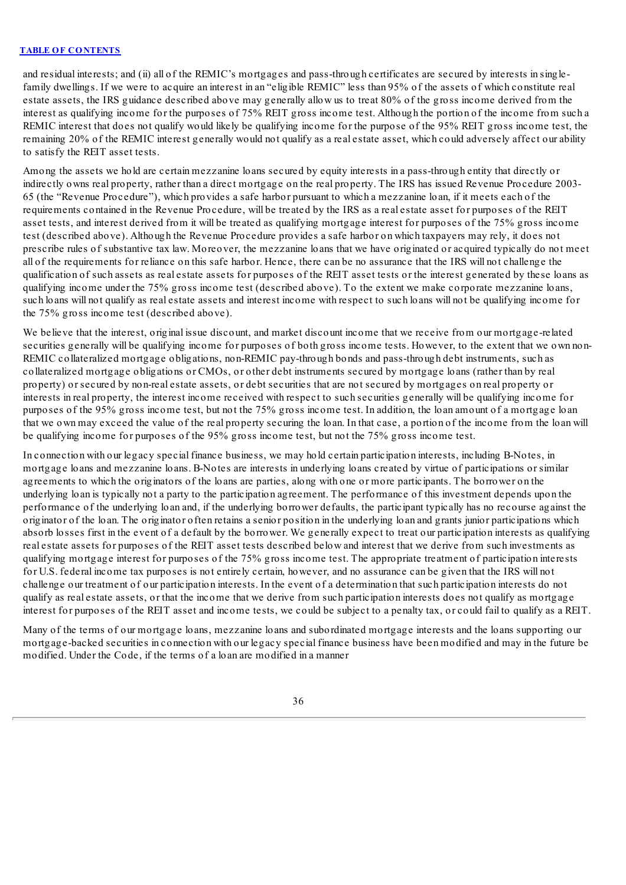and residual interests; and (ii) all of the REMIC's mortgages and pass-through certificates are secured by interests in singlefamily dwellings. If we were to acquire an interest in an "eligible REMIC" less than 95% of the assets of which constitute real estate assets, the IRS guidance described above may generally allow us to treat 80% of the gross income derived from the interest as qualifying income for the purposes of 75% REIT gross income test. Although the portion of the income from such a REMIC interest that does not qualify would likely be qualifying income for the purpose of the 95% REIT gross income test, the remaining 20% of the REMIC interest generally would not qualify as a real estate asset, which could adversely affect our ability to satisfy the REIT asset tests.

Among the assets we hold are certain mezzanine loans secured by equity interests in a pass-through entity that directly or indirectly owns real property, rather than a direct mortgage on the real property. The IRS has issued Revenue Procedure 2003- 65 (the "Revenue Procedure"), which provides a safe harbor pursuant to which a mezzanine loan, if it meets each of the requirements contained in the Revenue Procedure, will be treated by the IRS as a real estate asset for purposes of the REIT asset tests, and interest derived from it will be treated as qualifying mortgage interest for purposes of the 75% gross income test (described above). Although the Revenue Procedure provides a safe harbor on which taxpayers may rely, it does not prescribe rules of substantive tax law. Moreover, the mezzanine loans that we have originated or acquired typically do not meet all of the requirements for reliance on this safe harbor. Hence, there can be no assurance that the IRS will not challenge the qualification of such assets as real estate assets for purposes of the REIT asset tests or the interest generated by these loans as qualifying income under the 75% gross income test (described above). To the extent we make corporate mezzanine loans, such loans will not qualify as real estate assets and interest income with respect to such loans will not be qualifying income for the 75% gross income test (described above).

We believe that the interest, original issue discount, and market discount income that we receive from our mortgage-related securities generally will be qualifying income for purposes of both gross income tests. However, to the extent that we own non-REMIC collateralized mortgage obligations, non-REMIC pay-through bonds and pass-through debt instruments, such as collateralized mortgage obligations or CMOs, or other debt instruments secured by mortgage loans (rather than by real property) or secured by non-real estate assets, or debt securities that are not secured by mortgages on real property or interests in real property, the interest income received with respect to such securities generally will be qualifying income for purposes of the 95% gross income test, but not the 75% gross income test. In addition, the loan amount of a mortgage loan that we own may exceed the value of the real property securing the loan. In that case, a portion of the income from the loan will be qualifying income for purposes of the 95% gross income test, but not the 75% gross income test.

In connection with our legacy special finance business, we may hold certain participation interests, including B-Notes, in mortgage loans and mezzanine loans. B-Notes are interests in underlying loans created by virtue of participations or similar agreements to which the originators of the loans are parties, along with one or more participants. The borrower on the underlying loan is typically not a party to the participation agreement. The performance of this investment depends upon the performance of the underlying loan and, if the underlying borrower defaults, the participant typically has no recourse against the originator of the loan. The originator often retains a senior position in the underlying loan and grants junior participations which absorb losses first in the event of a default by the borrower. We generally expect to treat our participation interests as qualifying real estate assets for purposes of the REIT asset tests described below and interest that we derive from such investments as qualifying mortgage interest for purposes of the 75% gross income test. The appropriate treatment of participation interests for U.S. federal income tax purposes is not entirely certain, however, and no assurance can be given that the IRS will not challenge our treatment of our participation interests. In the event of a determination that such participation interests do not qualify as real estate assets, or that the income that we derive from such participation interests does not qualify as mortgage interest for purposes of the REIT asset and income tests, we could be subject to a penalty tax, or could fail to qualify as a REIT.

Many of the terms of our mortgage loans, mezzanine loans and subordinated mortgage interests and the loans supporting our mortgage-backed securities in connection with our legacy special finance business have been modified and may in the future be modified. Under the Code, if the terms of a loan are modified in a manner

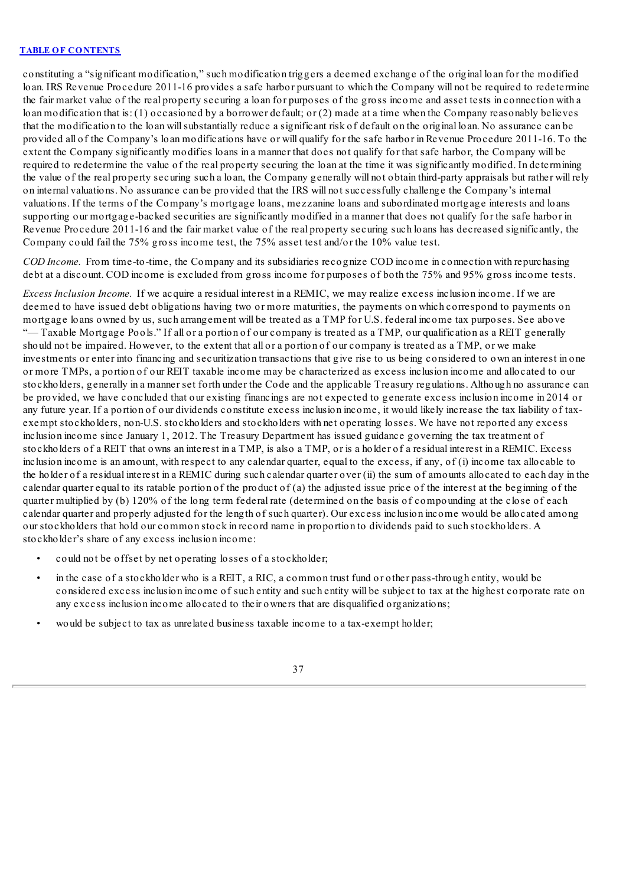constituting a "significant modification," such modification triggers a deemed exchange of the original loan for the modified loan. IRS Revenue Procedure 2011-16 provides a safe harbor pursuant to which the Company will not be required to redetermine the fair market value of the real property securing a loan for purposes of the gross income and asset tests in connection with a loan modification that is: (1) occasioned by a borrower default; or (2) made at a time when the Company reasonably believes that the modification to the loan willsubstantially reduce a significant risk of default on the original loan. No assurance can be provided all of the Company's loan modifications have or will qualify for the safe harbor in Revenue Procedure 2011-16. To the extent the Company significantly modifies loans in a manner that does not qualify for that safe harbor, the Company will be required to redetermine the value of the real property securing the loan at the time it was significantly modified. In determining the value of the real property securing such a loan, the Company generally will not obtain third-party appraisals but rather will rely on internal valuations. No assurance can be provided that the IRS will not successfully challenge the Company's internal valuations. If the terms of the Company's mortgage loans, mezzanine loans and subordinated mortgage interests and loans supporting our mortgage-backed securities are significantly modified in a manner that does not qualify for the safe harbor in Revenue Procedure 2011-16 and the fair market value of the real property securing such loans has decreased significantly, the Company could fail the 75% gross income test, the 75% asset test and/or the 10% value test.

*COD Income.* From time-to-time, the Company and its subsidiaries recognize COD income in connection with repurchasing debt at a discount. COD income is excluded from gross income for purposes of both the 75% and 95% gross income tests.

*Excess Inclusion Income.* If we acquire a residual interest in a REMIC, we may realize excess inclusion income. If we are deemed to have issued debt obligations having two or more maturities, the payments on which correspond to payments on mortgage loans owned by us, such arrangement will be treated as a TMP for U.S. federal income tax purposes. See above "— Taxable Mortgage Pools." If all or a portion of our company is treated as a TMP, our qualification as a REIT generally should not be impaired. However, to the extent that all or a portion of our company is treated as a TMP, or we make investments or enter into financing and securitization transactions that give rise to us being considered to own an interest in one or more TMPs, a portion of our REIT taxable income may be characterized as excess inclusion income and allocated to our stockholders, generally in a manner set forth under the Code and the applicable Treasury regulations. Although no assurance can be provided, we have concluded that our existing financings are not expected to generate excess inclusion income in 2014 or any future year. If a portion of our dividends constitute excess inclusion income, it would likely increase the tax liability of taxexempt stockholders, non-U.S. stockholders and stockholders with net operating losses. We have not reported any excess inclusion income since January 1, 2012. The Treasury Department has issued guidance governing the tax treatment of stockholders of a REIT that owns an interest in a TMP, is also a TMP, or is a holder of a residual interest in a REMIC. Excess inclusion income is an amount, with respect to any calendar quarter, equal to the excess, if any, of (i) income tax allocable to the holder of a residual interest in a REMIC during such calendar quarter over (ii) the sum of amounts allocated to each day in the calendar quarter equal to its ratable portion of the product of (a) the adjusted issue price of the interest at the beginning of the quarter multiplied by (b) 120% of the long term federal rate (determined on the basis of compounding at the close of each calendar quarter and properly adjusted for the length of such quarter). Our excess inclusion income would be allocated among our stockholders that hold our common stock in record name in proportion to dividends paid to such stockholders. A stockholder's share of any excess inclusion income:

- could not be offset by net operating losses of a stockholder;
- in the case of a stockholder who is a REIT, a RIC, a common trust fund or other pass-through entity, would be considered excess inclusion income of such entity and such entity will be subject to tax at the highest corporate rate on any excess inclusion income allocated to their owners that are disqualified organizations;
- would be subject to tax as unrelated business taxable income to a tax-exempt holder;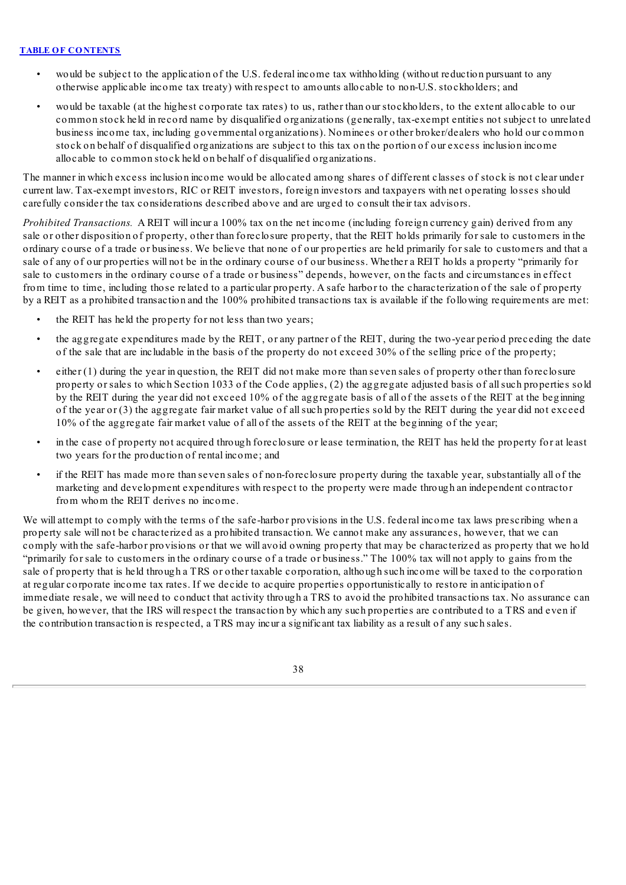- would be subject to the application of the U.S. federal income tax withholding (without reduction pursuant to any otherwise applicable income tax treaty) with respect to amounts allocable to non-U.S. stockholders; and
- would be taxable (at the highest corporate tax rates) to us, rather than our stockholders, to the extent allocable to our common stock held in record name by disqualified organizations (generally, tax-exempt entities not subject to unrelated business income tax, including governmental organizations). Nominees or other broker/dealers who hold our common stock on behalf of disqualified organizations are subject to this tax on the portion of our excess inclusion income allocable to common stock held on behalf of disqualified organizations.

The manner in which excess inclusion income would be allocated among shares of different classes of stock is not clear under current law. Tax-exempt investors, RIC or REIT investors, foreign investors and taxpayers with net operating losses should carefully consider the tax considerations described above and are urged to consult their tax advisors.

*Prohibited Transactions.* A REIT will incur a 100% tax on the net income (including foreign currency gain) derived from any sale or other disposition of property, other than foreclosure property, that the REIT holds primarily for sale to customers in the ordinary course of a trade or business. We believe that none of our properties are held primarily for sale to customers and that a sale of any of our properties will not be in the ordinary course of our business. Whether a REIT holds a property "primarily for sale to customers in the ordinary course of a trade or business" depends, however, on the facts and circumstances in effect from time to time, including those related to a particular property. A safe harbor to the characterization of the sale of property by a REIT as a prohibited transaction and the 100% prohibited transactions tax is available if the following requirements are met:

- the REIT has held the property for not less than two years;
- the aggregate expenditures made by the REIT, or any partner of the REIT, during the two-year period preceding the date of the sale that are includable in the basis of the property do not exceed 30% of the selling price of the property;
- either (1) during the year in question, the REIT did not make more than seven sales of property other than foreclosure property or sales to which Section 1033 of the Code applies, (2) the aggregate adjusted basis of allsuch properties sold by the REIT during the year did not exceed 10% of the aggregate basis of all of the assets of the REIT at the beginning of the year or (3) the aggregate fair market value of allsuch properties sold by the REIT during the year did not exceed 10% of the aggregate fair market value of all of the assets of the REIT at the beginning of the year;
- in the case of property not acquired through foreclosure or lease termination, the REIT has held the property for at least two years for the production of rental income; and
- if the REIT has made more than seven sales of non-foreclosure property during the taxable year, substantially all of the marketing and development expenditures with respect to the property were made through an independent contractor from whom the REIT derives no income.

We will attempt to comply with the terms of the safe-harbor provisions in the U.S. federal income tax laws prescribing when a property sale will not be characterized as a prohibited transaction. We cannot make any assurances, however, that we can comply with the safe-harbor provisions or that we will avoid owning property that may be characterized as property that we hold "primarily for sale to customers in the ordinary course of a trade or business." The 100% tax will not apply to gains from the sale of property that is held through a TRS or other taxable corporation, although such income will be taxed to the corporation at regular corporate income tax rates. If we decide to acquire properties opportunistically to restore in anticipation of immediate resale, we will need to conduct that activity through a TRS to avoid the prohibited transactions tax. No assurance can be given, however, that the IRS will respect the transaction by which any such properties are contributed to a TRS and even if the contribution transaction is respected, a TRS may incur a significant tax liability as a result of any such sales.

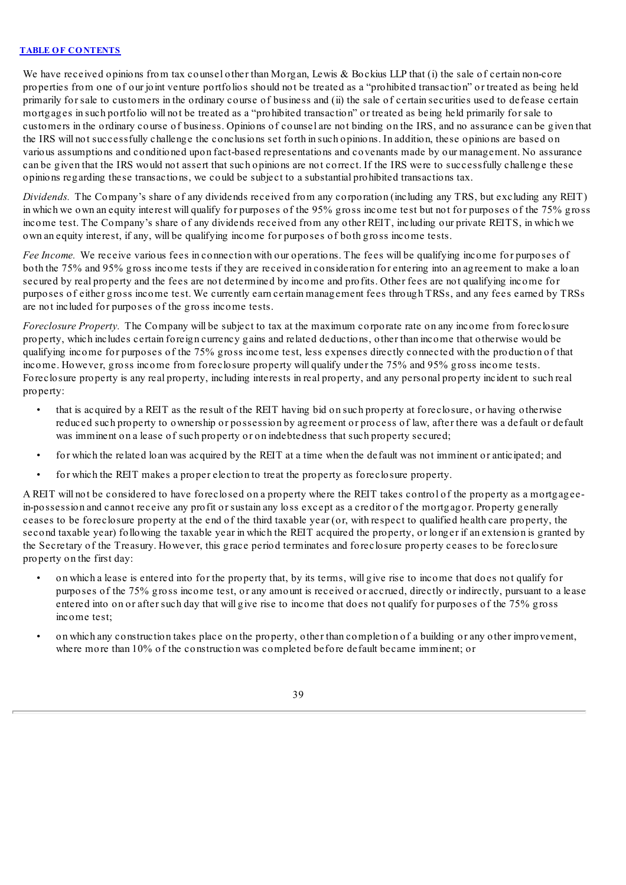We have received opinions from tax counsel other than Morgan, Lewis & Bockius LLP that (i) the sale of certain non-core properties from one of our joint venture portfolios should not be treated as a "prohibited transaction" or treated as being held primarily for sale to customers in the ordinary course of business and (ii) the sale of certain securities used to defease certain mortgages in such portfolio will not be treated as a "prohibited transaction" or treated as being held primarily for sale to customers in the ordinary course of business. Opinions of counsel are not binding on the IRS, and no assurance can be given that the IRS will not successfully challenge the conclusions set forth in such opinions. In addition, these opinions are based on various assumptions and conditioned upon fact-based representations and covenants made by our management. No assurance can be given that the IRS would not assert that such opinions are not correct. If the IRS were to successfully challenge these opinions regarding these transactions, we could be subject to a substantial prohibited transactions tax.

*Dividends.* The Company's share of any dividends received from any corporation (including any TRS, but excluding any REIT) in which we own an equity interest will qualify for purposes of the 95% gross income test but not for purposes of the 75% gross income test. The Company's share of any dividends received from any other REIT, including our private REITS, in which we own an equity interest, if any, will be qualifying income for purposes of both gross income tests.

*Fee Income.* We receive various fees in connection with our operations. The fees will be qualifying income for purposes of both the 75% and 95% gross income tests if they are received in consideration for entering into an agreement to make a loan secured by real property and the fees are not determined by income and profits. Other fees are not qualifying income for purposes of either gross income test. We currently earn certain management fees through TRSs, and any fees earned by TRSs are not included for purposes of the gross income tests.

*Foreclosure Property.* The Company will be subject to tax at the maximum corporate rate on any income from foreclosure property, which includes certain foreign currency gains and related deductions, other than income that otherwise would be qualifying income for purposes of the 75% gross income test, less expenses directly connected with the production of that income. However, gross income from foreclosure property will qualify under the 75% and 95% gross income tests. Foreclosure property is any real property, including interests in real property, and any personal property incident to such real property:

- that is acquired by a REIT as the result of the REIT having bid on such property at foreclosure, or having otherwise reduced such property to ownership or possession by agreement or process of law, after there was a default or default was imminent on a lease of such property or on indebtedness that such property secured;
- for which the related loan was acquired by the REIT at a time when the default was not imminent or anticipated; and
- for which the REIT makes a proper election to treat the property as foreclosure property.

A REIT will not be considered to have foreclosed on a property where the REIT takes control of the property as a mortgageein-possession and cannot receive any profit or sustain any loss except as a creditor of the mortgagor. Property generally ceases to be foreclosure property at the end of the third taxable year (or, with respect to qualified health care property, the second taxable year) following the taxable year in which the REIT acquired the property, or longer if an extension is granted by the Secretary of the Treasury. However, this grace period terminates and foreclosure property ceases to be foreclosure property on the first day:

- on which a lease is entered into for the property that, by its terms, will give rise to income that does not qualify for purposes of the 75% gross income test, or any amount is received or accrued, directly or indirectly, pursuant to a lease entered into on or after such day that will give rise to income that does not qualify for purposes of the 75% gross income test;
- on which any construction takes place on the property, other than completion of a building or any other improvement, where more than 10% of the construction was completed before default became imminent; or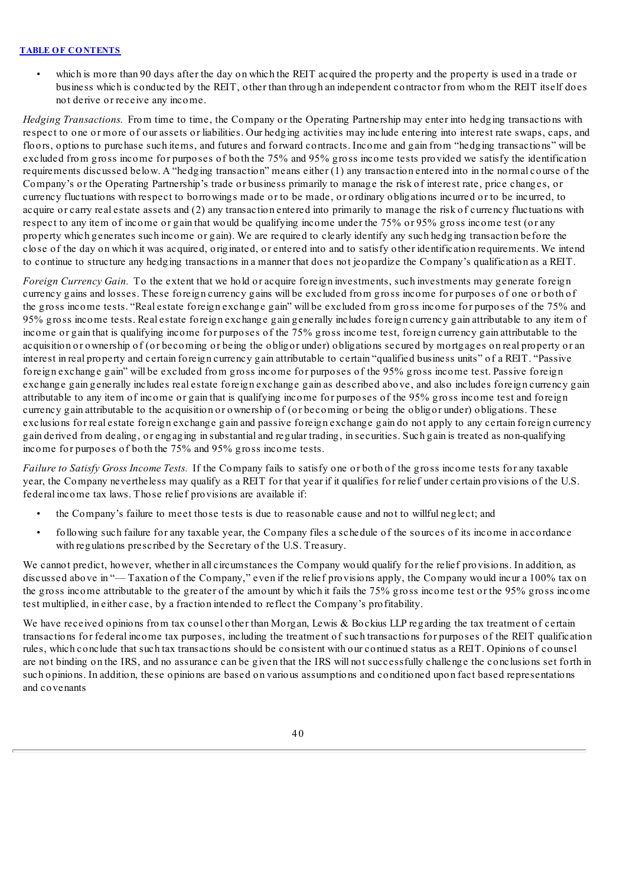• which is more than 90 days after the day on which the REIT acquired the property and the property is used in a trade or business which is conducted by the REIT, other than through an independent contractor from whom the REIT itself does not derive or receive any income.

*Hedging Transactions.* From time to time, the Company or the Operating Partnership may enter into hedging transactions with respect to one or more of our assets or liabilities. Our hedging activities may include entering into interest rate swaps, caps, and floors, options to purchase such items, and futures and forward contracts. Income and gain from "hedging transactions" will be excluded from gross income for purposes of both the 75% and 95% gross income tests provided we satisfy the identification requirements discussed below. A "hedging transaction" means either  $(1)$  any transaction entered into in the normal course of the Company's or the Operating Partnership's trade or business primarily to manage the risk of interest rate, price changes, or currency fluctuations with respect to borrowings made or to be made, or ordinary obligations incurred or to be incurred, to acquire or carry real estate assets and (2) any transaction entered into primarily to manage the risk of currency fluctuations with respect to any item of income or gain that would be qualifying income under the 75% or 95% gross income test (or any property which generates such income or gain). We are required to clearly identify any such hedging transaction before the close of the day on which it was acquired, originated, or entered into and to satisfy other identification requirements. We intend to continue to structure any hedging transactions in a manner that does not jeopardize the Company's qualification as a REIT.

*Foreign Currency Gain.* To the extent that we hold or acquire foreign investments, such investments may generate foreign currency gains and losses. These foreign currency gains will be excluded from gross income for purposes of one or both of the gross income tests. "Real estate foreign exchange gain" will be excluded from gross income for purposes of the 75% and 95% gross income tests. Real estate foreign exchange gain generally includes foreign currency gain attributable to any item of income or gain that is qualifying income for purposes of the 75% gross income test, foreign currency gain attributable to the acquisition or ownership of (or becoming or being the obligor under) obligations secured by mortgages on real property or an interest in real property and certain foreign currency gain attributable to certain "qualified business units" of a REIT. "Passive foreign exchange gain" will be excluded from gross income for purposes of the 95% gross income test. Passive foreign exchange gain generally includes real estate foreign exchange gain as described above, and also includes foreign currency gain attributable to any item of income or gain that is qualifying income for purposes of the 95% gross income test and foreign currency gain attributable to the acquisition or ownership of (or becoming or being the obligor under) obligations. These exclusions for real estate foreign exchange gain and passive foreign exchange gain do not apply to any certain foreign currency gain derived from dealing, or engaging in substantial and regular trading, in securities. Such gain is treated as non-qualifying income for purposes of both the 75% and 95% gross income tests.

*Failure to Satisfy Gross Income Tests.* If the Company fails to satisfy one or both of the gross income tests for any taxable year, the Company nevertheless may qualify as a REIT for that year if it qualifies for relief under certain provisions of the U.S. federal income tax laws. Those relief provisions are available if:

- the Company's failure to meet those tests is due to reasonable cause and not to willful neglect; and
- following such failure for any taxable year, the Company files a schedule of the sources of its income in accordance with regulations prescribed by the Secretary of the U.S. Treasury.

We cannot predict, however, whether in all circumstances the Company would qualify for the relief provisions. In addition, as discussed above in "— Taxation of the Company," even if the relief provisions apply, the Company would incur a 100% tax on the gross income attributable to the greater of the amount by which it fails the 75% gross income test or the 95% gross income test multiplied, in either case, by a fraction intended to reflect the Company's profitability.

We have received opinions from tax counsel other than Morgan, Lewis & Bockius LLP regarding the tax treatment of certain transactions for federal income tax purposes, including the treatment of such transactions for purposes of the REIT qualification rules, which conclude that such tax transactions should be consistent with our continued status as a REIT. Opinions of counsel are not binding on the IRS, and no assurance can be given that the IRS will not successfully challenge the conclusions set forth in such opinions. In addition, these opinions are based on various assumptions and conditioned upon fact based representations and covenants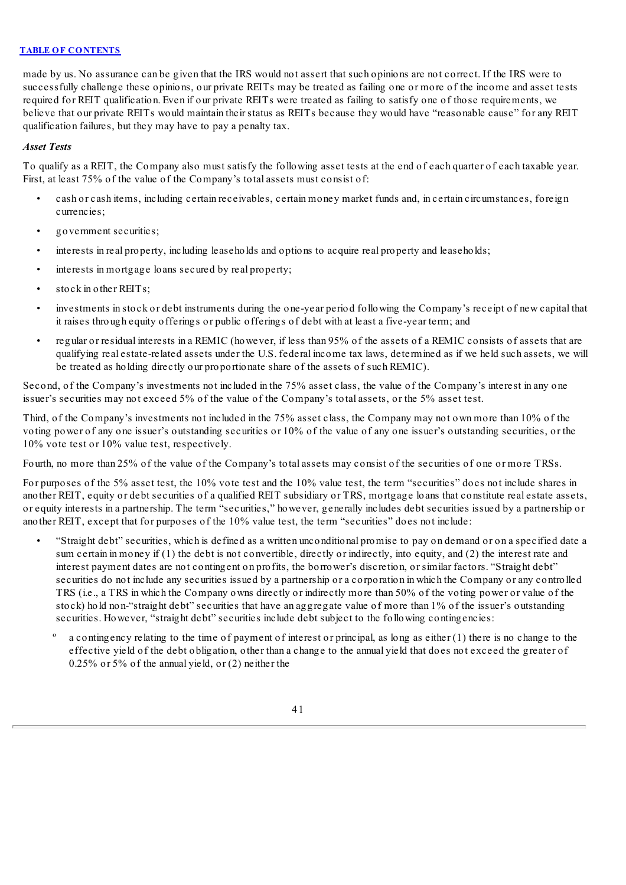made by us. No assurance can be given that the IRS would not assert that such opinions are not correct. If the IRS were to successfully challenge these opinions, our private REITs may be treated as failing one or more of the income and asset tests required for REIT qualification. Even if our private REITs were treated as failing to satisfy one of those requirements, we believe that our private REITs would maintain their status as REITs because they would have "reasonable cause" for any REIT qualification failures, but they may have to pay a penalty tax.

### *Asset Tests*

To qualify as a REIT, the Company also must satisfy the following asset tests at the end of each quarter of each taxable year. First, at least 75% of the value of the Company's total assets must consist of:

- cash or cash items, including certain receivables, certain money market funds and, in certain circumstances, foreign currencies;
- government securities;
- interests in real property, including leaseholds and options to acquire real property and leaseholds;
- interests in mortgage loans secured by real property;
- stock in other REITs;
- investments in stock or debt instruments during the one-year period following the Company's receipt of new capital that it raises through equity offerings or public offerings of debt with at least a five-year term; and
- regular or residual interests in a REMIC (however, if less than 95% of the assets of a REMIC consists of assets that are qualifying real estate-related assets under the U.S. federal income tax laws, determined as if we held such assets, we will be treated as holding directly our proportionate share of the assets of such REMIC).

Second, of the Company's investments not included in the 75% asset class, the value of the Company's interest in any one issuer's securities may not exceed 5% of the value of the Company's total assets, or the 5% asset test.

Third, of the Company's investments not included in the 75% asset class, the Company may not own more than 10% of the voting power of any one issuer's outstanding securities or 10% of the value of any one issuer's outstanding securities, or the 10% vote test or 10% value test, respectively.

Fourth, no more than 25% of the value of the Company's total assets may consist of the securities of one or more TRSs.

For purposes of the 5% asset test, the 10% vote test and the 10% value test, the term "securities" does not include shares in another REIT, equity or debt securities of a qualified REIT subsidiary or TRS, mortgage loans that constitute real estate assets, or equity interests in a partnership. The term "securities," however, generally includes debt securities issued by a partnership or another REIT, except that for purposes of the 10% value test, the term "securities" does not include:

- "Straight debt" securities, which is defined as a written unconditional promise to pay on demand or on a specified date a sum certain in money if (1) the debt is not convertible, directly or indirectly, into equity, and (2) the interest rate and interest payment dates are not contingent on profits, the borrower's discretion, or similar factors. "Straight debt" securities do not include any securities issued by a partnership or a corporation in which the Company or any controlled TRS (i.e., a TRS in which the Company owns directly or indirectly more than 50% of the voting power or value of the stock) hold non-"straight debt" securities that have an aggregate value of more than 1% of the issuer's outstanding securities. However, "straight debt" securities include debt subject to the following contingencies:
	- a contingency relating to the time of payment of interest or principal, as long as either (1) there is no change to the effective yield of the debt obligation, other than a change to the annual yield that does not exceed the greater of  $0.25\%$  or  $5\%$  of the annual yield, or  $(2)$  neither the
		- 41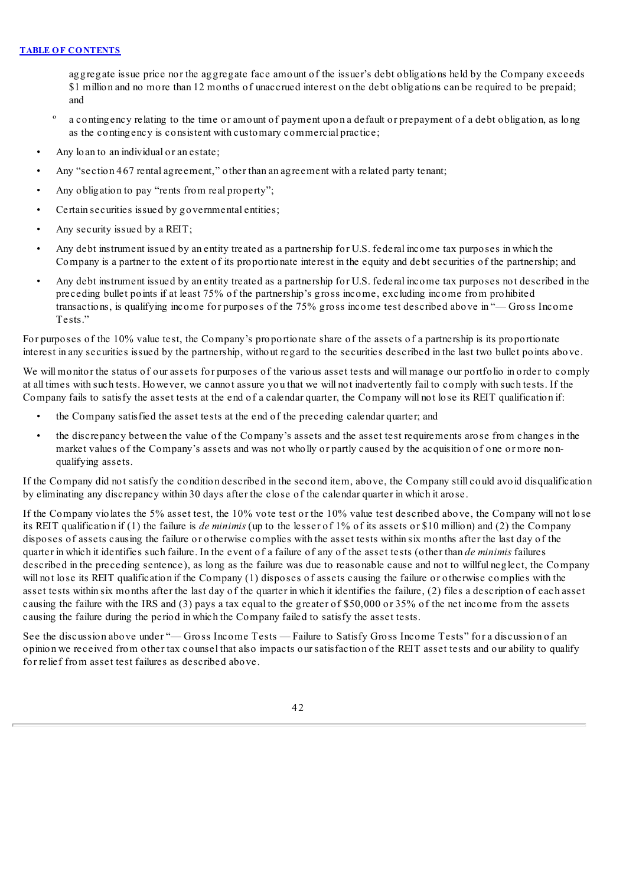aggregate issue price nor the aggregate face amount of the issuer's debt obligations held by the Company exceeds \$1 million and no more than 12 months of unaccrued interest on the debt obligations can be required to be prepaid; and

- º a contingency relating to the time or amount of payment upon a default or prepayment of a debt obligation, as long as the contingency is consistent with customary commercial practice;
- Any loan to an individual or an estate;
- Any "section 467 rental agreement," other than an agreement with a related party tenant;
- Any obligation to pay "rents from real property";
- Certain securities issued by governmental entities;
- Any security issued by a REIT;
- Any debt instrument issued by an entity treated as a partnership for U.S. federal income tax purposes in which the Company is a partner to the extent of its proportionate interest in the equity and debt securities of the partnership; and
- Any debt instrument issued by an entity treated as a partnership for U.S. federal income tax purposes not described in the preceding bullet points if at least 75% of the partnership's gross income, excluding income from prohibited transactions, is qualifying income for purposes of the 75% gross income test described above in "— Gross Income Tests<sup>"</sup>

For purposes of the 10% value test, the Company's proportionate share of the assets of a partnership is its proportionate interest in any securities issued by the partnership, without regard to the securities described in the last two bullet points above.

We will monitor the status of our assets for purposes of the various asset tests and will manage our portfolio in order to comply at all times with such tests. However, we cannot assure you that we will not inadvertently fail to comply with such tests. If the Company fails to satisfy the asset tests at the end of a calendar quarter, the Company will not lose its REIT qualification if:

- the Company satisfied the asset tests at the end of the preceding calendar quarter; and
- the discrepancy between the value of the Company's assets and the asset test requirements arose from changes in the market values of the Company's assets and was not wholly or partly caused by the acquisition of one or more nonqualifying assets.

If the Company did not satisfy the condition described in the second item, above, the Company still could avoid disqualification by eliminating any discrepancy within 30 days after the close of the calendar quarter in which it arose.

If the Company violates the 5% asset test, the 10% vote test or the 10% value test described above, the Company will not lose its REIT qualification if (1) the failure is *de minimis* (up to the lesser of 1% of its assets or \$10 million) and (2) the Company disposes of assets causing the failure or otherwise complies with the asset tests within six months after the last day of the quarter in which it identifies such failure. In the event of a failure of any of the asset tests (other than *de minimis* failures described in the preceding sentence), as long as the failure was due to reasonable cause and not to willful neglect, the Company will not lose its REIT qualification if the Company (1) disposes of assets causing the failure or otherwise complies with the asset tests within six months after the last day of the quarter in which it identifies the failure, (2) files a description of each asset causing the failure with the IRS and (3) pays a tax equal to the greater of \$50,000 or 35% of the net income from the assets causing the failure during the period in which the Company failed to satisfy the asset tests.

See the discussion above under "— Gross Income Tests — Failure to Satisfy Gross Income Tests" for a discussion of an opinion we received from other tax counsel that also impacts our satisfaction of the REIT asset tests and our ability to qualify for relief from asset test failures as described above.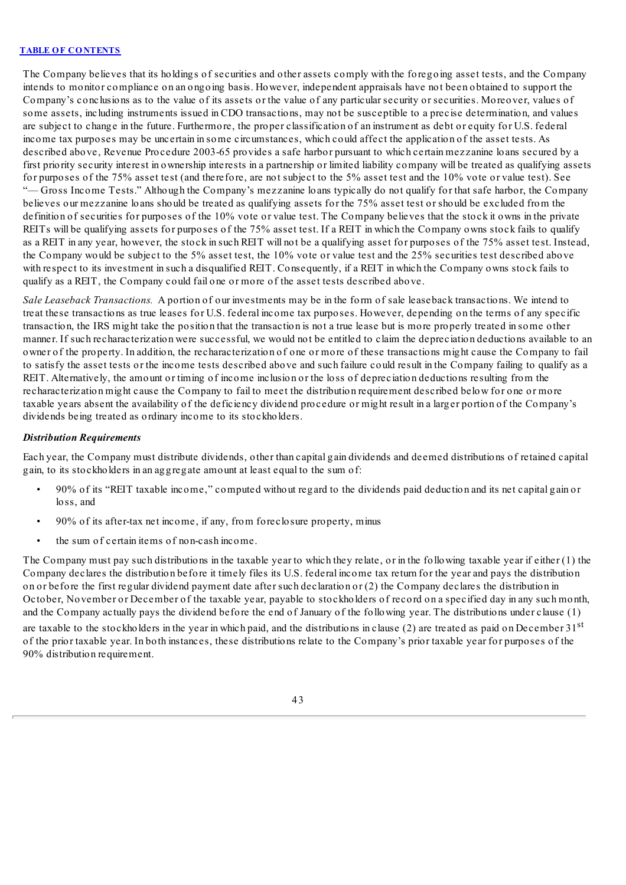The Company believes that its holdings of securities and other assets comply with the foregoing asset tests, and the Company intends to monitor compliance on an ongoing basis. However, independent appraisals have not been obtained to support the Company's conclusions as to the value of its assets or the value of any particular security or securities. Moreover, values of some assets, including instruments issued in CDO transactions, may not be susceptible to a precise determination, and values are subject to change in the future. Furthermore, the proper classification of an instrument as debt or equity for U.S. federal income tax purposes may be uncertain in some circumstances, which could affect the application of the asset tests. As described above, Revenue Procedure 2003-65 provides a safe harbor pursuant to which certain mezzanine loans secured by a first priority security interest in ownership interests in a partnership or limited liability company will be treated as qualifying assets for purposes of the 75% asset test (and therefore, are not subject to the 5% asset test and the 10% vote or value test). See "— Gross Income Tests." Although the Company's mezzanine loans typically do not qualify for that safe harbor, the Company believes our mezzanine loans should be treated as qualifying assets for the 75% asset test or should be excluded from the definition of securities for purposes of the 10% vote or value test. The Company believes that the stock it owns in the private REITs will be qualifying assets for purposes of the 75% asset test. If a REIT in which the Company owns stock fails to qualify as a REIT in any year, however, the stock in such REIT will not be a qualifying asset for purposes of the 75% asset test. Instead, the Company would be subject to the 5% asset test, the 10% vote or value test and the 25% securities test described above with respect to its investment in such a disqualified REIT. Consequently, if a REIT in which the Company owns stock fails to qualify as a REIT, the Company could fail one or more of the asset tests described above.

*Sale Leaseback Transactions.* A portion of our investments may be in the form of sale leaseback transactions. We intend to treat these transactions as true leases for U.S. federal income tax purposes. However, depending on the terms of any specific transaction, the IRS might take the position that the transaction is not a true lease but is more properly treated in some other manner. If such recharacterization were successful, we would not be entitled to claim the depreciation deductions available to an owner of the property. In addition, the recharacterization of one or more of these transactions might cause the Company to fail to satisfy the asset tests or the income tests described above and such failure could result in the Company failing to qualify as a REIT. Alternatively, the amount or timing of income inclusion or the loss of depreciation deductions resulting from the recharacterization might cause the Company to fail to meet the distribution requirement described below for one or more taxable years absent the availability of the deficiency dividend procedure or might result in a larger portion of the Company's dividends being treated as ordinary income to its stockholders.

# *Distribution Requirements*

Each year, the Company must distribute dividends, other than capital gain dividends and deemed distributions of retained capital gain, to its stockholders in an aggregate amount at least equal to the sum of:

- 90% of its "REIT taxable income," computed without regard to the dividends paid deduction and its net capital gain or loss, and
- 90% of its after-tax net income, if any, from foreclosure property, minus
- the sum of certain items of non-cash income.

The Company must pay such distributions in the taxable year to which they relate, or in the following taxable year if either (1) the Company declares the distribution before it timely files its U.S. federal income tax return for the year and pays the distribution on or before the first regular dividend payment date after such declaration or (2) the Company declares the distribution in October, November or December of the taxable year, payable to stockholders of record on a specified day in any such month, and the Company actually pays the dividend before the end of January of the following year. The distributions under clause (1) are taxable to the stockholders in the year in which paid, and the distributions in clause (2) are treated as paid on December  $31<sup>st</sup>$ of the prior taxable year. In both instances, these distributions relate to the Company's prior taxable year for purposes of the 90% distribution requirement.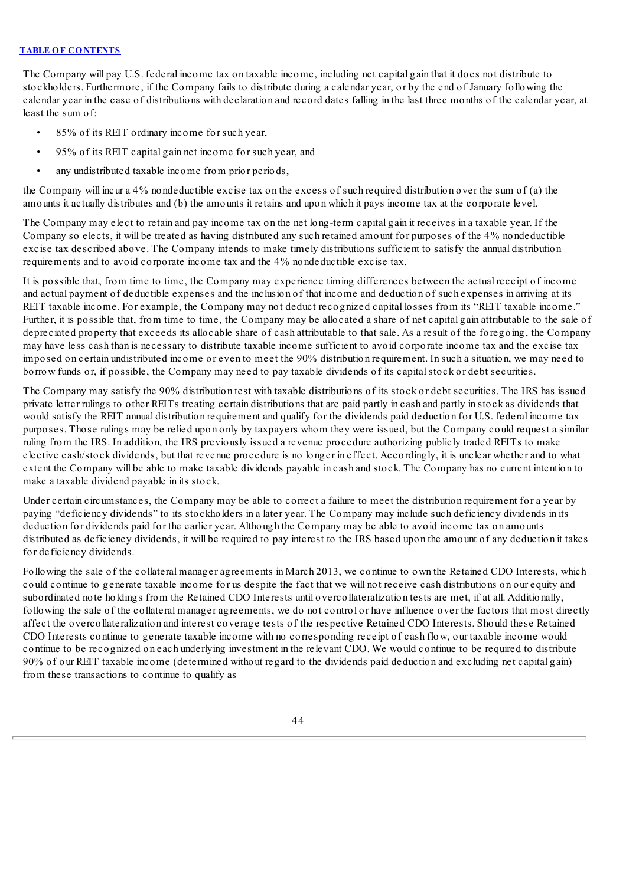The Company will pay U.S. federal income tax on taxable income, including net capital gain that it does not distribute to stockholders. Furthermore, if the Company fails to distribute during a calendar year, or by the end of January following the calendar year in the case of distributions with declaration and record dates falling in the last three months of the calendar year, at least the sum of:

- 85% of its REIT ordinary income for such year,
- 95% of its REIT capital gain net income for such year, and
- any undistributed taxable income from prior periods,

the Company will incur a 4% nondeductible excise tax on the excess of such required distribution over the sum of (a) the amounts it actually distributes and (b) the amounts it retains and upon which it pays income tax at the corporate level.

The Company may elect to retain and pay income tax on the net long-term capital gain it receives in a taxable year. If the Company so elects, it will be treated as having distributed any such retained amount for purposes of the 4% nondeductible excise tax described above. The Company intends to make timely distributions sufficient to satisfy the annual distribution requirements and to avoid corporate income tax and the 4% nondeductible excise tax.

It is possible that, from time to time, the Company may experience timing differences between the actual receipt of income and actual payment of deductible expenses and the inclusion of that income and deduction of such expenses in arriving at its REIT taxable income. For example, the Company may not deduct recognized capital losses from its "REIT taxable income." Further, it is possible that, from time to time, the Company may be allocated a share of net capital gain attributable to the sale of depreciated property that exceeds its allocable share of cash attributable to that sale. As a result of the foregoing, the Company may have less cash than is necessary to distribute taxable income sufficient to avoid corporate income tax and the excise tax imposed on certain undistributed income or even to meet the 90% distribution requirement. In such a situation, we may need to borrow funds or, if possible, the Company may need to pay taxable dividends of its capital stock or debt securities.

The Company may satisfy the 90% distribution test with taxable distributions of its stock or debt securities. The IRS has issued private letter rulings to other REITs treating certain distributions that are paid partly in cash and partly in stock as dividends that would satisfy the REIT annual distribution requirement and qualify for the dividends paid deduction for U.S. federal income tax purposes. Those rulings may be relied upon only by taxpayers whom they were issued, but the Company could request a similar ruling from the IRS. In addition, the IRS previously issued a revenue procedure authorizing publicly traded REITs to make elective cash/stock dividends, but that revenue procedure is no longer in effect. Accordingly, it is unclear whether and to what extent the Company will be able to make taxable dividends payable in cash and stock. The Company has no current intention to make a taxable dividend payable in its stock.

Under certain circumstances, the Company may be able to correct a failure to meet the distribution requirement for a year by paying "deficiency dividends" to its stockholders in a later year. The Company may include such deficiency dividends in its deduction for dividends paid for the earlier year. Although the Company may be able to avoid income tax on amounts distributed as deficiency dividends, it will be required to pay interest to the IRS based upon the amount of any deduction it takes for deficiency dividends.

Following the sale of the collateral manager agreements in March 2013, we continue to own the Retained CDO Interests, which could continue to generate taxable income for us despite the fact that we will not receive cash distributions on our equity and subordinated note holdings from the Retained CDO Interests until overcollateralization tests are met, if at all. Additionally, following the sale of the collateral manager agreements, we do not control or have influence over the factors that most directly affect the overcollateralization and interest coverage tests of the respective Retained CDO Interests. Should these Retained CDO Interests continue to generate taxable income with no corresponding receipt of cash flow, our taxable income would continue to be recognized on each underlying investment in the relevant CDO. We would continue to be required to distribute 90% of our REIT taxable income (determined without regard to the dividends paid deduction and excluding net capital gain) from these transactions to continue to qualify as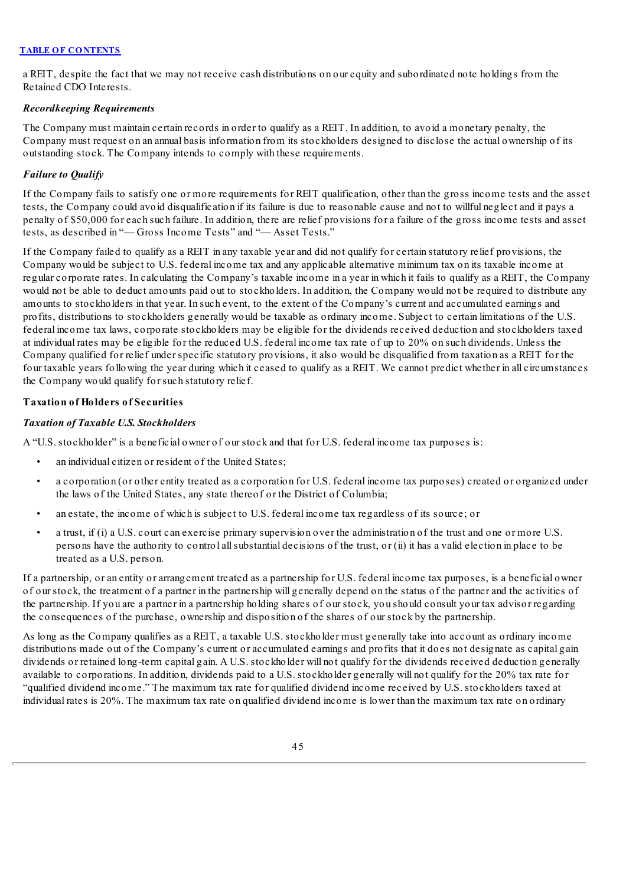a REIT, despite the fact that we may not receive cash distributions on our equity and subordinated note holdings from the Retained CDO Interests.

# *Recordkeeping Requirements*

The Company must maintain certain records in order to qualify as a REIT. In addition, to avoid a monetary penalty, the Company must request on an annual basis information from its stockholders designed to disclose the actual ownership of its outstanding stock. The Company intends to comply with these requirements.

# *Failure to Qualify*

If the Company fails to satisfy one or more requirements for REIT qualification, other than the gross income tests and the asset tests, the Company could avoid disqualification if its failure is due to reasonable cause and not to willful neglect and it pays a penalty of \$50,000 for each such failure. In addition, there are relief provisions for a failure of the gross income tests and asset tests, as described in "— Gross Income Tests" and "— Asset Tests."

If the Company failed to qualify as a REIT in any taxable year and did not qualify for certain statutory relief provisions, the Company would be subject to U.S. federal income tax and any applicable alternative minimum tax on its taxable income at regular corporate rates. In calculating the Company's taxable income in a year in which it fails to qualify as a REIT, the Company would not be able to deduct amounts paid out to stockholders. In addition, the Company would not be required to distribute any amounts to stockholders in that year. In such event, to the extent of the Company's current and accumulated earnings and profits, distributions to stockholders generally would be taxable as ordinary income. Subject to certain limitations of the U.S. federal income tax laws, corporate stockholders may be eligible for the dividends received deduction and stockholders taxed at individual rates may be eligible for the reduced U.S. federal income tax rate of up to 20% on such dividends. Unless the Company qualified for relief under specific statutory provisions, it also would be disqualified from taxation as a REIT for the four taxable years following the year during which it ceased to qualify as a REIT. We cannot predict whether in all circumstances the Company would qualify for such statutory relief.

# **Taxation of Holders of Securities**

### *Taxation of Taxable U.S. Stockholders*

A "U.S. stockholder" is a beneficial owner of our stock and that for U.S. federal income tax purposes is:

- an individual citizen or resident of the United States:
- a corporation (or other entity treated as a corporation for U.S. federal income tax purposes) created or organized under the laws of the United States, any state thereof or the District of Columbia;
- an estate, the income of which is subject to U.S. federal income tax regardless of its source; or
- a trust, if (i) a U.S. court can exercise primary supervision over the administration of the trust and one or more U.S. persons have the authority to control allsubstantial decisions of the trust, or (ii) it has a valid election in place to be treated as a U.S. person.

If a partnership, or an entity or arrangement treated as a partnership for U.S. federal income tax purposes, is a beneficial owner of our stock, the treatment of a partner in the partnership will generally depend on the status of the partner and the activities of the partnership. If you are a partner in a partnership holding shares of our stock, you should consult your tax advisor regarding the consequences of the purchase, ownership and disposition of the shares of our stock by the partnership.

As long as the Company qualifies as a REIT, a taxable U.S. stockholder must generally take into account as ordinary income distributions made out of the Company's current or accumulated earnings and profits that it does not designate as capital gain dividends or retained long-term capital gain. A U.S. stockholder will not qualify for the dividends received deduction generally available to corporations. In addition, dividends paid to a U.S. stockholder generally will not qualify for the 20% tax rate for "qualified dividend income." The maximum tax rate for qualified dividend income received by U.S. stockholders taxed at individual rates is 20%. The maximum tax rate on qualified dividend income is lower than the maximum tax rate on ordinary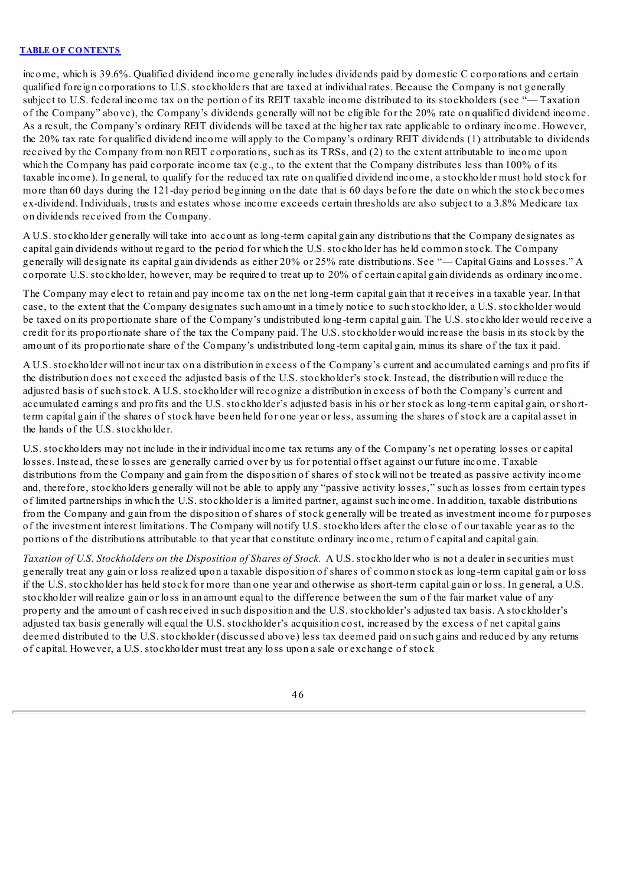income, which is 39.6%. Qualified dividend income generally includes dividends paid by domestic C corporations and certain qualified foreign corporations to U.S. stockholders that are taxed at individual rates. Because the Company is not generally subject to U.S. federal income tax on the portion of its REIT taxable income distributed to its stockholders (see "— Taxation of the Company" above), the Company's dividends generally will not be eligible for the 20% rate on qualified dividend income. As a result, the Company's ordinary REIT dividends will be taxed at the higher tax rate applicable to ordinary income. However, the 20% tax rate for qualified dividend income will apply to the Company's ordinary REIT dividends (1) attributable to dividends received by the Company from non REIT corporations, such as its TRSs, and (2) to the extent attributable to income upon which the Company has paid corporate income tax (e.g., to the extent that the Company distributes less than 100% of its taxable income). In general, to qualify for the reduced tax rate on qualified dividend income, a stockholder must hold stock for more than 60 days during the 121-day period beginning on the date that is 60 days before the date on which the stock becomes ex-dividend. Individuals, trusts and estates whose income exceeds certain thresholds are also subject to a 3.8% Medicare tax on dividends received from the Company.

A U.S. stockholder generally will take into account as long-term capital gain any distributions that the Company designates as capital gain dividends without regard to the period for which the U.S. stockholder has held common stock. The Company generally will designate its capital gain dividends as either 20% or 25% rate distributions. See "— Capital Gains and Losses." A corporate U.S. stockholder, however, may be required to treat up to 20% of certain capital gain dividends as ordinary income.

The Company may elect to retain and pay income tax on the net long-term capital gain that it receives in a taxable year. In that case, to the extent that the Company designates such amount in a timely notice to such stockholder, a U.S. stockholder would be taxed on its proportionate share of the Company's undistributed long-term capital gain. The U.S. stockholder would receive a credit for its proportionate share of the tax the Company paid. The U.S. stockholder would increase the basis in its stock by the amount of its proportionate share of the Company's undistributed long-term capital gain, minus its share of the tax it paid.

A U.S. stockholder will not incur tax on a distribution in excess of the Company's current and accumulated earnings and profits if the distribution does not exceed the adjusted basis of the U.S. stockholder's stock. Instead, the distribution will reduce the adjusted basis of such stock. A U.S. stockholder will recognize a distribution in excess of both the Company's current and accumulated earnings and profits and the U.S. stockholder's adjusted basis in his or her stock as long-term capital gain, or shortterm capital gain if the shares of stock have been held for one year or less, assuming the shares of stock are a capital asset in the hands of the U.S. stockholder.

U.S. stockholders may not include in their individual income tax returns any of the Company's net operating losses or capital losses. Instead, these losses are generally carried over by us for potential offset against our future income. Taxable distributions from the Company and gain from the disposition of shares of stock will not be treated as passive activity income and, therefore, stockholders generally will not be able to apply any "passive activity losses," such as losses from certain types of limited partnerships in which the U.S. stockholder is a limited partner, against such income. In addition, taxable distributions from the Company and gain from the disposition of shares of stock generally will be treated as investment income for purposes of the investment interest limitations. The Company will notify U.S. stockholders after the close of our taxable year as to the portions of the distributions attributable to that year that constitute ordinary income, return of capital and capital gain.

*Taxation of U.S. Stockholders on the Disposition of Shares of Stock.* A U.S. stockholder who is not a dealer in securities must generally treat any gain or loss realized upon a taxable disposition of shares of common stock as long-term capital gain or loss if the U.S. stockholder has held stock for more than one year and otherwise as short-term capital gain or loss. In general, a U.S. stockholder will realize gain or loss in an amount equal to the difference between the sum of the fair market value of any property and the amount of cash received in such disposition and the U.S. stockholder's adjusted tax basis. A stockholder's adjusted tax basis generally will equal the U.S. stockholder's acquisition cost, increased by the excess of net capital gains deemed distributed to the U.S. stockholder (discussed above) less tax deemed paid on such gains and reduced by any returns of capital. However, a U.S. stockholder must treat any loss upon a sale or exchange of stock

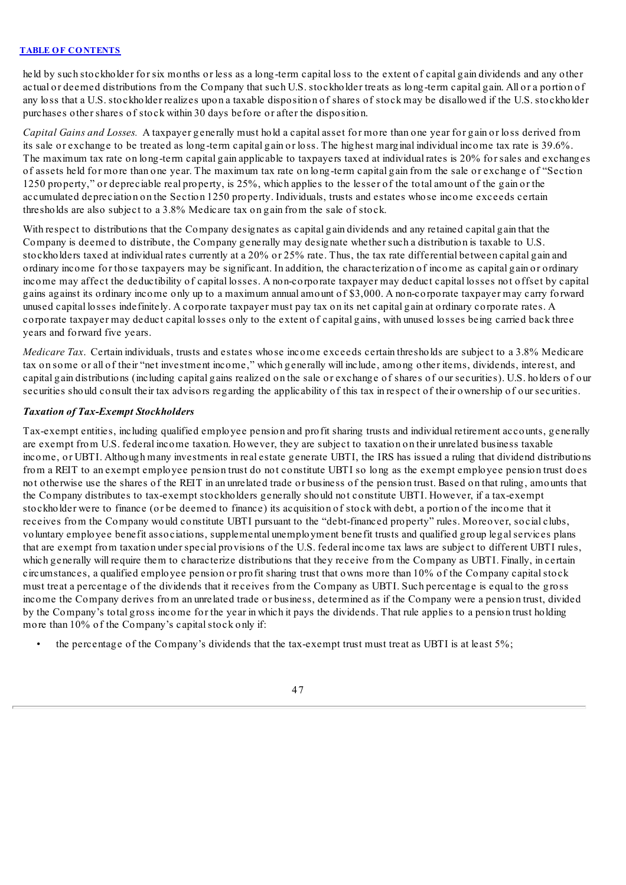held by such stockholder for six months or less as a long-term capital loss to the extent of capital gain dividends and any other actual or deemed distributions from the Company that such U.S. stockholder treats as long-term capital gain. All or a portion of any loss that a U.S. stockholder realizes upon a taxable disposition of shares of stock may be disallowed if the U.S. stockholder purchases other shares of stock within 30 days before or after the disposition.

*Capital Gains and Losses.* A taxpayer generally must hold a capital asset for more than one year for gain or loss derived from its sale or exchange to be treated as long-term capital gain or loss. The highest marginal individual income tax rate is 39.6%. The maximum tax rate on long-term capital gain applicable to taxpayers taxed at individual rates is 20% for sales and exchanges of assets held for more than one year. The maximum tax rate on long-term capital gain from the sale or exchange of "Section 1250 property," or depreciable real property, is 25%, which applies to the lesser of the total amount of the gain or the accumulated depreciation on the Section 1250 property. Individuals, trusts and estates whose income exceeds certain thresholds are also subject to a 3.8% Medicare tax on gain from the sale of stock.

With respect to distributions that the Company designates as capital gain dividends and any retained capital gain that the Company is deemed to distribute, the Company generally may designate whether such a distribution is taxable to U.S. stockholders taxed at individual rates currently at a 20% or 25% rate. Thus, the tax rate differential between capital gain and ordinary income for those taxpayers may be significant. In addition, the characterization of income as capital gain or ordinary income may affect the deductibility of capital losses. A non-corporate taxpayer may deduct capital losses not offset by capital gains against its ordinary income only up to a maximum annual amount of \$3,000. A non-corporate taxpayer may carry forward unused capital losses indefinitely. A corporate taxpayer must pay tax on its net capital gain at ordinary corporate rates. A corporate taxpayer may deduct capital losses only to the extent of capital gains, with unused losses being carried back three years and forward five years.

*Medicare Tax*. Certain individuals, trusts and estates whose income exceeds certain thresholds are subject to a 3.8% Medicare tax on some or all of their "net investment income," which generally will include, among other items, dividends, interest, and capital gain distributions (including capital gains realized on the sale or exchange of shares of our securities). U.S. holders of our securities should consult their tax advisors regarding the applicability of this tax in respect of their ownership of our securities.

### *Taxation of Tax-Exempt Stockholders*

Tax-exempt entities, including qualified employee pension and profit sharing trusts and individual retirement accounts, generally are exempt from U.S. federal income taxation. However, they are subject to taxation on their unrelated business taxable income, or UBTI. Although many investments in real estate generate UBTI, the IRS has issued a ruling that dividend distributions from a REIT to an exempt employee pension trust do not constitute UBTI so long as the exempt employee pension trust does not otherwise use the shares of the REIT in an unrelated trade or business of the pension trust. Based on that ruling, amounts that the Company distributes to tax-exempt stockholders generally should not constitute UBTI. However, if a tax-exempt stockholder were to finance (or be deemed to finance) its acquisition of stock with debt, a portion of the income that it receives from the Company would constitute UBTI pursuant to the "debt-financed property" rules. Moreover, social clubs, voluntary employee benefit associations, supplemental unemployment benefit trusts and qualified group legalservices plans that are exempt from taxation under special provisions of the U.S. federal income tax laws are subject to different UBTI rules, which generally will require them to characterize distributions that they receive from the Company as UBTI. Finally, in certain circumstances, a qualified employee pension or profit sharing trust that owns more than 10% of the Company capitalstock must treat a percentage of the dividends that it receives from the Company as UBTI. Such percentage is equal to the gross income the Company derives from an unrelated trade or business, determined as if the Company were a pension trust, divided by the Company's total gross income for the year in which it pays the dividends. That rule applies to a pension trust holding more than 10% of the Company's capital stock only if:

• the percentage of the Company's dividends that the tax-exempt trust must treat as UBTI is at least 5%;

47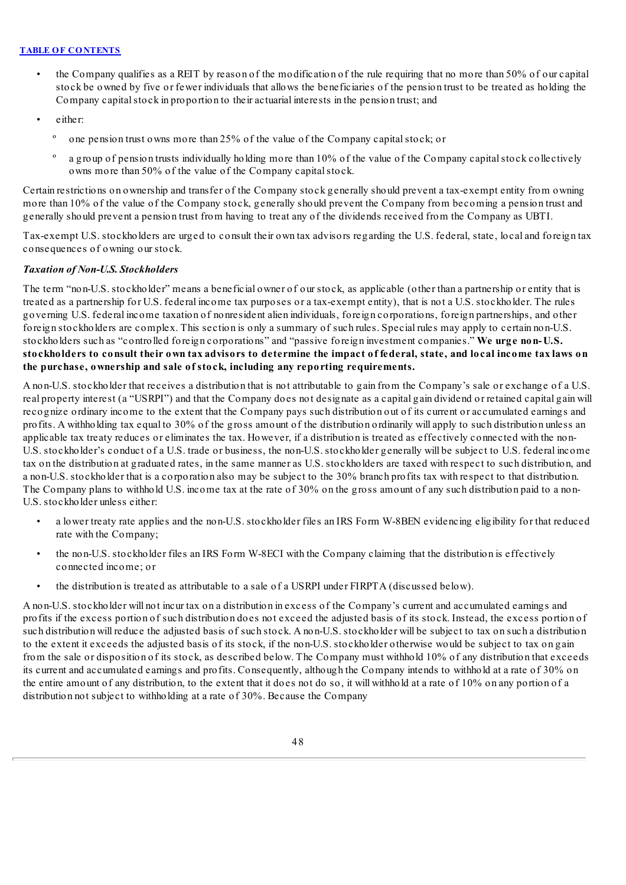- the Company qualifies as a REIT by reason of the modification of the rule requiring that no more than 50% of our capital stock be owned by five or fewer individuals that allows the beneficiaries of the pension trust to be treated as holding the Company capitalstock in proportion to their actuarial interests in the pension trust; and
- either:
	- º one pension trust owns more than 25% of the value of the Company capitalstock; or
	- a group of pension trusts individually holding more than 10% of the value of the Company capital stock collectively owns more than 50% of the value of the Company capital stock.

Certain restrictions on ownership and transfer of the Company stock generally should prevent a tax-exempt entity from owning more than 10% of the value of the Company stock, generally should prevent the Company from becoming a pension trust and generally should prevent a pension trust from having to treat any of the dividends received from the Company as UBTI.

Tax-exempt U.S. stockholders are urged to consult their own tax advisors regarding the U.S. federal, state, local and foreign tax consequences of owning our stock.

# *Taxation of Non-U.S. Stockholders*

The term "non-U.S. stockholder" means a beneficial owner of our stock, as applicable (other than a partnership or entity that is treated as a partnership for U.S. federal income tax purposes or a tax-exempt entity), that is not a U.S. stockholder. The rules governing U.S. federal income taxation of nonresident alien individuals, foreign corporations, foreign partnerships, and other foreign stockholders are complex. This section is only a summary of such rules. Special rules may apply to certain non-U.S. stockholders such as "controlled foreign corporations" and "passive foreign investment companies." **We urge non-U.S.** stockholders to consult their own tax advisors to determine the impact of federal, state, and local income tax laws on **the purchase, ownership and sale of stock, including any reporting requirements.**

A non-U.S. stockholder that receives a distribution that is not attributable to gain from the Company's sale or exchange of a U.S. real property interest (a "USRPI") and that the Company does not designate as a capital gain dividend or retained capital gain will recognize ordinary income to the extent that the Company pays such distribution out of its current or accumulated earnings and profits. A withholding tax equal to 30% of the gross amount of the distribution ordinarily will apply to such distribution unless an applicable tax treaty reduces or eliminates the tax. However, if a distribution is treated as effectively connected with the non-U.S. stockholder's conduct of a U.S. trade or business, the non-U.S. stockholder generally will be subject to U.S. federal income tax on the distribution at graduated rates, in the same manner as U.S. stockholders are taxed with respect to such distribution, and a non-U.S. stockholder that is a corporation also may be subject to the 30% branch profits tax with respect to that distribution. The Company plans to withhold U.S. income tax at the rate of 30% on the gross amount of any such distribution paid to a non-U.S. stockholder unless either:

- a lower treaty rate applies and the non-U.S. stockholder files an IRS Form W-8BEN evidencing eligibility for that reduced rate with the Company;
- the non-U.S. stockholder files an IRS Form W-8ECI with the Company claiming that the distribution is effectively connected income; or
- the distribution is treated as attributable to a sale of a USRPI under FIRPTA (discussed below).

A non-U.S. stockholder will not incur tax on a distribution in excess of the Company's current and accumulated earnings and profits if the excess portion of such distribution does not exceed the adjusted basis of its stock. Instead, the excess portion of such distribution will reduce the adjusted basis of such stock. A non-U.S. stockholder will be subject to tax on such a distribution to the extent it exceeds the adjusted basis of its stock, if the non-U.S. stockholder otherwise would be subject to tax on gain from the sale or disposition of its stock, as described below. The Company must withhold 10% of any distribution that exceeds its current and accumulated earnings and profits. Consequently, although the Company intends to withhold at a rate of 30% on the entire amount of any distribution, to the extent that it does not do so, it will withhold at a rate of 10% on any portion of a distribution not subject to withholding at a rate of 30%. Because the Company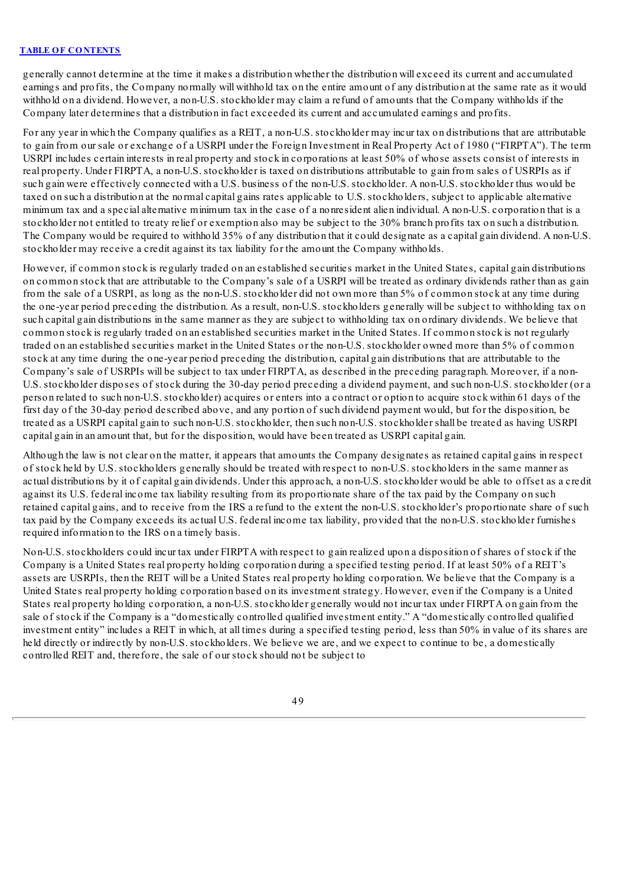generally cannot determine at the time it makes a distribution whether the distribution will exceed its current and accumulated earnings and profits, the Company normally will withhold tax on the entire amount of any distribution at the same rate as it would withhold on a dividend. However, a non-U.S. stockholder may claim a refund of amounts that the Company withholds if the Company later determines that a distribution in fact exceeded its current and accumulated earnings and profits.

For any year in which the Company qualifies as a REIT, a non-U.S. stockholder may incur tax on distributions that are attributable to gain from our sale or exchange of a USRPI under the Foreign Investment in Real Property Act of 1980 ("FIRPTA"). The term USRPI includes certain interests in real property and stock in corporations at least 50% of whose assets consist of interests in real property. Under FIRPTA, a non-U.S. stockholder is taxed on distributions attributable to gain from sales of USRPIs as if such gain were effectively connected with a U.S. business of the non-U.S. stockholder. A non-U.S. stockholder thus would be taxed on such a distribution at the normal capital gains rates applicable to U.S. stockholders, subject to applicable alternative minimum tax and a special alternative minimum tax in the case of a nonresident alien individual. A non-U.S. corporation that is a stockholder not entitled to treaty relief or exemption also may be subject to the 30% branch profits tax on such a distribution. The Company would be required to withhold 35% of any distribution that it could designate as a capital gain dividend. A non-U.S. stockholder may receive a credit against its tax liability for the amount the Company withholds.

However, if common stock is regularly traded on an established securities market in the United States, capital gain distributions on common stock that are attributable to the Company's sale of a USRPI will be treated as ordinary dividends rather than as gain from the sale of a USRPI, as long as the non-U.S. stockholder did not own more than 5% of common stock at any time during the one-year period preceding the distribution. As a result, non-U.S. stockholders generally will be subject to withholding tax on such capital gain distributions in the same manner as they are subject to withholding tax on ordinary dividends. We believe that common stock is regularly traded on an established securities market in the United States. If common stock is not regularly traded on an established securities market in the United States or the non-U.S. stockholder owned more than 5% of common stock at any time during the one-year period preceding the distribution, capital gain distributions that are attributable to the Company's sale of USRPIs will be subject to tax under FIRPTA, as described in the preceding paragraph. Moreover, if a non-U.S. stockholder disposes of stock during the 30-day period preceding a dividend payment, and such non-U.S. stockholder (or a person related to such non-U.S. stockholder) acquires or enters into a contract or option to acquire stock within 61 days of the first day of the 30-day period described above, and any portion of such dividend payment would, but for the disposition, be treated as a USRPI capital gain to such non-U.S. stockholder, then such non-U.S. stockholder shall be treated as having USRPI capital gain in an amount that, but for the disposition, would have been treated as USRPI capital gain.

Although the law is not clear on the matter, it appears that amounts the Company designates as retained capital gains in respect of stock held by U.S. stockholders generally should be treated with respect to non-U.S. stockholders in the same manner as actual distributions by it of capital gain dividends. Under this approach, a non-U.S. stockholder would be able to offset as a credit against its U.S. federal income tax liability resulting from its proportionate share of the tax paid by the Company on such retained capital gains, and to receive from the IRS a refund to the extent the non-U.S. stockholder's proportionate share of such tax paid by the Company exceeds its actual U.S. federal income tax liability, provided that the non-U.S. stockholder furnishes required information to the IRS on a timely basis.

Non-U.S. stockholders could incur tax under FIRPTA with respect to gain realized upon a disposition of shares of stock if the Company is a United States real property holding corporation during a specified testing period. If at least 50% of a REIT's assets are USRPIs, then the REIT will be a United States real property holding corporation. We believe that the Company is a United States real property holding corporation based on its investment strategy. However, even if the Company is a United States real property holding corporation, a non-U.S. stockholder generally would not incur tax under FIRPTA on gain from the sale of stock if the Company is a "domestically controlled qualified investment entity." A "domestically controlled qualified investment entity" includes a REIT in which, at all times during a specified testing period, less than 50% in value of its shares are held directly or indirectly by non-U.S. stockholders. We believe we are, and we expect to continue to be, a domestically controlled REIT and, therefore, the sale of our stock should not be subject to

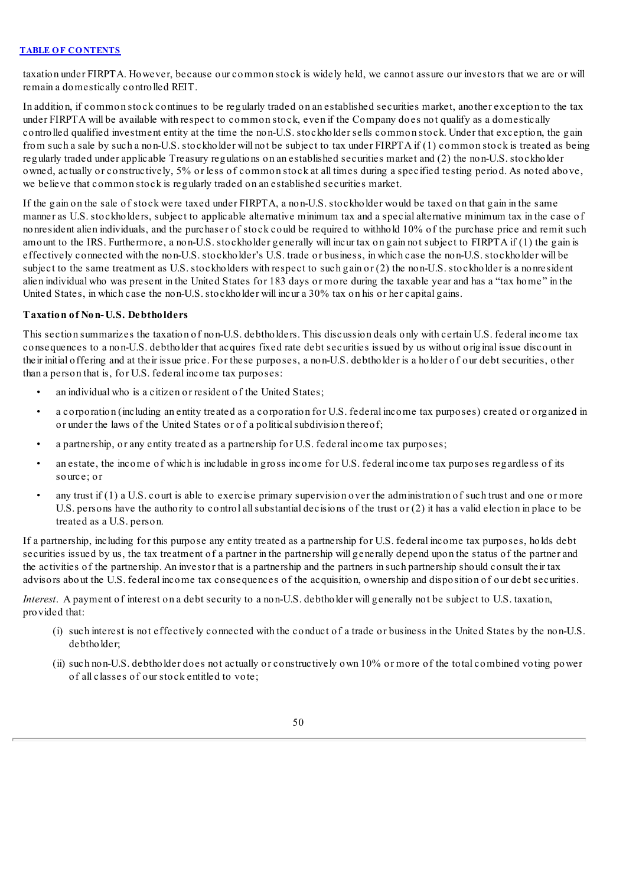taxation under FIRPTA. However, because our common stock is widely held, we cannot assure our investors that we are or will remain a domestically controlled REIT.

In addition, if common stock continues to be regularly traded on an established securities market, another exception to the tax under FIRPTA will be available with respect to common stock, even if the Company does not qualify as a domestically controlled qualified investment entity at the time the non-U.S. stockholder sells common stock. Under that exception, the gain from such a sale by such a non-U.S. stockholder will not be subject to tax under FIRPTA if (1) common stock is treated as being regularly traded under applicable Treasury regulations on an established securities market and (2) the non-U.S. stockholder owned, actually or constructively, 5% or less of common stock at all times during a specified testing period. As noted above, we believe that common stock is regularly traded on an established securities market.

If the gain on the sale of stock were taxed under FIRPTA, a non-U.S. stockholder would be taxed on that gain in the same manner as U.S. stockholders, subject to applicable alternative minimum tax and a special alternative minimum tax in the case of nonresident alien individuals, and the purchaser of stock could be required to withhold 10% of the purchase price and remit such amount to the IRS. Furthermore, a non-U.S. stockholder generally will incur tax on gain not subject to FIRPTA if (1) the gain is effectively connected with the non-U.S. stockholder's U.S. trade or business, in which case the non-U.S. stockholder will be subject to the same treatment as U.S. stockholders with respect to such gain or (2) the non-U.S. stockholder is a nonresident alien individual who was present in the United States for 183 days or more during the taxable year and has a "tax home" in the United States, in which case the non-U.S. stockholder will incur a 30% tax on his or her capital gains.

# **Taxation of Non-U.S. Debtholders**

This section summarizes the taxation of non-U.S. debtholders. This discussion deals only with certain U.S. federal income tax consequences to a non-U.S. debtholder that acquires fixed rate debt securities issued by us without original issue discount in their initial offering and at their issue price. For these purposes, a non-U.S. debtholder is a holder of our debt securities, other than a person that is, for U.S. federal income tax purposes:

- an individual who is a citizen or resident of the United States;
- a corporation (including an entity treated as a corporation for U.S. federal income tax purposes) created or organized in or under the laws of the United States or of a political subdivision thereof;
- a partnership, or any entity treated as a partnership for U.S. federal income tax purposes;
- an estate, the income of which is includable in gross income for U.S. federal income tax purposes regardless of its source; or
- any trust if  $(1)$  a U.S. court is able to exercise primary supervision over the administration of such trust and one or more U.S. persons have the authority to control all substantial decisions of the trust or  $(2)$  it has a valid election in place to be treated as a U.S. person.

If a partnership, including for this purpose any entity treated as a partnership for U.S. federal income tax purposes, holds debt securities issued by us, the tax treatment of a partner in the partnership will generally depend upon the status of the partner and the activities of the partnership. An investor that is a partnership and the partners in such partnership should consult their tax advisors about the U.S. federal income tax consequences of the acquisition, ownership and disposition of our debt securities.

*Interest*. A payment of interest on a debt security to a non-U.S. debtholder will generally not be subject to U.S. taxation, provided that:

- (i) such interest is not effectively connected with the conduct of a trade or business in the United States by the non-U.S. debtholder;
- (ii) such non-U.S. debtholder does not actually or constructively own 10% or more of the total combined voting power of all classes of our stock entitled to vote;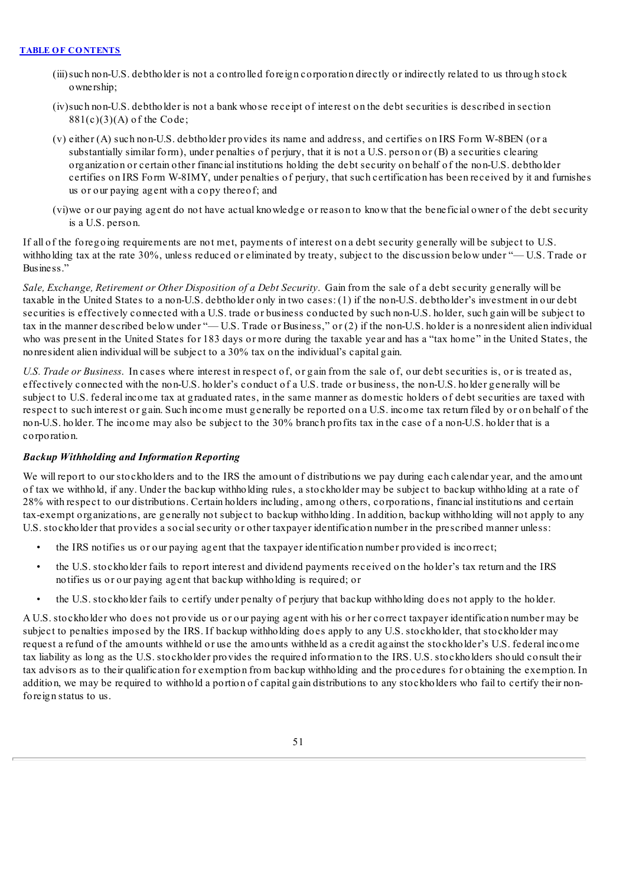- (iii)such non-U.S. debtholder is not a controlled foreign corporation directly or indirectly related to us through stock ownership;
- (iv)such non-U.S. debtholder is not a bank whose receipt of interest on the debt securities is described in section  $881(c)(3)(A)$  of the Code;
- (v) either (A) such non-U.S. debtholder provides its name and address, and certifies on IRS Form W-8BEN (or a substantially similar form), under penalties of perjury, that it is not a U.S. person or (B) a securities clearing organization or certain other financial institutions holding the debt security on behalf of the non-U.S. debtholder certifies on IRS Form W-8IMY, under penalties of perjury, that such certification has been received by it and furnishes us or our paying agent with a copy thereof; and
- (vi)we or our paying agent do not have actual knowledge or reason to know that the beneficial owner of the debt security is a U.S. person.

If all of the foregoing requirements are not met, payments of interest on a debt security generally will be subject to U.S. withholding tax at the rate 30%, unless reduced or eliminated by treaty, subject to the discussion below under "—U.S. Trade or Business."

*Sale, Exchange, Retirement or Other Disposition of a Debt Security*. Gain from the sale of a debt security generally will be taxable in the United States to a non-U.S. debtholder only in two cases: (1) if the non-U.S. debtholder's investment in our debt securities is effectively connected with a U.S. trade or business conducted by such non-U.S. holder, such gain will be subject to tax in the manner described below under "— U.S. Trade or Business," or (2) if the non-U.S. holder is a nonresident alien individual who was present in the United States for 183 days or more during the taxable year and has a "tax home" in the United States, the nonresident alien individual will be subject to a 30% tax on the individual's capital gain.

*U.S. Trade or Business*. In cases where interest in respect of, or gain from the sale of, our debt securities is, or is treated as, effectively connected with the non-U.S. holder's conduct of a U.S. trade or business, the non-U.S. holder generally will be subject to U.S. federal income tax at graduated rates, in the same manner as domestic holders of debt securities are taxed with respect to such interest or gain. Such income must generally be reported on a U.S. income tax return filed by or on behalf of the non-U.S. holder. The income may also be subject to the 30% branch profits tax in the case of a non-U.S. holder that is a corporation.

### *Backup Withholding and Information Reporting*

We will report to our stockholders and to the IRS the amount of distributions we pay during each calendar year, and the amount of tax we withhold, if any. Under the backup withholding rules, a stockholder may be subject to backup withholding at a rate of 28% with respect to our distributions. Certain holders including, among others, corporations, financial institutions and certain tax-exempt organizations, are generally not subject to backup withholding. In addition, backup withholding will not apply to any U.S. stockholder that provides a socialsecurity or other taxpayer identification number in the prescribed manner unless:

- the IRS notifies us or our paying agent that the taxpayer identification number provided is incorrect;
- the U.S. stockholder fails to report interest and dividend payments received on the holder's tax return and the IRS notifies us or our paying agent that backup withholding is required; or
- the U.S. stockholder fails to certify under penalty of perjury that backup withholding does not apply to the holder.

A U.S. stockholder who does not provide us or our paying agent with his or her correct taxpayer identification number may be subject to penalties imposed by the IRS. If backup withholding does apply to any U.S. stockholder, that stockholder may request a refund of the amounts withheld or use the amounts withheld as a credit against the stockholder's U.S. federal income tax liability as long as the U.S. stockholder provides the required information to the IRS. U.S. stockholders should consult their tax advisors as to their qualification for exemption from backup withholding and the procedures for obtaining the exemption. In addition, we may be required to withhold a portion of capital gain distributions to any stockholders who fail to certify their nonforeign status to us.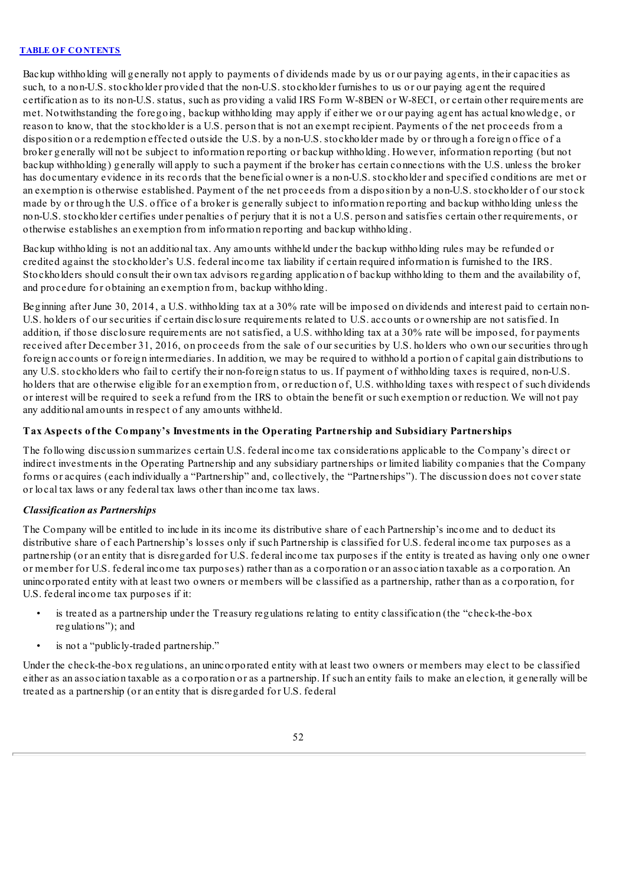Backup withholding will generally not apply to payments of dividends made by us or our paying agents, in their capacities as such, to a non-U.S. stockholder provided that the non-U.S. stockholder furnishes to us or our paying agent the required certification as to its non-U.S. status, such as providing a valid IRS Form W-8BEN or W-8ECI, or certain other requirements are met. Notwithstanding the foregoing, backup withholding may apply if either we or our paying agent has actual knowledge, or reason to know, that the stockholder is a U.S. person that is not an exempt recipient. Payments of the net proceeds from a disposition or a redemption effected outside the U.S. by a non-U.S. stockholder made by or through a foreign office of a broker generally will not be subject to information reporting or backup withholding. However, information reporting (but not backup withholding) generally will apply to such a payment if the broker has certain connections with the U.S. unless the broker has documentary evidence in its records that the beneficial owner is a non-U.S. stockholder and specified conditions are met or an exemption is otherwise established. Payment of the net proceeds from a disposition by a non-U.S. stockholder of our stock made by or through the U.S. office of a broker is generally subject to information reporting and backup withholding unless the non-U.S. stockholder certifies under penalties of perjury that it is not a U.S. person and satisfies certain other requirements, or otherwise establishes an exemption from information reporting and backup withholding.

Backup withholding is not an additional tax. Any amounts withheld under the backup withholding rules may be refunded or credited against the stockholder's U.S. federal income tax liability if certain required information is furnished to the IRS. Stockholders should consult their own tax advisors regarding application of backup withholding to them and the availability of, and procedure for obtaining an exemption from, backup withholding.

Beginning after June 30, 2014, a U.S. withholding tax at a 30% rate will be imposed on dividends and interest paid to certain non-U.S. holders of our securities if certain disclosure requirements related to U.S. accounts or ownership are not satisfied. In addition, if those disclosure requirements are not satisfied, a U.S. withholding tax at a 30% rate will be imposed, for payments received after December 31, 2016, on proceeds from the sale of our securities by U.S. holders who own our securities through foreign accounts or foreign intermediaries. In addition, we may be required to withhold a portion of capital gain distributions to any U.S. stockholders who fail to certify their non-foreign status to us. If payment of withholding taxes is required, non-U.S. holders that are otherwise eligible for an exemption from, or reduction of, U.S. withholding taxes with respect of such dividends or interest will be required to seek a refund from the IRS to obtain the benefit or such exemption or reduction. We will not pay any additional amounts in respect of any amounts withheld.

# **Tax Aspects of the Company's Investments in the Operating Partnership and Subsidiary Partnerships**

The following discussion summarizes certain U.S. federal income tax considerations applicable to the Company's direct or indirect investments in the Operating Partnership and any subsidiary partnerships or limited liability companies that the Company forms or acquires (each individually a "Partnership" and, collectively, the "Partnerships"). The discussion does not cover state or local tax laws or any federal tax laws other than income tax laws.

# *Classification as Partnerships*

The Company will be entitled to include in its income its distributive share of each Partnership's income and to deduct its distributive share of each Partnership's losses only if such Partnership is classified for U.S. federal income tax purposes as a partnership (or an entity that is disregarded for U.S. federal income tax purposes if the entity is treated as having only one owner or member for U.S. federal income tax purposes) rather than as a corporation or an association taxable as a corporation. An unincorporated entity with at least two owners or members will be classified as a partnership, rather than as a corporation, for U.S. federal income tax purposes if it:

- is treated as a partnership under the Treasury regulations relating to entity classification (the "check-the-box regulations"); and
- is not a "public ly-traded partnership."

Under the check-the-box regulations, an unincorporated entity with at least two owners or members may elect to be classified either as an association taxable as a corporation or as a partnership. If such an entity fails to make an election, it generally will be treated as a partnership (or an entity that is disregarded for U.S. federal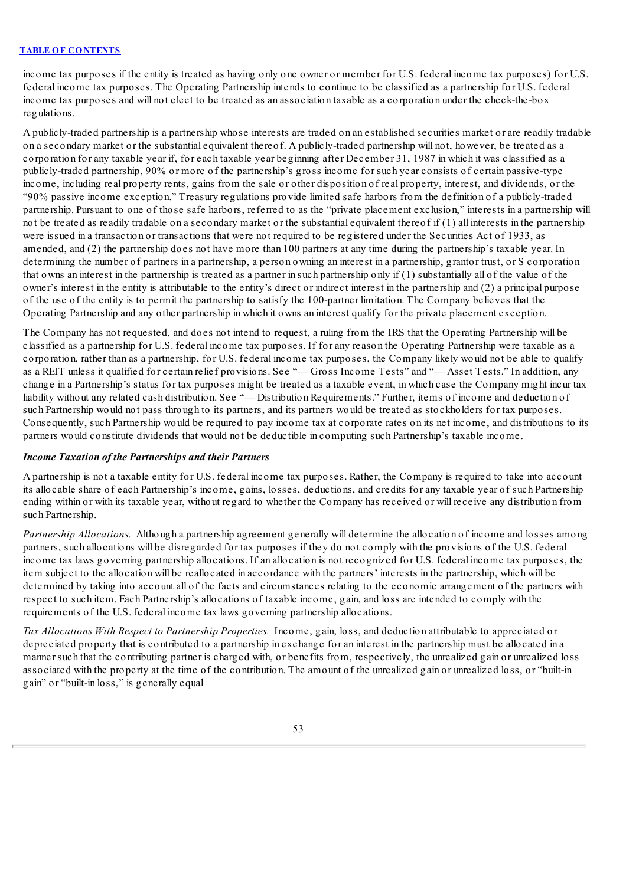income tax purposes if the entity is treated as having only one owner or member for U.S. federal income tax purposes) for U.S. federal income tax purposes. The Operating Partnership intends to continue to be classified as a partnership for U.S. federal income tax purposes and will not elect to be treated as an association taxable as a corporation under the check-the-box regulations.

A publicly-traded partnership is a partnership whose interests are traded on an established securities market or are readily tradable on a secondary market or the substantial equivalent thereof. A publicly-traded partnership will not, however, be treated as a corporation for any taxable year if, for each taxable year beginning after December 31, 1987 in which it was classified as a publicly-traded partnership, 90% or more of the partnership's gross income for such year consists of certain passive-type income, including real property rents, gains from the sale or other disposition of real property, interest, and dividends, or the "90% passive income exception." Treasury regulations provide limited safe harbors from the definition of a publicly-traded partnership. Pursuant to one of those safe harbors, referred to as the "private placement exclusion," interests in a partnership will not be treated as readily tradable on a secondary market or the substantial equivalent thereof if (1) all interests in the partnership were issued in a transaction or transactions that were not required to be registered under the Securities Act of 1933, as amended, and (2) the partnership does not have more than 100 partners at any time during the partnership's taxable year. In determining the number of partners in a partnership, a person owning an interest in a partnership, grantor trust, or S corporation that owns an interest in the partnership is treated as a partner in such partnership only if (1) substantially all of the value of the owner's interest in the entity is attributable to the entity's direct or indirect interest in the partnership and (2) a principal purpose of the use of the entity is to permit the partnership to satisfy the 100-partner limitation. The Company believes that the Operating Partnership and any other partnership in which it owns an interest qualify for the private placement exception.

The Company has not requested, and does not intend to request, a ruling from the IRS that the Operating Partnership will be classified as a partnership for U.S. federal income tax purposes. If for any reason the Operating Partnership were taxable as a corporation, rather than as a partnership, for U.S. federal income tax purposes, the Company likely would not be able to qualify as a REIT unless it qualified for certain relief provisions. See "— Gross Income Tests" and "— Asset Tests." In addition, any change in a Partnership's status for tax purposes might be treated as a taxable event, in which case the Company might incur tax liability without any related cash distribution. See "— Distribution Requirements." Further, items of income and deduction of such Partnership would not pass through to its partners, and its partners would be treated as stockholders for tax purposes. Consequently, such Partnership would be required to pay income tax at corporate rates on its net income, and distributions to its partners would constitute dividends that would not be deductible in computing such Partnership's taxable income.

# *Income Taxation of the Partnerships and their Partners*

A partnership is not a taxable entity for U.S. federal income tax purposes. Rather, the Company is required to take into account its allocable share of each Partnership's income, gains, losses, deductions, and credits for any taxable year of such Partnership ending within or with its taxable year, without regard to whether the Company has received or will receive any distribution from such Partnership.

*Partnership Allocations.* Although a partnership agreement generally will determine the allocation of income and losses among partners, such allocations will be disregarded for tax purposes if they do not comply with the provisions of the U.S. federal income tax laws governing partnership allocations. If an allocation is not recognized for U.S. federal income tax purposes, the item subject to the allocation will be reallocated in accordance with the partners' interests in the partnership, which will be determined by taking into account all of the facts and circumstances relating to the economic arrangement of the partners with respect to such item. Each Partnership's allocations of taxable income, gain, and loss are intended to comply with the requirements of the U.S. federal income tax laws governing partnership allocations.

*Tax Allocations With Respect to Partnership Properties.* Income, gain, loss, and deduction attributable to appreciated or depreciated property that is contributed to a partnership in exchange for an interest in the partnership must be allocated in a manner such that the contributing partner is charged with, or benefits from, respectively, the unrealized gain or unrealized loss associated with the property at the time of the contribution. The amount of the unrealized gain or unrealized loss, or "built-in gain" or "built-in loss," is generally equal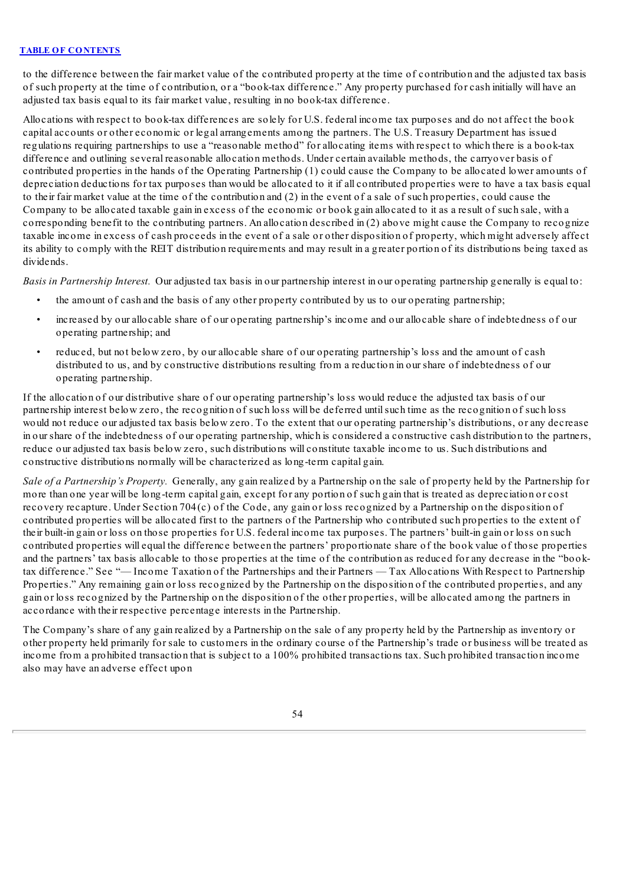to the difference between the fair market value of the contributed property at the time of contribution and the adjusted tax basis of such property at the time of contribution, or a "book-tax difference." Any property purchased for cash initially will have an adjusted tax basis equal to its fair market value, resulting in no book-tax difference.

Allocations with respect to book-tax differences are solely for U.S. federal income tax purposes and do not affect the book capital accounts or other economic or legal arrangements among the partners. The U.S. Treasury Department has issued regulations requiring partnerships to use a "reasonable method" for allocating items with respect to which there is a book-tax difference and outlining several reasonable allocation methods. Under certain available methods, the carryover basis of contributed properties in the hands of the Operating Partnership (1) could cause the Company to be allocated lower amounts of depreciation deductions for tax purposes than would be allocated to it if all contributed properties were to have a tax basis equal to their fair market value at the time of the contribution and (2) in the event of a sale of such properties, could cause the Company to be allocated taxable gain in excess of the economic or book gain allocated to it as a result of such sale, with a corresponding benefit to the contributing partners. An allocation described in (2) above might cause the Company to recognize taxable income in excess of cash proceeds in the event of a sale or other disposition of property, which might adversely affect its ability to comply with the REIT distribution requirements and may result in a greater portion of its distributions being taxed as dividends.

*Basis in Partnership Interest.* Our adjusted tax basis in our partnership interest in our operating partnership generally is equal to:

- the amount of cash and the basis of any other property contributed by us to our operating partnership;
- increased by our allocable share of our operating partnership's income and our allocable share of indebtedness of our operating partnership; and
- reduced, but not below zero, by our allocable share of our operating partnership's loss and the amount of cash distributed to us, and by constructive distributions resulting from a reduction in our share of indebtedness of our operating partnership.

If the allocation of our distributive share of our operating partnership's loss would reduce the adjusted tax basis of our partnership interest below zero, the recognition of such loss will be deferred untilsuch time as the recognition of such loss would not reduce our adjusted tax basis below zero. To the extent that our operating partnership's distributions, or any decrease in our share of the indebtedness of our operating partnership, which is considered a constructive cash distribution to the partners, reduce our adjusted tax basis below zero, such distributions will constitute taxable income to us. Such distributions and constructive distributions normally will be characterized as long-term capital gain.

*Sale of a Partnership's Property.* Generally, any gain realized by a Partnership on the sale of property held by the Partnership for more than one year will be long-term capital gain, except for any portion of such gain that is treated as depreciation or cost recovery recapture. Under Section 704 $(c)$  of the Code, any gain or loss recognized by a Partnership on the disposition of contributed properties will be allocated first to the partners of the Partnership who contributed such properties to the extent of their built-in gain or loss on those properties for U.S. federal income tax purposes. The partners' built-in gain or loss on such contributed properties will equal the difference between the partners' proportionate share of the book value of those properties and the partners' tax basis allocable to those properties at the time of the contribution as reduced for any decrease in the "booktax difference." See "— Income Taxation of the Partnerships and their Partners — Tax Allocations With Respect to Partnership Properties." Any remaining gain or loss recognized by the Partnership on the disposition of the contributed properties, and any gain or loss recognized by the Partnership on the disposition of the other properties, will be allocated among the partners in accordance with their respective percentage interests in the Partnership.

The Company's share of any gain realized by a Partnership on the sale of any property held by the Partnership as inventory or other property held primarily for sale to customers in the ordinary course of the Partnership's trade or business will be treated as income from a prohibited transaction that is subject to a 100% prohibited transactions tax. Such prohibited transaction income also may have an adverse effect upon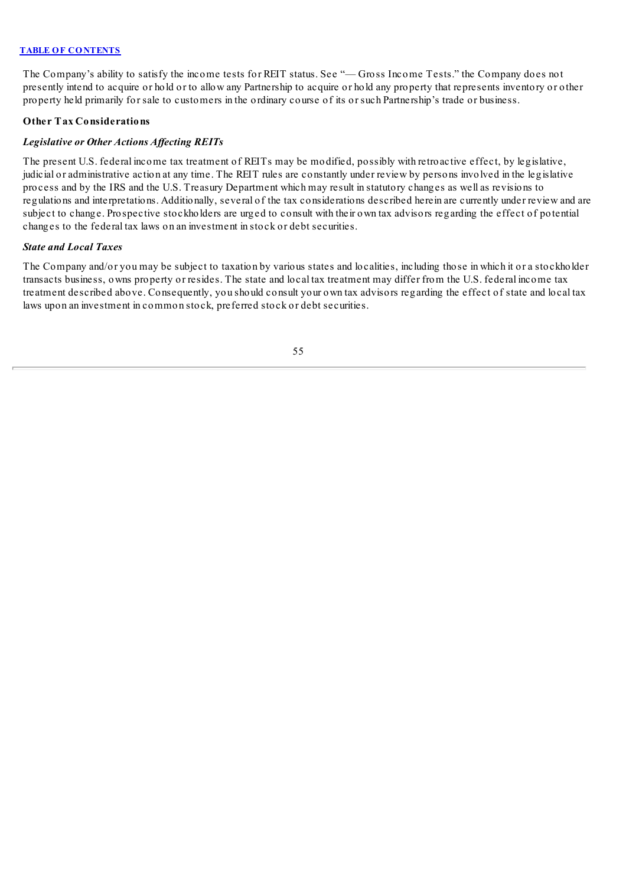The Company's ability to satisfy the income tests for REIT status. See "— Gross Income Tests." the Company does not presently intend to acquire or hold or to allow any Partnership to acquire or hold any property that represents inventory or other property held primarily for sale to customers in the ordinary course of its or such Partnership's trade or business.

## **Other Tax Considerations**

## *Legislative or Other Actions Af ecting REITs*

The present U.S. federal income tax treatment of REITs may be modified, possibly with retroactive effect, by legislative, judicial or administrative action at any time. The REIT rules are constantly under review by persons involved in the legislative process and by the IRS and the U.S. Treasury Department which may result in statutory changes as well as revisions to regulations and interpretations. Additionally, several of the tax considerations described herein are currently under review and are subject to change. Prospective stockholders are urged to consult with their own tax advisors regarding the effect of potential changes to the federal tax laws on an investment in stock or debt securities.

### *State and Local Taxes*

The Company and/or you may be subject to taxation by various states and localities, including those in which it or a stockholder transacts business, owns property or resides. The state and local tax treatment may differ from the U.S. federal income tax treatment described above. Consequently, you should consult your own tax advisors regarding the effect of state and local tax laws upon an investment in common stock, preferred stock or debt securities.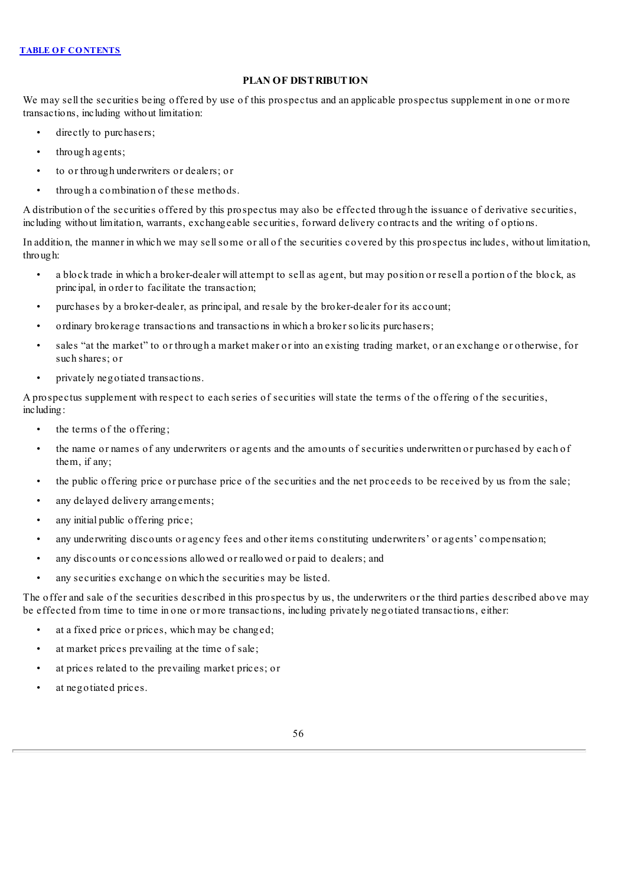# **PLAN OF DISTRIBUTION**

We may sell the securities being offered by use of this prospectus and an applicable prospectus supplement in one or more transactions, including without limitation:

- directly to purchasers;
- through agents;
- to or through underwriters or dealers; or
- through a combination of these methods.

A distribution of the securities offered by this prospectus may also be effected through the issuance of derivative securities, including without limitation, warrants, exchangeable securities, forward delivery contracts and the writing of options.

In addition, the manner in which we may sellsome or all of the securities covered by this prospectus includes, without limitation, through:

- a block trade in which a broker-dealer will attempt to sell as agent, but may position or resell a portion of the block, as principal, in order to facilitate the transaction;
- purchases by a broker-dealer, as principal, and resale by the broker-dealer for its account;
- ordinary brokerage transactions and transactions in which a broker solicits purchasers;
- sales "at the market" to or through a market maker or into an existing trading market, or an exchange or otherwise, for such shares; or
- privately negotiated transactions.

A prospectus supplement with respect to each series of securities willstate the terms of the offering of the securities, including:

- the terms of the offering;
- the name or names of any underwriters or agents and the amounts of securities underwritten or purchased by each of them, if any;
- the public offering price or purchase price of the securities and the net proceeds to be received by us from the sale;
- any delayed delivery arrangements;
- any initial public offering price;
- any underwriting discounts or agency fees and other items constituting underwriters' or agents' compensation;
- any discounts or concessions allowed or reallowed or paid to dealers; and
- any securities exchange on which the securities may be listed.

The offer and sale of the securities described in this prospectus by us, the underwriters or the third parties described above may be effected from time to time in one or more transactions, including privately negotiated transactions, either:

- at a fixed price or prices, which may be changed;
- at market prices prevailing at the time of sale;
- at prices related to the prevailing market prices; or
- at negotiated prices.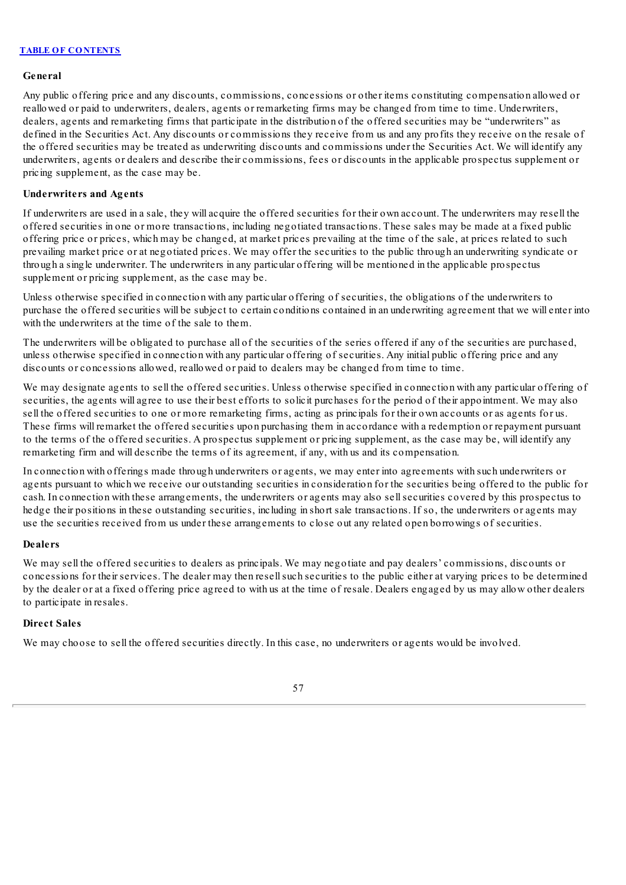#### **General**

Any public offering price and any discounts, commissions, concessions or other items constituting compensation allowed or reallowed or paid to underwriters, dealers, agents or remarketing firms may be changed from time to time. Underwriters, dealers, agents and remarketing firms that participate in the distribution of the offered securities may be "underwriters" as defined in the Securities Act. Any discounts or commissions they receive from us and any profits they receive on the resale of the offered securities may be treated as underwriting discounts and commissions under the Securities Act. We will identify any underwriters, agents or dealers and describe their commissions, fees or discounts in the applicable prospectus supplement or pricing supplement, as the case may be.

### **Underwriters and Agents**

If underwriters are used in a sale, they will acquire the offered securities for their own account. The underwriters may resell the offered securities in one or more transactions, including negotiated transactions. These sales may be made at a fixed public offering price or prices, which may be changed, at market prices prevailing at the time of the sale, at prices related to such prevailing market price or at negotiated prices. We may offer the securities to the public through an underwriting syndicate or through a single underwriter. The underwriters in any particular offering will be mentioned in the applicable prospectus supplement or pricing supplement, as the case may be.

Unless otherwise specified in connection with any particular offering of securities, the obligations of the underwriters to purchase the offered securities will be subject to certain conditions contained in an underwriting agreement that we will enter into with the underwriters at the time of the sale to them.

The underwriters will be obligated to purchase all of the securities of the series offered if any of the securities are purchased, unless otherwise specified in connection with any particular offering of securities. Any initial public offering price and any discounts or concessions allowed, reallowed or paid to dealers may be changed from time to time.

We may designate agents to sell the offered securities. Unless otherwise specified in connection with any particular offering of securities, the agents will agree to use their best efforts to solicit purchases for the period of their appointment. We may also sell the offered securities to one or more remarketing firms, acting as principals for their own accounts or as agents for us. These firms will remarket the offered securities upon purchasing them in accordance with a redemption or repayment pursuant to the terms of the offered securities. A prospectus supplement or pricing supplement, as the case may be, will identify any remarketing firm and will describe the terms of its agreement, if any, with us and its compensation.

In connection with offerings made through underwriters or agents, we may enter into agreements with such underwriters or agents pursuant to which we receive our outstanding securities in consideration for the securities being offered to the public for cash. In connection with these arrangements, the underwriters or agents may also sellsecurities covered by this prospectus to hedge their positions in these outstanding securities, including in short sale transactions. If so, the underwriters or agents may use the securities received from us under these arrangements to close out any related open borrowings of securities.

### **Dealers**

We may sell the offered securities to dealers as principals. We may negotiate and pay dealers' commissions, discounts or concessions for their services. The dealer may then resellsuch securities to the public either at varying prices to be determined by the dealer or at a fixed offering price agreed to with us at the time of resale. Dealers engaged by us may allow other dealers to participate in resales.

### **Direct Sales**

We may choose to sell the offered securities directly. In this case, no underwriters or agents would be involved.

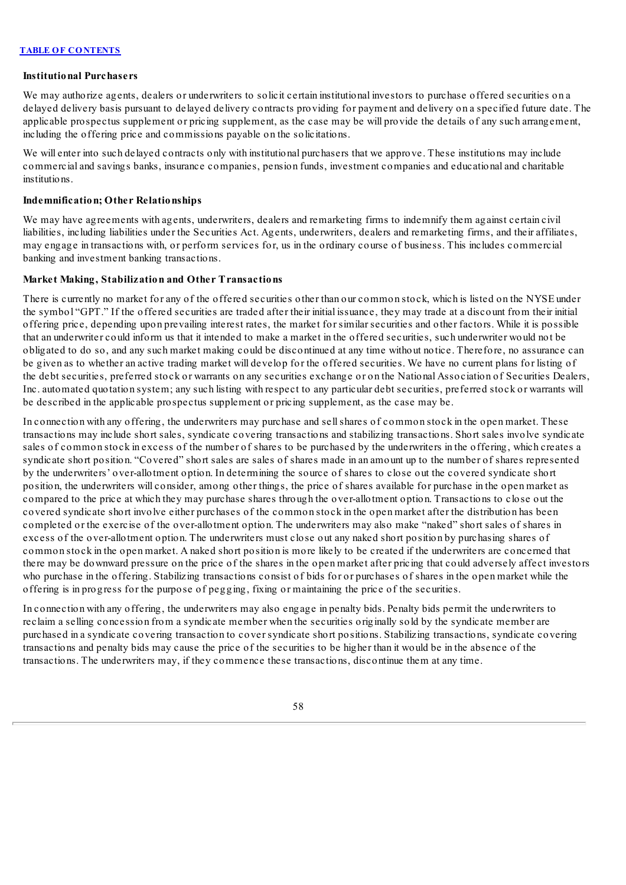#### **Institutional Purchasers**

We may authorize agents, dealers or underwriters to solicit certain institutional investors to purchase offered securities on a delayed delivery basis pursuant to delayed delivery contracts providing for payment and delivery on a specified future date. The applicable prospectus supplement or pricing supplement, as the case may be will provide the details of any such arrangement, including the offering price and commissions payable on the solicitations.

We will enter into such delayed contracts only with institutional purchasers that we approve. These institutions may include commercial and savings banks, insurance companies, pension funds, investment companies and educational and charitable institutions.

### **Indemnification; Other Relationships**

We may have agreements with agents, underwriters, dealers and remarketing firms to indemnify them against certain civil liabilities, including liabilities under the Securities Act. Agents, underwriters, dealers and remarketing firms, and their affiliates, may engage in transactions with, or perform services for, us in the ordinary course of business. This includes commercial banking and investment banking transactions.

#### **Market Making, Stabilization and Other Transactions**

There is currently no market for any of the offered securities other than our common stock, which is listed on the NYSE under the symbol "GPT." If the offered securities are traded after their initial issuance, they may trade at a discount from their initial offering price, depending upon prevailing interest rates, the market for similar securities and other factors. While it is possible that an underwriter could inform us that it intended to make a market in the offered securities, such underwriter would not be obligated to do so, and any such market making could be discontinued at any time without notice. Therefore, no assurance can be given as to whether an active trading market will develop for the offered securities. We have no current plans for listing of the debt securities, preferred stock or warrants on any securities exchange or on the National Association of Securities Dealers, Inc. automated quotation system; any such listing with respect to any particular debt securities, preferred stock or warrants will be described in the applicable prospectus supplement or pricing supplement, as the case may be.

In connection with any offering, the underwriters may purchase and sellshares of common stock in the open market. These transactions may include short sales, syndicate covering transactions and stabilizing transactions. Short sales involve syndicate sales of common stock in excess of the number of shares to be purchased by the underwriters in the offering, which creates a syndicate short position. "Covered" short sales are sales of shares made in an amount up to the number of shares represented by the underwriters' over-allotment option. In determining the source of shares to close out the covered syndicate short position, the underwriters will consider, among other things, the price of shares available for purchase in the open market as compared to the price at which they may purchase shares through the over-allotment option. Transactions to close out the covered syndicate short involve either purchases of the common stock in the open market after the distribution has been completed or the exercise of the over-allotment option. The underwriters may also make "naked" short sales of shares in excess of the over-allotment option. The underwriters must close out any naked short position by purchasing shares of common stock in the open market. A naked short position is more likely to be created if the underwriters are concerned that there may be downward pressure on the price of the shares in the open market after pricing that could adversely affect investors who purchase in the offering. Stabilizing transactions consist of bids for or purchases of shares in the open market while the offering is in progress for the purpose of pegging, fixing or maintaining the price of the securities.

In connection with any offering, the underwriters may also engage in penalty bids. Penalty bids permit the underwriters to reclaim a selling concession from a syndicate member when the securities originally sold by the syndicate member are purchased in a syndicate covering transaction to cover syndicate short positions. Stabilizing transactions, syndicate covering transactions and penalty bids may cause the price of the securities to be higher than it would be in the absence of the transactions. The underwriters may, if they commence these transactions, discontinue them at any time.

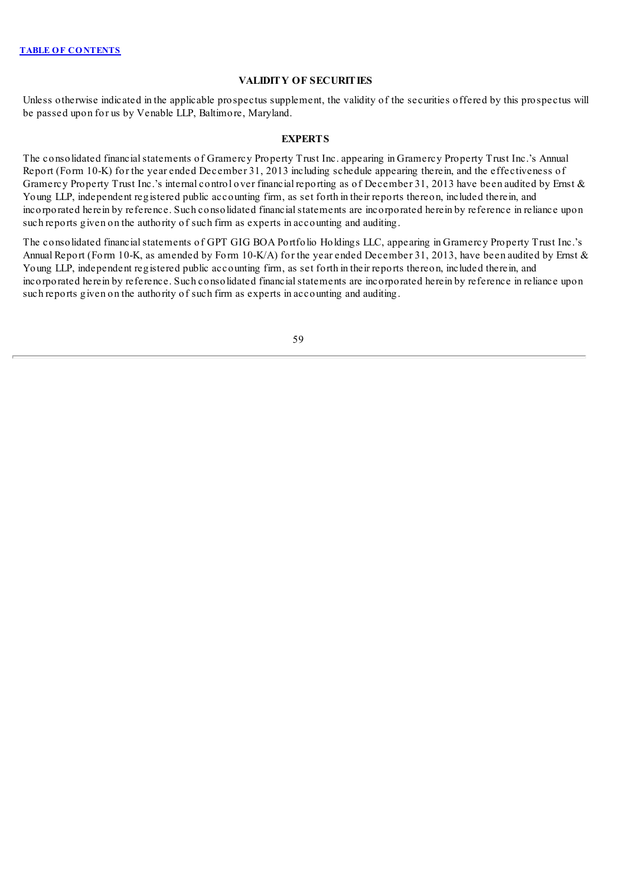# **VALIDITY OF SECURITIES**

Unless otherwise indicated in the applicable prospectus supplement, the validity of the securities offered by this prospectus will be passed upon for us by Venable LLP, Baltimore, Maryland.

## **EXPERTS**

The consolidated financial statements of Gramercy Property Trust Inc. appearing in Gramercy Property Trust Inc.'s Annual Report (Form 10-K) for the year ended December 31, 2013 including schedule appearing therein, and the effectiveness of Gramercy Property Trust Inc.'s internal control over financial reporting as of December 31, 2013 have been audited by Ernst & Young LLP, independent registered public accounting firm, as set forth in their reports thereon, included therein, and incorporated herein by reference. Such consolidated financialstatements are incorporated herein by reference in reliance upon such reports given on the authority of such firm as experts in accounting and auditing.

The consolidated financial statements of GPT GIG BOA Portfolio Holdings LLC, appearing in Gramercy Property Trust Inc.'s Annual Report (Form 10-K, as amended by Form 10-K/A) for the year ended December 31, 2013, have been audited by Ernst & Young LLP, independent registered public accounting firm, as set forth in their reports thereon, included therein, and incorporated herein by reference. Such consolidated financialstatements are incorporated herein by reference in reliance upon such reports given on the authority of such firm as experts in accounting and auditing.

59